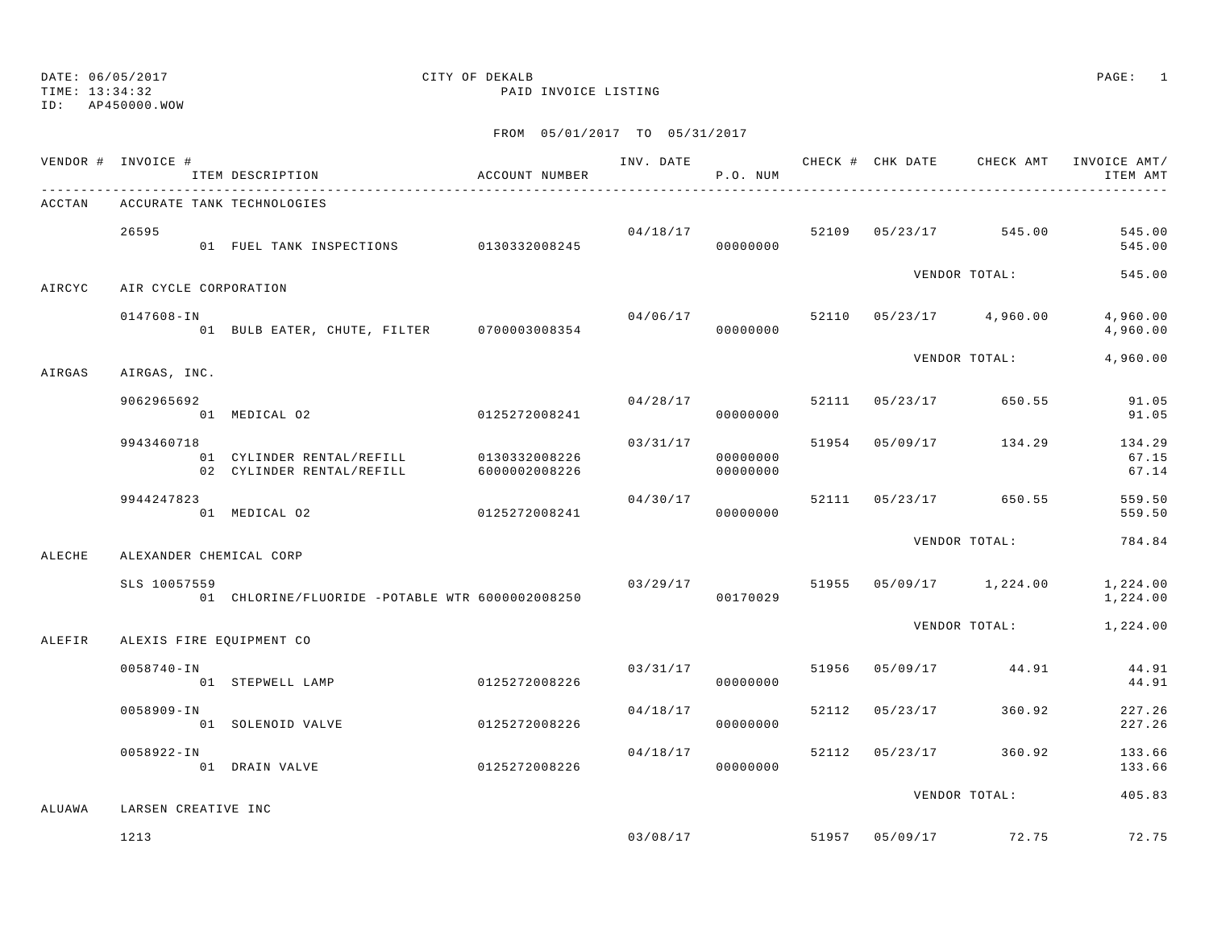### DATE: 06/05/2017 CITY OF DEKALB PAGE: 1 TIME: 13:34:32 PAID INVOICE LISTING

|        | VENDOR # INVOICE #    | ITEM DESCRIPTION                                                     | ACCOUNT NUMBER |          | P.O. NUM             |  |                                    | ITEM AMT                 |
|--------|-----------------------|----------------------------------------------------------------------|----------------|----------|----------------------|--|------------------------------------|--------------------------|
| ACCTAN |                       | ACCURATE TANK TECHNOLOGIES                                           |                |          |                      |  |                                    |                          |
|        | 26595                 | 01 FUEL TANK INSPECTIONS 0130332008245                               |                |          | 00000000             |  | $04/18/17$ 52109 05/23/17 545.00   | 545.00<br>545.00         |
| AIRCYC | AIR CYCLE CORPORATION |                                                                      |                |          |                      |  | VENDOR TOTAL:                      | 545.00                   |
|        | 0147608-IN            | 01 BULB EATER, CHUTE, FILTER 0700003008354                           |                |          | 00000000             |  | $04/06/17$ 52110 05/23/17 4,960.00 | 4,960.00<br>4,960.00     |
| AIRGAS | AIRGAS, INC.          |                                                                      |                |          |                      |  | VENDOR TOTAL:                      | 4,960.00                 |
|        | 9062965692            | 01 MEDICAL 02                                                        | 0125272008241  |          | 00000000             |  | $04/28/17$ 52111 $05/23/17$ 650.55 | 91.05<br>91.05           |
|        | 9943460718            | 01 CYLINDER RENTAL/REFILL 0130332008226<br>02 CYLINDER RENTAL/REFILL | 6000002008226  | 03/31/17 | 00000000<br>00000000 |  | 51954 05/09/17 134.29              | 134.29<br>67.15<br>67.14 |
|        | 9944247823            | 01 MEDICAL 02                                                        | 0125272008241  | 04/30/17 | 00000000             |  | 52111 05/23/17 650.55              | 559.50<br>559.50         |
| ALECHE |                       | ALEXANDER CHEMICAL CORP                                              |                |          |                      |  | VENDOR TOTAL:                      | 784.84                   |
|        | SLS 10057559          | 01 CHLORINE/FLUORIDE -POTABLE WTR 6000002008250                      |                |          | 00170029             |  | $03/29/17$ 51955 05/09/17 1,224.00 | 1,224.00<br>1,224.00     |
| ALEFIR |                       | ALEXIS FIRE EQUIPMENT CO                                             |                |          |                      |  | VENDOR TOTAL:                      | 1,224.00                 |
|        | $0058740 - IN$        | 01 STEPWELL LAMP                                                     | 0125272008226  |          | 03/31/17<br>00000000 |  | 51956 05/09/17 44.91               | 44.91<br>44.91           |
|        | 0058909-IN            | 01 SOLENOID VALVE                                                    | 0125272008226  | 04/18/17 | 00000000             |  | 52112 05/23/17 360.92              | 227.26<br>227.26         |
|        | 0058922-IN            | 01 DRAIN VALVE                                                       | 0125272008226  | 04/18/17 | 00000000             |  | 52112 05/23/17 360.92              | 133.66<br>133.66         |
| ALUAWA | LARSEN CREATIVE INC   |                                                                      |                |          |                      |  | VENDOR TOTAL:                      | 405.83                   |
|        | 1213                  |                                                                      |                |          |                      |  | $03/08/17$ 51957 05/09/17 72.75    | 72.75                    |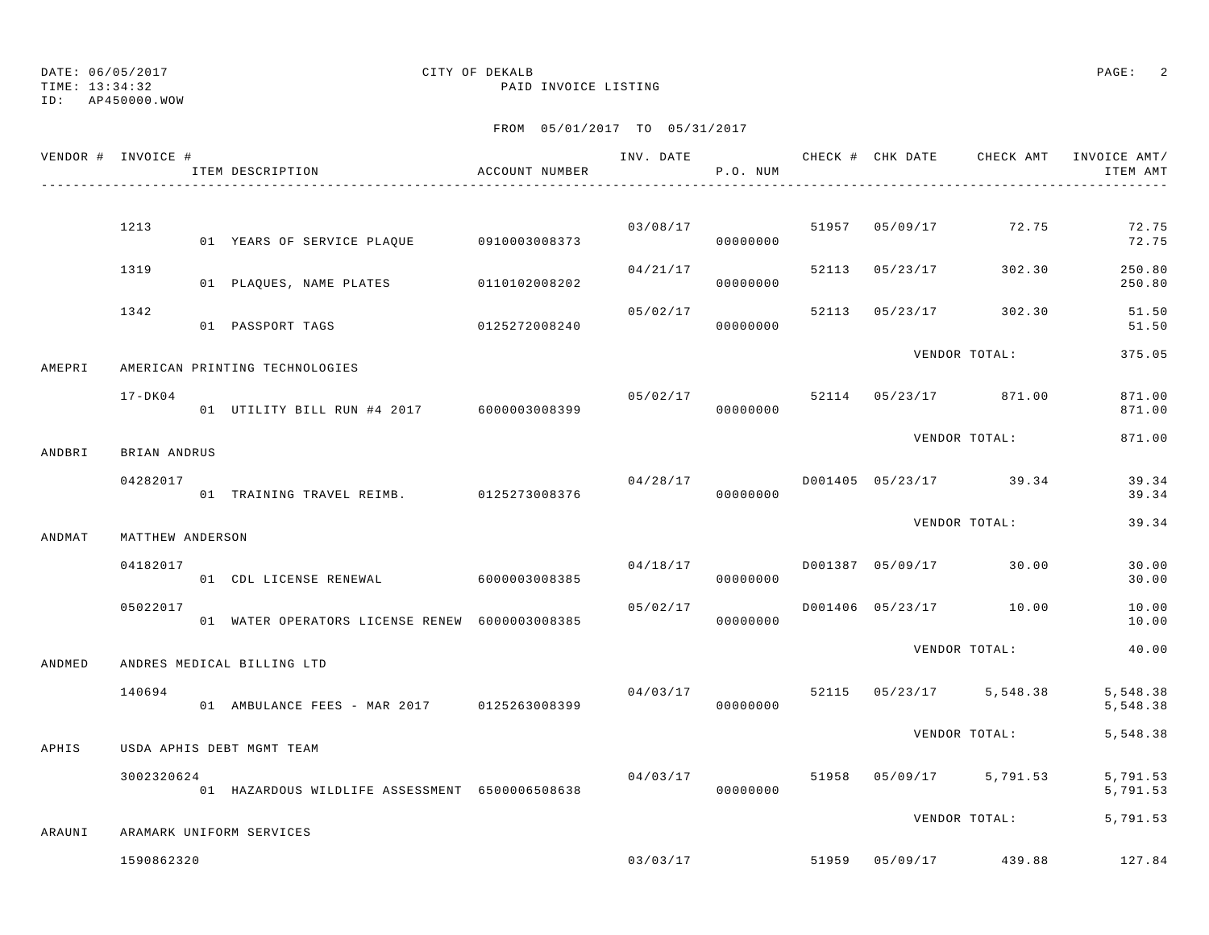TIME: 13:34:32 PAID INVOICE LISTING

ID: AP450000.WOW

| VENDOR # INVOICE # |                  | ITEM DESCRIPTION                               | ACCOUNT NUMBER |          | P.O. NUM             |       |          |                         | INV. DATE 6 CHECK # CHK DATE CHECK AMT INVOICE AMT/<br>ITEM AMT |
|--------------------|------------------|------------------------------------------------|----------------|----------|----------------------|-------|----------|-------------------------|-----------------------------------------------------------------|
|                    |                  |                                                |                |          |                      |       |          |                         |                                                                 |
|                    | 1213             | 01 YEARS OF SERVICE PLAQUE 0910003008373       |                | 03/08/17 | 00000000             |       |          | 51957 05/09/17 72.75    | 72.75<br>72.75                                                  |
|                    | 1319             | 01 PLAQUES, NAME PLATES 0110102008202          |                | 04/21/17 | 00000000             | 52113 | 05/23/17 | 302.30                  | 250.80<br>250.80                                                |
|                    | 1342             | 01 PASSPORT TAGS                               | 0125272008240  | 05/02/17 | 00000000             | 52113 |          | 05/23/17 302.30         | 51.50<br>51.50                                                  |
| AMEPRI             |                  | AMERICAN PRINTING TECHNOLOGIES                 |                |          |                      |       |          | VENDOR TOTAL:           | 375.05                                                          |
|                    | $17 - DK04$      | 01 UTILITY BILL RUN #4 2017 6000003008399      |                | 05/02/17 | 00000000             |       |          | 52114 05/23/17 871.00   | 871.00<br>871.00                                                |
| ANDBRI             | BRIAN ANDRUS     |                                                |                |          |                      |       |          | VENDOR TOTAL:           | 871.00                                                          |
|                    | 04282017         | 01 TRAINING TRAVEL REIMB. 0125273008376        |                | 04/28/17 | 00000000             |       |          | D001405 05/23/17 39.34  | 39.34<br>39.34                                                  |
| ANDMAT             | MATTHEW ANDERSON |                                                |                |          |                      |       |          | VENDOR TOTAL:           | 39.34                                                           |
|                    | 04182017         | 01 CDL LICENSE RENEWAL 6000003008385           |                | 04/18/17 | 00000000             |       |          | D001387 05/09/17 30.00  | 30.00<br>30.00                                                  |
|                    | 05022017         | 01 WATER OPERATORS LICENSE RENEW 6000003008385 |                | 05/02/17 | 00000000             |       |          | D001406 05/23/17 10.00  | 10.00<br>10.00                                                  |
| ANDMED             |                  | ANDRES MEDICAL BILLING LTD                     |                |          |                      |       |          | VENDOR TOTAL:           | 40.00                                                           |
|                    | 140694           | 01 AMBULANCE FEES - MAR 2017 0125263008399     |                | 04/03/17 | 00000000             | 52115 |          | $05/23/17$ 5,548.38     | 5,548.38<br>5,548.38                                            |
| APHIS              |                  | USDA APHIS DEBT MGMT TEAM                      |                |          |                      |       |          | VENDOR TOTAL:           | 5,548.38                                                        |
|                    | 3002320624       | 01 HAZARDOUS WILDLIFE ASSESSMENT 6500006508638 |                |          | 04/03/17<br>00000000 |       |          | 51958 05/09/17 5,791.53 | 5,791.53<br>5,791.53                                            |
| ARAUNI             |                  | ARAMARK UNIFORM SERVICES                       |                |          |                      |       |          | VENDOR TOTAL:           | 5,791.53                                                        |
|                    | 1590862320       |                                                |                |          | 03/03/17             | 51959 |          | 05/09/17 439.88         | 127.84                                                          |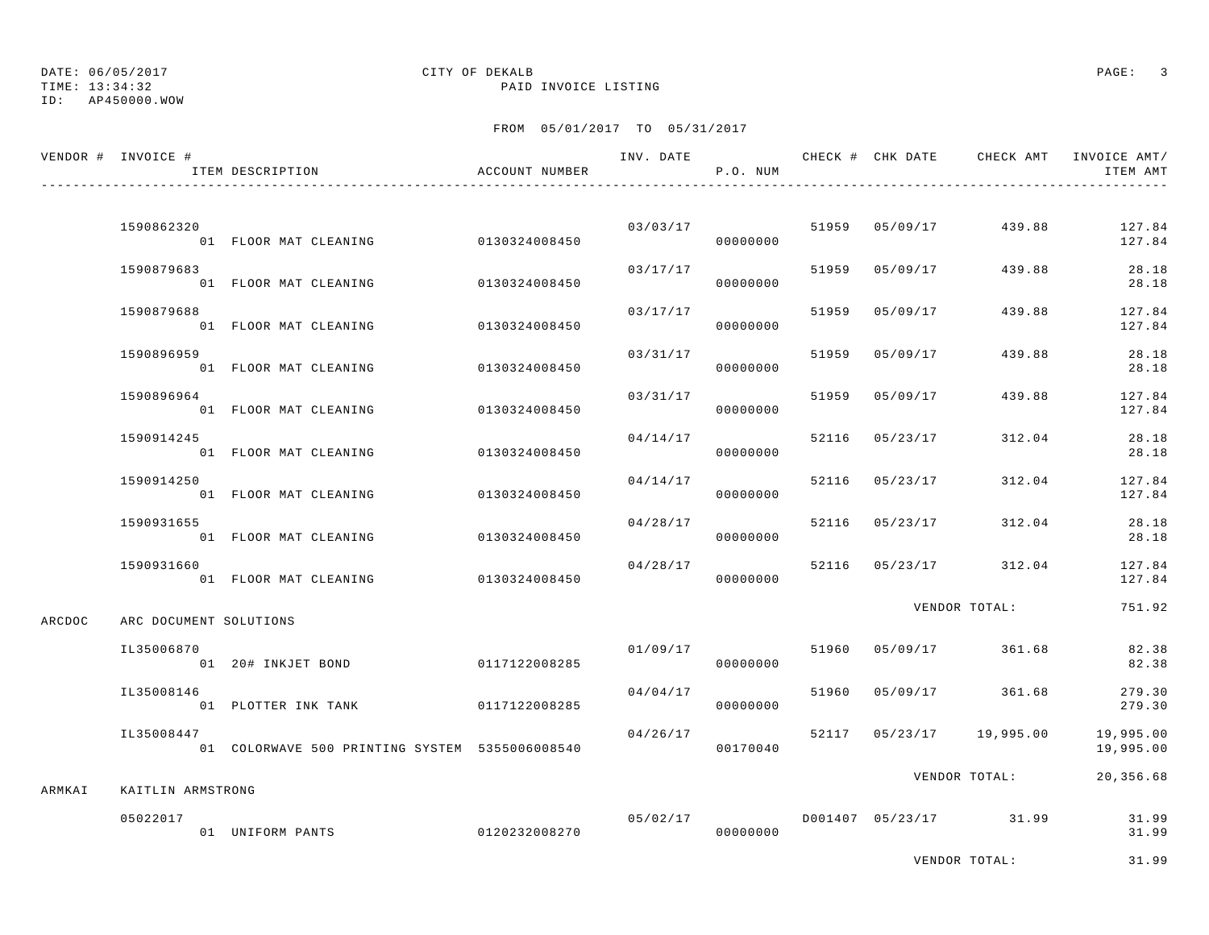TIME: 13:34:32 PAID INVOICE LISTING

ID: AP450000.WOW

|        | VENDOR # INVOICE #     | ITEM DESCRIPTION                               | ACCOUNT NUMBER |          | P.O. NUM             |       |                |                          | INV. DATE 6 1990 CHECK # CHK DATE 6 CHECK AMT INVOICE AMT<br>ITEM AMT |
|--------|------------------------|------------------------------------------------|----------------|----------|----------------------|-------|----------------|--------------------------|-----------------------------------------------------------------------|
|        | 1590862320             |                                                |                |          | 03/03/17             |       | 51959 05/09/17 | 439.88                   | 127.84                                                                |
|        |                        | 01 FLOOR MAT CLEANING                          | 0130324008450  |          | 00000000             |       |                |                          | 127.84                                                                |
|        | 1590879683             | 01 FLOOR MAT CLEANING                          | 0130324008450  | 03/17/17 | 00000000             | 51959 | 05/09/17       | 439.88                   | 28.18<br>28.18                                                        |
|        | 1590879688             | 01 FLOOR MAT CLEANING                          | 0130324008450  | 03/17/17 | 00000000             |       | 51959 05/09/17 | 439.88                   | 127.84<br>127.84                                                      |
|        | 1590896959             | 01 FLOOR MAT CLEANING                          | 0130324008450  | 03/31/17 | 00000000             | 51959 | 05/09/17       | 439.88                   | 28.18<br>28.18                                                        |
|        | 1590896964             | 01 FLOOR MAT CLEANING                          | 0130324008450  | 03/31/17 | 00000000             | 51959 | 05/09/17       | 439.88                   | 127.84<br>127.84                                                      |
|        | 1590914245             | 01 FLOOR MAT CLEANING                          | 0130324008450  | 04/14/17 | 00000000             | 52116 | 05/23/17       | 312.04                   | 28.18<br>28.18                                                        |
|        | 1590914250             | 01 FLOOR MAT CLEANING                          | 0130324008450  | 04/14/17 | 00000000             | 52116 | 05/23/17       | 312.04                   | 127.84<br>127.84                                                      |
|        | 1590931655             | 01 FLOOR MAT CLEANING                          | 0130324008450  | 04/28/17 | 00000000             |       | 52116 05/23/17 | 312.04                   | 28.18<br>28.18                                                        |
|        | 1590931660             | 01 FLOOR MAT CLEANING                          | 0130324008450  | 04/28/17 | 00000000             |       | 52116 05/23/17 | 312.04                   | 127.84<br>127.84                                                      |
| ARCDOC | ARC DOCUMENT SOLUTIONS |                                                |                |          |                      |       |                | VENDOR TOTAL:            | 751.92                                                                |
|        | IL35006870             | 01 20# INKJET BOND                             | 0117122008285  |          | 01/09/17<br>00000000 | 51960 |                | 05/09/17 361.68          | 82.38<br>82.38                                                        |
|        | IL35008146             | 01 PLOTTER INK TANK                            | 0117122008285  | 04/04/17 | 00000000             | 51960 | 05/09/17       | 361.68                   | 279.30<br>279.30                                                      |
|        | IL35008447             | 01 COLORWAVE 500 PRINTING SYSTEM 5355006008540 |                | 04/26/17 | 00170040             |       |                | 52117 05/23/17 19,995.00 | 19,995.00<br>19,995.00                                                |
| ARMKAI | KAITLIN ARMSTRONG      |                                                |                |          |                      |       |                | VENDOR TOTAL:            | 20,356.68                                                             |
|        | 05022017               | 01 UNIFORM PANTS                               | 0120232008270  | 05/02/17 | 00000000             |       |                | D001407 05/23/17 31.99   | 31.99<br>31.99                                                        |
|        |                        |                                                |                |          |                      |       |                | VENDOR TOTAL:            | 31.99                                                                 |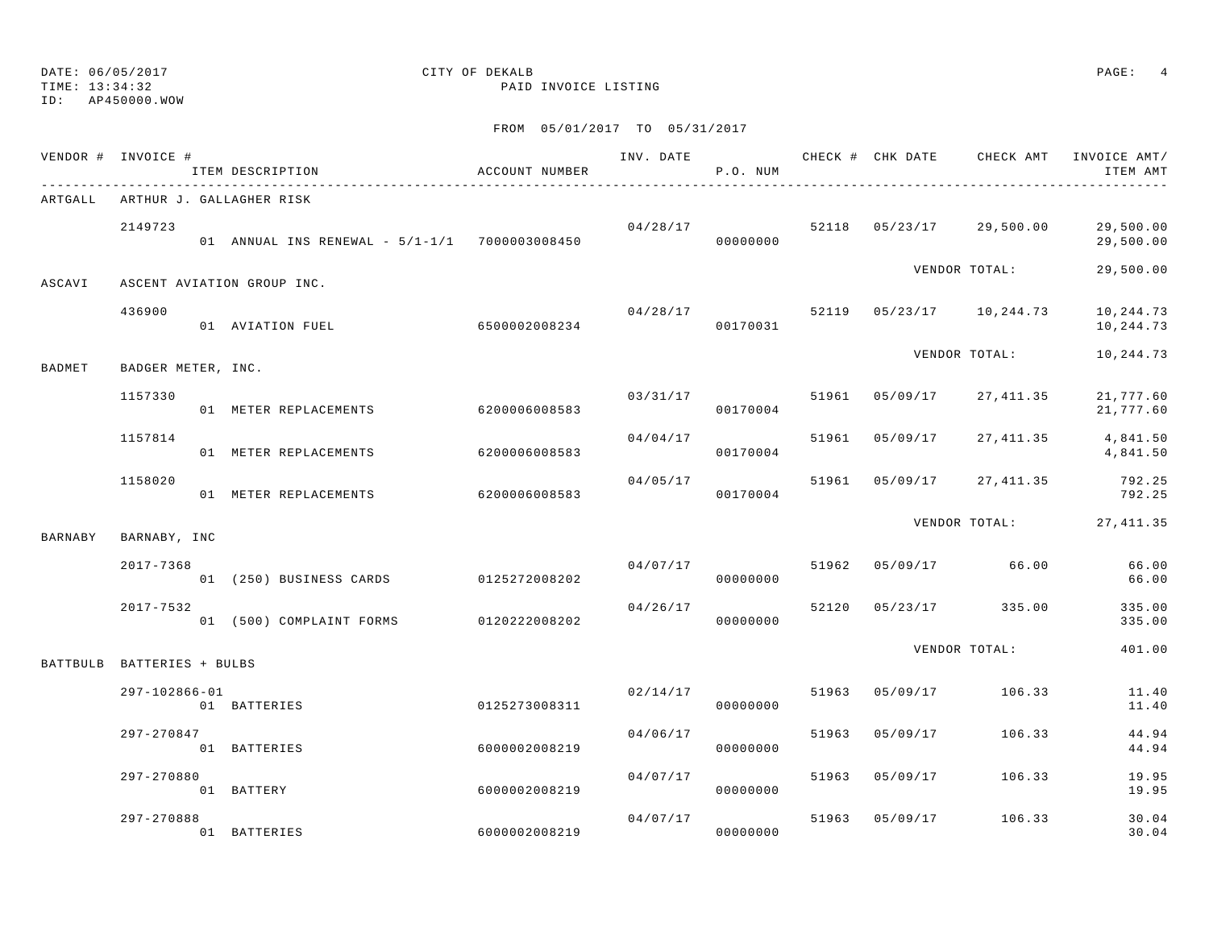## ID: AP450000.WOW

## DATE: 06/05/2017 CITY OF DEKALB PAGE: 4

### TIME: 13:34:32 PAID INVOICE LISTING

|         | VENDOR # INVOICE #         | ITEM DESCRIPTION                              | ACCOUNT NUMBER |          | P.O. NUM             |       |                |                                       | ITEM AMT                 |
|---------|----------------------------|-----------------------------------------------|----------------|----------|----------------------|-------|----------------|---------------------------------------|--------------------------|
| ARTGALL |                            | ARTHUR J. GALLAGHER RISK                      |                |          |                      |       |                |                                       |                          |
|         | 2149723                    | 01 ANNUAL INS RENEWAL - 5/1-1/1 7000003008450 |                |          | 00000000             |       |                | $04/28/17$ 52118 $05/23/17$ 29,500.00 | 29,500.00<br>29,500.00   |
| ASCAVI  |                            | ASCENT AVIATION GROUP INC.                    |                |          |                      |       |                | VENDOR TOTAL:                         | 29,500.00                |
|         | 436900                     | 01 AVIATION FUEL 6500002008234                |                | 04/28/17 | 00170031             |       |                | 52119 05/23/17 10,244.73              | 10,244.73<br>10,244.73   |
| BADMET  | BADGER METER, INC.         |                                               |                |          |                      |       |                | VENDOR TOTAL:                         | 10,244.73                |
|         | 1157330                    | 01 METER REPLACEMENTS                         | 6200006008583  |          | 03/31/17<br>00170004 | 51961 | 05/09/17       | 27,411.35                             | 21,777.60<br>21,777.60   |
|         | 1157814                    | 01 METER REPLACEMENTS                         | 6200006008583  | 04/04/17 | 00170004             | 51961 | 05/09/17       | 27,411.35                             | 4,841.50<br>4,841.50     |
|         | 1158020                    | 01 METER REPLACEMENTS                         | 6200006008583  | 04/05/17 | 00170004             |       | 51961 05/09/17 | 27,411.35                             | 792.25<br>792.25         |
| BARNABY | BARNABY, INC               |                                               |                |          |                      |       |                |                                       | VENDOR TOTAL: 27, 411.35 |
|         | $2017 - 7368$              | 01 (250) BUSINESS CARDS 0125272008202         |                |          | 04/07/17<br>00000000 |       |                | 51962 05/09/17 66.00                  | 66.00<br>66.00           |
|         | $2017 - 7532$              | 01 (500) COMPLAINT FORMS 0120222008202        |                | 04/26/17 | 00000000             |       |                | 52120 05/23/17 335.00                 | 335.00<br>335.00         |
|         | BATTBULB BATTERIES + BULBS |                                               |                |          |                      |       |                | VENDOR TOTAL:                         | 401.00                   |
|         | 297-102866-01              | 01 BATTERIES                                  | 0125273008311  |          | 02/14/17<br>00000000 | 51963 | 05/09/17       | 106.33                                | 11.40<br>11.40           |
|         | 297-270847                 | 01 BATTERIES                                  | 6000002008219  | 04/06/17 | 00000000             | 51963 | 05/09/17       | 106.33                                | 44.94<br>44.94           |
|         | 297-270880                 | 01 BATTERY                                    | 6000002008219  | 04/07/17 | 00000000             | 51963 | 05/09/17       | 106.33                                | 19.95<br>19.95           |
|         | 297-270888                 | 01 BATTERIES                                  | 6000002008219  | 04/07/17 | 00000000             | 51963 | 05/09/17       | 106.33                                | 30.04<br>30.04           |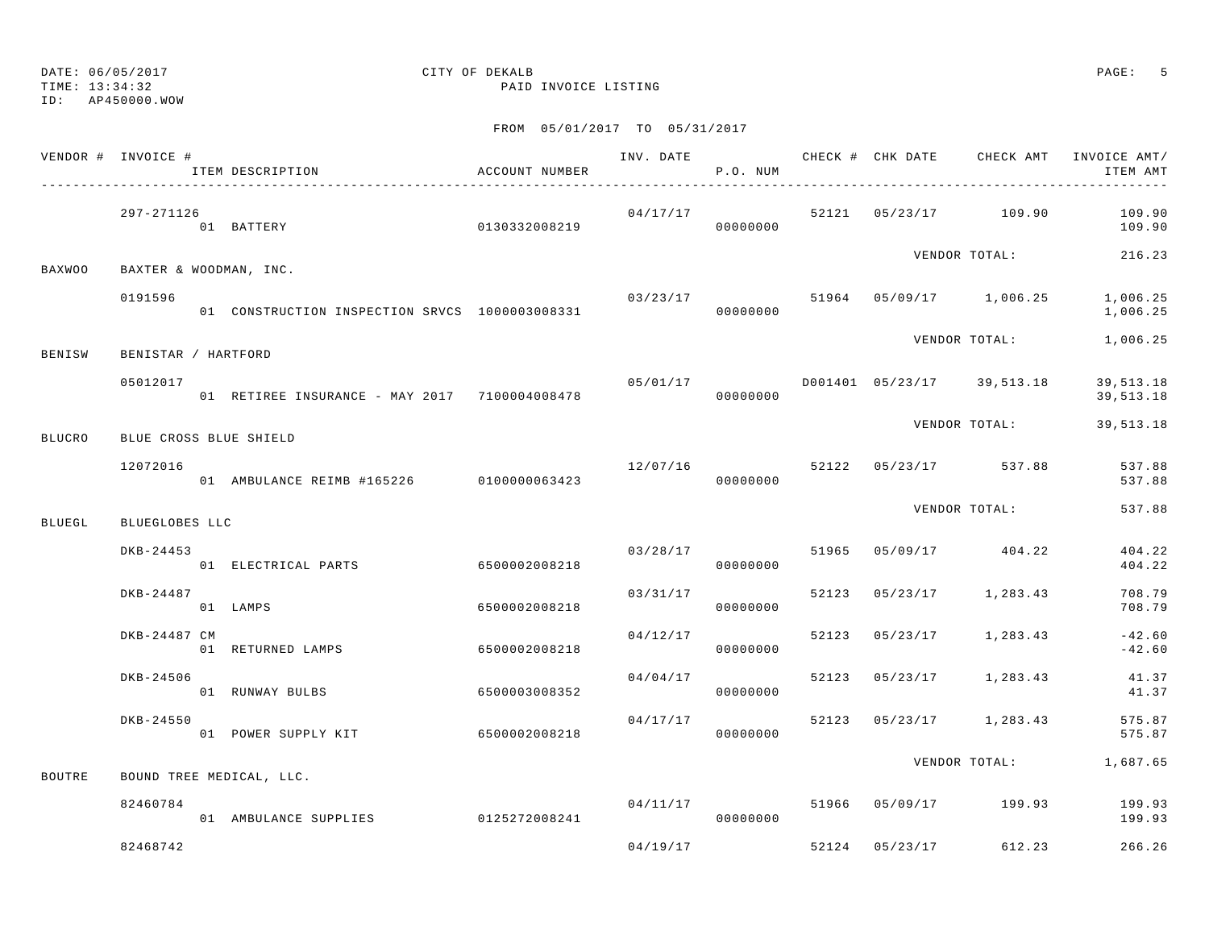TIME: 13:34:32 PAID INVOICE LISTING

ID: AP450000.WOW

|               | VENDOR # INVOICE #     | ACCOUNT NUMBER<br>ITEM DESCRIPTION             |               |          | P.O. NUM |  |                              | INV. DATE 6 CHECK # CHK DATE CHECK AMT INVOICE AMT/<br>ITEM AMT |
|---------------|------------------------|------------------------------------------------|---------------|----------|----------|--|------------------------------|-----------------------------------------------------------------|
|               | 297-271126             | 01 BATTERY                                     |               | 04/17/17 |          |  |                              | 52121 05/23/17 109.90 109.90<br>109.90                          |
| BAXWOO        | BAXTER & WOODMAN, INC. |                                                |               |          |          |  | VENDOR TOTAL:                | 216.23                                                          |
|               | 0191596                | 01 CONSTRUCTION INSPECTION SRVCS 1000003008331 |               |          | 00000000 |  |                              | $03/23/17$ 51964 05/09/17 1,006.25 1,006.25<br>1,006.25         |
| BENISW        | BENISTAR / HARTFORD    |                                                |               |          |          |  | VENDOR TOTAL:                | 1,006.25                                                        |
|               | 05012017               | 01 RETIREE INSURANCE - MAY 2017 7100004008478  |               | 05/01/17 | 00000000 |  | D001401  05/23/17  39,513.18 | 39,513.18<br>39,513.18                                          |
| <b>BLUCRO</b> | BLUE CROSS BLUE SHIELD |                                                |               |          |          |  | VENDOR TOTAL:                | 39,513.18                                                       |
|               | 12072016               | 01 AMBULANCE REIMB #165226 0100000063423       |               | 12/07/16 | 00000000 |  | 52122 05/23/17 537.88        | 537.88<br>537.88                                                |
| <b>BLUEGL</b> | BLUEGLOBES LLC         |                                                |               |          |          |  | VENDOR TOTAL:                | 537.88                                                          |
|               | DKB-24453              | 01 ELECTRICAL PARTS                            | 6500002008218 | 03/28/17 | 00000000 |  | 51965 05/09/17 404.22        | 404.22<br>404.22                                                |
|               | DKB-24487              | 01 LAMPS                                       | 6500002008218 | 03/31/17 | 00000000 |  | 52123 05/23/17 1,283.43      | 708.79<br>708.79                                                |
|               | DKB-24487 CM           | 01 RETURNED LAMPS                              | 6500002008218 | 04/12/17 | 00000000 |  | 52123 05/23/17 1,283.43      | $-42.60$<br>$-42.60$                                            |
|               | DKB-24506              | 01 RUNWAY BULBS                                | 6500003008352 | 04/04/17 | 00000000 |  | 52123 05/23/17 1,283.43      | 41.37<br>41.37                                                  |
|               | DKB-24550              | 01 POWER SUPPLY KIT 6500002008218              |               | 04/17/17 | 00000000 |  | 52123 05/23/17 1,283.43      | 575.87<br>575.87                                                |
| <b>BOUTRE</b> |                        | BOUND TREE MEDICAL, LLC.                       |               |          |          |  |                              | VENDOR TOTAL: 1,687.65                                          |
|               | 82460784               | 01 AMBULANCE SUPPLIES 0125272008241            |               | 04/11/17 | 00000000 |  | 51966 05/09/17 199.93        | 199.93<br>199.93                                                |
|               | 82468742               |                                                |               | 04/19/17 |          |  | 52124 05/23/17 612.23        | 266.26                                                          |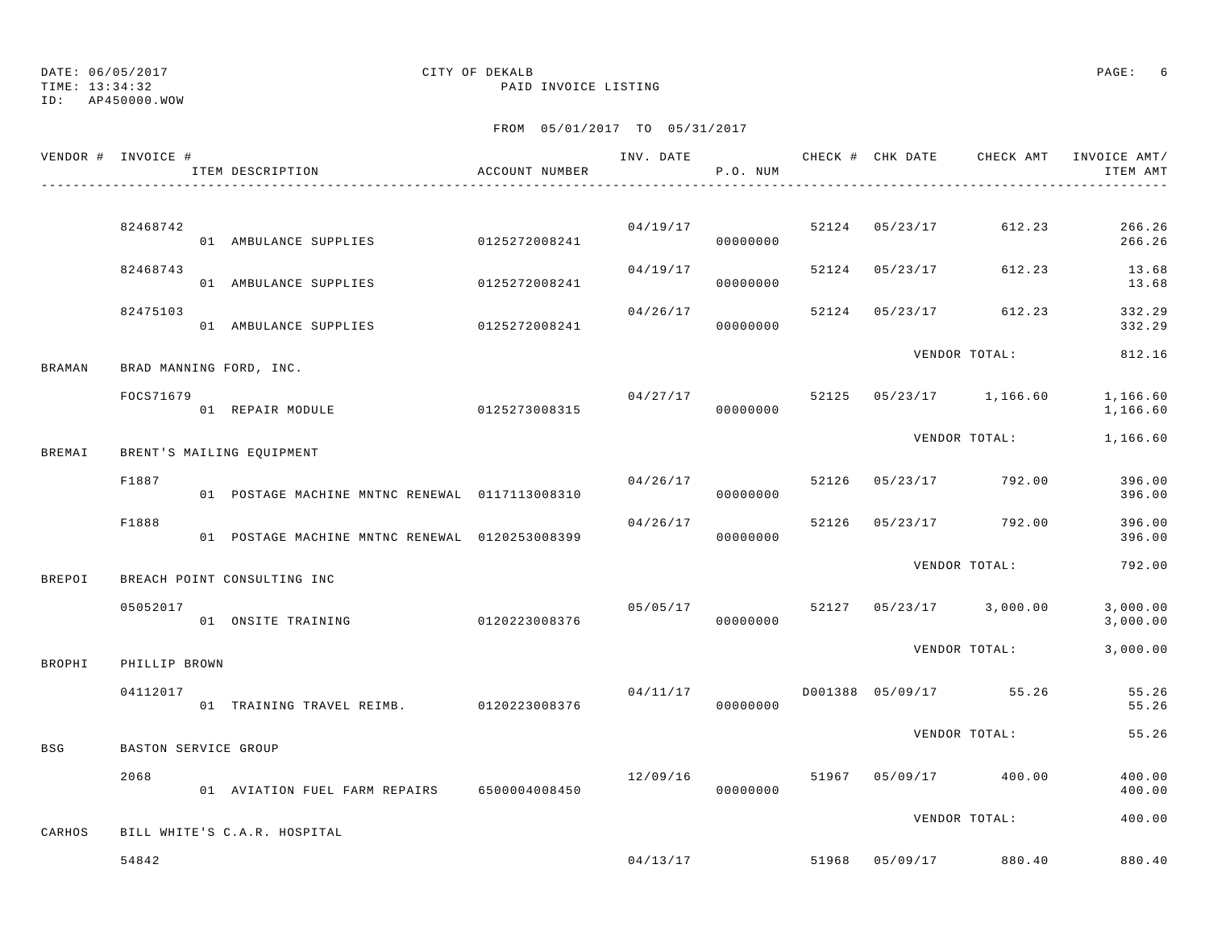TIME: 13:34:32 PAID INVOICE LISTING

ID: AP450000.WOW

|               | VENDOR # INVOICE #   | ITEM DESCRIPTION                               | ACCOUNT NUMBER |          | P.O. NUM |       |          | INV. DATE 6 CHECK # CHK DATE CHECK AMT | INVOICE AMT/<br>ITEM AMT |
|---------------|----------------------|------------------------------------------------|----------------|----------|----------|-------|----------|----------------------------------------|--------------------------|
|               |                      |                                                |                |          |          |       |          |                                        |                          |
|               | 82468742             | 01 AMBULANCE SUPPLIES                          | 0125272008241  | 04/19/17 | 00000000 |       |          | 52124 05/23/17 612.23                  | 266.26<br>266.26         |
|               | 82468743             | 01 AMBULANCE SUPPLIES                          | 0125272008241  | 04/19/17 | 00000000 | 52124 | 05/23/17 | 612.23                                 | 13.68<br>13.68           |
|               | 82475103             | 01 AMBULANCE SUPPLIES                          | 0125272008241  | 04/26/17 | 00000000 | 52124 |          | 05/23/17 612.23                        | 332.29<br>332.29         |
| BRAMAN        |                      | BRAD MANNING FORD, INC.                        |                |          |          |       |          | VENDOR TOTAL:                          | 812.16                   |
|               | FOCS71679            | 01 REPAIR MODULE                               | 0125273008315  | 04/27/17 | 00000000 |       |          | 52125 05/23/17 1,166.60                | 1,166.60<br>1,166.60     |
| <b>BREMAI</b> |                      | BRENT'S MAILING EQUIPMENT                      |                |          |          |       |          | VENDOR TOTAL:                          | 1,166.60                 |
|               | F1887                | 01 POSTAGE MACHINE MNTNC RENEWAL 0117113008310 |                | 04/26/17 | 00000000 | 52126 |          | 05/23/17 792.00                        | 396.00<br>396.00         |
|               | F1888                | 01 POSTAGE MACHINE MNTNC RENEWAL 0120253008399 |                | 04/26/17 | 00000000 | 52126 |          | 05/23/17 792.00                        | 396.00<br>396.00         |
| BREPOI        |                      | BREACH POINT CONSULTING INC                    |                |          |          |       |          | VENDOR TOTAL:                          | 792.00                   |
|               | 05052017             | 01 ONSITE TRAINING                             | 0120223008376  | 05/05/17 | 00000000 |       |          | 52127 05/23/17 3,000.00                | 3,000.00<br>3,000.00     |
| BROPHI        | PHILLIP BROWN        |                                                |                |          |          |       |          | VENDOR TOTAL:                          | 3,000.00                 |
|               | 04112017             | 01 TRAINING TRAVEL REIMB. 0120223008376        |                | 04/11/17 | 00000000 |       |          | D001388 05/09/17 55.26                 | 55.26<br>55.26           |
| BSG           | BASTON SERVICE GROUP |                                                |                |          |          |       |          | VENDOR TOTAL:                          | 55.26                    |
|               | 2068                 | 01 AVIATION FUEL FARM REPAIRS 6500004008450    |                | 12/09/16 | 00000000 |       |          | 51967 05/09/17 400.00                  | 400.00<br>400.00         |
| CARHOS        |                      | BILL WHITE'S C.A.R. HOSPITAL                   |                |          |          |       |          | VENDOR TOTAL:                          | 400.00                   |
|               | 54842                |                                                |                | 04/13/17 |          |       |          | 51968 05/09/17 880.40                  | 880.40                   |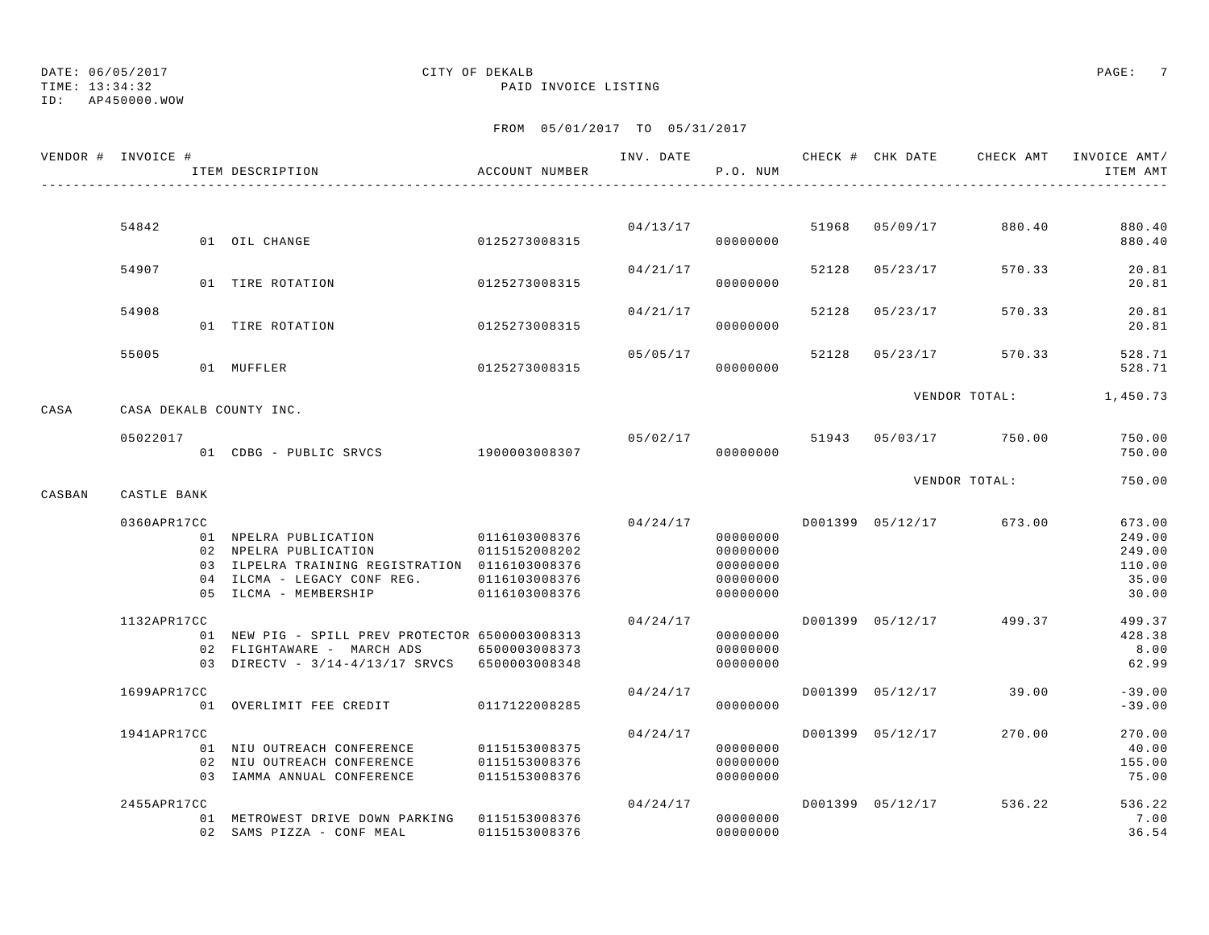ID: AP450000.WOW

### TIME: 13:34:32 PAID INVOICE LISTING

|        | VENDOR # INVOICE # | ITEM DESCRIPTION                                                                                                               | ACCOUNT NUMBER                                  | INV. DATE | P.O. NUM                                     |       | CHECK # CHK DATE | CHECK AMT             | INVOICE AMT/<br>ITEM AMT             |
|--------|--------------------|--------------------------------------------------------------------------------------------------------------------------------|-------------------------------------------------|-----------|----------------------------------------------|-------|------------------|-----------------------|--------------------------------------|
|        |                    |                                                                                                                                |                                                 |           |                                              |       |                  |                       |                                      |
|        | 54842              | 01 OIL CHANGE                                                                                                                  | 0125273008315                                   |           | 04/13/17<br>00000000                         |       | 51968 05/09/17   | 880.40                | 880.40<br>880.40                     |
|        | 54907              | 01 TIRE ROTATION                                                                                                               | 0125273008315                                   | 04/21/17  | 00000000                                     |       | 52128 05/23/17   | 570.33                | 20.81<br>20.81                       |
|        | 54908              | 01 TIRE ROTATION                                                                                                               | 0125273008315                                   | 04/21/17  | 00000000                                     | 52128 | 05/23/17         | 570.33                | 20.81<br>20.81                       |
|        | 55005              |                                                                                                                                |                                                 | 05/05/17  |                                              | 52128 | 05/23/17         | 570.33                | 528.71                               |
|        |                    | 01 MUFFLER                                                                                                                     | 0125273008315                                   |           | 00000000                                     |       |                  | VENDOR TOTAL:         | 528.71<br>1,450.73                   |
| CASA   |                    | CASA DEKALB COUNTY INC.                                                                                                        |                                                 |           |                                              |       |                  |                       |                                      |
|        | 05022017           | 01 CDBG - PUBLIC SRVCS 1900003008307                                                                                           |                                                 |           | 05/02/17<br>00000000                         |       |                  | 51943 05/03/17 750.00 | 750.00<br>750.00                     |
| CASBAN | CASTLE BANK        |                                                                                                                                |                                                 |           |                                              |       |                  | VENDOR TOTAL:         | 750.00                               |
|        | 0360APR17CC        | 01 NPELRA PUBLICATION<br>02 NPELRA PUBLICATION<br>03 ILPELRA TRAINING REGISTRATION 0116103008376                               | 0116103008376<br>0115152008202                  |           | 04/24/17<br>00000000<br>00000000<br>00000000 |       | D001399 05/12/17 | 673.00                | 673.00<br>249.00<br>249.00<br>110.00 |
|        |                    | 04 ILCMA - LEGACY CONF REG.<br>05 ILCMA - MEMBERSHIP                                                                           | 0116103008376<br>0116103008376                  |           | 00000000<br>00000000                         |       |                  |                       | 35.00<br>30.00                       |
|        | 1132APR17CC        | 01 NEW PIG - SPILL PREV PROTECTOR 6500003008313<br>02 FLIGHTAWARE - MARCH ADS<br>03 DIRECTV - 3/14-4/13/17 SRVCS 6500003008348 | 6500003008373                                   | 04/24/17  | 00000000<br>00000000<br>00000000             |       | D001399 05/12/17 | 499.37                | 499.37<br>428.38<br>8.00<br>62.99    |
|        | 1699APR17CC        | 01 OVERLIMIT FEE CREDIT                                                                                                        | 0117122008285                                   | 04/24/17  | 00000000                                     |       | D001399 05/12/17 | 39.00                 | $-39.00$<br>$-39.00$                 |
|        | 1941APR17CC        | 01 NIU OUTREACH CONFERENCE<br>02 NIU OUTREACH CONFERENCE<br>03 IAMMA ANNUAL CONFERENCE                                         | 0115153008375<br>0115153008376<br>0115153008376 | 04/24/17  | 00000000<br>00000000<br>00000000             |       | D001399 05/12/17 | 270.00                | 270.00<br>40.00<br>155.00<br>75.00   |
|        | 2455APR17CC        | 01 METROWEST DRIVE DOWN PARKING 0115153008376<br>02 SAMS PIZZA - CONF MEAL                                                     | 0115153008376                                   | 04/24/17  | 00000000<br>00000000                         |       | D001399 05/12/17 | 536.22                | 536.22<br>7.00<br>36.54              |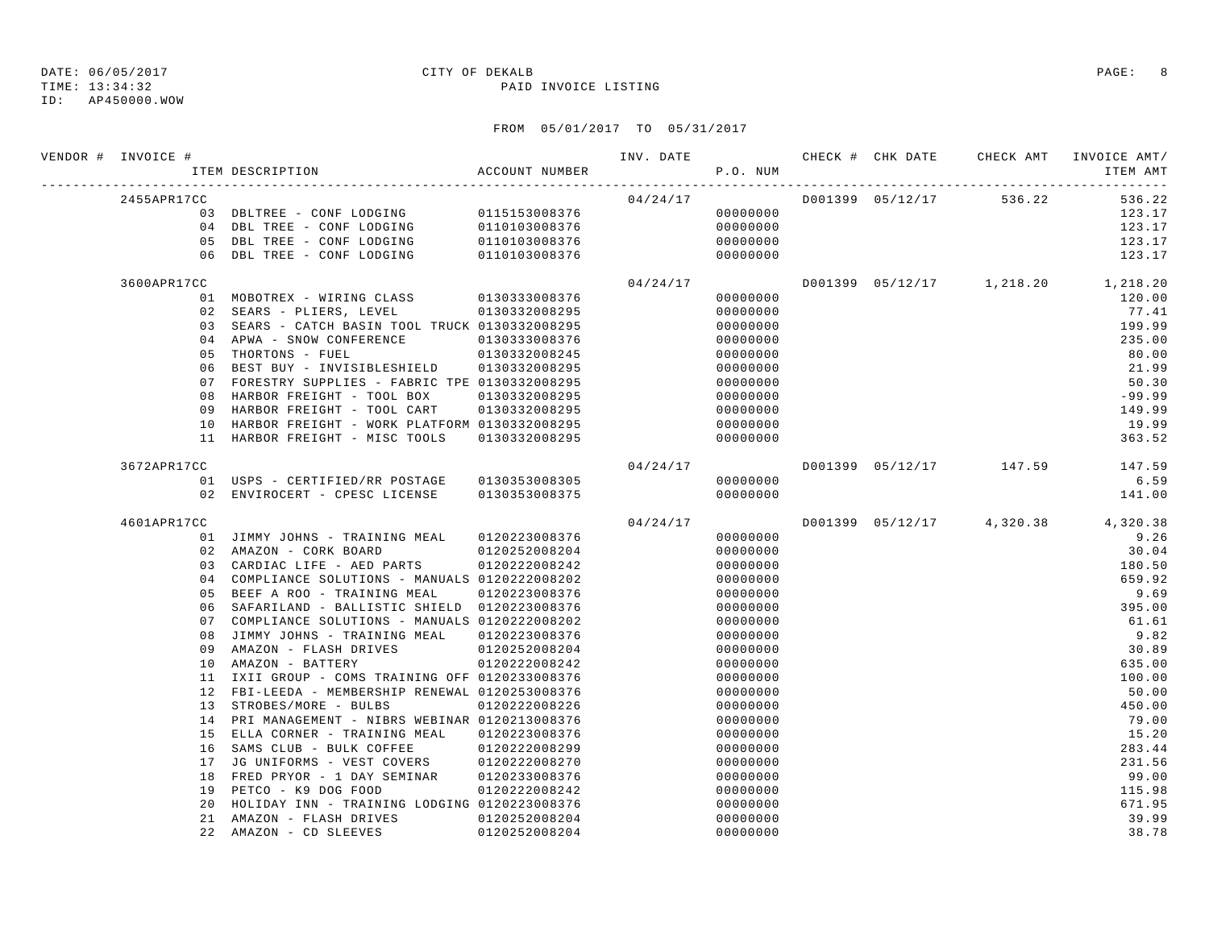TIME: 13:34:32 PAID INVOICE LISTING

| VENDOR # INVOICE # | ACCOUNT NUMBER<br>ITEM DESCRIPTION                                               |                                | INV. DATE 6 CHECK # CHK DATE CHECK AMT<br>P.O. NUM |                      |  |                                    | INVOICE AMT/<br>ITEM AMT |
|--------------------|----------------------------------------------------------------------------------|--------------------------------|----------------------------------------------------|----------------------|--|------------------------------------|--------------------------|
| 2455APR17CC        |                                                                                  |                                |                                                    |                      |  | $04/24/17$ D001399 05/12/17 536.22 | 536.22                   |
|                    | 03 DBLTREE - CONF LODGING 0115153008376                                          |                                |                                                    | 00000000             |  |                                    | 123.17                   |
|                    | 04 DBL TREE - CONF LODGING                                                       | 0110103008376<br>0110103008376 |                                                    | 00000000             |  |                                    | 123.17                   |
|                    | 05 DBL TREE - CONF LODGING                                                       |                                |                                                    | 00000000             |  |                                    | 123.17                   |
|                    | 06 DBL TREE - CONF LODGING                                                       | 0110103008376                  |                                                    | 00000000             |  |                                    | 123.17                   |
| 3600APR17CC        |                                                                                  |                                | 04/24/17                                           |                      |  | D001399 05/12/17 1,218.20 1,218.20 |                          |
|                    | 01 MOBOTREX - WIRING CLASS 0130333008376                                         |                                |                                                    | 00000000             |  |                                    | 120.00                   |
|                    | 02 SEARS - PLIERS, LEVEL 0130332008295                                           |                                |                                                    | 00000000             |  |                                    | 77.41                    |
|                    | 03 SEARS - CATCH BASIN TOOL TRUCK 0130332008295                                  |                                |                                                    | 00000000             |  |                                    | 199.99                   |
|                    | 04 APWA - SNOW CONFERENCE                                                        | 0130333008376                  |                                                    | 00000000             |  |                                    | 235.00                   |
| 05                 | THORTONS - FUEL                                                                  | 0130332008245                  |                                                    | 00000000             |  |                                    | 80.00                    |
| 06                 | BEST BUY - INVISIBLESHIELD 0130332008295                                         |                                |                                                    | 00000000             |  |                                    | 21.99                    |
|                    | 07 FORESTRY SUPPLIES - FABRIC TPE 0130332008295                                  |                                |                                                    | 00000000             |  |                                    | 50.30                    |
| 08                 | HARBOR FREIGHT - TOOL BOX                                                        | 0130332008295                  |                                                    | 00000000             |  |                                    | $-99.99$                 |
| 09                 | HARBOR FREIGHT - TOOL CART                                                       | 0130332008295                  |                                                    | 00000000             |  |                                    | 149.99                   |
| 10                 | HARBOR FREIGHT - WORK PLATFORM 0130332008295                                     |                                |                                                    | 00000000             |  |                                    | 19.99                    |
| 11                 | HARBOR FREIGHT - MISC TOOLS                                                      | 0130332008295                  |                                                    | 00000000             |  |                                    | 363.52                   |
| 3672APR17CC        |                                                                                  |                                | 04/24/17                                           |                      |  | D001399 05/12/17 147.59            | 147.59                   |
|                    | 01 USPS - CERTIFIED/RR POSTAGE 0130353008305                                     |                                |                                                    | 00000000             |  |                                    | 6.59                     |
|                    | 02 ENVIROCERT - CPESC LICENSE 0130353008375                                      |                                |                                                    | 00000000             |  |                                    | 141.00                   |
| 4601APR17CC        |                                                                                  |                                | 04/24/17                                           |                      |  | D001399 05/12/17 4,320.38 4,320.38 |                          |
|                    | 01 JIMMY JOHNS - TRAINING MEAL 0120223008376                                     |                                |                                                    | 00000000             |  |                                    | 9.26                     |
|                    | 02 AMAZON - CORK BOARD                                                           | 0120252008204                  |                                                    | 00000000             |  |                                    | 30.04                    |
|                    | 03 CARDIAC LIFE - AED PARTS                                                      | 0120222008242                  |                                                    | 00000000             |  |                                    | 180.50                   |
|                    | 04 COMPLIANCE SOLUTIONS - MANUALS 0120222008202                                  |                                |                                                    | 00000000             |  |                                    | 659.92                   |
|                    | 05 BEEF A ROO - TRAINING MEAL                                                    | 0120223008376                  |                                                    | 00000000             |  |                                    | 9.69                     |
|                    | 06 SAFARILAND - BALLISTIC SHIELD 0120223008376                                   |                                |                                                    | 00000000             |  |                                    | 395.00                   |
|                    | 07 COMPLIANCE SOLUTIONS - MANUALS 0120222008202                                  |                                |                                                    | 00000000             |  |                                    | 61.61                    |
|                    | 08 JIMMY JOHNS - TRAINING MEAL 0120223008376                                     |                                |                                                    | 00000000             |  |                                    | 9.82                     |
| 09                 | AMAZON - FLASH DRIVES                                                            | 0120252008204                  |                                                    | 00000000             |  |                                    | 30.89                    |
| 10                 | AMAZON - BATTERY                                                                 | 0120222008242                  |                                                    | 00000000             |  |                                    | 635.00                   |
|                    | 11 IXII GROUP - COMS TRAINING OFF 0120233008376                                  |                                |                                                    | 00000000             |  |                                    | 100.00                   |
|                    | 12 FBI-LEEDA - MEMBERSHIP RENEWAL 0120253008376                                  |                                |                                                    | 00000000             |  |                                    | 50.00                    |
|                    | 13 STROBES/MORE - BULBS                                                          | 0120222008226                  |                                                    | 00000000             |  |                                    | 450.00                   |
|                    | 14 PRI MANAGEMENT - NIBRS WEBINAR 0120213008376                                  |                                |                                                    | 00000000             |  |                                    | 79.00                    |
|                    | 15 ELLA CORNER - TRAINING MEAL 0120223008376                                     |                                |                                                    | 00000000             |  |                                    | 15.20                    |
| 16<br>17           | SAMS CLUB - BULK COFFEE 0120222008299<br>JG UNIFORMS - VEST COVERS 0120222008270 |                                |                                                    | 00000000             |  |                                    | 283.44<br>231.56         |
| 18                 | FRED PRYOR - 1 DAY SEMINAR 0120233008376                                         |                                |                                                    | 00000000<br>00000000 |  |                                    | 99.00                    |
| 19                 | PETCO - K9 DOG FOOD                                                              | 0120222008242                  |                                                    | 00000000             |  |                                    | 115.98                   |
| 20                 | HOLIDAY INN - TRAINING LODGING 0120223008376                                     |                                |                                                    | 00000000             |  |                                    | 671.95                   |
| 21                 | AMAZON - FLASH DRIVES 0120252008204                                              |                                |                                                    | 00000000             |  |                                    | 39.99                    |
|                    | 22 AMAZON - CD SLEEVES                                                           | 0120252008204                  |                                                    | 00000000             |  |                                    | 38.78                    |
|                    |                                                                                  |                                |                                                    |                      |  |                                    |                          |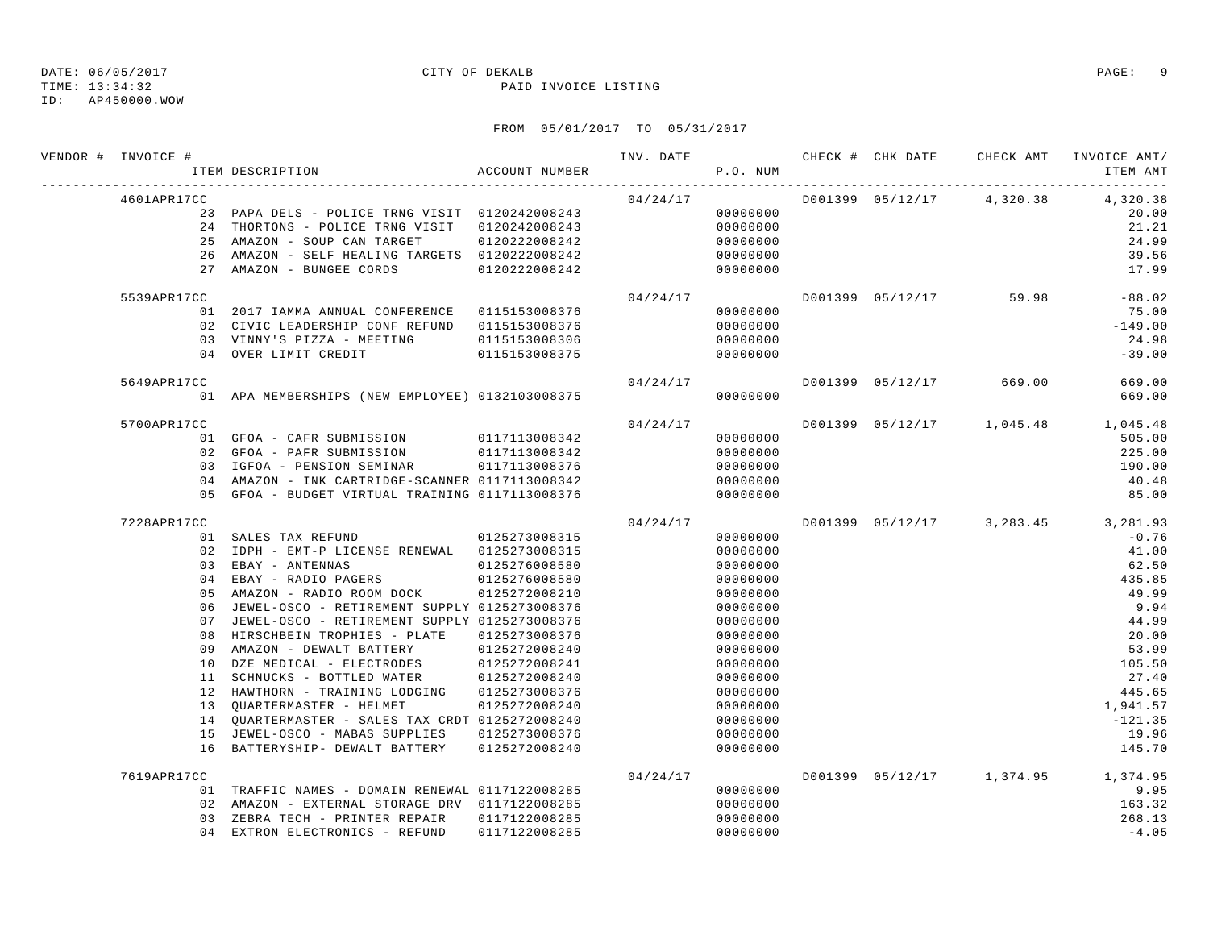TIME: 13:34:32 PAID INVOICE LISTING

ID: AP450000.WOW

| VENDOR # INVOICE # | ACCOUNT NUMBER<br>ITEM DESCRIPTION                                                                 |               |          | P.O. NUM             |  |                                      | ITEM AMT                           |
|--------------------|----------------------------------------------------------------------------------------------------|---------------|----------|----------------------|--|--------------------------------------|------------------------------------|
| 4601APR17CC        |                                                                                                    |               |          |                      |  | $04/24/17$ D001399 05/12/17 4,320.38 | 4,320.38                           |
|                    | 23 PAPA DELS - POLICE TRNG VISIT 0120242008243                                                     |               |          | 00000000             |  |                                      | 20.00                              |
|                    | 24 THORTONS - POLICE TRNG VISIT 0120242008243                                                      |               |          | 00000000             |  |                                      | 21.21                              |
|                    | 25 AMAZON - SOUP CAN TARGET                                                                        | 0120222008242 |          | 00000000             |  |                                      | 24.99                              |
|                    | 26 AMAZON - SELF HEALING TARGETS 0120222008242                                                     |               |          | 00000000             |  |                                      | 39.56                              |
|                    | 27 AMAZON - BUNGEE CORDS 0120222008242                                                             |               |          | 00000000             |  |                                      | 17.99                              |
| 5539APR17CC        |                                                                                                    |               | 04/24/17 |                      |  | D001399 05/12/17 59.98               | $-88.02$                           |
|                    | 01 2017 IAMMA ANNUAL CONFERENCE   0115153008376                                                    |               |          | 00000000             |  |                                      | 75.00                              |
|                    | 02 CIVIC LEADERSHIP CONF REFUND 0115153008376                                                      |               |          | 00000000             |  |                                      | $-149.00$                          |
|                    | 03 VINNY'S PIZZA - MEETING 0115153008306                                                           |               |          | 00000000             |  |                                      | 24.98                              |
|                    | 04 OVER LIMIT CREDIT 0115153008375                                                                 |               |          | 00000000             |  |                                      | $-39.00$                           |
| 5649APR17CC        |                                                                                                    |               | 04/24/17 |                      |  | D001399 05/12/17 669.00              | 669.00                             |
|                    | 01 APA MEMBERSHIPS (NEW EMPLOYEE) 0132103008375                                                    |               |          | 00000000             |  |                                      | 669.00                             |
| 5700APR17CC        |                                                                                                    |               | 04/24/17 |                      |  |                                      | D001399 05/12/17 1,045.48 1,045.48 |
|                    | 01 GFOA - CAFR SUBMISSION 0117113008342<br>02 GFOA - PAFR SUBMISSION 0117113008342                 |               |          | 00000000             |  |                                      | 505.00                             |
|                    |                                                                                                    |               |          | 00000000             |  |                                      | 225.00                             |
|                    | 03 IGFOA - PENSION SEMINAR 0117113008376                                                           |               |          | 00000000             |  |                                      | 190.00                             |
|                    | 04 AMAZON - INK CARTRIDGE-SCANNER 0117113008342                                                    |               |          | 00000000             |  |                                      | 40.48                              |
|                    | 05 GFOA - BUDGET VIRTUAL TRAINING 0117113008376                                                    |               |          | 00000000             |  |                                      | 85.00                              |
| 7228APR17CC        |                                                                                                    |               | 04/24/17 |                      |  |                                      | D001399 05/12/17 3,283.45 3,281.93 |
|                    | 01 SALES TAX REFUND 0125273008315                                                                  |               |          | 00000000             |  |                                      | $-0.76$                            |
|                    | 02 IDPH - EMT-P LICENSE RENEWAL 0125273008315                                                      |               |          | 00000000             |  |                                      | 41.00                              |
|                    | 03 EBAY - ANTENNAS<br>04 EBAY - RADIO PAGERS 0125276008580                                         | 0125276008580 |          | 00000000             |  |                                      | 62.50                              |
|                    |                                                                                                    |               |          | 00000000             |  |                                      | 435.85                             |
|                    | 05 AMAZON - RADIO ROOM DOCK 0125272008210                                                          |               |          | 00000000             |  |                                      | 49.99                              |
|                    | 06 JEWEL-OSCO - RETIREMENT SUPPLY 0125273008376<br>07 JEWEL-OSCO - RETIREMENT SUPPLY 0125273008376 |               |          | 00000000<br>00000000 |  |                                      | 9.94<br>44.99                      |
|                    | 08 HIRSCHBEIN TROPHIES - PLATE                                                                     | 0125273008376 |          | 00000000             |  |                                      | 20.00                              |
|                    |                                                                                                    |               |          | 00000000             |  |                                      | 53.99                              |
|                    |                                                                                                    |               |          | 00000000             |  |                                      | 105.50                             |
|                    | 11 SCHNUCKS - BOTTLED WATER 0125272008240                                                          |               |          | 00000000             |  |                                      | 27.40                              |
|                    | 12 HAWTHORN - TRAINING LODGING 0125273008376                                                       |               |          | 00000000             |  |                                      | 445.65                             |
|                    | 13 QUARTERMASTER - HELMET                                                                          | 0125272008240 |          | 00000000             |  |                                      | 1,941.57                           |
|                    | 14 QUARTERMASTER - SALES TAX CRDT 0125272008240                                                    |               |          | 00000000             |  |                                      | $-121.35$                          |
|                    | 15 JEWEL-OSCO - MABAS SUPPLIES 0125273008376                                                       |               |          | 00000000             |  |                                      | 19.96                              |
|                    | 16 BATTERYSHIP- DEWALT BATTERY 0125272008240                                                       |               |          | 00000000             |  |                                      | 145.70                             |
| 7619APR17CC        |                                                                                                    |               | 04/24/17 |                      |  |                                      | D001399 05/12/17 1,374.95 1,374.95 |
|                    | 01 TRAFFIC NAMES - DOMAIN RENEWAL 0117122008285                                                    |               |          | 00000000             |  |                                      | 9.95                               |
|                    | 02 AMAZON - EXTERNAL STORAGE DRV 0117122008285                                                     |               |          | 00000000             |  |                                      | 163.32                             |
| 03                 | ZEBRA TECH - PRINTER REPAIR 0117122008285                                                          |               |          | 00000000             |  |                                      | 268.13                             |
|                    | 04 EXTRON ELECTRONICS - REFUND                                                                     | 0117122008285 |          | 00000000             |  |                                      | $-4.05$                            |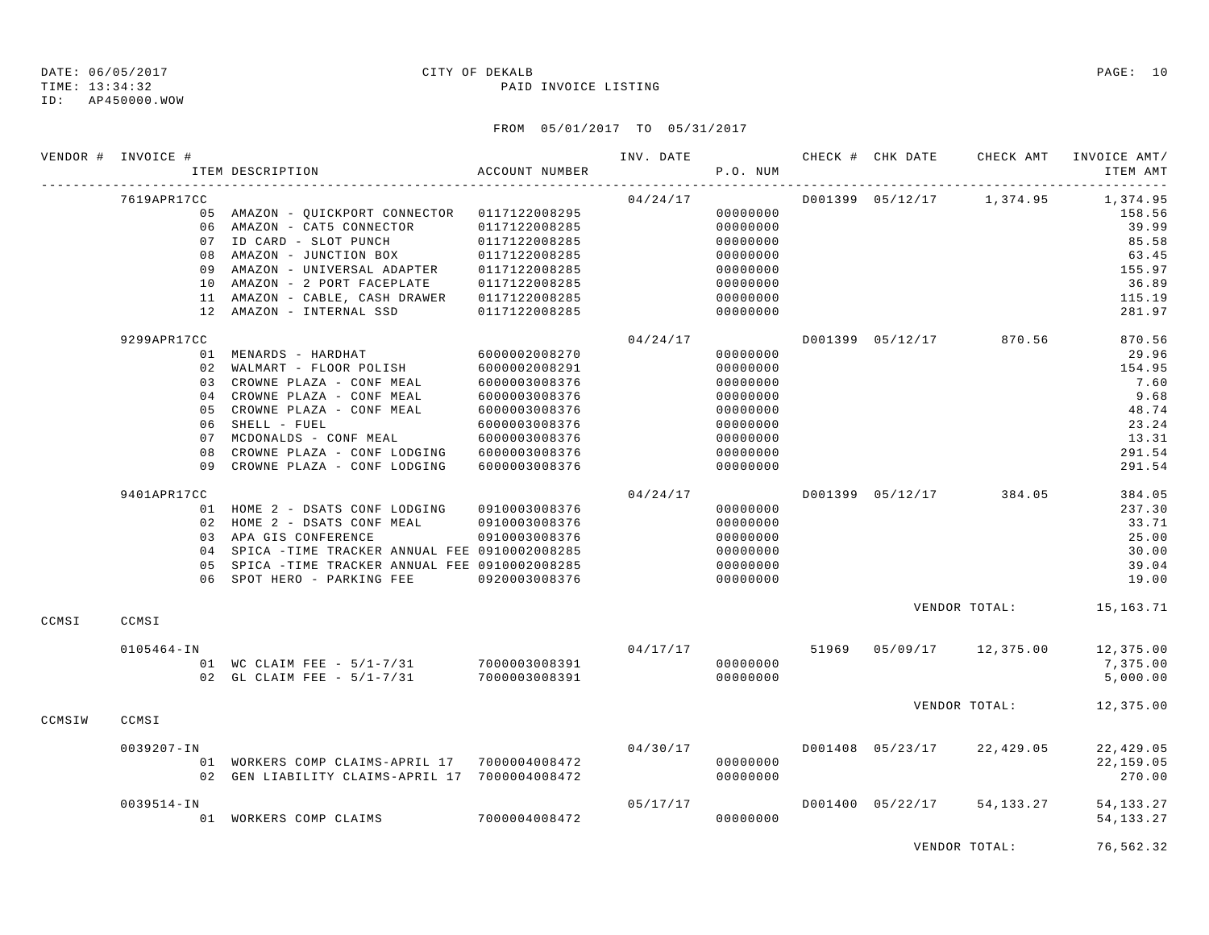## ID: AP450000.WOW

### DATE: 06/05/2017 CITY OF DEKALB PAGE: 10

TIME: 13:34:32 PAID INVOICE LISTING

### FROM 05/01/2017 TO 05/31/2017

|        | VENDOR # INVOICE # |                                          | ITEM DESCRIPTION                                                                                                                                                                                                                                                  | ACCOUNT NUMBER                                                                                                                                        | INV. DATE | P.O. NUM                                                                                                 |       | CHECK # CHK DATE | CHECK AMT               | INVOICE AMT/<br>ITEM AMT                                                                 |
|--------|--------------------|------------------------------------------|-------------------------------------------------------------------------------------------------------------------------------------------------------------------------------------------------------------------------------------------------------------------|-------------------------------------------------------------------------------------------------------------------------------------------------------|-----------|----------------------------------------------------------------------------------------------------------|-------|------------------|-------------------------|------------------------------------------------------------------------------------------|
|        | 7619APR17CC        |                                          | 05 AMAZON - QUICKPORT CONNECTOR 0117122008295<br>06 AMAZON - CAT5 CONNECTOR<br>07 ID CARD - SLOT PUNCH<br>08 AMAZON - JUNCTION BOX<br>09 AMAZON - UNIVERSAL ADAPTER<br>10 AMAZON - 2 PORT FACEPLATE<br>11 AMAZON - CABLE, CASH DRAWER<br>12 AMAZON - INTERNAL SSD | 0117122008285<br>0117122008285<br>0117122008285<br>0117122008285<br>0117122008285<br>0117122008285<br>0117122008285                                   | 04/24/17  | 00000000<br>00000000<br>00000000<br>00000000<br>00000000<br>00000000<br>00000000<br>00000000             |       | D001399 05/12/17 | 1,374.95                | 1,374.95<br>158.56<br>39.99<br>85.58<br>63.45<br>155.97<br>36.89<br>115.19<br>281.97     |
|        | 9299APR17CC        | 03<br>04<br>0.5<br>06<br>0.7<br>08<br>09 | 01 MENARDS - HARDHAT<br>02 WALMART - FLOOR POLISH<br>CROWNE PLAZA - CONF MEAL<br>CROWNE PLAZA - CONF MEAL<br>CROWNE PLAZA - CONF MEAL<br>SHELL - FUEL<br>MCDONALDS - CONF MEAL<br>CROWNE PLAZA - CONF LODGING<br>CROWNE PLAZA - CONF LODGING                      | 6000002008270<br>6000002008291<br>6000003008376<br>6000003008376<br>6000003008376<br>6000003008376<br>6000003008376<br>6000003008376<br>6000003008376 | 04/24/17  | 00000000<br>00000000<br>00000000<br>00000000<br>00000000<br>00000000<br>00000000<br>00000000<br>00000000 |       |                  | D001399 05/12/17 870.56 | 870.56<br>29.96<br>154.95<br>7.60<br>9.68<br>48.74<br>23.24<br>13.31<br>291.54<br>291.54 |
|        | 9401APR17CC        |                                          | 01 HOME 2 - DSATS CONF LODGING<br>02 HOME 2 - DSATS CONF MEAL<br>03 APA GIS CONFERENCE<br>04 SPICA -TIME TRACKER ANNUAL FEE 0910002008285<br>05 SPICA -TIME TRACKER ANNUAL FEE 0910002008285<br>06 SPOT HERO - PARKING FEE                                        | 0910003008376<br>0910003008376<br>0910003008376<br>0920003008376                                                                                      | 04/24/17  | 00000000<br>00000000<br>00000000<br>00000000<br>00000000<br>00000000                                     |       | D001399 05/12/17 | 384.05                  | 384.05<br>237.30<br>33.71<br>25.00<br>30.00<br>39.04<br>19.00                            |
| CCMSI  | CCMSI              |                                          |                                                                                                                                                                                                                                                                   |                                                                                                                                                       |           |                                                                                                          |       |                  | VENDOR TOTAL:           | 15,163.71                                                                                |
|        | $0105464 - IN$     |                                          | 01 WC CLAIM FEE - 5/1-7/31 7000003008391<br>02 GL CLAIM FEE - $5/1-7/31$                                                                                                                                                                                          | 7000003008391                                                                                                                                         | 04/17/17  | 00000000<br>00000000                                                                                     | 51969 |                  | 05/09/17 12,375.00      | 12,375.00<br>7,375.00<br>5,000.00                                                        |
| CCMSIW | CCMSI              |                                          |                                                                                                                                                                                                                                                                   |                                                                                                                                                       |           |                                                                                                          |       |                  | VENDOR TOTAL:           | 12,375.00                                                                                |
|        | $0039207 - IN$     |                                          | 01 WORKERS COMP CLAIMS-APRIL 17 7000004008472<br>02 GEN LIABILITY CLAIMS-APRIL 17 7000004008472                                                                                                                                                                   |                                                                                                                                                       | 04/30/17  | 00000000<br>00000000                                                                                     |       | D001408 05/23/17 | 22,429.05               | 22,429.05<br>22,159.05<br>270.00                                                         |
|        | $0039514 - IN$     |                                          | 01 WORKERS COMP CLAIMS                                                                                                                                                                                                                                            | 7000004008472                                                                                                                                         | 05/17/17  | 00000000                                                                                                 |       | D001400 05/22/17 | 54, 133, 27             | 54, 133. 27<br>54, 133. 27                                                               |

VENDOR TOTAL: 76,562.32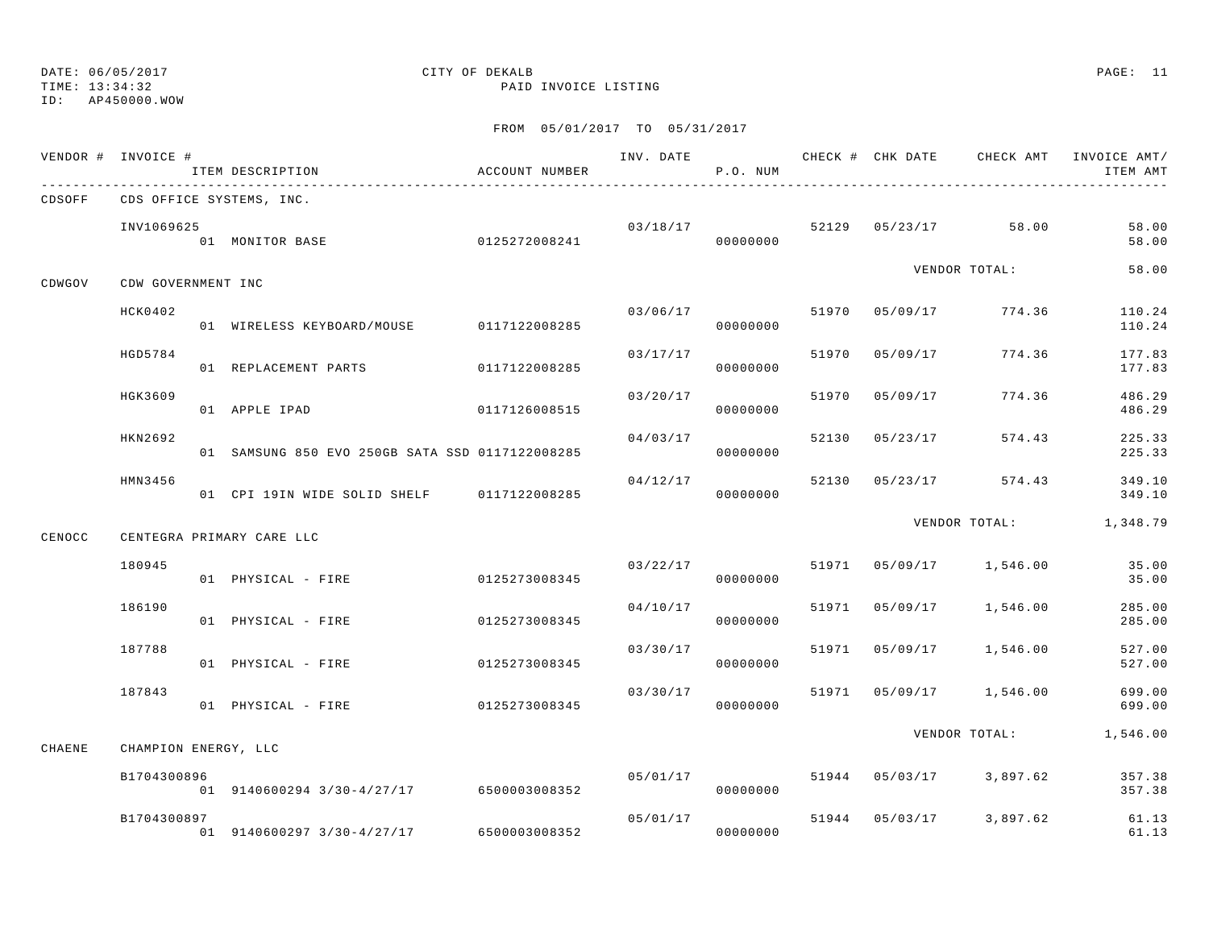TIME: 13:34:32 PAID INVOICE LISTING

ID: AP450000.WOW

|        | VENDOR # INVOICE #   | ITEM DESCRIPTION                                | ACCOUNT NUMBER |          | P.O. NUM             |       |                |                           | INV. DATE 6 1999 CHECK # CHK DATE CHECK AMT INVOICE AMT<br>ITEM AMT |
|--------|----------------------|-------------------------------------------------|----------------|----------|----------------------|-------|----------------|---------------------------|---------------------------------------------------------------------|
| CDSOFF |                      | CDS OFFICE SYSTEMS, INC.                        |                |          |                      |       |                |                           |                                                                     |
|        | INV1069625           | 01 MONITOR BASE                                 | 0125272008241  |          | 03/18/17<br>00000000 |       |                | 52129 05/23/17 58.00      | 58.00<br>58.00                                                      |
| CDWGOV | CDW GOVERNMENT INC   |                                                 |                |          |                      |       |                | VENDOR TOTAL:             | 58.00                                                               |
|        | HCK0402              | 01 WIRELESS KEYBOARD/MOUSE 0117122008285        |                | 03/06/17 | 00000000             |       | 51970 05/09/17 | 774.36                    | 110.24<br>110.24                                                    |
|        | HGD5784              | 01 REPLACEMENT PARTS                            | 0117122008285  | 03/17/17 | 00000000             | 51970 | 05/09/17       | 774.36                    | 177.83<br>177.83                                                    |
|        | HGK3609              | 01 APPLE IPAD                                   | 0117126008515  | 03/20/17 | 00000000             | 51970 | 05/09/17       | 774.36                    | 486.29<br>486.29                                                    |
|        | HKN2692              | 01 SAMSUNG 850 EVO 250GB SATA SSD 0117122008285 |                | 04/03/17 | 00000000             | 52130 | 05/23/17       | 574.43                    | 225.33<br>225.33                                                    |
|        | HMN3456              | 01 CPI 19IN WIDE SOLID SHELF 0117122008285      |                | 04/12/17 | 00000000             |       |                | 52130 05/23/17 574.43     | 349.10<br>349.10                                                    |
| CENOCC |                      | CENTEGRA PRIMARY CARE LLC                       |                |          |                      |       |                |                           | VENDOR TOTAL: 1,348.79                                              |
|        | 180945               | 01 PHYSICAL - FIRE                              | 0125273008345  | 03/22/17 | 00000000             |       |                | 51971  05/09/17  1,546.00 | 35.00<br>35.00                                                      |
|        | 186190               | 01 PHYSICAL - FIRE                              | 0125273008345  | 04/10/17 | 00000000             |       |                | 51971 05/09/17 1,546.00   | 285.00<br>285.00                                                    |
|        | 187788               | 01 PHYSICAL - FIRE                              | 0125273008345  | 03/30/17 | 00000000             | 51971 |                | 05/09/17 1,546.00         | 527.00<br>527.00                                                    |
|        | 187843               | 01 PHYSICAL - FIRE                              | 0125273008345  | 03/30/17 | 00000000             |       |                | 51971 05/09/17 1,546.00   | 699.00<br>699.00                                                    |
| CHAENE | CHAMPION ENERGY, LLC |                                                 |                |          |                      |       |                |                           | VENDOR TOTAL: 1,546.00                                              |
|        | B1704300896          | 01 9140600294 3/30-4/27/17 6500003008352        |                | 05/01/17 | 00000000             | 51944 |                | 05/03/17 3,897.62         | 357.38<br>357.38                                                    |
|        | B1704300897          | $01$ 9140600297 3/30-4/27/17 6500003008352      |                |          | 05/01/17<br>00000000 |       |                | 51944 05/03/17 3,897.62   | 61.13<br>61.13                                                      |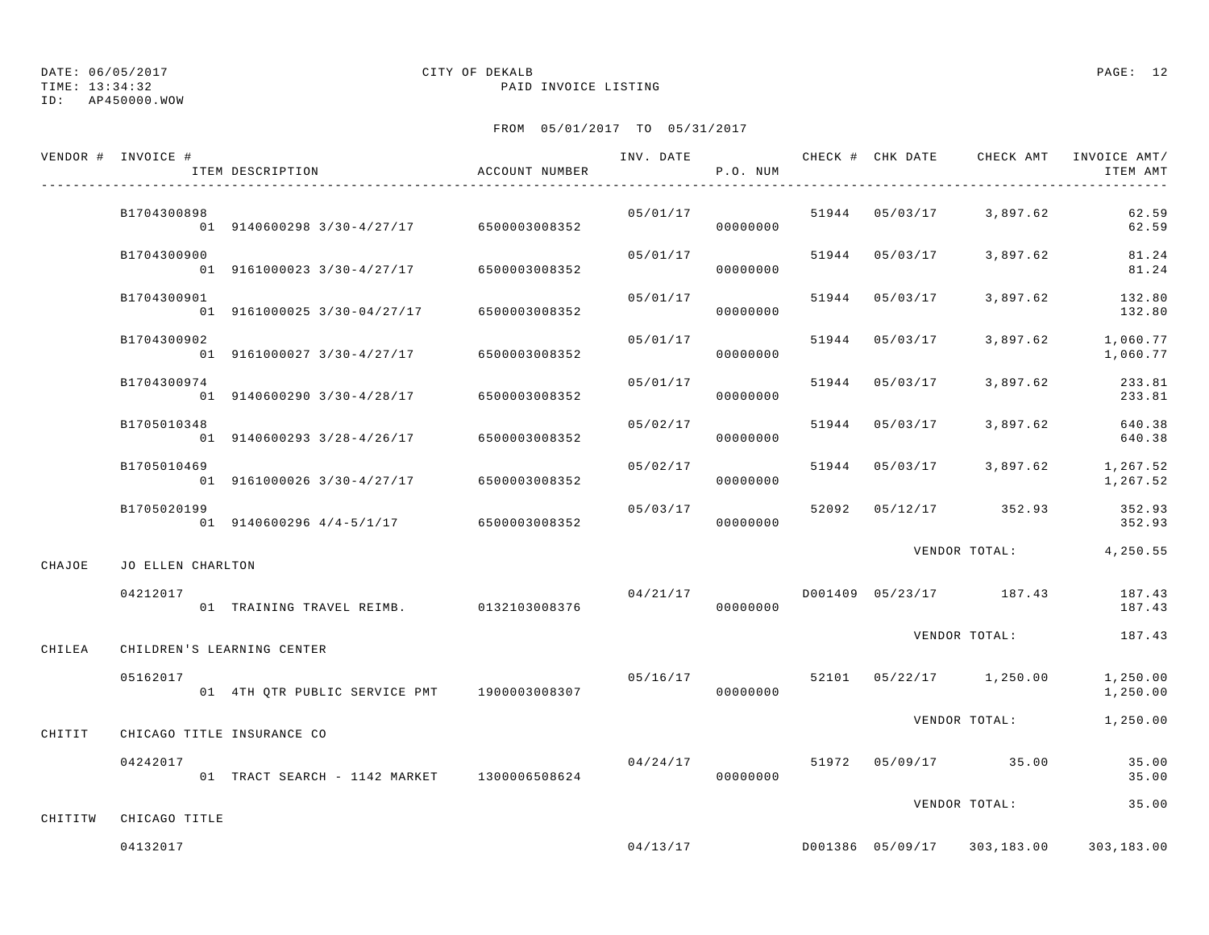TIME: 13:34:32 PAID INVOICE LISTING

### ID: AP450000.WOW

## DATE: 06/05/2017 CITY OF DEKALB PAGE: 12

|         | VENDOR # INVOICE # | ITEM DESCRIPTION                            | ACCOUNT NUMBER |          | P.O. NUM             |                |                                    | ITEM AMT             |
|---------|--------------------|---------------------------------------------|----------------|----------|----------------------|----------------|------------------------------------|----------------------|
|         | B1704300898        | $01$ 9140600298 3/30-4/27/17 6500003008352  |                |          | 00000000             |                | $05/01/17$ 51944 05/03/17 3,897.62 | 62.59<br>62.59       |
|         | B1704300900        | 01 9161000023 3/30-4/27/17 6500003008352    |                | 05/01/17 | 00000000             | 51944 05/03/17 | 3,897.62                           | 81.24<br>81.24       |
|         | B1704300901        | 01 9161000025 3/30-04/27/17 6500003008352   |                |          | 05/01/17<br>00000000 | 51944 05/03/17 | 3,897.62                           | 132.80<br>132.80     |
|         | B1704300902        | 01 9161000027 3/30-4/27/17 6500003008352    |                | 05/01/17 | 00000000             | 51944 05/03/17 | 3,897.62                           | 1,060.77<br>1,060.77 |
|         | B1704300974        | $01$ 9140600290 3/30-4/28/17 6500003008352  |                | 05/01/17 | 00000000             | 51944 05/03/17 | 3,897.62                           | 233.81<br>233.81     |
|         | B1705010348        | 01 9140600293 3/28-4/26/17 6500003008352    |                | 05/02/17 | 00000000             | 51944 05/03/17 | 3,897.62                           | 640.38<br>640.38     |
|         | B1705010469        | 01 9161000026 3/30-4/27/17 6500003008352    |                | 05/02/17 | 00000000             |                | 51944 05/03/17 3,897.62 1,267.52   | 1,267.52             |
|         | B1705020199        | 01 9140600296 4/4-5/1/17 6500003008352      |                | 05/03/17 | 00000000             |                | 52092 05/12/17 352.93              | 352.93<br>352.93     |
| CHAJOE  | JO ELLEN CHARLTON  |                                             |                |          |                      |                | VENDOR TOTAL:                      | 4,250.55             |
|         | 04212017           | 01 TRAINING TRAVEL REIMB. 0132103008376     |                | 04/21/17 | 00000000             |                | D001409 05/23/17 187.43            | 187.43<br>187.43     |
| CHILEA  |                    | CHILDREN'S LEARNING CENTER                  |                |          |                      |                | VENDOR TOTAL:                      | 187.43               |
|         | 05162017           | 01 4TH QTR PUBLIC SERVICE PMT 1900003008307 |                |          | 00000000             |                | $05/16/17$ 52101 05/22/17 1,250.00 | 1,250.00<br>1,250.00 |
| CHITIT  |                    | CHICAGO TITLE INSURANCE CO                  |                |          |                      |                | VENDOR TOTAL:                      | 1,250.00             |
|         | 04242017           | 01 TRACT SEARCH - 1142 MARKET 1300006508624 |                |          | 00000000             |                | $04/24/17$ 51972 05/09/17 35.00    | 35.00<br>35.00       |
| CHITITW | CHICAGO TITLE      |                                             |                |          |                      |                | VENDOR TOTAL:                      | 35.00                |
|         | 04132017           |                                             |                | 04/13/17 |                      |                | D001386 05/09/17 303,183.00        | 303,183.00           |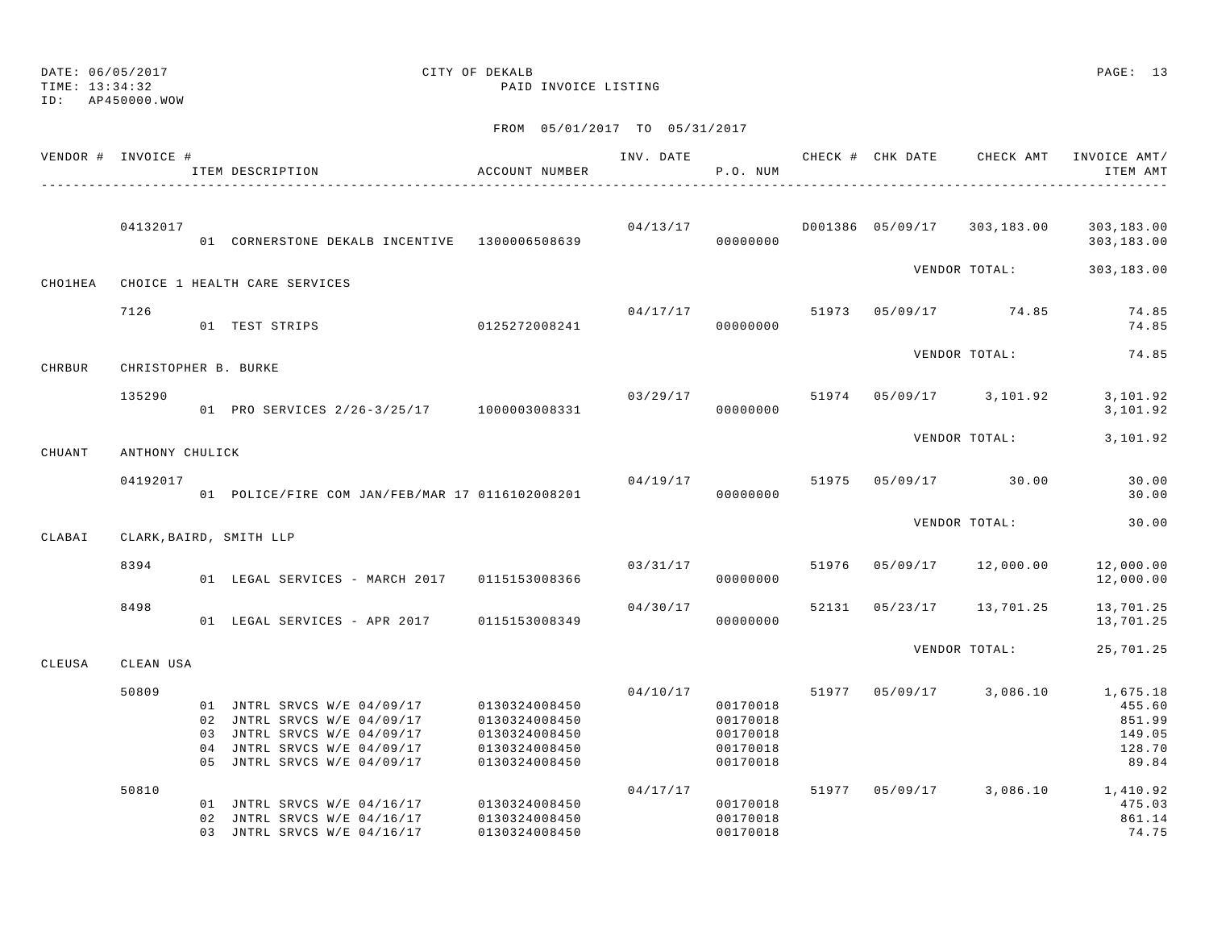DATE: 06/05/2017 CITY OF DEKALB PAGE: 13 TIME: 13:34:32 PAID INVOICE LISTING ID: AP450000.WOWFROM 05/01/2017 TO 05/31/2017 VENDOR # INVOICE # TELL TRANSPORTER THAT INV. DATE THE CHECK AND CHECK AMT INVOICE AMT/ ITEM DESCRIPTION ACCOUNT NUMBER P.O. NUM ITEM AMT---------------------------------------------------------------------------------------------------------------------------------------------- 04132017 04/13/17 D001386 05/09/17 303,183.00 303,183.00 01 CORNERSTONE DEKALB INCENTIVE 1300006508639 00000000 303,183.00 VENDOR TOTAL: 303,183.00 CHO1HEA CHOICE 1 HEALTH CARE SERVICES 7126 04/17/17 51973 05/09/17 74.85 74.85 01 TEST STRIPS 0125272008241 00000000 74.85VENDOR TOTAL: 74.85CHRBUR CHRISTOPHER B. BURKE 135290 03/29/17 51974 05/09/17 3,101.92 3,101.92 01 PRO SERVICES  $2/26-3/25/17$  1000003008331 000000000 3,101.92 VENDOR TOTAL: 3,101.92 CHUANT ANTHONY CHULICK $04/19/17$  30.00 30.00 30.00 01 POLICE/FIRE COM JAN/FEB/MAR 17 0116102008201 00000000 00000000 0000000 000000 30.00 VENDOR TOTAL: 30.00CLABAI CLARK,BAIRD, SMITH LLP  $03/31/17$   $03/31/17$   $05/09/17$   $12,000.00$   $12,000.00$ 01 LEGAL SERVICES - MARCH 2017 0115153008366 00000000 00000000 12,000.00 8498 04/30/17 52131 05/23/17 13,701.25 13,701.25 01 LEGAL SERVICES - APR 2017 0115153008349 000000000 0000000 13,701.25 VENDOR TOTAL: 25,701.25 CLEUSA CLEAN USA 50809 04/10/17 51977 05/09/17 3,086.10 1,675.18 01 JNTRL SRVCS W/E 04/09/17 0130324008450 00170018 455.60 02 JNTRL SRVCS W/E 04/09/17 0130324008450 00170018 851.99 03 JNTRL SRVCS W/E 04/09/17 0130324008450 00170018 00170018 149.05 04 JNTRL SRVCS W/E 04/09/17 0130324008450 00170018 00170018 128.70 05 JNTRL SRVCS W/E 04/09/17 0130324008450 00170018 00170018 89.84 50810 04/17/17 51977 05/09/17 3,086.10 1,410.92 01 JNTRL SRVCS W/E 04/16/17 0130324008450 00170018 475.03 02 JNTRL SRVCS W/E 04/16/17 0130324008450 00170018 861.14 03 JNTRL SRVCS W/E 04/16/17 0130324008450 00170018 00170018 74.75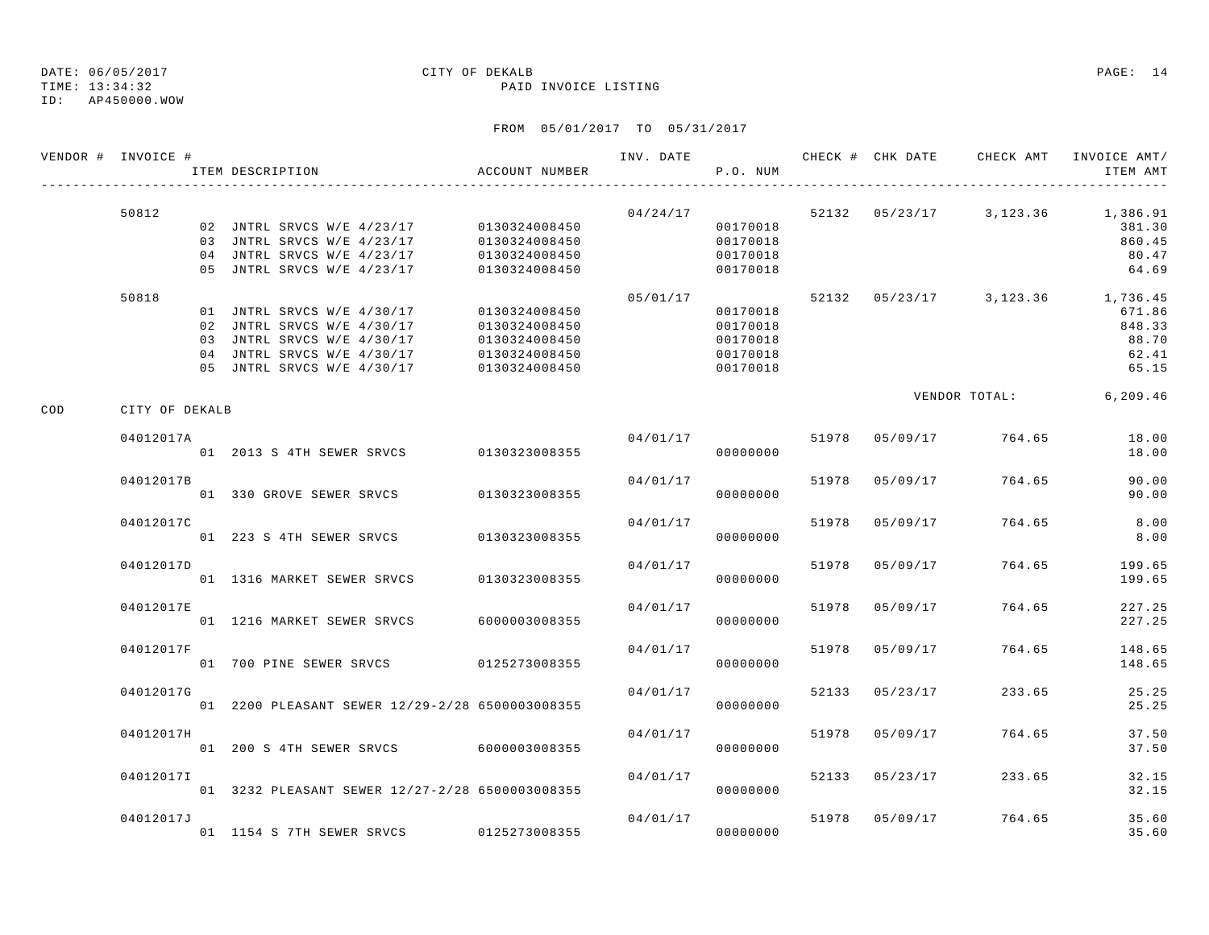ID: AP450000.WOW

### TIME: 13:34:32 PAID INVOICE LISTING

|     | VENDOR # INVOICE # | ITEM DESCRIPTION                                                                                     | ACCOUNT NUMBER                                  |          | P.O. NUM                         |       |                |               | INV. DATE 6 CHECK # CHK DATE CHECK AMT INVOICE AMT/<br>ITEM AMT  |
|-----|--------------------|------------------------------------------------------------------------------------------------------|-------------------------------------------------|----------|----------------------------------|-------|----------------|---------------|------------------------------------------------------------------|
|     | 50812              | 02 JNTRL SRVCS W/E 4/23/17 0130324008450<br>03 JNTRL SRVCS W/E 4/23/17<br>04 JNTRL SRVCS W/E 4/23/17 | 0130324008450<br>0130324008450                  | 04/24/17 | 00170018<br>00170018<br>00170018 |       |                |               | 52132  05/23/17  3,123.36  1,386.91<br>381.30<br>860.45<br>80.47 |
|     | 50818              | 05 JNTRL SRVCS W/E 4/23/17<br>01 JNTRL SRVCS W/E 4/30/17<br>02 JNTRL SRVCS W/E 4/30/17               | 0130324008450<br>0130324008450<br>0130324008450 | 05/01/17 | 00170018<br>00170018<br>00170018 |       |                |               | 64.69<br>52132 05/23/17 3,123.36 1,736.45<br>671.86<br>848.33    |
|     |                    | 03 JNTRL SRVCS W/E 4/30/17<br>04 JNTRL SRVCS W/E 4/30/17<br>05 JNTRL SRVCS W/E 4/30/17               | 0130324008450<br>0130324008450<br>0130324008450 |          | 00170018<br>00170018<br>00170018 |       |                |               | 88.70<br>62.41<br>65.15                                          |
| COD | CITY OF DEKALB     |                                                                                                      |                                                 |          |                                  |       |                | VENDOR TOTAL: | 6,209.46                                                         |
|     | 04012017A          | 01 2013 S 4TH SEWER SRVCS 0130323008355                                                              |                                                 | 04/01/17 | 00000000                         |       | 51978 05/09/17 | 764.65        | 18.00<br>18.00                                                   |
|     | 04012017B          | 01 330 GROVE SEWER SRVCS                                                                             | 0130323008355                                   | 04/01/17 | 00000000                         |       | 51978 05/09/17 | 764.65        | 90.00<br>90.00                                                   |
|     | 04012017C          | 01 223 S 4TH SEWER SRVCS                                                                             | 0130323008355                                   | 04/01/17 | 00000000                         | 51978 | 05/09/17       | 764.65        | 8.00<br>8.00                                                     |
|     | 04012017D          | 01 1316 MARKET SEWER SRVCS                                                                           | 0130323008355                                   | 04/01/17 | 00000000                         | 51978 | 05/09/17       | 764.65        | 199.65<br>199.65                                                 |
|     | 04012017E          | 01 1216 MARKET SEWER SRVCS                                                                           | 6000003008355                                   | 04/01/17 | 00000000                         |       | 51978 05/09/17 | 764.65        | 227.25<br>227.25                                                 |
|     | 04012017F          | 01 700 PINE SEWER SRVCS 0125273008355                                                                |                                                 | 04/01/17 | 00000000                         | 51978 | 05/09/17       | 764.65        | 148.65<br>148.65                                                 |
|     | 04012017G          | 01 2200 PLEASANT SEWER 12/29-2/28 6500003008355                                                      |                                                 | 04/01/17 | 00000000                         |       | 52133 05/23/17 | 233.65        | 25.25<br>25.25                                                   |
|     | 04012017H          | 01 200 S 4TH SEWER SRVCS 6000003008355                                                               |                                                 | 04/01/17 | 00000000                         |       | 51978 05/09/17 | 764.65        | 37.50<br>37.50                                                   |
|     | 04012017I          | 01 3232 PLEASANT SEWER 12/27-2/28 6500003008355                                                      |                                                 | 04/01/17 | 00000000                         |       | 52133 05/23/17 | 233.65        | 32.15<br>32.15                                                   |
|     | 04012017J          | 01 1154 S 7TH SEWER SRVCS                                                                            | 0125273008355                                   | 04/01/17 | 00000000                         |       | 51978 05/09/17 | 764.65        | 35.60<br>35.60                                                   |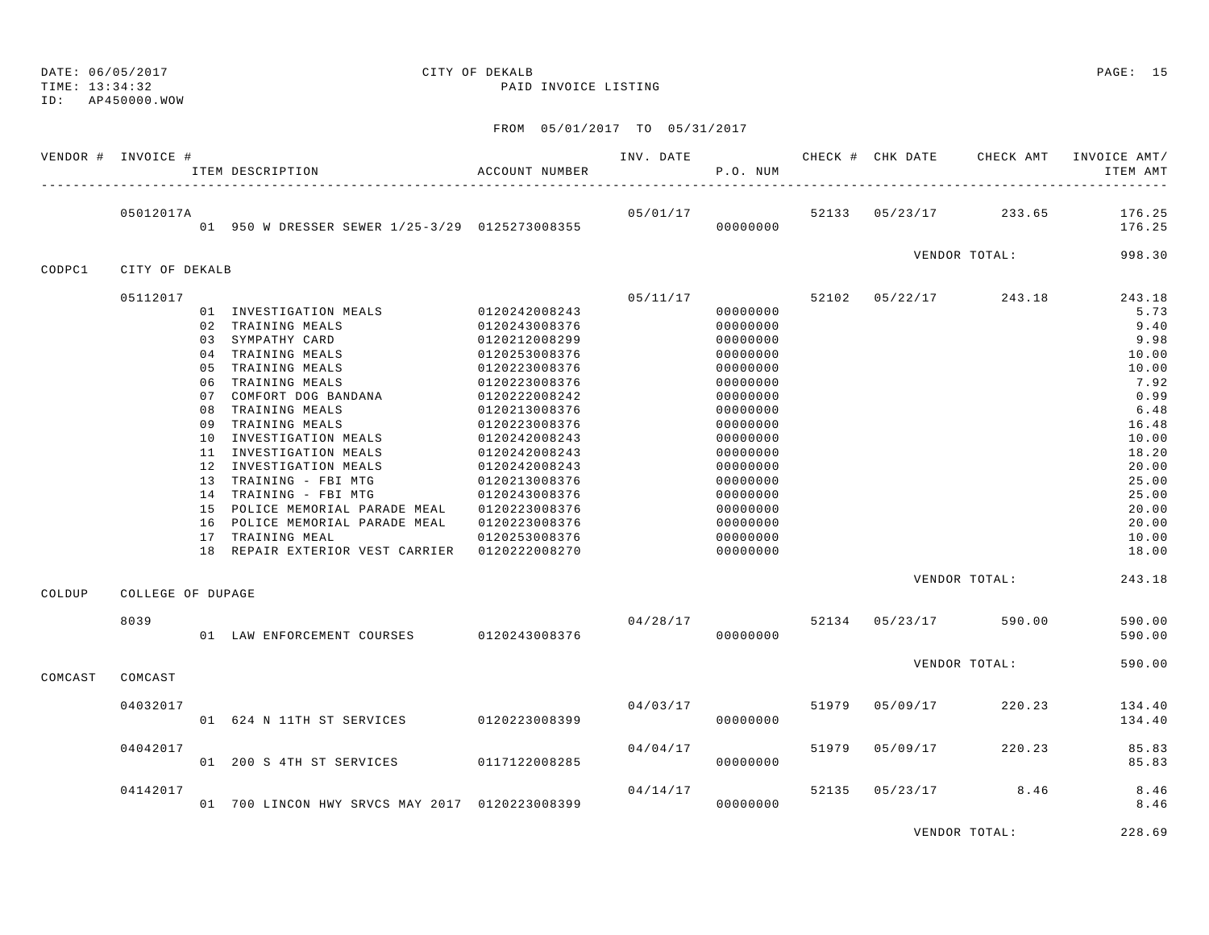DATE: 06/05/2017 CITY OF DEKALB PAGE: 15 TIME: 13:34:32 PAID INVOICE LISTING ID: AP450000.WOW

FROM 05/01/2017 TO 05/31/2017

|         | VENDOR # INVOICE #        | ITEM DESCRIPTION                                                                                                                                                                                                                                                                                                                                                                                                                                                                                                      | <b>ACCOUNT NUMBER</b>                                                                                                                                                                                                                      | INV. DATE                 | P.O. NUM                                                                                                                                                                                                             |       |                | CHECK # CHK DATE CHECK AMT         | INVOICE AMT/<br>ITEM AMT                                                                                                                                           |
|---------|---------------------------|-----------------------------------------------------------------------------------------------------------------------------------------------------------------------------------------------------------------------------------------------------------------------------------------------------------------------------------------------------------------------------------------------------------------------------------------------------------------------------------------------------------------------|--------------------------------------------------------------------------------------------------------------------------------------------------------------------------------------------------------------------------------------------|---------------------------|----------------------------------------------------------------------------------------------------------------------------------------------------------------------------------------------------------------------|-------|----------------|------------------------------------|--------------------------------------------------------------------------------------------------------------------------------------------------------------------|
|         | 05012017A                 | 01 950 W DRESSER SEWER 1/25-3/29 0125273008355                                                                                                                                                                                                                                                                                                                                                                                                                                                                        |                                                                                                                                                                                                                                            | 05/01/17                  | 00000000                                                                                                                                                                                                             |       | 52133 05/23/17 |                                    | 233.65 176.25<br>176.25                                                                                                                                            |
| CODPC1  | CITY OF DEKALB            |                                                                                                                                                                                                                                                                                                                                                                                                                                                                                                                       |                                                                                                                                                                                                                                            |                           |                                                                                                                                                                                                                      |       |                | VENDOR TOTAL:                      | 998.30                                                                                                                                                             |
|         | 05112017                  | 01 INVESTIGATION MEALS 0120242008243<br>02 TRAINING MEALS<br>03 SYMPATHY CARD<br>04 TRAINING MEALS<br>05 TRAINING MEALS<br>06 TRAINING MEALS<br>07 COMFORT DOG BANDANA<br>08 TRAINING MEALS<br>09 TRAINING MEALS<br>10 INVESTIGATION MEALS<br>11 INVESTIGATION MEALS<br>12 INVESTIGATION MEALS<br>13 TRAINING - FBI MTG<br>14 TRAINING - FBI MTG<br>15 POLICE MEMORIAL PARADE MEAL 0120223008376<br>16 POLICE MEMORIAL PARADE MEAL 0120223008376<br>17 TRAINING MEAL<br>18 REPAIR EXTERIOR VEST CARRIER 0120222008270 | 0120243008376<br>0120212008299<br>0120253008376<br>0120223008376<br>0120223008376<br>0120222008242<br>0120213008376<br>0120223008376<br>0120242008243<br>0120242008243<br>0120242008243<br>0120213008376<br>0120243008376<br>0120253008376 |                           | 00000000<br>00000000<br>00000000<br>00000000<br>00000000<br>00000000<br>00000000<br>00000000<br>00000000<br>00000000<br>00000000<br>00000000<br>00000000<br>00000000<br>00000000<br>00000000<br>00000000<br>00000000 |       |                | $05/11/17$ 52102 $05/22/17$ 243.18 | 243.18<br>5.73<br>9.40<br>9.98<br>10.00<br>10.00<br>7.92<br>0.99<br>6.48<br>16.48<br>10.00<br>18.20<br>20.00<br>25.00<br>25.00<br>20.00<br>20.00<br>10.00<br>18.00 |
|         |                           |                                                                                                                                                                                                                                                                                                                                                                                                                                                                                                                       |                                                                                                                                                                                                                                            |                           |                                                                                                                                                                                                                      |       |                | VENDOR TOTAL:                      | 243.18                                                                                                                                                             |
| COLDUP  | COLLEGE OF DUPAGE<br>8039 | 01 LAW ENFORCEMENT COURSES 0120243008376                                                                                                                                                                                                                                                                                                                                                                                                                                                                              |                                                                                                                                                                                                                                            | $04/28/17$ 52134 05/23/17 | 00000000                                                                                                                                                                                                             |       |                | 590.00                             | 590.00<br>590.00                                                                                                                                                   |
| COMCAST | COMCAST                   |                                                                                                                                                                                                                                                                                                                                                                                                                                                                                                                       |                                                                                                                                                                                                                                            |                           |                                                                                                                                                                                                                      |       |                | VENDOR TOTAL:                      | 590.00                                                                                                                                                             |
|         | 04032017                  | 01 624 N 11TH ST SERVICES 0120223008399                                                                                                                                                                                                                                                                                                                                                                                                                                                                               |                                                                                                                                                                                                                                            | 04/03/17                  | 00000000                                                                                                                                                                                                             |       | 51979 05/09/17 | 220.23                             | 134.40<br>134.40                                                                                                                                                   |
|         | 04042017                  | 01 200 S 4TH ST SERVICES 0117122008285                                                                                                                                                                                                                                                                                                                                                                                                                                                                                |                                                                                                                                                                                                                                            | 04/04/17                  | 00000000                                                                                                                                                                                                             | 51979 | 05/09/17       | 220.23                             | 85.83<br>85.83                                                                                                                                                     |
|         | 04142017                  | 01 700 LINCON HWY SRVCS MAY 2017 0120223008399                                                                                                                                                                                                                                                                                                                                                                                                                                                                        |                                                                                                                                                                                                                                            | 04/14/17                  | 00000000                                                                                                                                                                                                             |       |                | 52135 05/23/17 8.46                | 8.46<br>8.46                                                                                                                                                       |

VENDOR TOTAL: 228.69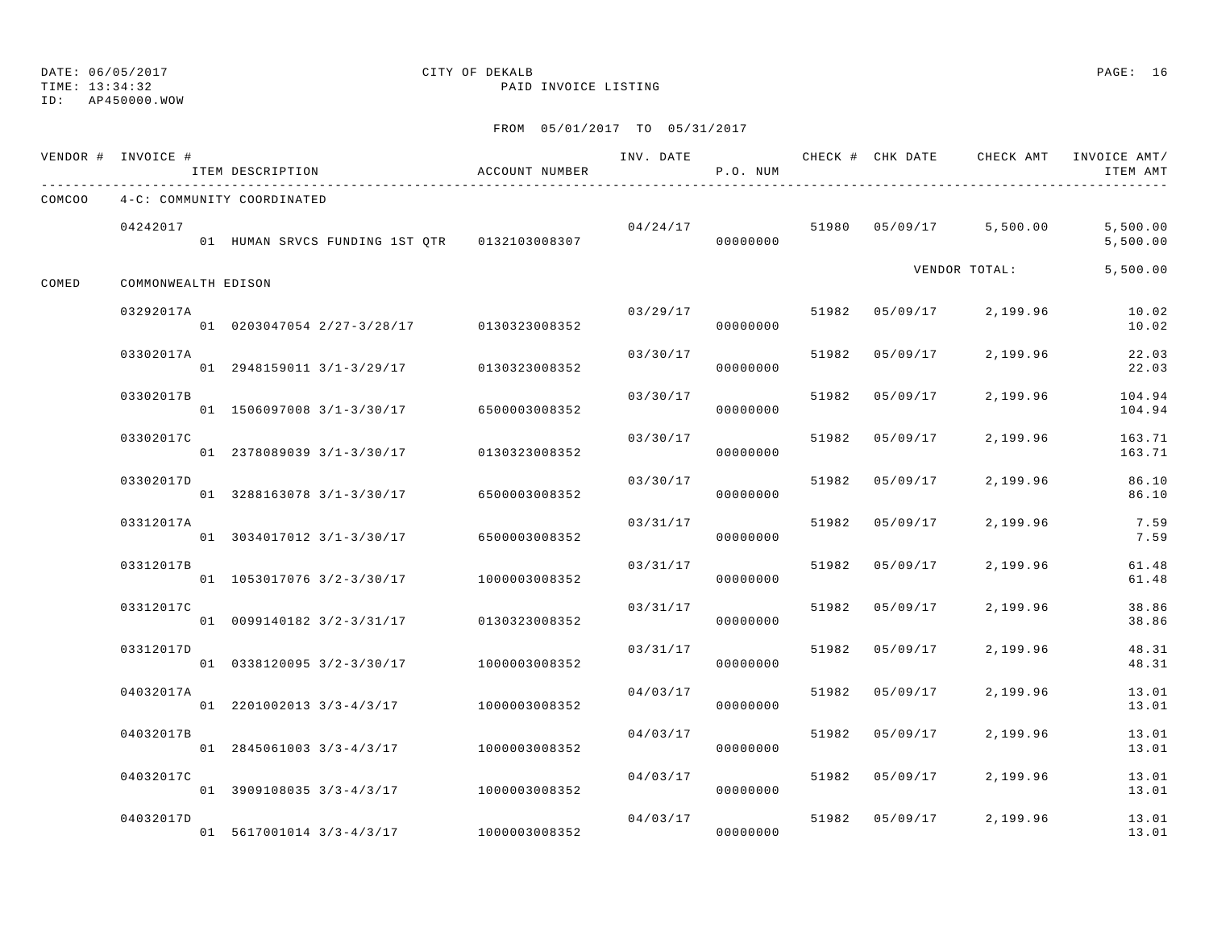TIME: 13:34:32 PAID INVOICE LISTING

ID: AP450000.WOW

|           |                    |                                                                                                                                                                                                                                                                                                              |                                                                                                                                                                                                                                                                                                                                   | P.O. NUM                                     |                                                                                                                                                                                               |          |                                                                                                             | ITEM AMT                                                                                                                                                          |
|-----------|--------------------|--------------------------------------------------------------------------------------------------------------------------------------------------------------------------------------------------------------------------------------------------------------------------------------------------------------|-----------------------------------------------------------------------------------------------------------------------------------------------------------------------------------------------------------------------------------------------------------------------------------------------------------------------------------|----------------------------------------------|-----------------------------------------------------------------------------------------------------------------------------------------------------------------------------------------------|----------|-------------------------------------------------------------------------------------------------------------|-------------------------------------------------------------------------------------------------------------------------------------------------------------------|
|           |                    |                                                                                                                                                                                                                                                                                                              |                                                                                                                                                                                                                                                                                                                                   |                                              |                                                                                                                                                                                               |          |                                                                                                             |                                                                                                                                                                   |
| 04242017  |                    |                                                                                                                                                                                                                                                                                                              |                                                                                                                                                                                                                                                                                                                                   | 00000000                                     |                                                                                                                                                                                               |          |                                                                                                             | 5,500.00<br>5,500.00                                                                                                                                              |
|           |                    |                                                                                                                                                                                                                                                                                                              |                                                                                                                                                                                                                                                                                                                                   |                                              |                                                                                                                                                                                               |          |                                                                                                             | 5,500.00                                                                                                                                                          |
| 03292017A |                    |                                                                                                                                                                                                                                                                                                              |                                                                                                                                                                                                                                                                                                                                   | 00000000                                     |                                                                                                                                                                                               |          |                                                                                                             | 10.02<br>10.02                                                                                                                                                    |
| 03302017A |                    |                                                                                                                                                                                                                                                                                                              |                                                                                                                                                                                                                                                                                                                                   | 00000000                                     |                                                                                                                                                                                               | 05/09/17 | 2,199.96                                                                                                    | 22.03<br>22.03                                                                                                                                                    |
| 03302017B |                    |                                                                                                                                                                                                                                                                                                              |                                                                                                                                                                                                                                                                                                                                   | 00000000                                     | 51982                                                                                                                                                                                         | 05/09/17 |                                                                                                             | 104.94<br>104.94                                                                                                                                                  |
| 03302017C |                    |                                                                                                                                                                                                                                                                                                              |                                                                                                                                                                                                                                                                                                                                   | 00000000                                     |                                                                                                                                                                                               | 05/09/17 | 2,199.96                                                                                                    | 163.71<br>163.71                                                                                                                                                  |
| 03302017D |                    |                                                                                                                                                                                                                                                                                                              | 03/30/17                                                                                                                                                                                                                                                                                                                          | 00000000                                     |                                                                                                                                                                                               | 05/09/17 | 2,199.96                                                                                                    | 86.10<br>86.10                                                                                                                                                    |
| 03312017A |                    |                                                                                                                                                                                                                                                                                                              |                                                                                                                                                                                                                                                                                                                                   | 00000000                                     | 51982                                                                                                                                                                                         | 05/09/17 | 2,199.96                                                                                                    | 7.59<br>7.59                                                                                                                                                      |
| 03312017B |                    |                                                                                                                                                                                                                                                                                                              |                                                                                                                                                                                                                                                                                                                                   | 00000000                                     | 51982                                                                                                                                                                                         | 05/09/17 | 2,199.96                                                                                                    | 61.48<br>61.48                                                                                                                                                    |
| 03312017C |                    |                                                                                                                                                                                                                                                                                                              |                                                                                                                                                                                                                                                                                                                                   |                                              |                                                                                                                                                                                               | 05/09/17 | 2,199.96                                                                                                    | 38.86<br>38.86                                                                                                                                                    |
| 03312017D |                    |                                                                                                                                                                                                                                                                                                              | 03/31/17                                                                                                                                                                                                                                                                                                                          |                                              |                                                                                                                                                                                               | 05/09/17 | 2,199.96                                                                                                    | 48.31<br>48.31                                                                                                                                                    |
| 04032017A |                    |                                                                                                                                                                                                                                                                                                              |                                                                                                                                                                                                                                                                                                                                   |                                              | 51982                                                                                                                                                                                         | 05/09/17 | 2,199.96                                                                                                    | 13.01<br>13.01                                                                                                                                                    |
| 04032017B |                    |                                                                                                                                                                                                                                                                                                              | 04/03/17                                                                                                                                                                                                                                                                                                                          |                                              |                                                                                                                                                                                               | 05/09/17 | 2,199.96                                                                                                    | 13.01<br>13.01                                                                                                                                                    |
| 04032017C |                    |                                                                                                                                                                                                                                                                                                              |                                                                                                                                                                                                                                                                                                                                   |                                              |                                                                                                                                                                                               |          | 2,199.96                                                                                                    | 13.01                                                                                                                                                             |
| 04032017D |                    |                                                                                                                                                                                                                                                                                                              |                                                                                                                                                                                                                                                                                                                                   |                                              |                                                                                                                                                                                               |          | 2,199.96                                                                                                    | 13.01<br>13.01<br>13.01                                                                                                                                           |
|           | VENDOR # INVOICE # | ITEM DESCRIPTION<br>4-C: COMMUNITY COORDINATED<br>COMMONWEALTH EDISON<br>01 2948159011 3/1-3/29/17<br>01 1506097008 3/1-3/30/17<br>01 2378089039 3/1-3/30/17<br>01 3288163078 3/1-3/30/17<br>01 1053017076 3/2-3/30/17<br>01 0099140182 3/2-3/31/17<br>01 0338120095 3/2-3/30/17<br>01 3909108035 3/3-4/3/17 | ACCOUNT NUMBER<br>01 0203047054 2/27-3/28/17 0130323008352<br>0130323008352<br>6500003008352<br>0130323008352<br>6500003008352<br>01 3034017012 3/1-3/30/17 6500003008352<br>1000003008352<br>0130323008352<br>1000003008352<br>01 2201002013 3/3-4/3/17 1000003008352<br>01 2845061003 3/3-4/3/17 1000003008352<br>1000003008352 | 01 HUMAN SRVCS FUNDING 1ST QTR 0132103008307 | INV. DATE<br>03/29/17<br>03/30/17<br>03/30/17<br>03/30/17<br>03/31/17<br>03/31/17<br>03/31/17<br>00000000<br>00000000<br>04/03/17<br>00000000<br>00000000<br>04/03/17<br>00000000<br>04/03/17 | 04/24/17 | 51982<br>51982<br>51982<br>51982<br>51982<br>51982<br>1000003008352<br>00000000<br>01 5617001014 3/3-4/3/17 | CHECK # CHK DATE CHECK AMT INVOICE AMT/<br>51980 05/09/17 5,500.00<br>VENDOR TOTAL:<br>51982 05/09/17<br>2,199.96<br>2,199.96<br>51982 05/09/17<br>51982 05/09/17 |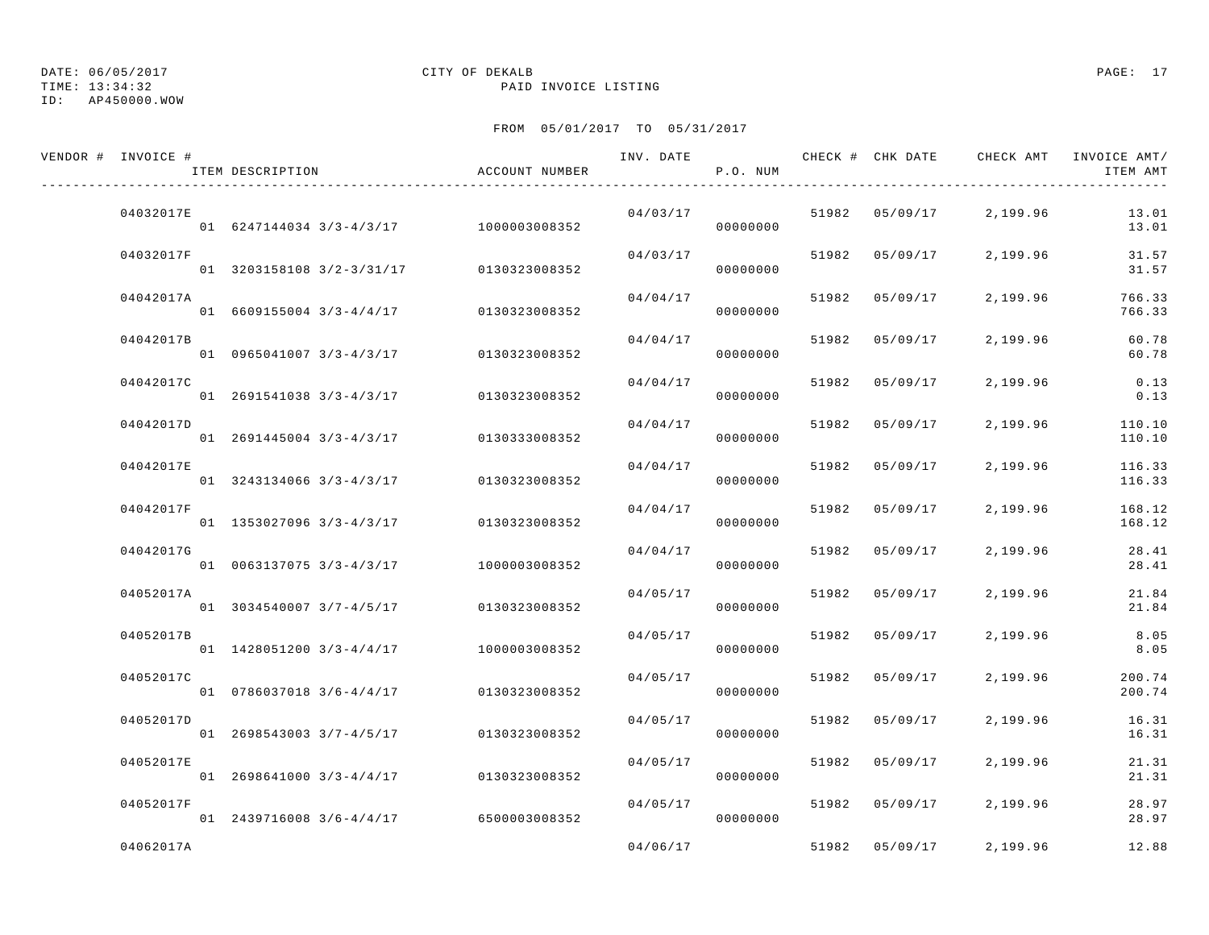### ID: AP450000.WOW

## DATE: 06/05/2017 CITY OF DEKALB PAGE: 17

TIME: 13:34:32 PAID INVOICE LISTING

| VENDOR # INVOICE # | ITEM DESCRIPTION                       | ACCOUNT NUMBER | INV. DATE | P.O. NUM |       | CHECK # CHK DATE | CHECK AMT         | INVOICE AMT/<br>ITEM AMT |
|--------------------|----------------------------------------|----------------|-----------|----------|-------|------------------|-------------------|--------------------------|
| 04032017E          | 01 6247144034 3/3-4/3/17 1000003008352 |                | 04/03/17  | 00000000 | 51982 |                  | 05/09/17 2,199.96 | 13.01<br>13.01           |
| 04032017F          | 01 3203158108 3/2-3/31/17              | 0130323008352  | 04/03/17  | 00000000 |       | 51982 05/09/17   | 2,199.96          | 31.57<br>31.57           |
| 04042017A          | 01 6609155004 3/3-4/4/17               | 0130323008352  | 04/04/17  | 00000000 | 51982 | 05/09/17         | 2,199.96          | 766.33<br>766.33         |
| 04042017B          | 01 0965041007 3/3-4/3/17               | 0130323008352  | 04/04/17  | 00000000 | 51982 | 05/09/17         | 2,199.96          | 60.78<br>60.78           |
| 04042017C          | 01 2691541038 3/3-4/3/17               | 0130323008352  | 04/04/17  | 00000000 | 51982 | 05/09/17         | 2,199.96          | 0.13<br>0.13             |
| 04042017D          | 01 2691445004 3/3-4/3/17               | 0130333008352  | 04/04/17  | 00000000 | 51982 | 05/09/17         | 2,199.96          | 110.10<br>110.10         |
| 04042017E          | $01$ 3243134066 3/3-4/3/17             | 0130323008352  | 04/04/17  | 00000000 | 51982 | 05/09/17         | 2,199.96          | 116.33<br>116.33         |
| 04042017F          | 01 1353027096 3/3-4/3/17               | 0130323008352  | 04/04/17  | 00000000 | 51982 | 05/09/17         | 2,199.96          | 168.12<br>168.12         |
| 04042017G          | 01 0063137075 3/3-4/3/17               | 1000003008352  | 04/04/17  | 00000000 | 51982 | 05/09/17         | 2,199.96          | 28.41<br>28.41           |
| 04052017A          | 01 3034540007 3/7-4/5/17               | 0130323008352  | 04/05/17  | 00000000 | 51982 | 05/09/17         | 2,199.96          | 21.84<br>21.84           |
| 04052017B          | 01 1428051200 3/3-4/4/17               | 1000003008352  | 04/05/17  | 00000000 | 51982 | 05/09/17         | 2,199.96          | 8.05<br>8.05             |
| 04052017C          | 01 0786037018 3/6-4/4/17               | 0130323008352  | 04/05/17  | 00000000 | 51982 | 05/09/17         | 2,199.96          | 200.74<br>200.74         |
| 04052017D          | 01 2698543003 3/7-4/5/17               | 0130323008352  | 04/05/17  | 00000000 | 51982 | 05/09/17         | 2,199.96          | 16.31<br>16.31           |
| 04052017E          | 01 2698641000 3/3-4/4/17               | 0130323008352  | 04/05/17  | 00000000 | 51982 | 05/09/17         | 2,199.96          | 21.31<br>21.31           |
| 04052017F          | 01 2439716008 3/6-4/4/17               | 6500003008352  | 04/05/17  | 00000000 | 51982 | 05/09/17         | 2,199.96          | 28.97<br>28.97           |
| 04062017A          |                                        |                | 04/06/17  |          | 51982 | 05/09/17         | 2,199.96          | 12.88                    |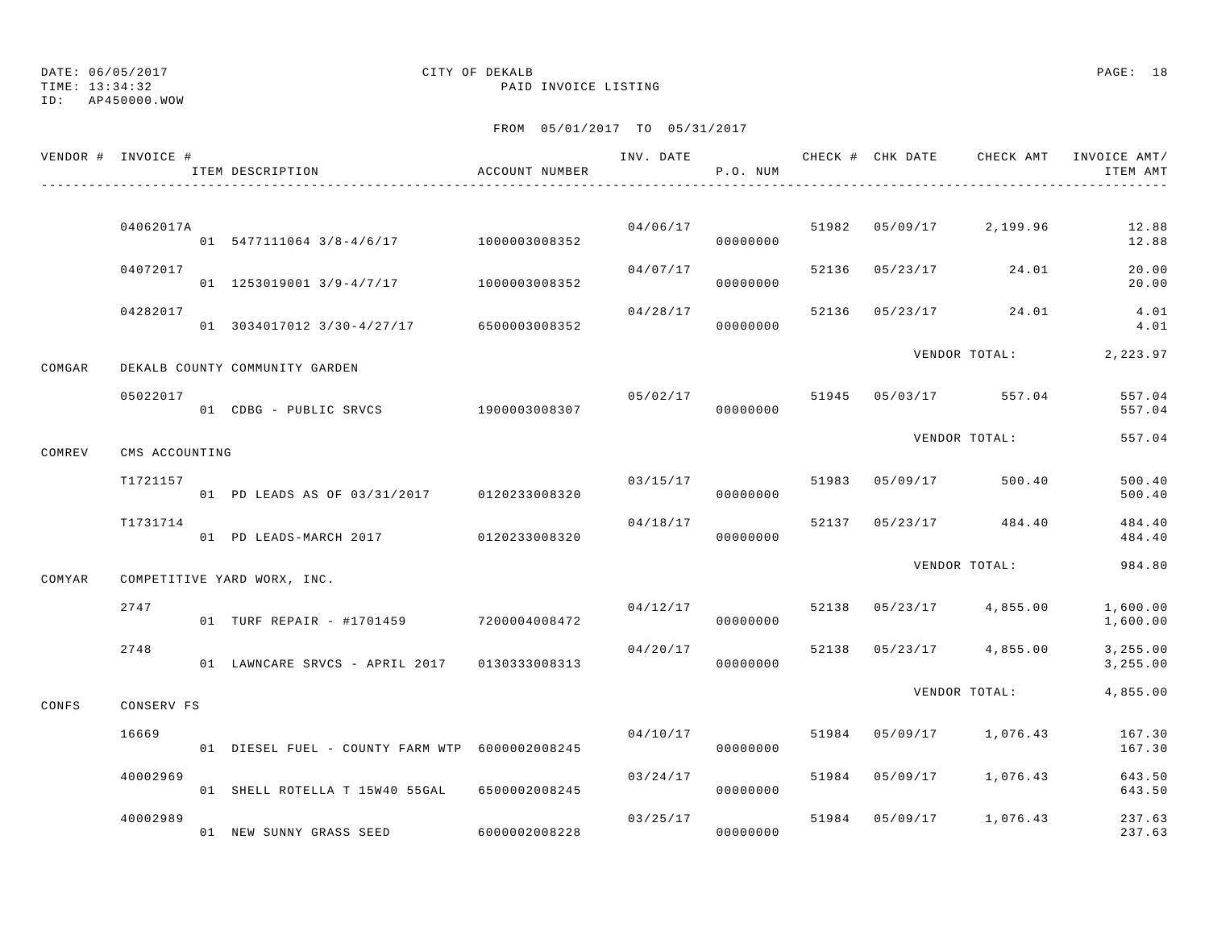TIME: 13:34:32 PAID INVOICE LISTING

## DATE: 06/05/2017 CITY OF DEKALB PAGE: 18

ID: AP450000.WOW

|        | VENDOR # INVOICE # | ITEM DESCRIPTION                               | ACCOUNT NUMBER |                | P.O. NUM             |       | INV. DATE CHECK # CHK DATE | CHECK AMT               | INVOICE AMT/<br>ITEM AMT |
|--------|--------------------|------------------------------------------------|----------------|----------------|----------------------|-------|----------------------------|-------------------------|--------------------------|
|        |                    |                                                |                |                |                      |       |                            |                         |                          |
|        | 04062017A          | 01 5477111064 3/8-4/6/17 1000003008352         |                |                | 04/06/17<br>00000000 |       |                            | 51982 05/09/17 2,199.96 | 12.88<br>12.88           |
|        | 04072017           | 01 1253019001 3/9-4/7/17 1000003008352         |                | 04/07/17       | 00000000             | 52136 | 05/23/17                   | 24.01                   | 20.00<br>20.00           |
|        | 04282017           | 01 3034017012 3/30-4/27/17 6500003008352       |                | 04/28/17       | 00000000             | 52136 |                            | $05/23/17$ 24.01        | 4.01<br>4.01             |
| COMGAR |                    | DEKALB COUNTY COMMUNITY GARDEN                 |                |                |                      |       |                            | VENDOR TOTAL:           | 2,223.97                 |
|        | 05022017           | 01 CDBG - PUBLIC SRVCS 1900003008307           |                | 05/02/17 51945 | 00000000             |       |                            | 05/03/17 557.04         | 557.04<br>557.04         |
| COMREV | CMS ACCOUNTING     |                                                |                |                |                      |       |                            | VENDOR TOTAL:           | 557.04                   |
|        | T1721157           | 01 PD LEADS AS OF 03/31/2017 0120233008320     |                |                | 03/15/17<br>00000000 | 51983 | 05/09/17                   | 500.40                  | 500.40<br>500.40         |
|        | T1731714           | 01 PD LEADS-MARCH 2017 0120233008320           |                | 04/18/17       | 00000000             | 52137 |                            | 05/23/17 484.40         | 484.40<br>484.40         |
| COMYAR |                    | COMPETITIVE YARD WORX, INC.                    |                |                |                      |       |                            | VENDOR TOTAL:           | 984.80                   |
|        | 2747               | 01 TURF REPAIR - #1701459 7200004008472        |                |                | 04/12/17<br>00000000 | 52138 |                            | $05/23/17$ 4,855.00     | 1,600.00<br>1,600.00     |
|        | 2748               | 01 LAWNCARE SRVCS - APRIL 2017 0130333008313   |                | 04/20/17       | 00000000             | 52138 |                            | $05/23/17$ 4,855.00     | 3,255.00<br>3,255.00     |
| CONFS  | CONSERV FS         |                                                |                |                |                      |       |                            | VENDOR TOTAL:           | 4,855.00                 |
|        | 16669              | 01 DIESEL FUEL - COUNTY FARM WTP 6000002008245 |                | 04/10/17       | 00000000             | 51984 |                            | 05/09/17 1,076.43       | 167.30<br>167.30         |
|        | 40002969           | 01 SHELL ROTELLA T 15W40 55GAL                 | 6500002008245  | 03/24/17       | 00000000             | 51984 |                            | 05/09/17 1,076.43       | 643.50<br>643.50         |
|        | 40002989           | 01 NEW SUNNY GRASS SEED                        | 6000002008228  | 03/25/17       | 00000000             |       |                            | 51984 05/09/17 1,076.43 | 237.63<br>237.63         |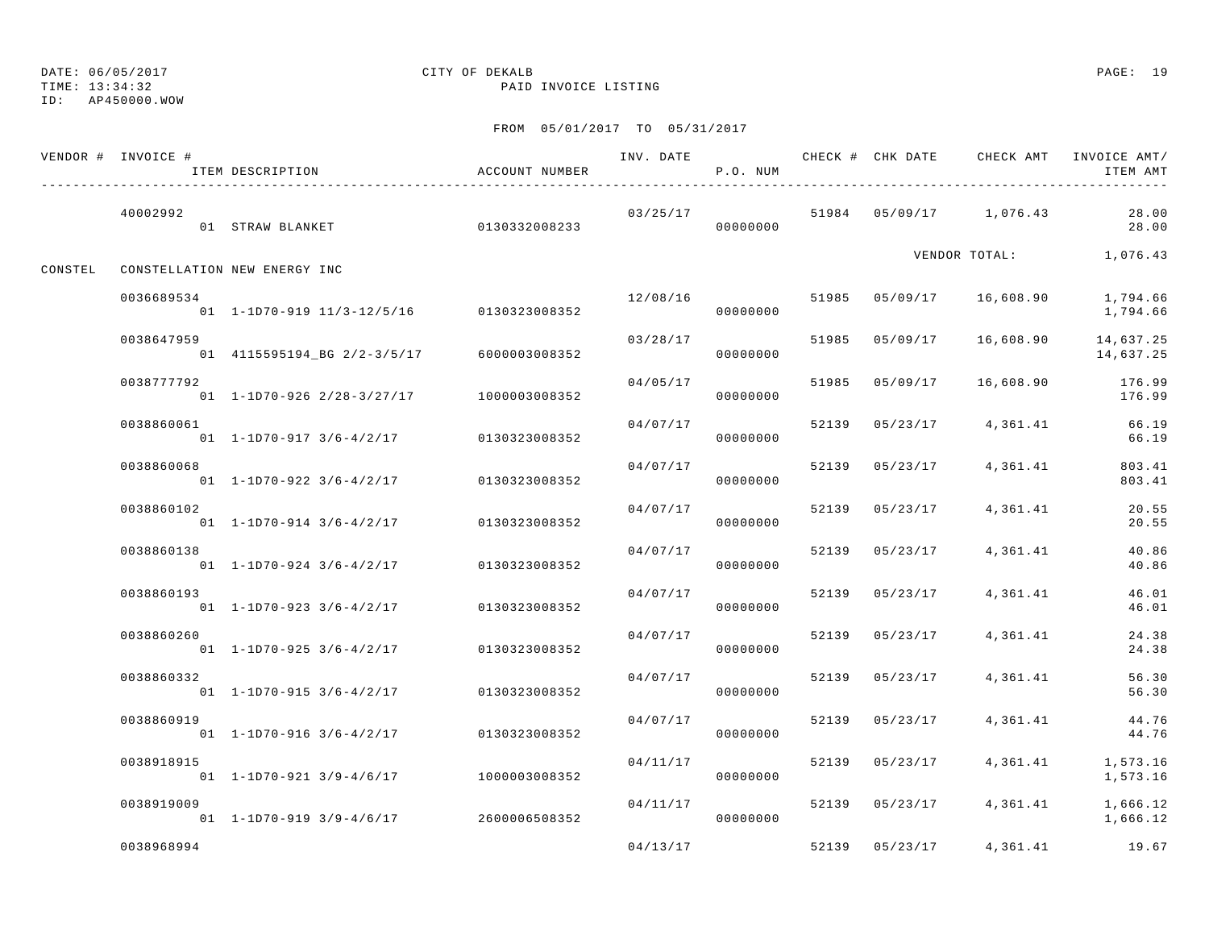TIME: 13:34:32 PAID INVOICE LISTING

ID: AP450000.WOW

|         | VENDOR # INVOICE # | ITEM DESCRIPTION                               | ACCOUNT NUMBER | INV. DATE | P.O. NUM |       |                | CHECK # CHK DATE CHECK AMT INVOICE AMT/ | ITEM AMT               |
|---------|--------------------|------------------------------------------------|----------------|-----------|----------|-------|----------------|-----------------------------------------|------------------------|
|         | 40002992           | 01 STRAW BLANKET                               | 0130332008233  | 03/25/17  | 00000000 |       |                | 51984 05/09/17 1,076.43                 | 28.00<br>28.00         |
| CONSTEL |                    | CONSTELLATION NEW ENERGY INC                   |                |           |          |       |                | VENDOR TOTAL:                           | 1,076.43               |
|         | 0036689534         | 01 1-1D70-919 11/3-12/5/16 0130323008352       |                | 12/08/16  | 00000000 |       | 51985 05/09/17 | 16,608.90                               | 1,794.66<br>1,794.66   |
|         | 0038647959         | 01 4115595194_BG 2/2-3/5/17                    | 6000003008352  | 03/28/17  | 00000000 | 51985 | 05/09/17       | 16,608.90                               | 14,637.25<br>14,637.25 |
|         | 0038777792         | $01 \quad 1 - 1D70 - 926 \quad 2/28 - 3/27/17$ | 1000003008352  | 04/05/17  | 00000000 | 51985 | 05/09/17       | 16,608.90                               | 176.99<br>176.99       |
|         | 0038860061         | $01 \quad 1 - 1D70 - 917 \quad 3/6 - 4/2/17$   | 0130323008352  | 04/07/17  | 00000000 | 52139 | 05/23/17       | 4,361.41                                | 66.19<br>66.19         |
|         | 0038860068         | $01$ 1-1D70-922 3/6-4/2/17                     | 0130323008352  | 04/07/17  | 00000000 | 52139 | 05/23/17       | 4,361.41                                | 803.41<br>803.41       |
|         | 0038860102         | $01$ 1-1D70-914 3/6-4/2/17                     | 0130323008352  | 04/07/17  | 00000000 | 52139 | 05/23/17       | 4,361.41                                | 20.55<br>20.55         |
|         | 0038860138         | $01$ 1-1D70-924 3/6-4/2/17                     | 0130323008352  | 04/07/17  | 00000000 | 52139 | 05/23/17       | 4,361.41                                | 40.86<br>40.86         |
|         | 0038860193         | $01 \quad 1 - 1D70 - 923 \quad 3/6 - 4/2/17$   | 0130323008352  | 04/07/17  | 00000000 | 52139 | 05/23/17       | 4,361.41                                | 46.01<br>46.01         |
|         | 0038860260         | $01$ 1-1D70-925 3/6-4/2/17                     | 0130323008352  | 04/07/17  | 00000000 | 52139 | 05/23/17       | 4,361.41                                | 24.38<br>24.38         |
|         | 0038860332         | $01$ 1-1D70-915 3/6-4/2/17                     | 0130323008352  | 04/07/17  | 00000000 | 52139 | 05/23/17       | 4,361.41                                | 56.30<br>56.30         |
|         | 0038860919         | $01$ 1-1D70-916 3/6-4/2/17                     | 0130323008352  | 04/07/17  | 00000000 | 52139 | 05/23/17       | 4,361.41                                | 44.76<br>44.76         |
|         | 0038918915         | $01$ 1-1D70-921 3/9-4/6/17                     | 1000003008352  | 04/11/17  | 00000000 | 52139 | 05/23/17       | 4,361.41                                | 1,573.16<br>1,573.16   |
|         | 0038919009         | 01 $1-1$ D70-919 $3/9-4/6/17$ 2600006508352    |                | 04/11/17  | 00000000 |       | 52139 05/23/17 | 4,361.41                                | 1,666.12<br>1,666.12   |
|         | 0038968994         |                                                |                | 04/13/17  |          |       | 52139 05/23/17 | 4,361.41                                | 19.67                  |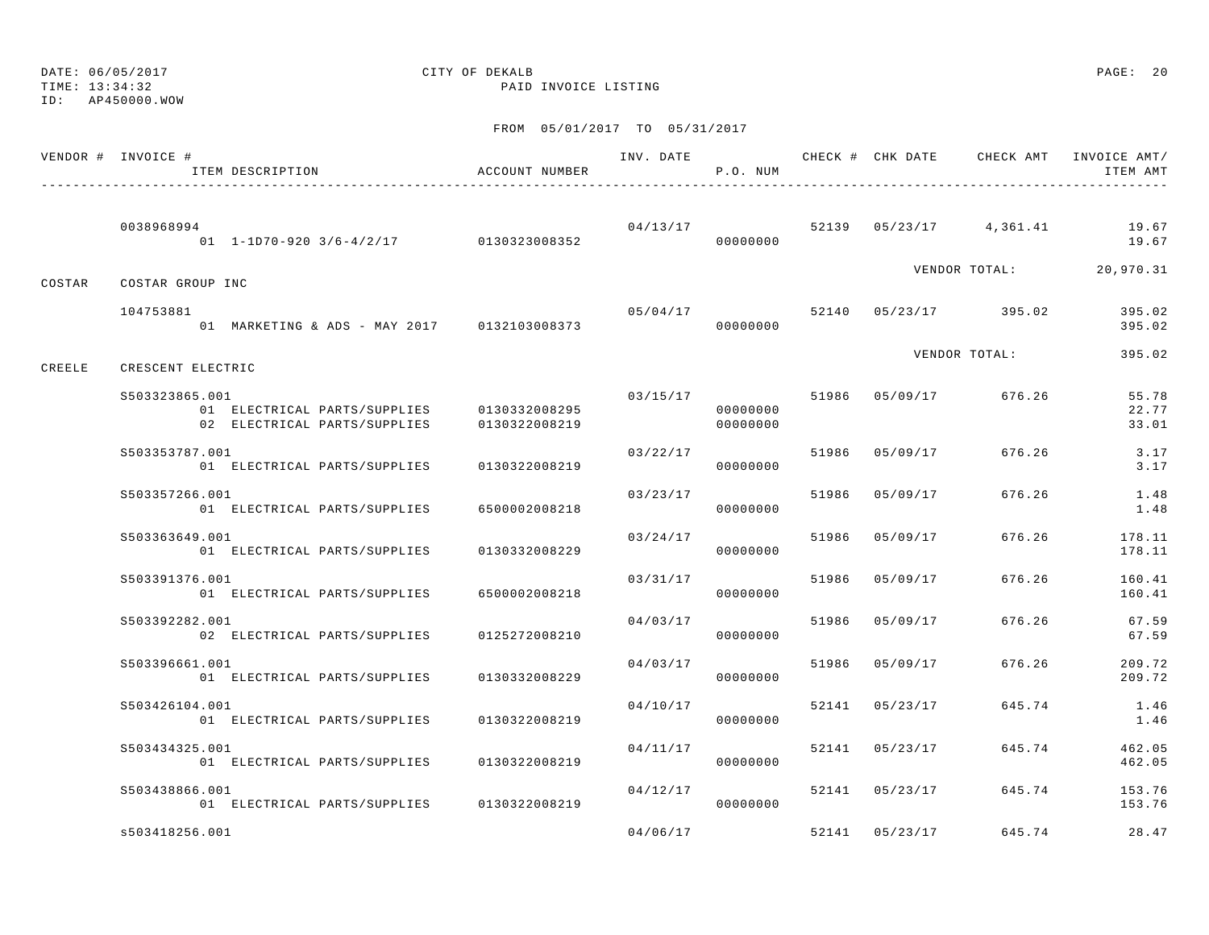TIME: 13:34:32 PAID INVOICE LISTING

ID: AP450000.WOW

|        | VENDOR # INVOICE #<br>ITEM DESCRIPTION                                         | ACCOUNT NUMBER                 | INV. DATE | P.O. NUM             |       |                | CHECK # CHK DATE CHECK AMT INVOICE AMT/ | ITEM AMT                |
|--------|--------------------------------------------------------------------------------|--------------------------------|-----------|----------------------|-------|----------------|-----------------------------------------|-------------------------|
|        | 0038968994<br>$01 \quad 1-1D70-920 \quad 3/6-4/2/17$ 0130323008352             |                                | 04/13/17  | 00000000             |       |                | 52139 05/23/17 4,361.41                 | 19.67<br>19.67          |
| COSTAR | COSTAR GROUP INC                                                               |                                |           |                      |       |                | VENDOR TOTAL:                           | 20,970.31               |
|        | 104753881<br>01 MARKETING & ADS - MAY 2017 0132103008373                       |                                | 05/04/17  | 00000000             |       |                | 52140 05/23/17 395.02                   | 395.02<br>395.02        |
| CREELE | CRESCENT ELECTRIC                                                              |                                |           |                      |       |                | VENDOR TOTAL:                           | 395.02                  |
|        | S503323865.001<br>01 ELECTRICAL PARTS/SUPPLIES<br>02 ELECTRICAL PARTS/SUPPLIES | 0130332008295<br>0130322008219 | 03/15/17  | 00000000<br>00000000 |       | 51986 05/09/17 | 676.26                                  | 55.78<br>22.77<br>33.01 |
|        | S503353787.001<br>01 ELECTRICAL PARTS/SUPPLIES                                 | 0130322008219                  | 03/22/17  | 00000000             |       | 51986 05/09/17 | 676.26                                  | 3.17<br>3.17            |
|        | S503357266.001<br>01 ELECTRICAL PARTS/SUPPLIES                                 | 6500002008218                  | 03/23/17  | 00000000             |       | 51986 05/09/17 | 676.26                                  | 1.48<br>1.48            |
|        | S503363649.001<br>01 ELECTRICAL PARTS/SUPPLIES                                 | 0130332008229                  | 03/24/17  | 00000000             | 51986 | 05/09/17       | 676.26                                  | 178.11<br>178.11        |
|        | S503391376.001<br>01 ELECTRICAL PARTS/SUPPLIES                                 | 6500002008218                  | 03/31/17  | 00000000             | 51986 | 05/09/17       | 676.26                                  | 160.41<br>160.41        |
|        | S503392282.001<br>02 ELECTRICAL PARTS/SUPPLIES                                 | 0125272008210                  | 04/03/17  | 00000000             | 51986 | 05/09/17       | 676.26                                  | 67.59<br>67.59          |
|        | S503396661.001<br>01 ELECTRICAL PARTS/SUPPLIES                                 | 0130332008229                  | 04/03/17  | 00000000             |       | 51986 05/09/17 | 676.26                                  | 209.72<br>209.72        |
|        | S503426104.001<br>01 ELECTRICAL PARTS/SUPPLIES                                 | 0130322008219                  | 04/10/17  | 00000000             | 52141 | 05/23/17       | 645.74                                  | 1.46<br>1.46            |
|        | S503434325.001<br>01 ELECTRICAL PARTS/SUPPLIES                                 | 0130322008219                  | 04/11/17  | 00000000             |       | 52141 05/23/17 | 645.74                                  | 462.05<br>462.05        |
|        | S503438866.001<br>01 ELECTRICAL PARTS/SUPPLIES                                 | 0130322008219                  | 04/12/17  | 00000000             |       | 52141 05/23/17 | 645.74                                  | 153.76<br>153.76        |
|        | s503418256.001                                                                 |                                | 04/06/17  |                      | 52141 | 05/23/17       | 645.74                                  | 28.47                   |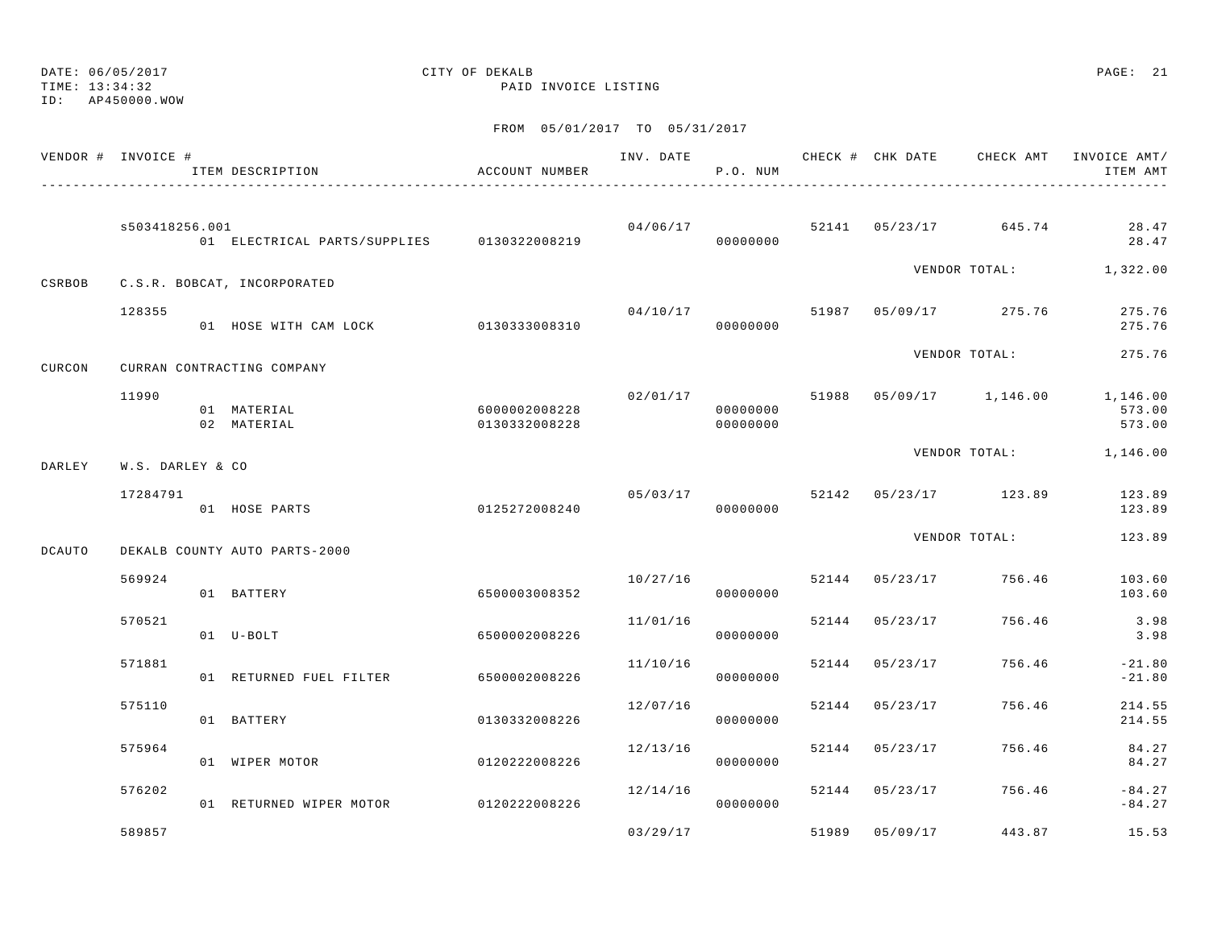DATE: 06/05/2017 CITY OF DEKALB PAGE: 21 TIME: 13:34:32 PAID INVOICE LISTING ID: AP450000.WOWFROM 05/01/2017 TO 05/31/2017 VENDOR # INVOICE # TELL THAT AND THE THAT CHECK AND CHECK # CHECK CHECK AMT INVOICE AMT/ ITEM DESCRIPTION ACCOUNT NUMBER P.O. NUM ITEM AMT--------------------------------------------------------------------------------------------------------------------------------------------- s503418256.001 04/06/17 52141 05/23/17 645.74 28.47 01 ELECTRICAL PARTS/SUPPLIES 0130322008219 00000000 28.47 VENDOR TOTAL: 1,322.00 CSRBOB C.S.R. BOBCAT, INCORPORATED 128355 04/10/17 51987 05/09/17 275.76 275.76 01 HOSE WITH CAM LOCK 0130333008310 00000000 275.76VENDOR TOTAL: 275.76 CURCON CURRAN CONTRACTING COMPANY11990 02/01/17 51988 05/09/17 1,146.00 1,146.00

01 MATERIAL 6000002008228 000000000 573.00 02 MATERIAL 0130332008228 00000000 573.00VENDOR TOTAL: 1,146.00

DARLEY W.S. DARLEY & CO

|               | 7284791                       | 05/03/17      |  |          | 52142 | 05/23/17      | 123.89 | 123.89 |
|---------------|-------------------------------|---------------|--|----------|-------|---------------|--------|--------|
|               | HOSE PARTS<br>0. 1            | 0125272008240 |  | 00000000 |       |               |        | 123.89 |
|               |                               |               |  |          |       | VENDOR TOTAL: |        | 123.89 |
| <b>DCAUTO</b> | DEKALB COUNTY AUTO PARTS-2000 |               |  |          |       |               |        |        |

| 569924 | 01             | BATTERY              | 6500003008352 | 10/27/16 | 00000000 | 52144 | 05/23/17 | 756.46 | 103.60<br>103.60     |
|--------|----------------|----------------------|---------------|----------|----------|-------|----------|--------|----------------------|
| 570521 | 01             | $U - BOLT$           | 6500002008226 | 11/01/16 | 00000000 | 52144 | 05/23/17 | 756.46 | 3.98<br>3.98         |
| 571881 | 0 <sub>1</sub> | RETURNED FUEL FILTER | 6500002008226 | 11/10/16 | 00000000 | 52144 | 05/23/17 | 756.46 | $-21.80$<br>$-21.80$ |
| 575110 | 01             | BATTERY              | 0130332008226 | 12/07/16 | 00000000 | 52144 | 05/23/17 | 756.46 | 214.55<br>214.55     |
| 575964 | 01             | WIPER MOTOR          | 0120222008226 | 12/13/16 | 00000000 | 52144 | 05/23/17 | 756.46 | 84.27<br>84.27       |
| 576202 | 01             | RETURNED WIPER MOTOR | 0120222008226 | 12/14/16 | 00000000 | 52144 | 05/23/17 | 756.46 | $-84.27$<br>$-84.27$ |
| 589857 |                |                      |               | 03/29/17 |          | 51989 | 05/09/17 | 443.87 | 15.53                |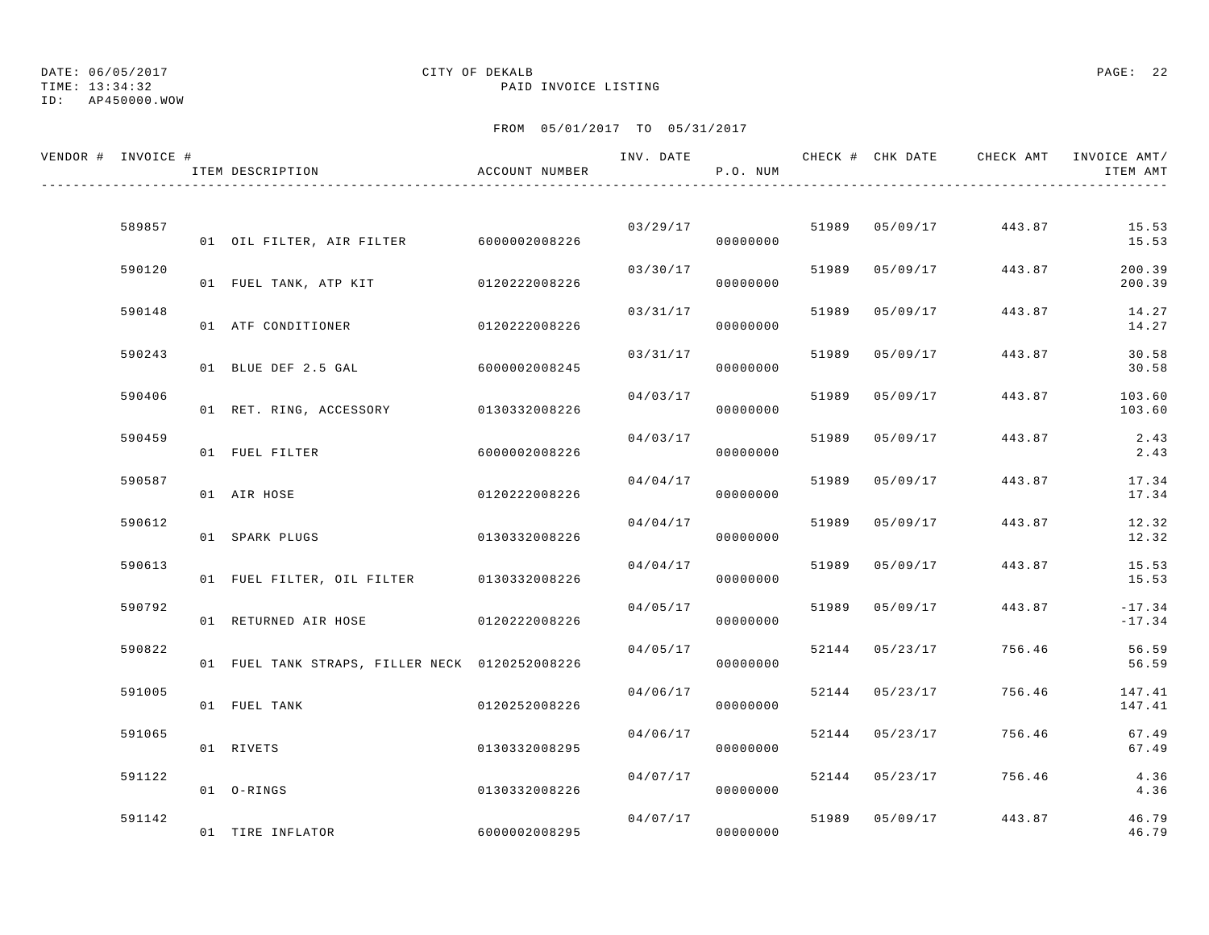TIME: 13:34:32 PAID INVOICE LISTING

ID: AP450000.WOW

| VENDOR # INVOICE # |        | ITEM DESCRIPTION                               | ACCOUNT NUMBER |          | P.O. NUM |       |                | INV. DATE 6 7 CHECK # CHK DATE CHECK AMT INVOICE AMT/ | ITEM AMT             |
|--------------------|--------|------------------------------------------------|----------------|----------|----------|-------|----------------|-------------------------------------------------------|----------------------|
|                    |        |                                                |                |          |          |       |                |                                                       |                      |
|                    | 589857 | 01 OIL FILTER, AIR FILTER 6000002008226        |                | 03/29/17 | 00000000 |       | 51989 05/09/17 | 443.87                                                | 15.53<br>15.53       |
|                    | 590120 | 01 FUEL TANK, ATP KIT 6120222008226            |                | 03/30/17 | 00000000 | 51989 | 05/09/17       | 443.87                                                | 200.39<br>200.39     |
|                    | 590148 | 01 ATF CONDITIONER                             | 0120222008226  | 03/31/17 | 00000000 |       | 51989 05/09/17 | 443.87                                                | 14.27<br>14.27       |
|                    | 590243 | 01 BLUE DEF 2.5 GAL                            | 6000002008245  | 03/31/17 | 00000000 | 51989 | 05/09/17       | 443.87                                                | 30.58<br>30.58       |
|                    | 590406 |                                                |                | 04/03/17 |          | 51989 | 05/09/17       | 443.87                                                | 103.60               |
|                    | 590459 | 01 RET. RING, ACCESSORY 0130332008226          |                | 04/03/17 | 00000000 |       | 51989 05/09/17 | 443.87                                                | 103.60<br>2.43       |
|                    | 590587 | 01 FUEL FILTER                                 | 6000002008226  | 04/04/17 | 00000000 | 51989 | 05/09/17       | 443.87                                                | 2.43<br>17.34        |
|                    |        | 01 AIR HOSE                                    | 0120222008226  |          | 00000000 |       |                |                                                       | 17.34                |
|                    | 590612 | 01 SPARK PLUGS                                 | 0130332008226  | 04/04/17 | 00000000 | 51989 | 05/09/17       | 443.87                                                | 12.32<br>12.32       |
|                    | 590613 | 01 FUEL FILTER, OIL FILTER 0130332008226       |                | 04/04/17 | 00000000 |       | 51989 05/09/17 | 443.87                                                | 15.53<br>15.53       |
|                    | 590792 | 01 RETURNED AIR HOSE                           | 0120222008226  | 04/05/17 | 00000000 |       | 51989 05/09/17 | 443.87                                                | $-17.34$<br>$-17.34$ |
|                    | 590822 | 01 FUEL TANK STRAPS, FILLER NECK 0120252008226 |                | 04/05/17 | 00000000 |       | 52144 05/23/17 | 756.46                                                | 56.59<br>56.59       |
|                    | 591005 | 01 FUEL TANK                                   | 0120252008226  | 04/06/17 | 00000000 |       | 52144 05/23/17 | 756.46                                                | 147.41<br>147.41     |
|                    | 591065 | 01 RIVETS                                      | 0130332008295  | 04/06/17 | 00000000 |       | 52144 05/23/17 | 756.46                                                | 67.49                |
|                    | 591122 |                                                |                | 04/07/17 |          |       | 52144 05/23/17 | 756.46                                                | 67.49<br>4.36        |
|                    |        | 01 O-RINGS                                     | 0130332008226  |          | 00000000 |       |                |                                                       | 4.36                 |
|                    | 591142 | 01 TIRE INFLATOR                               | 6000002008295  | 04/07/17 | 00000000 |       | 51989 05/09/17 | 443.87                                                | 46.79<br>46.79       |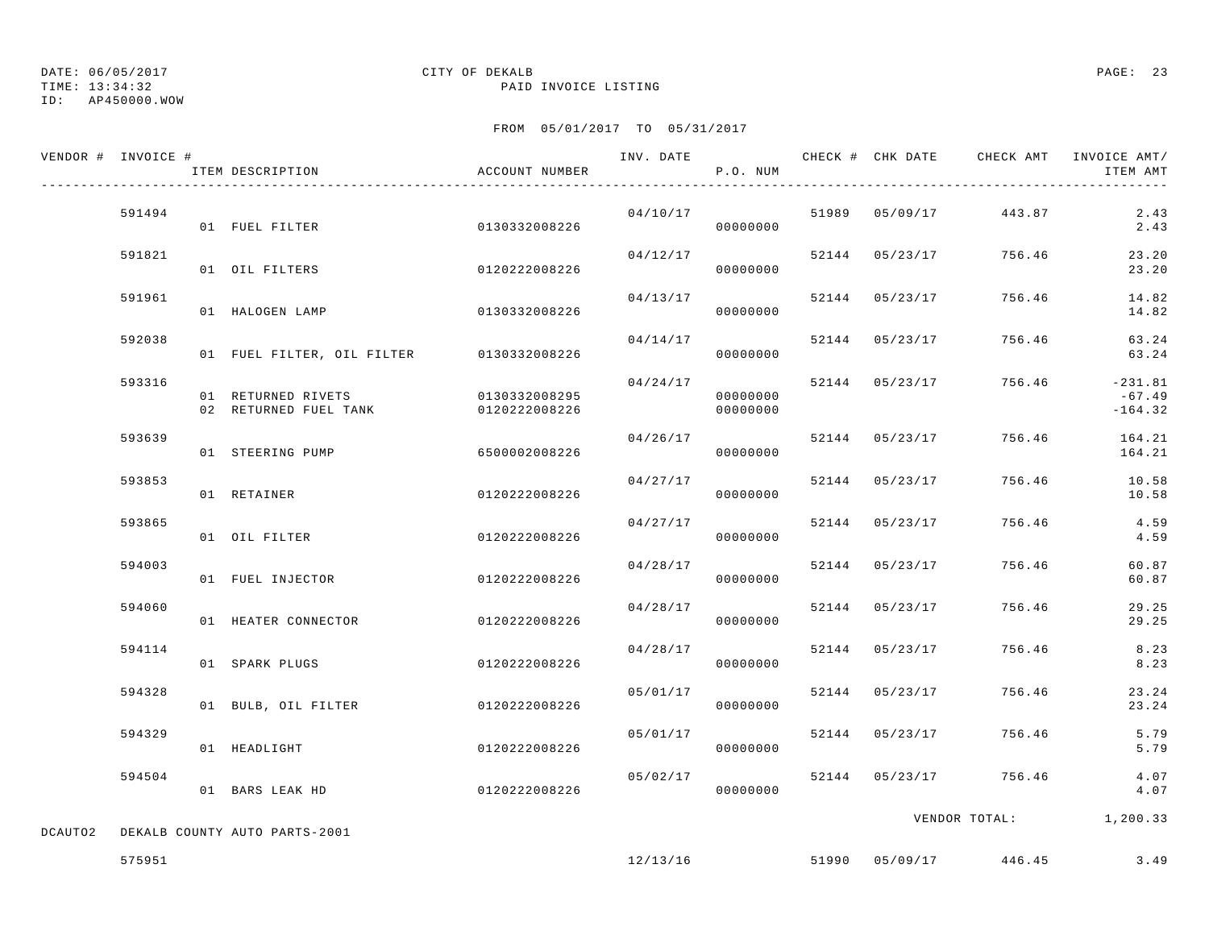TIME: 13:34:32 PAID INVOICE LISTING

ID: AP450000.WOW

|         | VENDOR # INVOICE # | ITEM DESCRIPTION                            | ACCOUNT NUMBER                 | INV. DATE | P.O. NUM             |                | CHECK # CHK DATE CHECK AMT INVOICE AMT/ | ITEM AMT                           |
|---------|--------------------|---------------------------------------------|--------------------------------|-----------|----------------------|----------------|-----------------------------------------|------------------------------------|
|         | 591494             | 01 FUEL FILTER                              | 0130332008226                  |           | 00000000             |                | $04/10/17$ 51989 05/09/17 443.87        | 2.43<br>2.43                       |
|         | 591821             | 01 OIL FILTERS                              | 0120222008226                  | 04/12/17  | 00000000             |                | 52144 05/23/17 756.46                   | 23.20<br>23.20                     |
|         | 591961             | 01 HALOGEN LAMP                             | 0130332008226                  | 04/13/17  | 00000000             | 52144 05/23/17 | 756.46                                  | 14.82<br>14.82                     |
|         | 592038             | 01 FUEL FILTER, OIL FILTER 0130332008226    |                                | 04/14/17  | 00000000             | 52144 05/23/17 | 756.46                                  | 63.24<br>63.24                     |
|         | 593316             | 01 RETURNED RIVETS<br>02 RETURNED FUEL TANK | 0130332008295<br>0120222008226 | 04/24/17  | 00000000<br>00000000 | 52144 05/23/17 | 756.46                                  | $-231.81$<br>$-67.49$<br>$-164.32$ |
|         | 593639             | 01 STEERING PUMP                            | 6500002008226                  | 04/26/17  | 00000000             | 52144 05/23/17 | 756.46                                  | 164.21<br>164.21                   |
|         | 593853             | 01 RETAINER                                 | 0120222008226                  | 04/27/17  | 00000000             | 52144 05/23/17 | 756.46                                  | 10.58<br>10.58                     |
|         | 593865             | 01 OIL FILTER                               | 0120222008226                  | 04/27/17  | 00000000             | 52144 05/23/17 | 756.46                                  | 4.59<br>4.59                       |
|         | 594003             | 01 FUEL INJECTOR                            | 0120222008226                  |           | 04/28/17<br>00000000 | 52144 05/23/17 | 756.46                                  | 60.87<br>60.87                     |
|         | 594060             | 01 HEATER CONNECTOR                         | 0120222008226                  | 04/28/17  | 00000000             | 52144 05/23/17 | 756.46                                  | 29.25<br>29.25                     |
|         | 594114             | 01 SPARK PLUGS                              | 0120222008226                  | 04/28/17  | 00000000             | 52144 05/23/17 | 756.46                                  | 8.23<br>8.23                       |
|         | 594328             | 01 BULB, OIL FILTER                         | 0120222008226                  | 05/01/17  | 00000000             | 52144 05/23/17 | 756.46                                  | 23.24<br>23.24                     |
|         | 594329             | 01 HEADLIGHT                                | 0120222008226                  | 05/01/17  | 00000000             | 52144 05/23/17 | 756.46                                  | 5.79<br>5.79                       |
|         | 594504             | 01 BARS LEAK HD                             | 0120222008226                  |           | 05/02/17<br>00000000 |                | 52144 05/23/17 756.46                   | 4.07<br>4.07                       |
| DCAUTO2 |                    | DEKALB COUNTY AUTO PARTS-2001               |                                |           |                      |                | VENDOR TOTAL: 1,200.33                  |                                    |
|         | 575951             |                                             |                                |           | 12/13/16             |                | 51990 05/09/17 446.45                   | 3.49                               |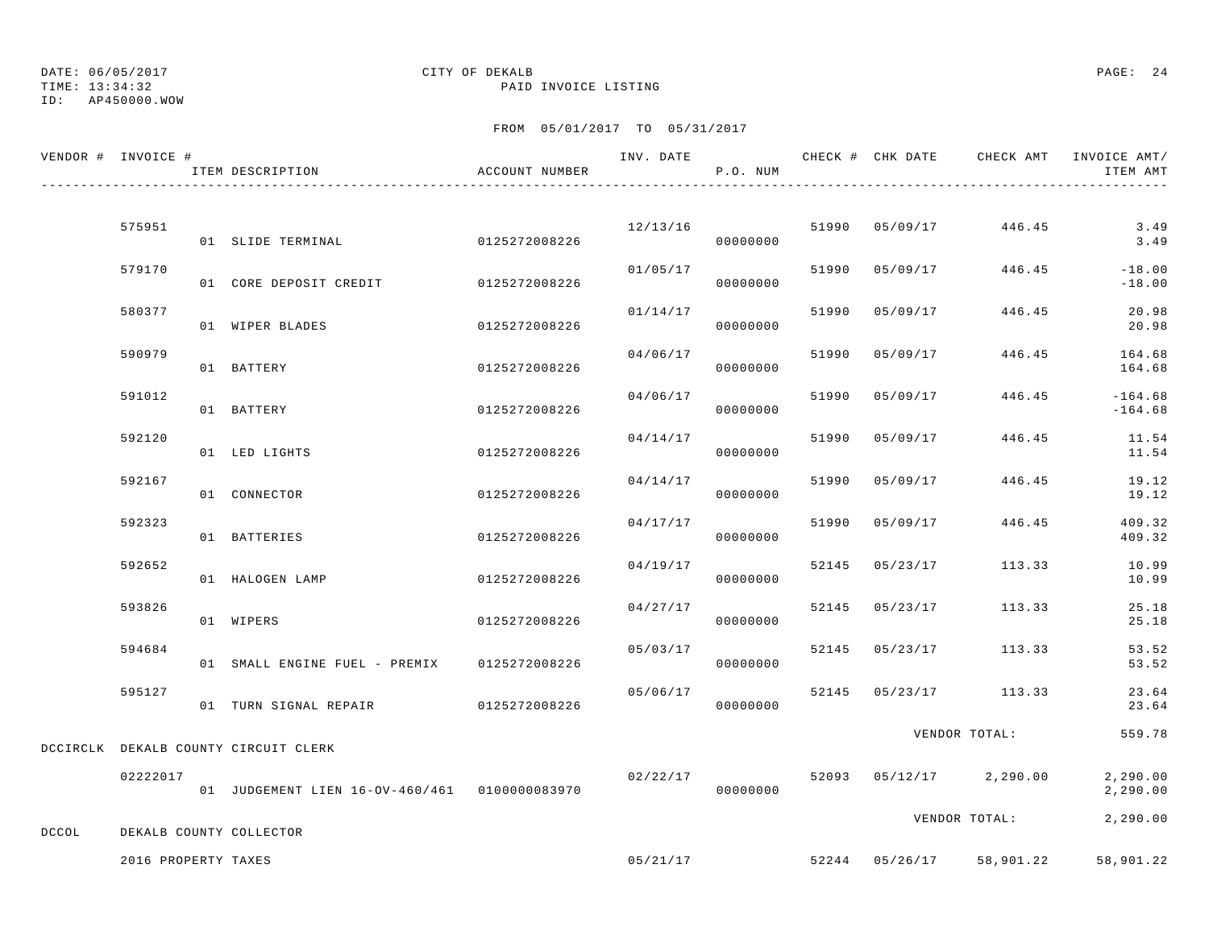ID: AP450000.WOW

### TIME: 13:34:32 PAID INVOICE LISTING

|       | VENDOR # INVOICE #  | ITEM DESCRIPTION                              | ACCOUNT NUMBER |          | P.O. NUM |       |                | INV. DATE 6 CHECK # CHK DATE CHECK AMT INVOICE AMT/ | ITEM AMT               |
|-------|---------------------|-----------------------------------------------|----------------|----------|----------|-------|----------------|-----------------------------------------------------|------------------------|
|       |                     |                                               |                |          |          |       |                |                                                     |                        |
|       | 575951              | 01 SLIDE TERMINAL                             | 0125272008226  | 12/13/16 | 00000000 |       | 51990 05/09/17 | 446.45                                              | 3.49<br>3.49           |
|       | 579170              | 01 CORE DEPOSIT CREDIT                        | 0125272008226  | 01/05/17 | 00000000 | 51990 | 05/09/17       | 446.45                                              | $-18.00$<br>$-18.00$   |
|       | 580377              | 01 WIPER BLADES                               | 0125272008226  | 01/14/17 | 00000000 |       | 51990 05/09/17 | 446.45                                              | 20.98<br>20.98         |
|       | 590979              | 01 BATTERY                                    | 0125272008226  | 04/06/17 | 00000000 | 51990 | 05/09/17       | 446.45                                              | 164.68<br>164.68       |
|       | 591012              | 01 BATTERY                                    | 0125272008226  | 04/06/17 | 00000000 | 51990 | 05/09/17       | 446.45                                              | $-164.68$<br>$-164.68$ |
|       | 592120              | 01 LED LIGHTS                                 | 0125272008226  | 04/14/17 | 00000000 | 51990 | 05/09/17       | 446.45                                              | 11.54<br>11.54         |
|       | 592167              | 01 CONNECTOR                                  | 0125272008226  | 04/14/17 | 00000000 | 51990 | 05/09/17       | 446.45                                              | 19.12<br>19.12         |
|       | 592323              | 01 BATTERIES                                  | 0125272008226  | 04/17/17 | 00000000 | 51990 | 05/09/17       | 446.45                                              | 409.32<br>409.32       |
|       | 592652              | 01 HALOGEN LAMP                               | 0125272008226  | 04/19/17 | 00000000 |       | 52145 05/23/17 | 113.33                                              | 10.99<br>10.99         |
|       | 593826              | 01 WIPERS                                     | 0125272008226  | 04/27/17 | 00000000 |       | 52145 05/23/17 | 113.33                                              | 25.18<br>25.18         |
|       | 594684              | 01 SMALL ENGINE FUEL - PREMIX                 | 0125272008226  | 05/03/17 | 00000000 | 52145 | 05/23/17       | 113.33                                              | 53.52<br>53.52         |
|       | 595127              | 01 TURN SIGNAL REPAIR 0125272008226           |                | 05/06/17 | 00000000 | 52145 |                | 05/23/17 113.33                                     | 23.64<br>23.64         |
|       |                     | DCCIRCLK DEKALB COUNTY CIRCUIT CLERK          |                |          |          |       |                | VENDOR TOTAL:                                       | 559.78                 |
|       | 02222017            | 01 JUDGEMENT LIEN 16-OV-460/461 0100000083970 |                | 02/22/17 | 00000000 |       |                | 52093 05/12/17 2,290.00                             | 2,290.00<br>2,290.00   |
| DCCOL |                     | DEKALB COUNTY COLLECTOR                       |                |          |          |       |                | VENDOR TOTAL:                                       | 2,290.00               |
|       | 2016 PROPERTY TAXES |                                               |                | 05/21/17 |          |       |                | 52244 05/26/17 58,901.22                            | 58,901.22              |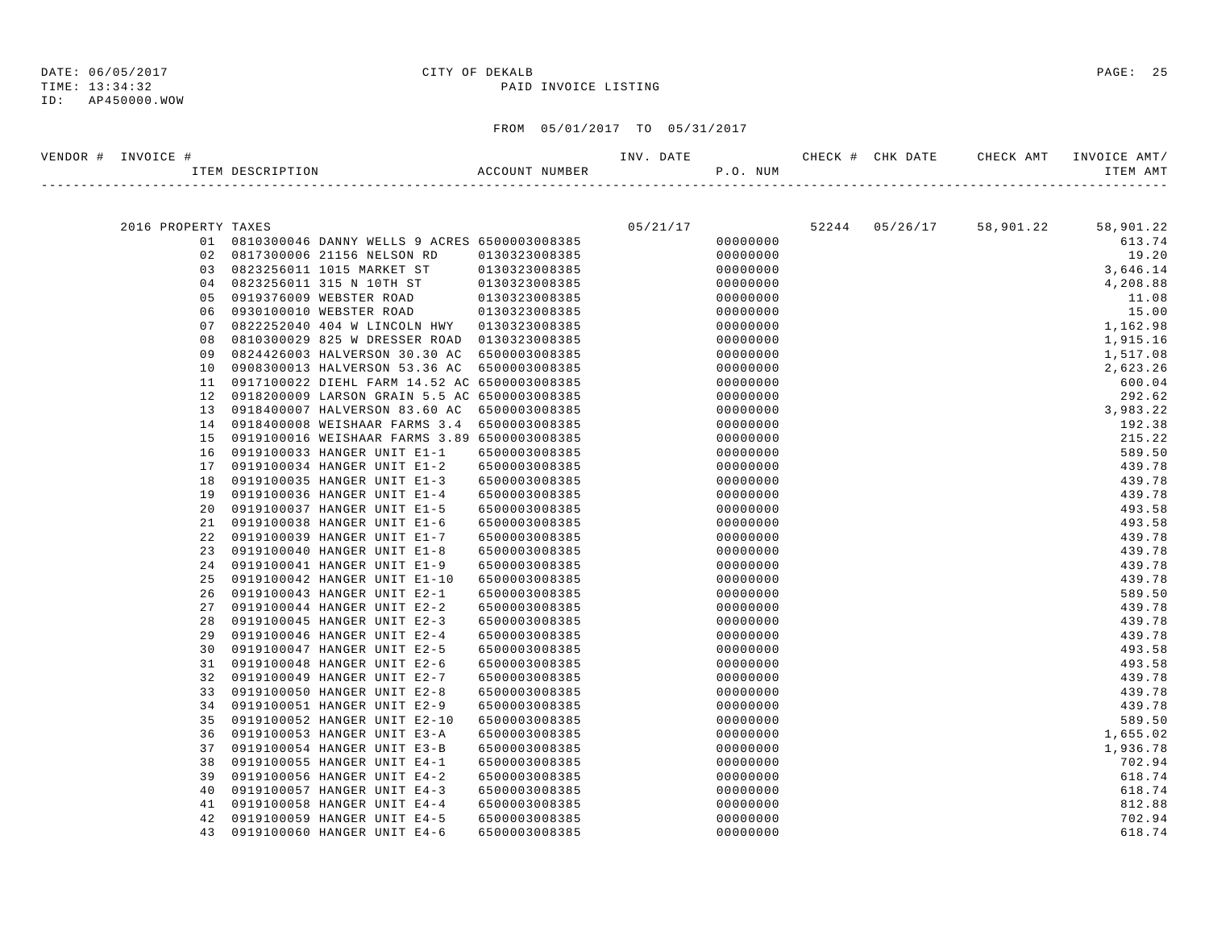### ID: AP450000.WOW

| VENDOR # | INVOICE #           |                                                            |                                | INV. DATE |                      |       | CHECK # CHK DATE | CHECK AMT | INVOICE AMT/     |
|----------|---------------------|------------------------------------------------------------|--------------------------------|-----------|----------------------|-------|------------------|-----------|------------------|
|          |                     | ITEM DESCRIPTION                                           | ACCOUNT NUMBER                 |           | P.O. NUM             |       |                  |           | ITEM AMT         |
|          |                     |                                                            |                                |           |                      |       |                  |           |                  |
|          | 2016 PROPERTY TAXES |                                                            |                                | 05/21/17  |                      | 52244 | 05/26/17         | 58,901.22 | 58,901.22        |
|          | 01                  | 0810300046 DANNY WELLS 9 ACRES 6500003008385               |                                |           | 00000000             |       |                  |           | 613.74           |
|          | 02                  | 0817300006 21156 NELSON RD                                 | 0130323008385                  |           | 00000000             |       |                  |           | 19.20            |
|          | 03                  | 0823256011 1015 MARKET ST                                  | 0130323008385                  |           | 00000000             |       |                  |           | 3,646.14         |
|          | 04                  | 0823256011 315 N 10TH ST                                   | 0130323008385                  |           | 00000000             |       |                  |           | 4,208.88         |
|          | 05                  | 0919376009 WEBSTER ROAD                                    | 0130323008385                  |           | 00000000             |       |                  |           | 11.08            |
|          | 06                  | 0930100010 WEBSTER ROAD                                    | 0130323008385                  |           | 00000000             |       |                  |           | 15.00            |
|          | 07                  | 0822252040 404 W LINCOLN HWY                               | 0130323008385                  |           | 00000000             |       |                  |           | 1,162.98         |
|          | 08                  | 0810300029 825 W DRESSER ROAD                              | 0130323008385                  |           | 00000000             |       |                  |           | 1,915.16         |
|          | 09                  | 0824426003 HALVERSON 30.30 AC                              | 6500003008385                  |           | 00000000             |       |                  |           | 1,517.08         |
|          | 10                  | 0908300013 HALVERSON 53.36 AC                              | 6500003008385                  |           | 00000000             |       |                  |           | 2,623.26         |
|          | 11                  | 0917100022 DIEHL FARM 14.52 AC 6500003008385               |                                |           | 00000000             |       |                  |           | 600.04           |
|          | 12                  | 0918200009 LARSON GRAIN 5.5 AC 6500003008385               |                                |           | 00000000             |       |                  |           | 292.62           |
|          | 13                  | 0918400007 HALVERSON 83.60 AC                              | 6500003008385                  |           | 00000000             |       |                  |           | 3,983.22         |
|          | 14                  | 0918400008 WEISHAAR FARMS 3.4 6500003008385                |                                |           | 00000000             |       |                  |           | 192.38           |
|          | 15                  | 0919100016 WEISHAAR FARMS 3.89 6500003008385               |                                |           | 00000000             |       |                  |           | 215.22           |
|          | 16                  | 0919100033 HANGER UNIT E1-1                                | 6500003008385                  |           | 00000000             |       |                  |           | 589.50           |
|          | 17                  | 0919100034 HANGER UNIT E1-2                                | 6500003008385                  |           | 00000000             |       |                  |           | 439.78           |
|          | 18<br>19            | 0919100035 HANGER UNIT E1-3<br>0919100036 HANGER UNIT E1-4 | 6500003008385                  |           | 00000000<br>00000000 |       |                  |           | 439.78<br>439.78 |
|          | 20                  | 0919100037 HANGER UNIT E1-5                                | 6500003008385<br>6500003008385 |           | 00000000             |       |                  |           | 493.58           |
|          | 21                  | 0919100038 HANGER UNIT E1-6                                | 6500003008385                  |           | 00000000             |       |                  |           | 493.58           |
|          | 22                  | 0919100039 HANGER UNIT E1-7                                | 6500003008385                  |           | 00000000             |       |                  |           | 439.78           |
|          | 23                  | 0919100040 HANGER UNIT E1-8                                | 6500003008385                  |           | 00000000             |       |                  |           | 439.78           |
|          | 24                  | 0919100041 HANGER UNIT E1-9                                | 6500003008385                  |           | 00000000             |       |                  |           | 439.78           |
|          | 25                  | 0919100042 HANGER UNIT E1-10                               | 6500003008385                  |           | 00000000             |       |                  |           | 439.78           |
|          | 26                  | 0919100043 HANGER UNIT E2-1                                | 6500003008385                  |           | 00000000             |       |                  |           | 589.50           |
|          | 27                  | 0919100044 HANGER UNIT E2-2                                | 6500003008385                  |           | 00000000             |       |                  |           | 439.78           |
|          | 28                  | 0919100045 HANGER UNIT E2-3                                | 6500003008385                  |           | 00000000             |       |                  |           | 439.78           |
|          | 29                  | 0919100046 HANGER UNIT E2-4                                | 6500003008385                  |           | 00000000             |       |                  |           | 439.78           |
|          | 30                  | 0919100047 HANGER UNIT E2-5                                | 6500003008385                  |           | 00000000             |       |                  |           | 493.58           |
|          | 31                  | 0919100048 HANGER UNIT E2-6                                | 6500003008385                  |           | 00000000             |       |                  |           | 493.58           |
|          | 32                  | 0919100049 HANGER UNIT E2-7                                | 6500003008385                  |           | 00000000             |       |                  |           | 439.78           |
|          | 33                  | 0919100050 HANGER UNIT E2-8                                | 6500003008385                  |           | 00000000             |       |                  |           | 439.78           |
|          | 34                  | 0919100051 HANGER UNIT E2-9                                | 6500003008385                  |           | 00000000             |       |                  |           | 439.78           |
|          | 35                  | 0919100052 HANGER UNIT E2-10                               | 6500003008385                  |           | 00000000             |       |                  |           | 589.50           |
|          | 36                  | 0919100053 HANGER UNIT E3-A                                | 6500003008385                  |           | 00000000             |       |                  |           | 1,655.02         |
|          | 37                  | 0919100054 HANGER UNIT E3-B                                | 6500003008385                  |           | 00000000             |       |                  |           | 1,936.78         |
|          | 38                  | 0919100055 HANGER UNIT E4-1                                | 6500003008385                  |           | 00000000             |       |                  |           | 702.94           |
|          | 39                  | 0919100056 HANGER UNIT E4-2                                | 6500003008385                  |           | 00000000             |       |                  |           | 618.74           |
|          | 40                  | 0919100057 HANGER UNIT E4-3                                | 6500003008385                  |           | 00000000             |       |                  |           | 618.74           |
|          | 41                  | 0919100058 HANGER UNIT E4-4                                | 6500003008385                  |           | 00000000             |       |                  |           | 812.88           |
|          | 42                  | 0919100059 HANGER UNIT E4-5                                | 6500003008385                  |           | 00000000             |       |                  |           | 702.94           |
|          | 43                  | 0919100060 HANGER UNIT E4-6                                | 6500003008385                  |           | 00000000             |       |                  |           | 618.74           |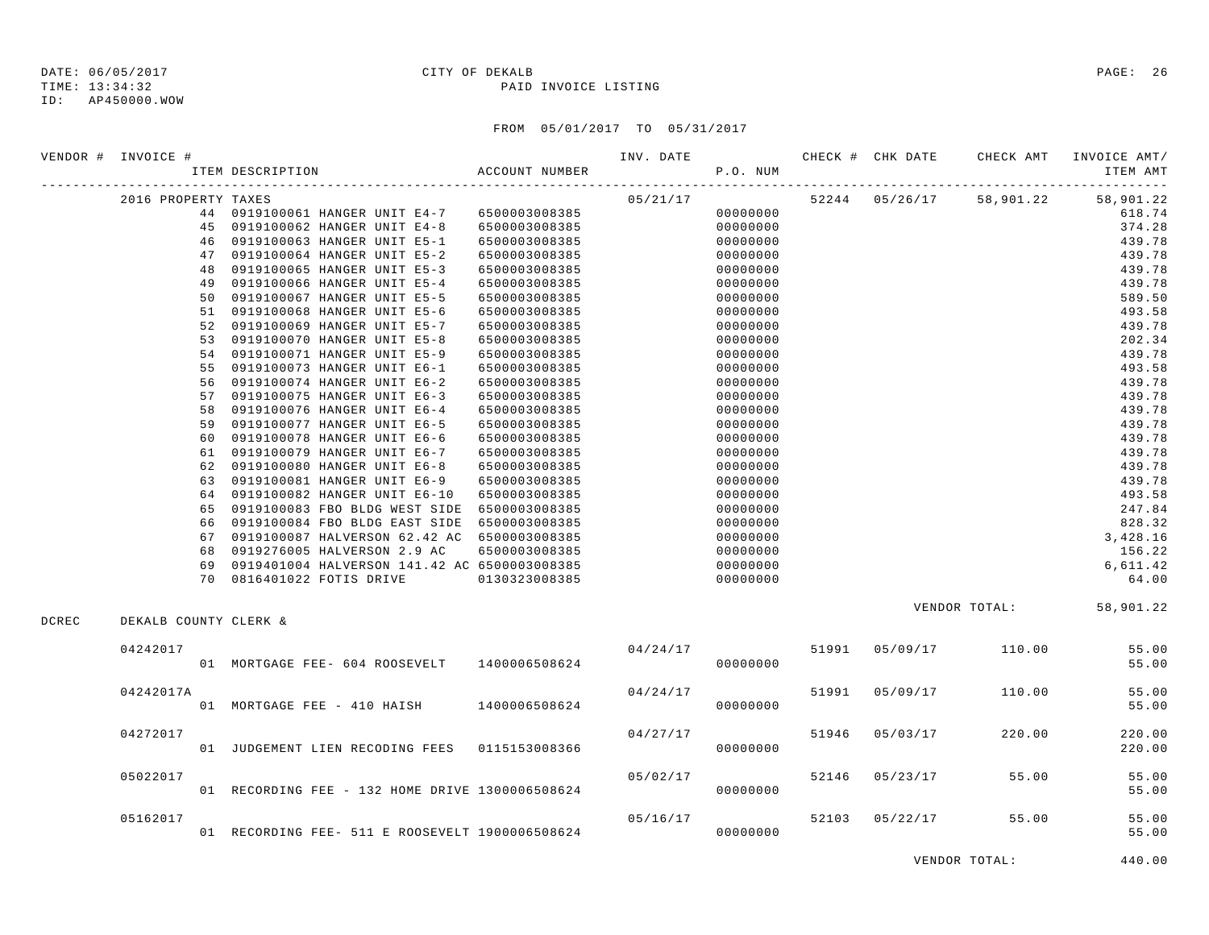TIME: 13:34:32 PAID INVOICE LISTING ID: AP450000.WOW

## DATE: 06/05/2017 CITY OF DEKALB PAGE: 26

### FROM 05/01/2017 TO 05/31/2017

|       | VENDOR # INVOICE #    |          |                                                                                 |                | INV. DATE |                      |       | CHECK # CHK DATE | CHECK AMT                | INVOICE AMT/            |
|-------|-----------------------|----------|---------------------------------------------------------------------------------|----------------|-----------|----------------------|-------|------------------|--------------------------|-------------------------|
|       |                       |          | ITEM DESCRIPTION                                                                | ACCOUNT NUMBER |           | P.O. NUM             |       |                  |                          | ITEM AMT                |
|       | 2016 PROPERTY TAXES   |          |                                                                                 |                | 05/21/17  |                      |       |                  | 52244 05/26/17 58,901.22 | 58,901.22               |
|       |                       |          | 44 0919100061 HANGER UNIT E4-7 6500003008385                                    |                |           | 00000000             |       |                  |                          | 618.74                  |
|       |                       |          | 45 0919100062 HANGER UNIT E4-8 6500003008385                                    |                |           | 00000000             |       |                  |                          | 374.28                  |
|       |                       |          | 46 0919100063 HANGER UNIT E5-1                                                  | 6500003008385  |           | 00000000             |       |                  |                          | 439.78                  |
|       |                       |          | 47 0919100064 HANGER UNIT E5-2                                                  | 6500003008385  |           | 00000000             |       |                  |                          | 439.78                  |
|       |                       |          | 48 0919100065 HANGER UNIT E5-3                                                  | 6500003008385  |           | 00000000             |       |                  |                          | 439.78                  |
|       |                       | 49       | 0919100066 HANGER UNIT E5-4                                                     | 6500003008385  |           | 00000000             |       |                  |                          | 439.78                  |
|       |                       |          | 50 0919100067 HANGER UNIT E5-5                                                  | 6500003008385  |           | 00000000             |       |                  |                          | 589.50                  |
|       |                       |          | 51 0919100068 HANGER UNIT E5-6                                                  | 6500003008385  |           | 00000000             |       |                  |                          | 493.58                  |
|       |                       |          | 52 0919100069 HANGER UNIT E5-7                                                  | 6500003008385  |           | 00000000             |       |                  |                          | 439.78                  |
|       |                       | 53       | 0919100070 HANGER UNIT E5-8                                                     | 6500003008385  |           | 00000000             |       |                  |                          | 202.34                  |
|       |                       | 54       | 0919100071 HANGER UNIT E5-9                                                     | 6500003008385  |           | 00000000             |       |                  |                          | 439.78                  |
|       |                       | 55       | 0919100073 HANGER UNIT E6-1                                                     | 6500003008385  |           | 00000000             |       |                  |                          | 493.58                  |
|       |                       | 56       | 0919100074 HANGER UNIT E6-2                                                     | 6500003008385  |           | 00000000             |       |                  |                          | 439.78                  |
|       |                       | 57       | 0919100075 HANGER UNIT E6-3                                                     | 6500003008385  |           | 00000000             |       |                  |                          | 439.78                  |
|       |                       | 58       | 0919100076 HANGER UNIT E6-4                                                     | 6500003008385  |           | 00000000             |       |                  |                          | 439.78                  |
|       |                       | 59       | 0919100077 HANGER UNIT E6-5                                                     | 6500003008385  |           | 00000000             |       |                  |                          | 439.78                  |
|       |                       | 60       | 0919100078 HANGER UNIT E6-6                                                     | 6500003008385  |           | 00000000             |       |                  |                          | 439.78                  |
|       |                       | 61       | 0919100079 HANGER UNIT E6-7                                                     | 6500003008385  |           | 00000000             |       |                  |                          | 439.78                  |
|       |                       | 62       | 0919100080 HANGER UNIT E6-8                                                     | 6500003008385  |           | 00000000             |       |                  |                          | 439.78                  |
|       |                       | 63       | 0919100081 HANGER UNIT E6-9                                                     | 6500003008385  |           | 00000000             |       |                  |                          | 439.78                  |
|       |                       |          | 64 0919100082 HANGER UNIT E6-10                                                 | 6500003008385  |           | 00000000             |       |                  |                          | 493.58                  |
|       |                       |          | 65 0919100083 FBO BLDG WEST SIDE 6500003008385                                  |                |           | 00000000             |       |                  |                          | 247.84                  |
|       |                       |          | 66 0919100084 FBO BLDG EAST SIDE<br>0919100087 HALVERSON 62.42 AC 6500003008385 | 6500003008385  |           | 00000000             |       |                  |                          | 828.32                  |
|       |                       | 67<br>68 | 0919276005 HALVERSON 2.9 AC                                                     |                |           | 00000000             |       |                  |                          | 3,428.16<br>156.22      |
|       |                       |          | 69 0919401004 HALVERSON 141.42 AC 6500003008385                                 | 6500003008385  |           | 00000000<br>00000000 |       |                  |                          | 6,611.42                |
|       |                       |          | 70 0816401022 FOTIS DRIVE                                                       | 0130323008385  |           | 00000000             |       |                  |                          | 64.00                   |
|       |                       |          |                                                                                 |                |           |                      |       |                  |                          |                         |
| DCREC | DEKALB COUNTY CLERK & |          |                                                                                 |                |           |                      |       |                  |                          | VENDOR TOTAL: 58,901.22 |
|       |                       |          |                                                                                 |                |           |                      |       |                  |                          |                         |
|       | 04242017              |          |                                                                                 |                | 04/24/17  |                      |       | 51991 05/09/17   | 110.00                   | 55.00                   |
|       |                       |          | 01 MORTGAGE FEE- 604 ROOSEVELT 1400006508624                                    |                |           | 00000000             |       |                  |                          | 55.00                   |
|       | 04242017A             |          |                                                                                 |                | 04/24/17  |                      | 51991 | 05/09/17         | 110.00                   | 55.00                   |
|       |                       |          | 01 MORTGAGE FEE - 410 HAISH 1400006508624                                       |                |           | 00000000             |       |                  |                          | 55.00                   |
|       | 04272017              |          |                                                                                 |                | 04/27/17  |                      | 51946 | 05/03/17         | 220.00                   | 220.00                  |
|       |                       |          | 01 JUDGEMENT LIEN RECODING FEES 0115153008366                                   |                |           | 00000000             |       |                  |                          | 220.00                  |
|       | 05022017              |          |                                                                                 |                | 05/02/17  |                      | 52146 | 05/23/17         | 55.00                    | 55.00                   |
|       |                       |          | 01 RECORDING FEE - 132 HOME DRIVE 1300006508624                                 |                |           | 00000000             |       |                  |                          | 55.00                   |
|       | 05162017              |          |                                                                                 |                | 05/16/17  |                      |       | 52103 05/22/17   | 55.00                    | 55.00                   |
|       |                       |          | 01 RECORDING FEE- 511 E ROOSEVELT 1900006508624                                 |                |           | 00000000             |       |                  |                          | 55.00                   |

VENDOR TOTAL: 440.00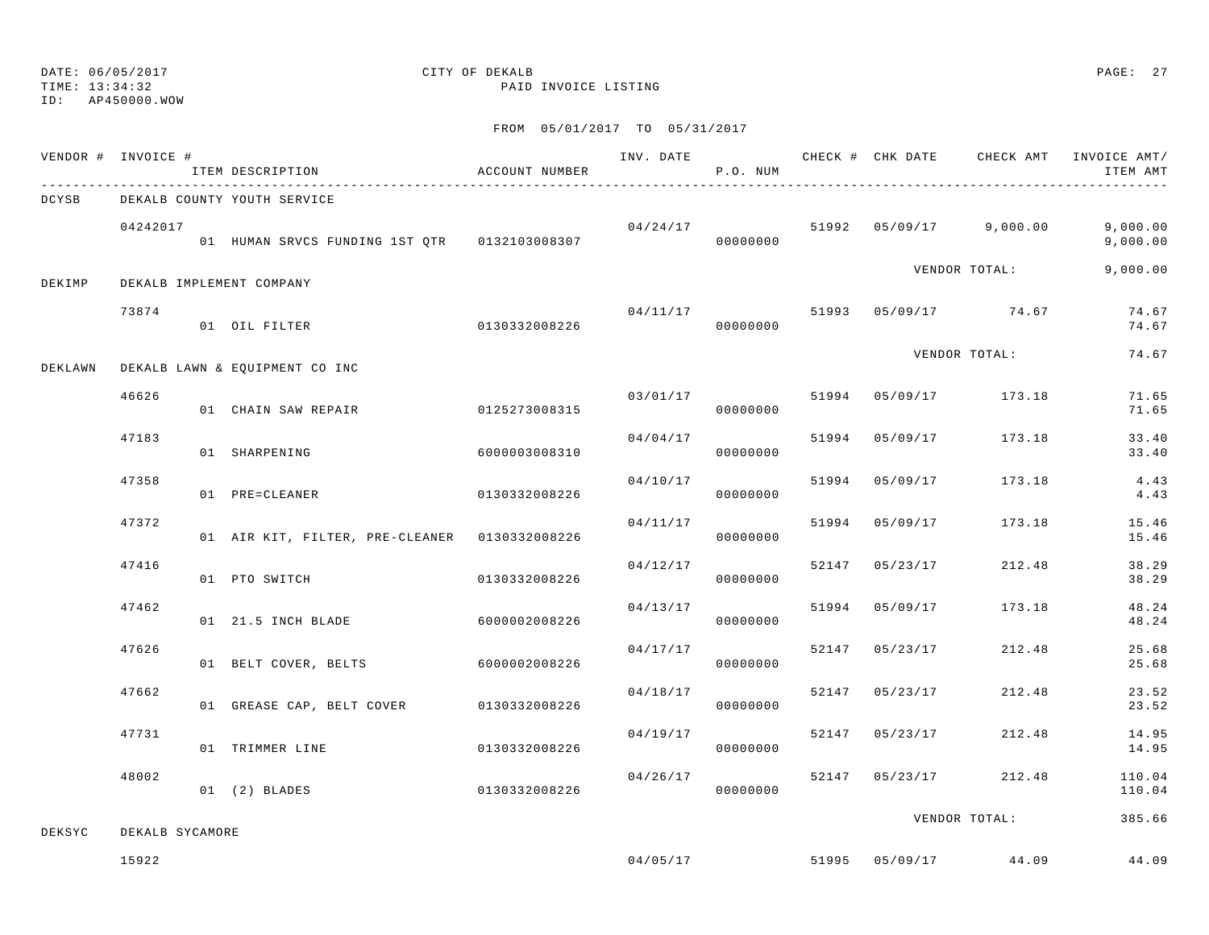### TIME: 13:34:32 PAID INVOICE LISTING ID: AP450000.WOW

## DATE: 06/05/2017 CITY OF DEKALB PAGE: 27

|         | VENDOR # INVOICE # | ITEM DESCRIPTION                              | ACCOUNT NUMBER |          | P.O. NUM |       | INV. DATE CHECK # CHK DATE | CHECK AMT                       | INVOICE AMT/<br>ITEM AMT |
|---------|--------------------|-----------------------------------------------|----------------|----------|----------|-------|----------------------------|---------------------------------|--------------------------|
| DCYSB   |                    | DEKALB COUNTY YOUTH SERVICE                   |                |          |          |       |                            |                                 |                          |
|         | 04242017           | 01 HUMAN SRVCS FUNDING 1ST QTR 0132103008307  |                | 04/24/17 | 00000000 |       |                            | 51992  05/09/17  9,000.00       | 9,000.00<br>9,000.00     |
| DEKIMP  |                    | DEKALB IMPLEMENT COMPANY                      |                |          |          |       |                            | VENDOR TOTAL:                   | 9,000.00                 |
|         | 73874              | 01 OIL FILTER                                 | 0130332008226  |          | 00000000 |       |                            | $04/11/17$ 51993 05/09/17 74.67 | 74.67<br>74.67           |
| DEKLAWN |                    | DEKALB LAWN & EQUIPMENT CO INC                |                |          |          |       |                            | VENDOR TOTAL:                   | 74.67                    |
|         | 46626              | 01 CHAIN SAW REPAIR                           | 0125273008315  | 03/01/17 | 00000000 |       |                            | 51994 05/09/17 173.18           | 71.65<br>71.65           |
|         | 47183              | 01 SHARPENING                                 | 6000003008310  | 04/04/17 | 00000000 | 51994 | 05/09/17                   | 173.18                          | 33.40<br>33.40           |
|         | 47358              | 01 PRE=CLEANER                                | 0130332008226  | 04/10/17 | 00000000 | 51994 | 05/09/17                   | 173.18                          | 4.43<br>4.43             |
|         | 47372              | 01 AIR KIT, FILTER, PRE-CLEANER 0130332008226 |                | 04/11/17 | 00000000 | 51994 | 05/09/17                   | 173.18                          | 15.46<br>15.46           |
|         | 47416              | 01 PTO SWITCH                                 | 0130332008226  | 04/12/17 | 00000000 |       | 52147 05/23/17             | 212.48                          | 38.29<br>38.29           |
|         | 47462              | 01 21.5 INCH BLADE                            | 6000002008226  | 04/13/17 | 00000000 |       | 51994 05/09/17             | 173.18                          | 48.24<br>48.24           |
|         | 47626              | 01 BELT COVER, BELTS                          | 6000002008226  | 04/17/17 | 00000000 | 52147 | 05/23/17                   | 212.48                          | 25.68<br>25.68           |
|         | 47662              | 01 GREASE CAP, BELT COVER                     | 0130332008226  | 04/18/17 | 00000000 | 52147 | 05/23/17                   | 212.48                          | 23.52<br>23.52           |
|         | 47731              | 01 TRIMMER LINE                               | 0130332008226  | 04/19/17 | 00000000 | 52147 | 05/23/17                   | 212.48                          | 14.95<br>14.95           |
|         | 48002              | $01$ $(2)$ BLADES                             | 0130332008226  | 04/26/17 | 00000000 |       | 52147 05/23/17             | 212.48                          | 110.04<br>110.04         |
| DEKSYC  | DEKALB SYCAMORE    |                                               |                |          |          |       |                            | VENDOR TOTAL:                   | 385.66                   |
|         | 15922              |                                               |                | 04/05/17 |          |       |                            | 51995 05/09/17 44.09            | 44.09                    |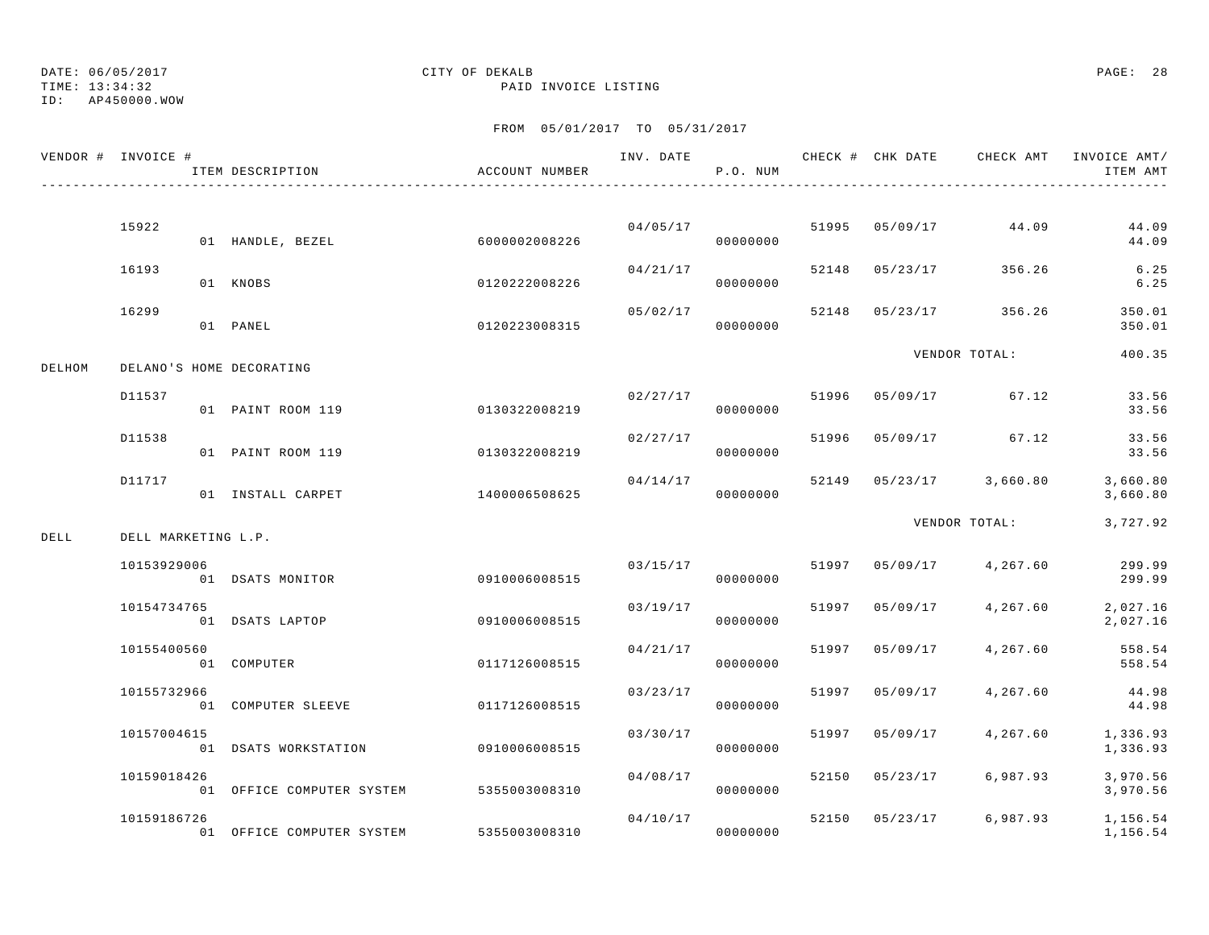TIME: 13:34:32 PAID INVOICE LISTING

ID: AP450000.WOW

|        | VENDOR # INVOICE #  | ITEM DESCRIPTION          | ACCOUNT NUMBER | INV. DATE | P.O. NUM             |       |                | CHECK # CHK DATE CHECK AMT INVOICE AMT/ | ITEM AMT             |
|--------|---------------------|---------------------------|----------------|-----------|----------------------|-------|----------------|-----------------------------------------|----------------------|
|        |                     |                           |                |           |                      |       |                |                                         |                      |
|        | 15922               | 01 HANDLE, BEZEL          | 6000002008226  |           | 04/05/17<br>00000000 |       | 51995 05/09/17 | 44.09                                   | 44.09<br>44.09       |
|        | 16193               | 01 KNOBS                  | 0120222008226  | 04/21/17  | 00000000             | 52148 | 05/23/17       | 356.26                                  | 6.25<br>6.25         |
|        | 16299               | 01 PANEL                  | 0120223008315  | 05/02/17  | 00000000             | 52148 | 05/23/17       | 356.26                                  | 350.01<br>350.01     |
| DELHOM |                     | DELANO'S HOME DECORATING  |                |           |                      |       |                | VENDOR TOTAL:                           | 400.35               |
|        | D11537              | 01 PAINT ROOM 119         | 0130322008219  | 02/27/17  | 00000000             | 51996 |                | 05/09/17 67.12                          | 33.56<br>33.56       |
|        | D11538              | 01 PAINT ROOM 119         | 0130322008219  | 02/27/17  | 00000000             | 51996 | 05/09/17       | 67.12                                   | 33.56<br>33.56       |
|        | D11717              | 01 INSTALL CARPET         | 1400006508625  | 04/14/17  | 00000000             | 52149 |                | $05/23/17$ 3,660.80                     | 3,660.80<br>3,660.80 |
| DELL   | DELL MARKETING L.P. |                           |                |           |                      |       |                | VENDOR TOTAL:                           | 3,727.92             |
|        | 10153929006         | 01 DSATS MONITOR          | 0910006008515  | 03/15/17  | 00000000             |       | 51997 05/09/17 | 4,267.60                                | 299.99<br>299.99     |
|        | 10154734765         | 01 DSATS LAPTOP           | 0910006008515  | 03/19/17  | 00000000             | 51997 | 05/09/17       | 4,267.60                                | 2,027.16<br>2,027.16 |
|        | 10155400560         | 01 COMPUTER               | 0117126008515  | 04/21/17  | 00000000             | 51997 | 05/09/17       | 4,267.60                                | 558.54<br>558.54     |
|        | 10155732966         | 01 COMPUTER SLEEVE        | 0117126008515  | 03/23/17  | 00000000             | 51997 | 05/09/17       | 4,267.60                                | 44.98<br>44.98       |
|        | 10157004615         | 01 DSATS WORKSTATION      | 0910006008515  | 03/30/17  | 00000000             | 51997 | 05/09/17       | 4,267.60                                | 1,336.93<br>1,336.93 |
|        | 10159018426         | 01 OFFICE COMPUTER SYSTEM | 5355003008310  | 04/08/17  | 00000000             | 52150 | 05/23/17       | 6,987.93                                | 3,970.56<br>3,970.56 |
|        | 10159186726         | 01 OFFICE COMPUTER SYSTEM | 5355003008310  | 04/10/17  | 00000000             | 52150 | 05/23/17       | 6,987.93                                | 1,156.54<br>1,156.54 |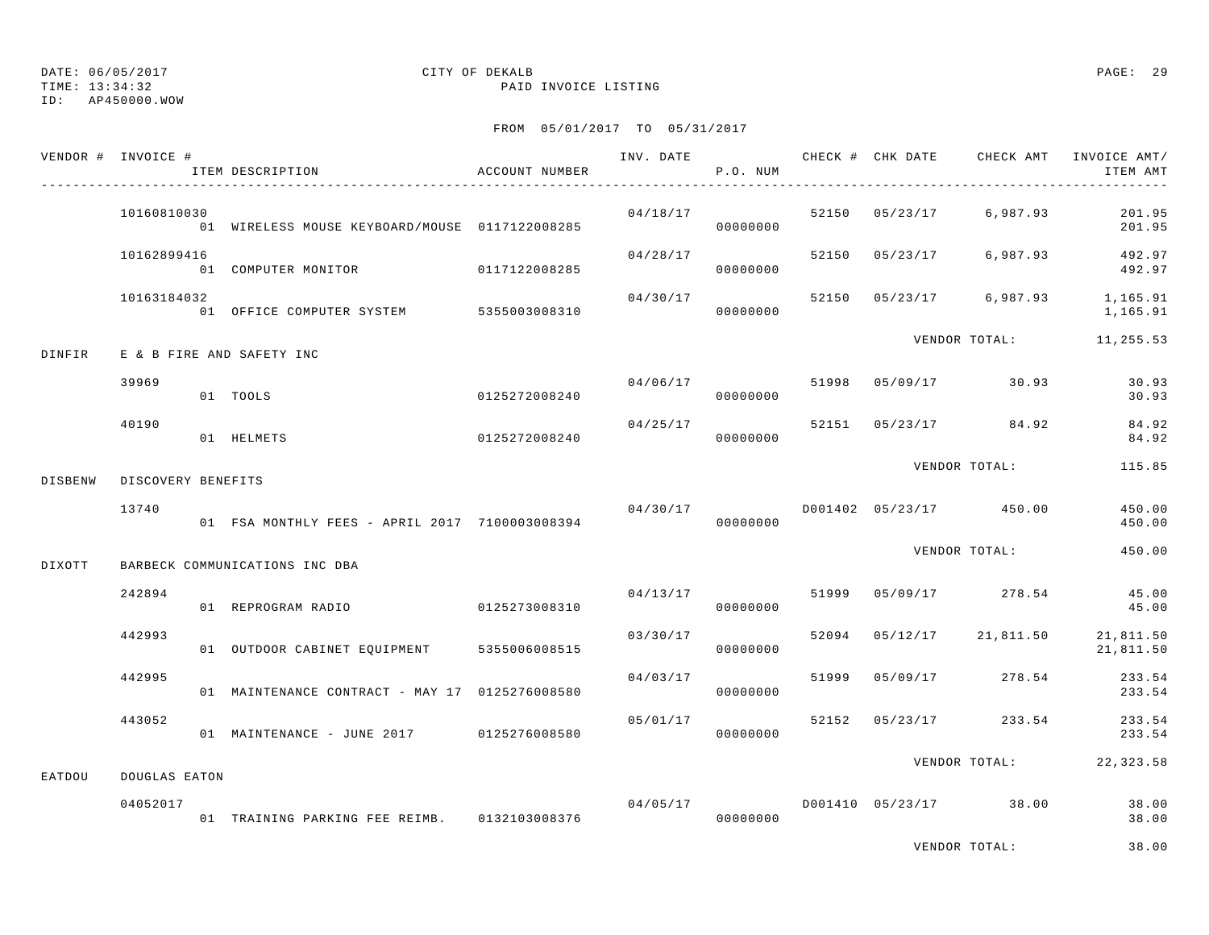TIME: 13:34:32 PAID INVOICE LISTING

ID: AP450000.WOW

|         | VENDOR # INVOICE # | ITEM DESCRIPTION                               | ACCOUNT NUMBER |                | P.O. NUM             |       | INV. DATE CHECK # CHK DATE | CHECK AMT                         | INVOICE AMT/<br>ITEM AMT                     |
|---------|--------------------|------------------------------------------------|----------------|----------------|----------------------|-------|----------------------------|-----------------------------------|----------------------------------------------|
|         | 10160810030        | 01 WIRELESS MOUSE KEYBOARD/MOUSE 0117122008285 |                |                | 04/18/17<br>00000000 |       |                            | 52150 05/23/17 6,987.93           | 201.95<br>201.95                             |
|         | 10162899416        | 01 COMPUTER MONITOR 0117122008285              |                | 04/28/17       | 00000000             |       |                            | 52150 05/23/17 6,987.93           | 492.97<br>492.97                             |
|         | 10163184032        | 01 OFFICE COMPUTER SYSTEM 5355003008310        |                | 04/30/17       | 00000000             |       |                            |                                   | 52150 05/23/17 6,987.93 1,165.91<br>1,165.91 |
| DINFIR  |                    | E & B FIRE AND SAFETY INC                      |                |                |                      |       |                            | VENDOR TOTAL:                     | 11,255.53                                    |
|         | 39969              | 01 TOOLS                                       | 0125272008240  | 04/06/17 51998 | 00000000             |       |                            | 05/09/17 30.93                    | 30.93<br>30.93                               |
|         | 40190              | 01 HELMETS                                     | 0125272008240  | 04/25/17       | 00000000             |       |                            | 52151 05/23/17 84.92              | 84.92<br>84.92                               |
| DISBENW | DISCOVERY BENEFITS |                                                |                |                |                      |       |                            | VENDOR TOTAL:                     | 115.85                                       |
|         | 13740              | 01 FSA MONTHLY FEES - APRIL 2017 7100003008394 |                | 04/30/17       | 00000000             |       |                            | D001402 05/23/17 450.00           | 450.00<br>450.00                             |
| DIXOTT  |                    | BARBECK COMMUNICATIONS INC DBA                 |                |                |                      |       |                            | VENDOR TOTAL:                     | 450.00                                       |
|         | 242894             | 01 REPROGRAM RADIO                             | 0125273008310  |                | 04/13/17<br>00000000 |       |                            | 51999 05/09/17 278.54             | 45.00<br>45.00                               |
|         | 442993             | 01 OUTDOOR CABINET EQUIPMENT 5355006008515     |                | 03/30/17       | 00000000             |       | 52094 05/12/17             | 21,811.50                         | 21,811.50<br>21,811.50                       |
|         | 442995             | 01 MAINTENANCE CONTRACT - MAY 17 0125276008580 |                | 04/03/17       | 00000000             | 51999 |                            | $05/09/17$ 278.54                 | 233.54<br>233.54                             |
|         | 443052             | 01 MAINTENANCE - JUNE 2017 0125276008580       |                | 05/01/17       | 00000000             |       | 52152 05/23/17             | 233.54                            | 233.54<br>233.54                             |
| EATDOU  | DOUGLAS EATON      |                                                |                |                |                      |       |                            | VENDOR TOTAL:                     | 22, 323.58                                   |
|         | 04052017           | 01 TRAINING PARKING FEE REIMB. 0132103008376   |                |                | 00000000             |       |                            | $04/05/17$ D001410 05/23/17 38.00 | 38.00<br>38.00                               |
|         |                    |                                                |                |                |                      |       |                            | VENDOR TOTAL:                     | 38.00                                        |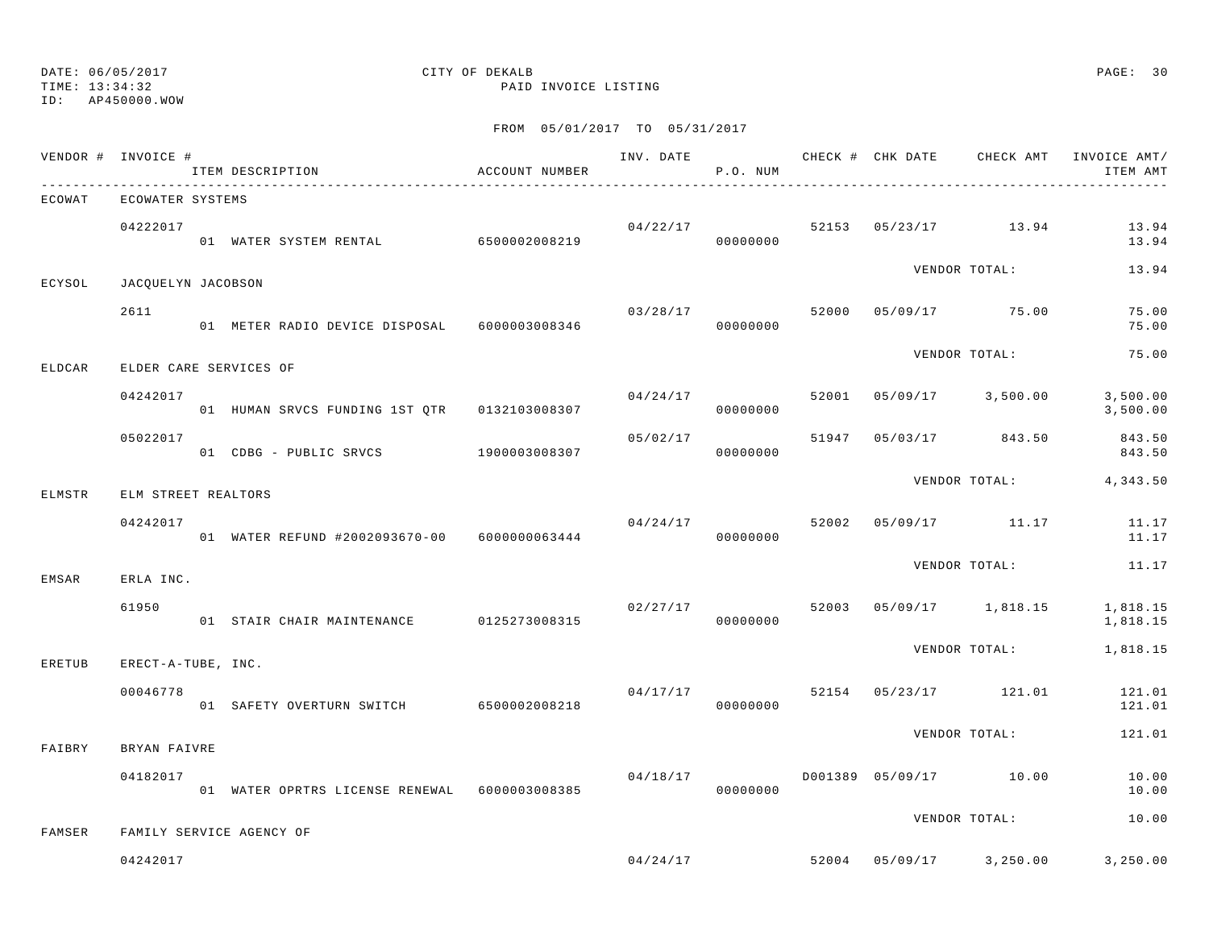TIME: 13:34:32 PAID INVOICE LISTING

ID: AP450000.WOW

|        | VENDOR # INVOICE # | ITEM DESCRIPTION                              | ACCOUNT NUMBER |          | P.O. NUM |       | INV. DATE CHECK # CHK DATE CHECK AMT | INVOICE AMT/<br>ITEM AMT       |
|--------|--------------------|-----------------------------------------------|----------------|----------|----------|-------|--------------------------------------|--------------------------------|
| ECOWAT |                    | ECOWATER SYSTEMS                              |                |          |          |       |                                      |                                |
|        | 04222017           | 01 WATER SYSTEM RENTAL 6500002008219          |                | 04/22/17 | 00000000 |       | 52153 05/23/17 13.94                 | 13.94<br>13.94                 |
| ECYSOL |                    | JACQUELYN JACOBSON                            |                |          |          |       | VENDOR TOTAL:                        | 13.94                          |
|        | 2611               | 01 METER RADIO DEVICE DISPOSAL 6000003008346  |                | 03/28/17 | 00000000 | 52000 | 05/09/17 75.00                       | 75.00<br>75.00                 |
| ELDCAR |                    | ELDER CARE SERVICES OF                        |                |          |          |       | VENDOR TOTAL:                        | 75.00                          |
|        | 04242017           | 01 HUMAN SRVCS FUNDING 1ST QTR 0132103008307  |                | 04/24/17 | 00000000 | 52001 | $05/09/17$ 3,500.00                  | 3,500.00<br>3,500.00           |
|        | 05022017           | 01 CDBG - PUBLIC SRVCS 1900003008307          |                | 05/02/17 | 00000000 | 51947 | 05/03/17 843.50                      | 843.50<br>843.50               |
| ELMSTR |                    | ELM STREET REALTORS                           |                |          |          |       |                                      | VENDOR TOTAL: 4,343.50         |
|        | 04242017           | 01 WATER REFUND #2002093670-00 6000000063444  |                | 04/24/17 | 00000000 | 52002 | 05/09/17 11.17                       | 11.17<br>11.17                 |
| EMSAR  | ERLA INC.          |                                               |                |          |          |       | VENDOR TOTAL:                        | 11.17                          |
|        | 61950              | 01 STAIR CHAIR MAINTENANCE                    | 0125273008315  | 02/27/17 | 00000000 | 52003 | 05/09/17 1,818.15                    | 1,818.15<br>1,818.15           |
| ERETUB |                    | ERECT-A-TUBE, INC.                            |                |          |          |       | VENDOR TOTAL:                        | 1,818.15                       |
|        | 00046778           | 01 SAFETY OVERTURN SWITCH 6500002008218       |                | 04/17/17 | 00000000 | 52154 | 05/23/17 121.01                      | 121.01<br>121.01               |
| FAIBRY | BRYAN FAIVRE       |                                               |                |          |          |       | VENDOR TOTAL:                        | 121.01                         |
|        | 04182017           | 01 WATER OPRTRS LICENSE RENEWAL 6000003008385 |                | 04/18/17 | 00000000 |       | D001389 05/09/17 10.00               | 10.00<br>10.00                 |
| FAMSER |                    | FAMILY SERVICE AGENCY OF                      |                |          |          |       | VENDOR TOTAL:                        | 10.00                          |
|        | 04242017           |                                               |                | 04/24/17 |          | 52004 |                                      | $05/09/17$ 3, 250.00 3, 250.00 |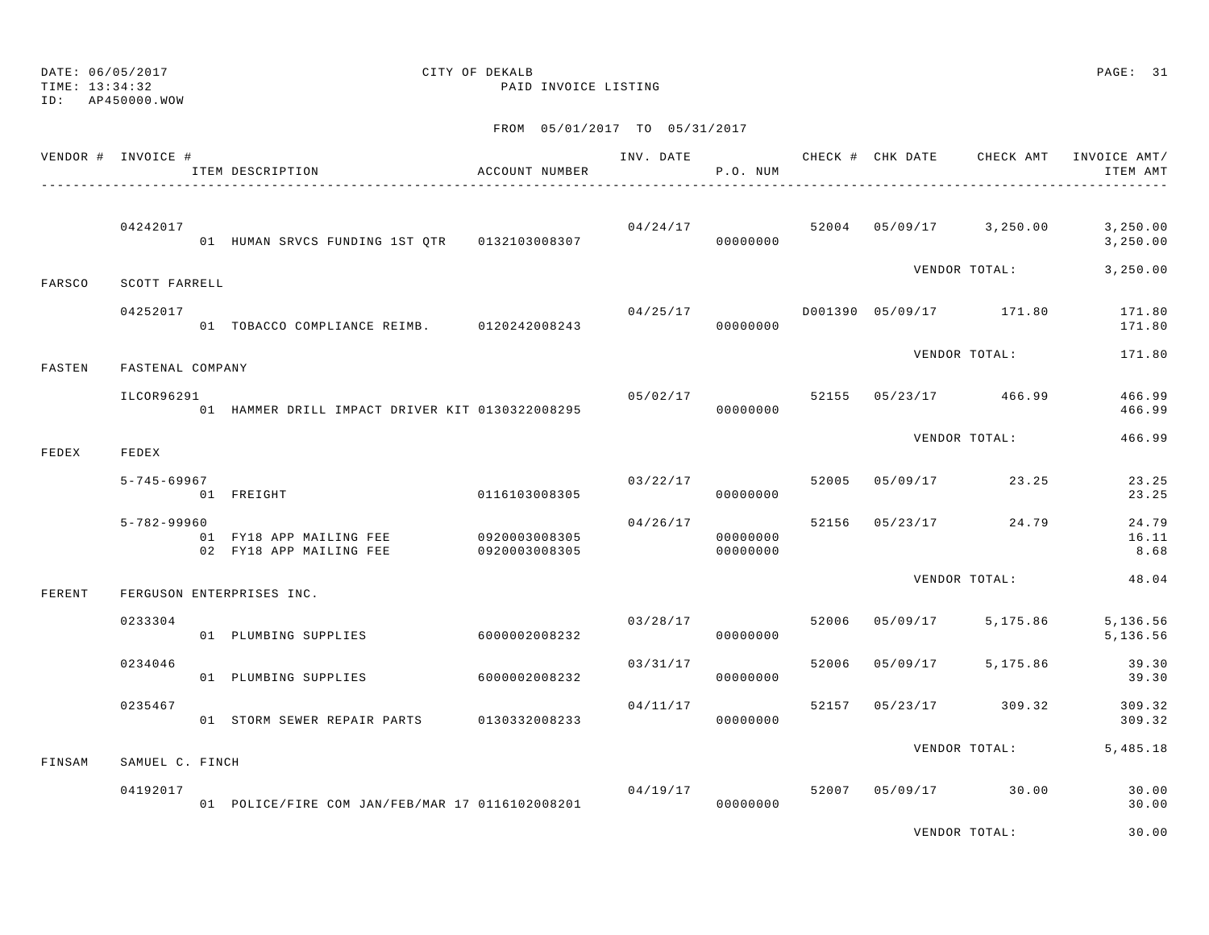DATE: 06/05/2017 CITY OF DEKALB PAGE: 31 TIME: 13:34:32 PAID INVOICE LISTING

ID: AP450000.WOW

### FROM 05/01/2017 TO 05/31/2017

|        | VENDOR # INVOICE # | ITEM DESCRIPTION                                   | ACCOUNT NUMBER                 |          | P.O. NUM             |       |          |                                          | INV. DATE 6 CHECK # CHK DATE CHECK AMT INVOICE AMT/<br>ITEM AMT              |
|--------|--------------------|----------------------------------------------------|--------------------------------|----------|----------------------|-------|----------|------------------------------------------|------------------------------------------------------------------------------|
|        | 04242017           | 01 HUMAN SRVCS FUNDING 1ST OTR 0132103008307       |                                |          | 00000000             |       |          |                                          | $0.4 / 2.4 / 17$ $5.2004$ $0.5 / 0.9 / 17$ $3.250.00$ $3.250.00$<br>3,250.00 |
| FARSCO | SCOTT FARRELL      |                                                    |                                |          |                      |       |          | VENDOR TOTAL:                            | 3,250.00                                                                     |
|        | 04252017           | 01 TOBACCO COMPLIANCE REIMB. 0120242008243         |                                |          | 00000000             |       |          | $04/25/17$ $D001390$ $05/09/17$ $171.80$ | 171.80<br>171.80                                                             |
| FASTEN | FASTENAL COMPANY   |                                                    |                                |          |                      |       |          | VENDOR TOTAL:                            | 171.80                                                                       |
|        | ILCOR96291         | 01 HAMMER DRILL IMPACT DRIVER KIT 0130322008295    |                                |          | 00000000             |       |          | $05/02/17$ 52155 05/23/17 466.99         | 466.99<br>466.99                                                             |
| FEDEX  | FEDEX              |                                                    |                                |          |                      |       |          | VENDOR TOTAL:                            | 466.99                                                                       |
|        | $5 - 745 - 69967$  | 01 FREIGHT                                         | 0116103008305                  |          | 00000000             |       |          | $03/22/17$ 52005 05/09/17 23.25          | 23.25<br>23.25                                                               |
|        | $5 - 782 - 99960$  | 01 FY18 APP MAILING FEE<br>02 FY18 APP MAILING FEE | 0920003008305<br>0920003008305 | 04/26/17 | 00000000<br>00000000 |       |          | 52156 05/23/17 24.79                     | 24.79<br>16.11<br>8.68                                                       |
| FERENT |                    | FERGUSON ENTERPRISES INC.                          |                                |          |                      |       |          | VENDOR TOTAL:                            | 48.04                                                                        |
|        | 0233304            | 01 PLUMBING SUPPLIES                               | 6000002008232                  |          | 03/28/17<br>00000000 | 52006 | 05/09/17 | 5,175.86                                 | 5,136.56<br>5,136.56                                                         |
|        | 0234046            | 01 PLUMBING SUPPLIES                               | 6000002008232                  | 03/31/17 | 00000000             | 52006 |          | 05/09/17 5,175.86                        | 39.30<br>39.30                                                               |
|        | 0235467            | 01 STORM SEWER REPAIR PARTS 0130332008233          |                                | 04/11/17 | 00000000             | 52157 |          | 05/23/17 309.32                          | 309.32<br>309.32                                                             |
| FINSAM | SAMUEL C. FINCH    |                                                    |                                |          |                      |       |          | VENDOR TOTAL:                            | 5,485.18                                                                     |
|        | 04192017           | 01 POLICE/FIRE COM JAN/FEB/MAR 17 0116102008201    |                                | 04/19/17 | 00000000             |       |          | 52007 05/09/17 30.00                     | 30.00<br>30.00                                                               |

VENDOR TOTAL: 30.00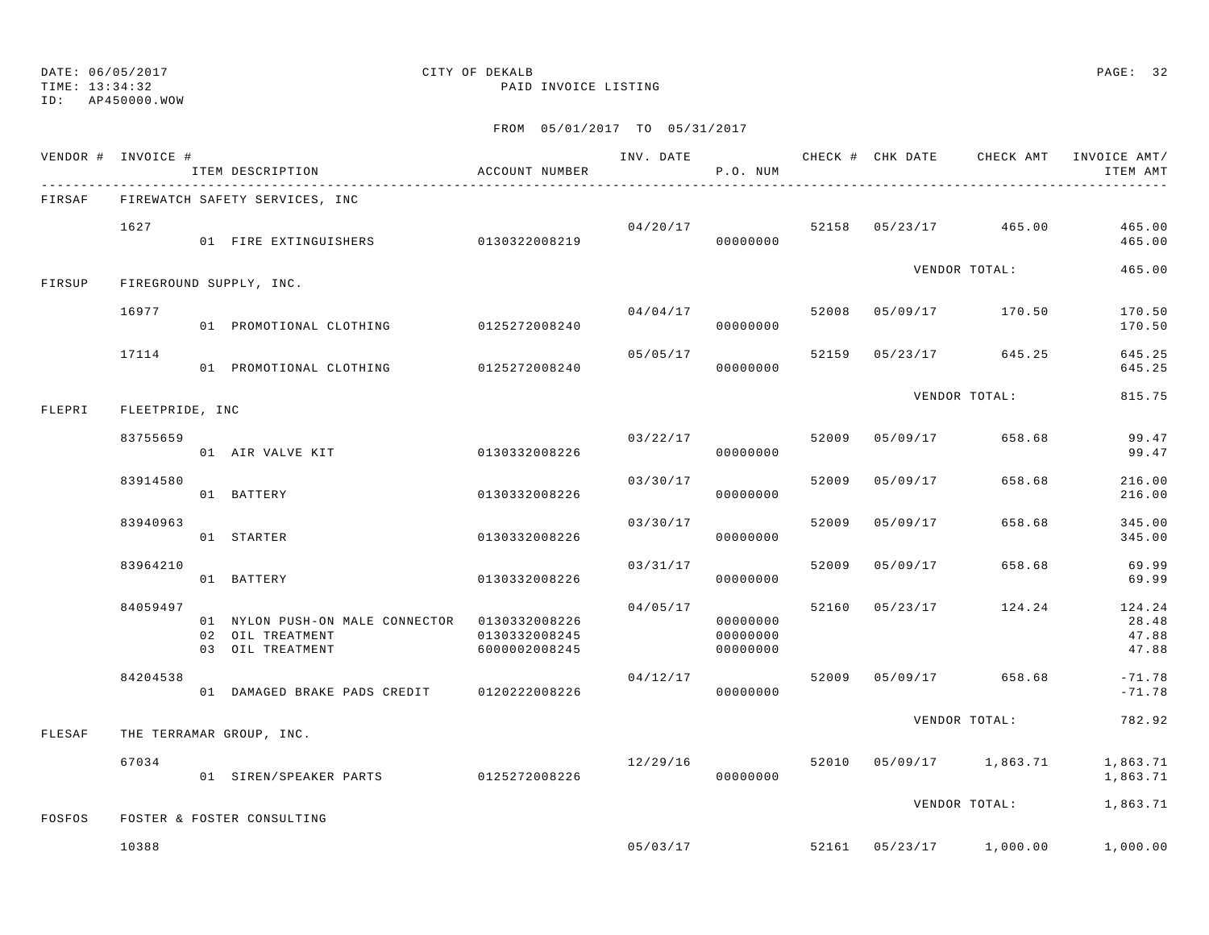### TIME: 13:34:32 PAID INVOICE LISTING

## DATE: 06/05/2017 CITY OF DEKALB PAGE: 32

ID: AP450000.WOW

|        | VENDOR # INVOICE # | ITEM DESCRIPTION                                                                      | ACCOUNT NUMBER                 |          | P.O. NUM                         |       | INV. DATE CHECK # CHK DATE | CHECK AMT               | INVOICE AMT/<br>ITEM AMT          |
|--------|--------------------|---------------------------------------------------------------------------------------|--------------------------------|----------|----------------------------------|-------|----------------------------|-------------------------|-----------------------------------|
| FIRSAF |                    | FIREWATCH SAFETY SERVICES, INC                                                        |                                |          |                                  |       |                            |                         |                                   |
|        | 1627               | 01 FIRE EXTINGUISHERS                                                                 | 0130322008219                  |          | 04/20/17<br>00000000             |       |                            | 52158 05/23/17 465.00   | 465.00<br>465.00                  |
| FIRSUP |                    | FIREGROUND SUPPLY, INC.                                                               |                                |          |                                  |       |                            | VENDOR TOTAL:           | 465.00                            |
|        | 16977              | 01 PROMOTIONAL CLOTHING 0125272008240                                                 |                                | 04/04/17 | 00000000                         | 52008 |                            | 05/09/17 170.50         | 170.50<br>170.50                  |
|        | 17114              | 01 PROMOTIONAL CLOTHING 0125272008240                                                 |                                | 05/05/17 | 00000000                         |       | 52159 05/23/17             | 645.25                  | 645.25<br>645.25                  |
| FLEPRI | FLEETPRIDE, INC    |                                                                                       |                                |          |                                  |       |                            | VENDOR TOTAL:           | 815.75                            |
|        | 83755659           | 01 AIR VALVE KIT                                                                      | 0130332008226                  |          | 03/22/17<br>00000000             | 52009 | 05/09/17                   | 658.68                  | 99.47<br>99.47                    |
|        | 83914580           | 01 BATTERY                                                                            | 0130332008226                  | 03/30/17 | 00000000                         | 52009 | 05/09/17                   | 658.68                  | 216.00<br>216.00                  |
|        | 83940963           | 01 STARTER                                                                            | 0130332008226                  | 03/30/17 | 00000000                         | 52009 | 05/09/17                   | 658.68                  | 345.00<br>345.00                  |
|        | 83964210           | 01 BATTERY                                                                            | 0130332008226                  | 03/31/17 | 00000000                         | 52009 | 05/09/17                   | 658.68                  | 69.99<br>69.99                    |
|        | 84059497           | 01 NYLON PUSH-ON MALE CONNECTOR 0130332008226<br>02 OIL TREATMENT<br>03 OIL TREATMENT | 0130332008245<br>6000002008245 | 04/05/17 | 00000000<br>00000000<br>00000000 | 52160 | 05/23/17                   | 124.24                  | 124.24<br>28.48<br>47.88<br>47.88 |
|        | 84204538           | 01 DAMAGED BRAKE PADS CREDIT                                                          | 0120222008226                  | 04/12/17 | 00000000                         | 52009 |                            | 05/09/17 658.68         | $-71.78$<br>$-71.78$              |
| FLESAF |                    | THE TERRAMAR GROUP, INC.                                                              |                                |          |                                  |       |                            | VENDOR TOTAL:           | 782.92                            |
|        | 67034              | 01 SIREN/SPEAKER PARTS 0125272008226                                                  |                                | 12/29/16 | 00000000                         |       |                            | 52010 05/09/17 1,863.71 | 1,863.71<br>1,863.71              |
| FOSFOS |                    | FOSTER & FOSTER CONSULTING                                                            |                                |          |                                  |       |                            | VENDOR TOTAL:           | 1,863.71                          |
|        | 10388              |                                                                                       |                                |          | 05/03/17                         |       |                            | 52161 05/23/17 1,000.00 | 1,000.00                          |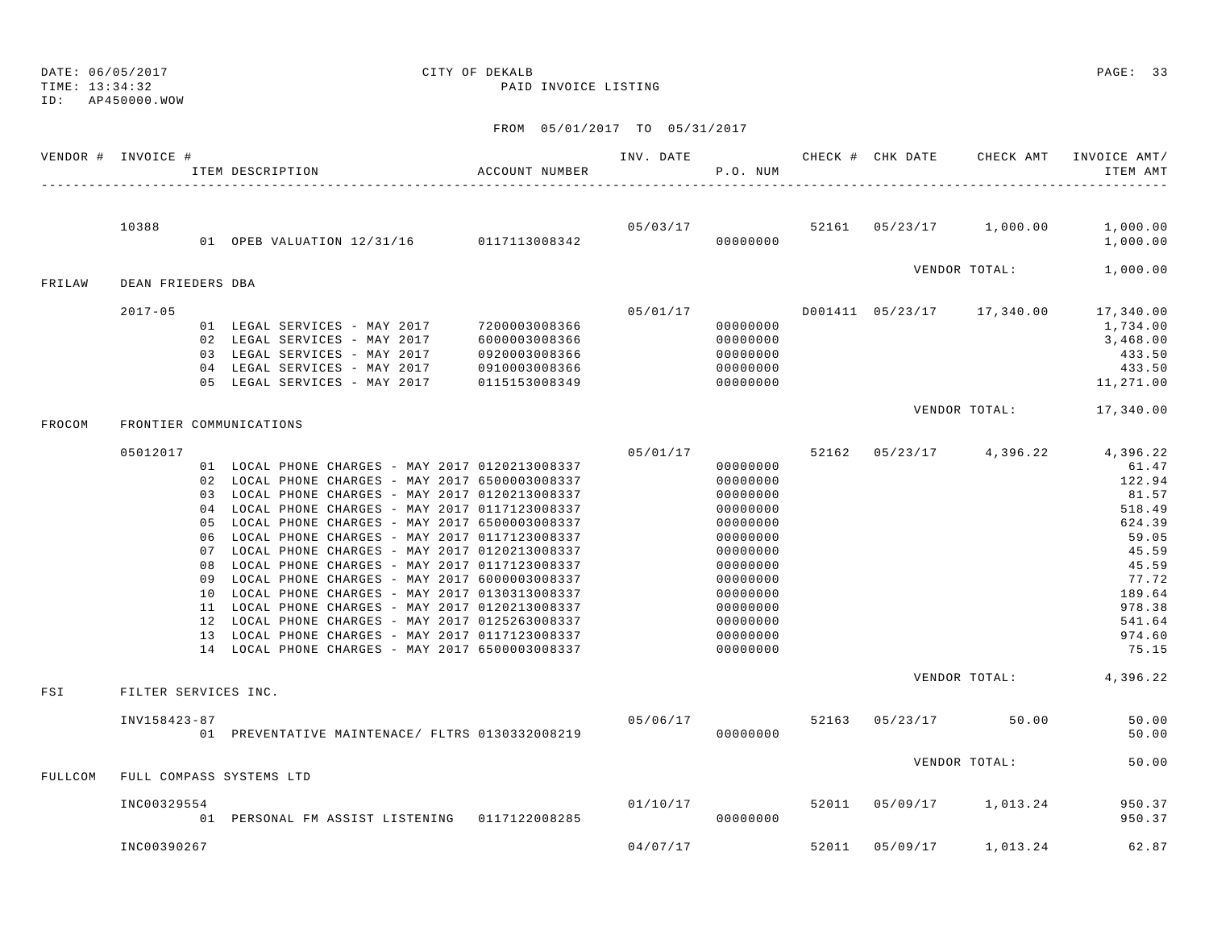DATE: 06/05/2017 CITY OF DEKALB PAGE: 33 ID: AP450000.WOW

TIME: 13:34:32 PAID INVOICE LISTING

|         | VENDOR # INVOICE #   | ACCOUNT NUMBER<br>ITEM DESCRIPTION                                                                                                                                                                                                                                                                                                                                                                                                                                                                                                                                                                                                                                                                                                     |                                                                  |          | P.O. NUM                                                                                                                                                             |       |                      | INV. DATE 6 CHECK # CHK DATE CHECK AMT INVOICE AMT/<br>ITEM AMT                                                                                                       |
|---------|----------------------|----------------------------------------------------------------------------------------------------------------------------------------------------------------------------------------------------------------------------------------------------------------------------------------------------------------------------------------------------------------------------------------------------------------------------------------------------------------------------------------------------------------------------------------------------------------------------------------------------------------------------------------------------------------------------------------------------------------------------------------|------------------------------------------------------------------|----------|----------------------------------------------------------------------------------------------------------------------------------------------------------------------|-------|----------------------|-----------------------------------------------------------------------------------------------------------------------------------------------------------------------|
|         | 10388                |                                                                                                                                                                                                                                                                                                                                                                                                                                                                                                                                                                                                                                                                                                                                        |                                                                  |          |                                                                                                                                                                      |       |                      | $05/03/17$ $52161$ $05/23/17$ $1,000.00$ $1,000.00$<br>1,000.00                                                                                                       |
| FRILAW  | DEAN FRIEDERS DBA    |                                                                                                                                                                                                                                                                                                                                                                                                                                                                                                                                                                                                                                                                                                                                        |                                                                  |          |                                                                                                                                                                      |       | VENDOR TOTAL:        | 1,000.00                                                                                                                                                              |
|         | $2017 - 05$          | 01 LEGAL SERVICES - MAY 2017 7200003008366<br>02 LEGAL SERVICES - MAY 2017<br>03 LEGAL SERVICES - MAY 2017<br>04 LEGAL SERVICES - MAY 2017<br>05 LEGAL SERVICES - MAY 2017                                                                                                                                                                                                                                                                                                                                                                                                                                                                                                                                                             | 6000003008366<br>0920003008366<br>0910003008366<br>0115153008349 | 05/01/17 | 00000000<br>00000000<br>00000000<br>00000000<br>00000000                                                                                                             |       |                      | D001411  05/23/17  17,340.00  17,340.00<br>1,734.00<br>3,468.00<br>433.50<br>433.50<br>11,271.00                                                                      |
| FROCOM  |                      | FRONTIER COMMUNICATIONS                                                                                                                                                                                                                                                                                                                                                                                                                                                                                                                                                                                                                                                                                                                |                                                                  |          |                                                                                                                                                                      |       |                      | VENDOR TOTAL: 17,340.00                                                                                                                                               |
|         | 05012017             | 01 LOCAL PHONE CHARGES - MAY 2017 0120213008337<br>02 LOCAL PHONE CHARGES - MAY 2017 6500003008337<br>03 LOCAL PHONE CHARGES - MAY 2017 0120213008337<br>04 LOCAL PHONE CHARGES - MAY 2017 0117123008337<br>05 LOCAL PHONE CHARGES - MAY 2017 6500003008337<br>06 LOCAL PHONE CHARGES - MAY 2017 0117123008337<br>07 LOCAL PHONE CHARGES - MAY 2017 0120213008337<br>08 LOCAL PHONE CHARGES - MAY 2017 0117123008337<br>09 LOCAL PHONE CHARGES - MAY 2017 6000003008337<br>10 LOCAL PHONE CHARGES - MAY 2017 0130313008337<br>11 LOCAL PHONE CHARGES - MAY 2017 0120213008337<br>12 LOCAL PHONE CHARGES - MAY 2017 0125263008337<br>13 LOCAL PHONE CHARGES - MAY 2017 0117123008337<br>14 LOCAL PHONE CHARGES - MAY 2017 6500003008337 |                                                                  | 05/01/17 | 00000000<br>00000000<br>00000000<br>00000000<br>00000000<br>00000000<br>00000000<br>00000000<br>00000000<br>00000000<br>00000000<br>00000000<br>00000000<br>00000000 |       |                      | 52162 05/23/17 4,396.22 4,396.22<br>61.47<br>122.94<br>81.57<br>518.49<br>624.39<br>59.05<br>45.59<br>45.59<br>77.72<br>189.64<br>978.38<br>541.64<br>974.60<br>75.15 |
| FSI     | FILTER SERVICES INC. |                                                                                                                                                                                                                                                                                                                                                                                                                                                                                                                                                                                                                                                                                                                                        |                                                                  |          |                                                                                                                                                                      |       |                      | VENDOR TOTAL: 4,396.22                                                                                                                                                |
|         | INV158423-87         | 01 PREVENTATIVE MAINTENACE/ FLTRS 0130332008219                                                                                                                                                                                                                                                                                                                                                                                                                                                                                                                                                                                                                                                                                        |                                                                  | 05/06/17 | 00000000                                                                                                                                                             |       | 52163 05/23/17 50.00 | 50.00<br>50.00                                                                                                                                                        |
| FULLCOM |                      | FULL COMPASS SYSTEMS LTD                                                                                                                                                                                                                                                                                                                                                                                                                                                                                                                                                                                                                                                                                                               |                                                                  |          |                                                                                                                                                                      |       | VENDOR TOTAL:        | 50.00                                                                                                                                                                 |
|         | INC00329554          | 01 PERSONAL FM ASSIST LISTENING 0117122008285                                                                                                                                                                                                                                                                                                                                                                                                                                                                                                                                                                                                                                                                                          |                                                                  |          | 01/10/17 52011<br>00000000                                                                                                                                           |       | 05/09/17 1,013.24    | 950.37<br>950.37                                                                                                                                                      |
|         | INC00390267          |                                                                                                                                                                                                                                                                                                                                                                                                                                                                                                                                                                                                                                                                                                                                        |                                                                  | 04/07/17 |                                                                                                                                                                      | 52011 | 05/09/17 1,013.24    | 62.87                                                                                                                                                                 |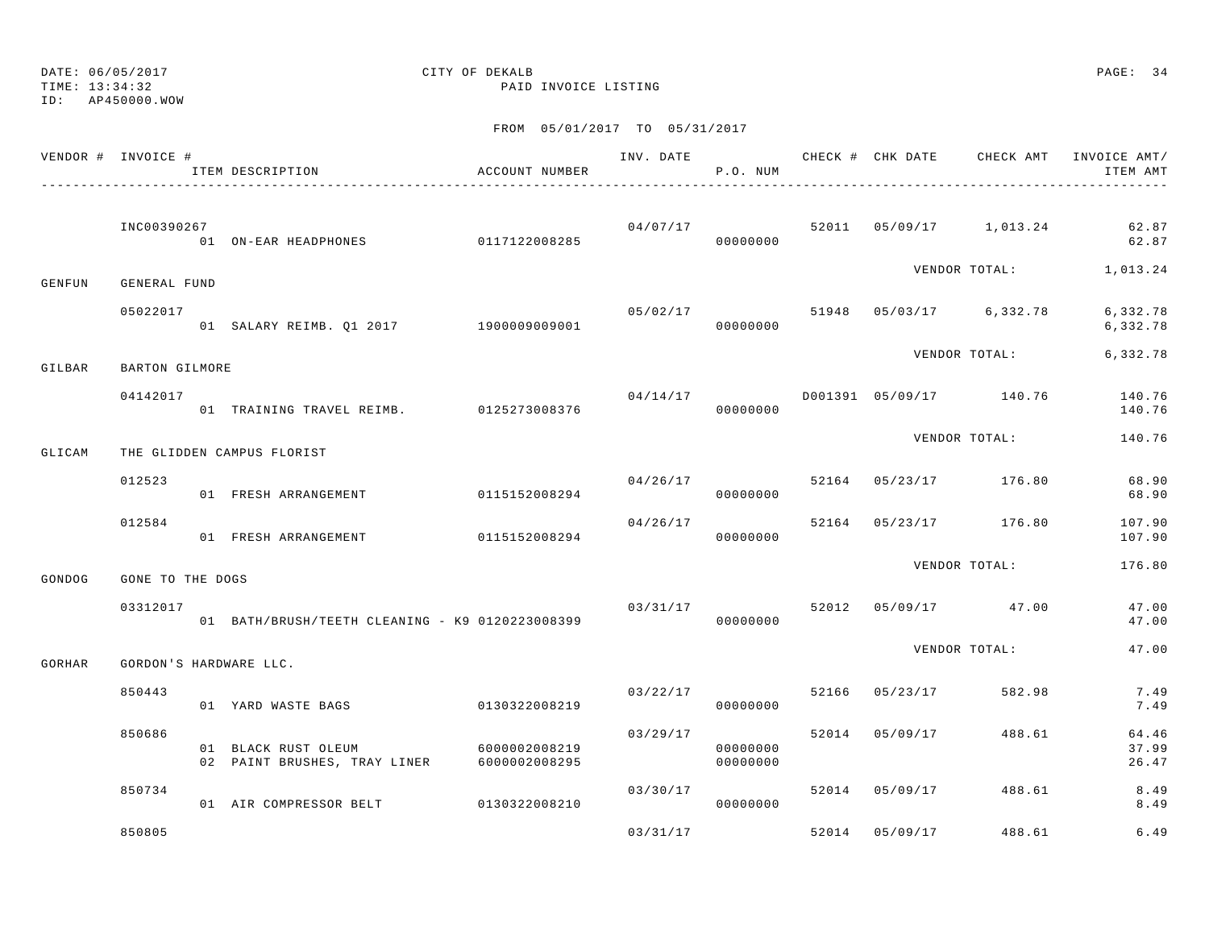ID: AP450000.WOW

TIME: 13:34:32 PAID INVOICE LISTING

|        | VENDOR # INVOICE # | ITEM DESCRIPTION                                                  | ACCOUNT NUMBER |          | P.O. NUM             |       |                |                                          | INV. DATE 6 7 200 CHECK # CHK DATE CHECK AMT INVOICE AMT/<br>ITEM AMT |
|--------|--------------------|-------------------------------------------------------------------|----------------|----------|----------------------|-------|----------------|------------------------------------------|-----------------------------------------------------------------------|
|        | INC00390267        |                                                                   |                |          | 00000000             |       |                | $04/07/17$ 52011 05/09/17 1,013.24       | 62.87<br>62.87                                                        |
| GENFUN | GENERAL FUND       |                                                                   |                |          |                      |       |                |                                          | VENDOR TOTAL: 1,013.24                                                |
|        | 05022017           | 01 SALARY REIMB. Q1 2017 1900009009001                            |                | 05/02/17 | 00000000             |       |                | 51948 05/03/17 6,332.78                  | 6,332.78<br>6,332.78                                                  |
| GILBAR | BARTON GILMORE     |                                                                   |                |          |                      |       |                | VENDOR TOTAL:                            | 6,332.78                                                              |
|        | 04142017           | 01 TRAINING TRAVEL REIMB. 0125273008376                           |                |          | 00000000             |       |                | $04/14/17$ $0001391$ $05/09/17$ $140.76$ | 140.76<br>140.76                                                      |
| GLICAM |                    | THE GLIDDEN CAMPUS FLORIST                                        |                |          |                      |       |                | VENDOR TOTAL:                            | 140.76                                                                |
|        | 012523             | 01 FRESH ARRANGEMENT                                              | 0115152008294  | 04/26/17 | 00000000             |       |                | 52164 05/23/17 176.80                    | 68.90<br>68.90                                                        |
|        | 012584             | 01 FRESH ARRANGEMENT 0115152008294                                |                |          | 04/26/17<br>00000000 | 52164 |                | 05/23/17 176.80                          | 107.90<br>107.90                                                      |
| GONDOG | GONE TO THE DOGS   |                                                                   |                |          |                      |       |                | VENDOR TOTAL:                            | 176.80                                                                |
|        | 03312017           | 01 BATH/BRUSH/TEETH CLEANING - K9 0120223008399                   |                | 03/31/17 | 00000000             |       |                | 52012 05/09/17 47.00                     | 47.00<br>47.00                                                        |
| GORHAR |                    | GORDON'S HARDWARE LLC.                                            |                |          |                      |       |                | VENDOR TOTAL:                            | 47.00                                                                 |
|        | 850443             | 01 YARD WASTE BAGS                                                | 0130322008219  | 03/22/17 | 00000000             |       | 52166 05/23/17 | 582.98                                   | 7.49<br>7.49                                                          |
|        | 850686             | 01 BLACK RUST OLEUM<br>02 PAINT BRUSHES, TRAY LINER 6000002008295 | 6000002008219  | 03/29/17 | 00000000<br>00000000 |       | 52014 05/09/17 | 488.61                                   | 64.46<br>37.99<br>26.47                                               |
|        | 850734             | 01 AIR COMPRESSOR BELT 0130322008210                              |                | 03/30/17 | 00000000             |       | 52014 05/09/17 | 488.61                                   | 8.49<br>8.49                                                          |
|        | 850805             |                                                                   |                | 03/31/17 |                      | 52014 | 05/09/17       | 488.61                                   | 6.49                                                                  |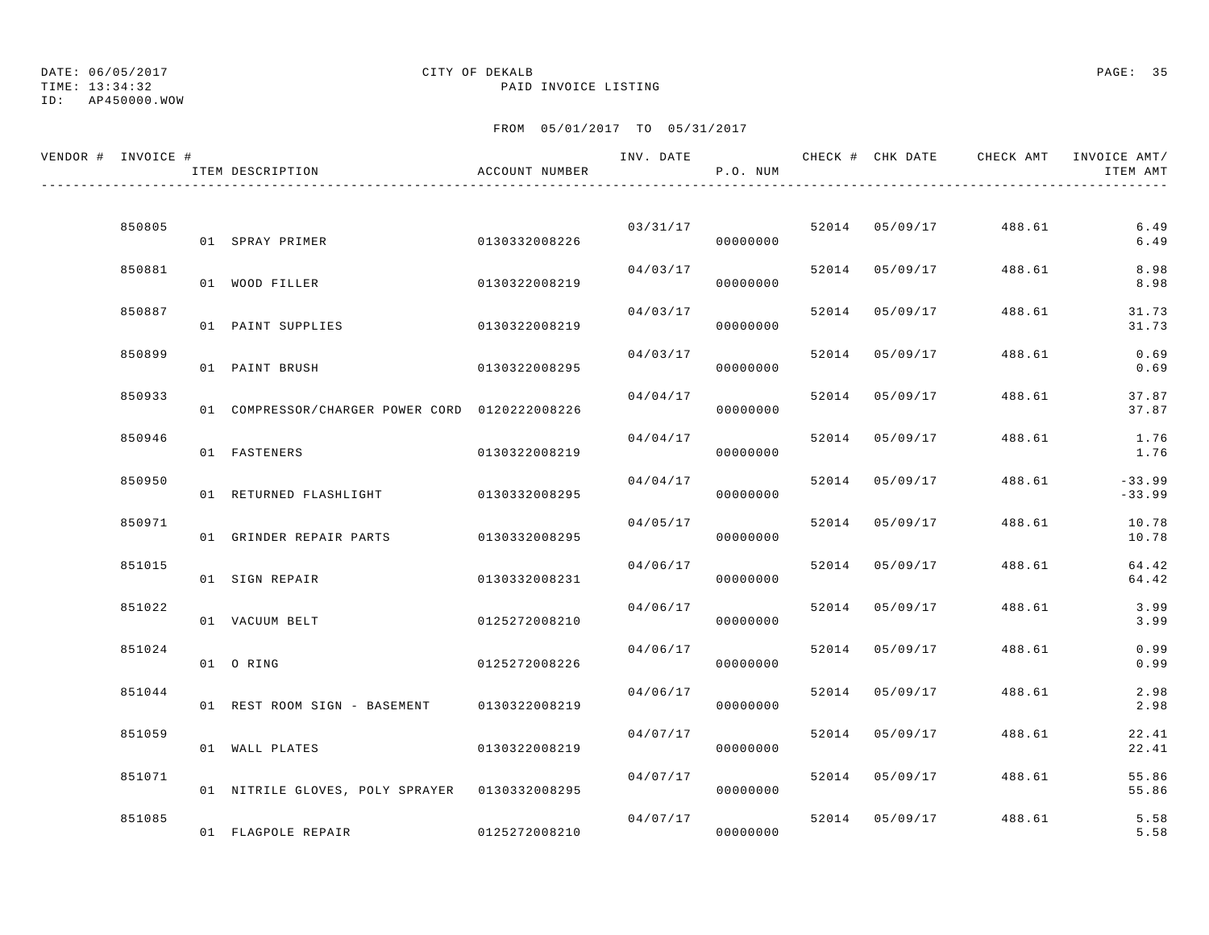ID: AP450000.WOW

### TIME: 13:34:32 PAID INVOICE LISTING

| VENDOR # INVOICE # | ITEM DESCRIPTION                               | ACCOUNT NUMBER | INV. DATE | P.O. NUM             |       | CHECK # CHK DATE | CHECK AMT | INVOICE AMT/<br>ITEM AMT |
|--------------------|------------------------------------------------|----------------|-----------|----------------------|-------|------------------|-----------|--------------------------|
|                    |                                                |                |           |                      |       |                  |           |                          |
| 850805             | 01 SPRAY PRIMER                                | 0130332008226  | 03/31/17  | 00000000             |       | 52014 05/09/17   | 488.61    | 6.49<br>6.49             |
| 850881             | 01 WOOD FILLER                                 | 0130322008219  | 04/03/17  | 00000000             | 52014 | 05/09/17         | 488.61    | 8.98<br>8.98             |
| 850887             | 01 PAINT SUPPLIES                              | 0130322008219  |           | 04/03/17<br>00000000 | 52014 | 05/09/17         | 488.61    | 31.73<br>31.73           |
| 850899             | 01 PAINT BRUSH                                 | 0130322008295  | 04/03/17  | 00000000             | 52014 | 05/09/17         | 488.61    | 0.69<br>0.69             |
| 850933             | 01 COMPRESSOR/CHARGER POWER CORD 0120222008226 |                | 04/04/17  | 00000000             | 52014 | 05/09/17         | 488.61    | 37.87<br>37.87           |
| 850946             | 01 FASTENERS                                   | 0130322008219  | 04/04/17  | 00000000             | 52014 | 05/09/17         | 488.61    | 1.76<br>1.76             |
| 850950             | 01 RETURNED FLASHLIGHT                         | 0130332008295  | 04/04/17  | 00000000             | 52014 | 05/09/17         | 488.61    | $-33.99$<br>$-33.99$     |
| 850971             | 01 GRINDER REPAIR PARTS                        | 0130332008295  | 04/05/17  | 00000000             | 52014 | 05/09/17         | 488.61    | 10.78<br>10.78           |
| 851015             | 01 SIGN REPAIR                                 | 0130332008231  | 04/06/17  | 00000000             | 52014 | 05/09/17         | 488.61    | 64.42<br>64.42           |
| 851022             | 01 VACUUM BELT                                 | 0125272008210  | 04/06/17  | 00000000             | 52014 | 05/09/17         | 488.61    | 3.99<br>3.99             |
| 851024             | 01 ORING                                       | 0125272008226  | 04/06/17  | 00000000             | 52014 | 05/09/17         | 488.61    | 0.99<br>0.99             |
| 851044             | 01 REST ROOM SIGN - BASEMENT                   | 0130322008219  | 04/06/17  | 00000000             | 52014 | 05/09/17         | 488.61    | 2.98<br>2.98             |
| 851059             | 01 WALL PLATES                                 | 0130322008219  | 04/07/17  | 00000000             | 52014 | 05/09/17         | 488.61    | 22.41<br>22.41           |
| 851071             | 01 NITRILE GLOVES, POLY SPRAYER 0130332008295  |                | 04/07/17  | 00000000             | 52014 | 05/09/17         | 488.61    | 55.86<br>55.86           |
| 851085             | 01 FLAGPOLE REPAIR                             | 0125272008210  |           | 04/07/17<br>00000000 |       | 52014 05/09/17   | 488.61    | 5.58<br>5.58             |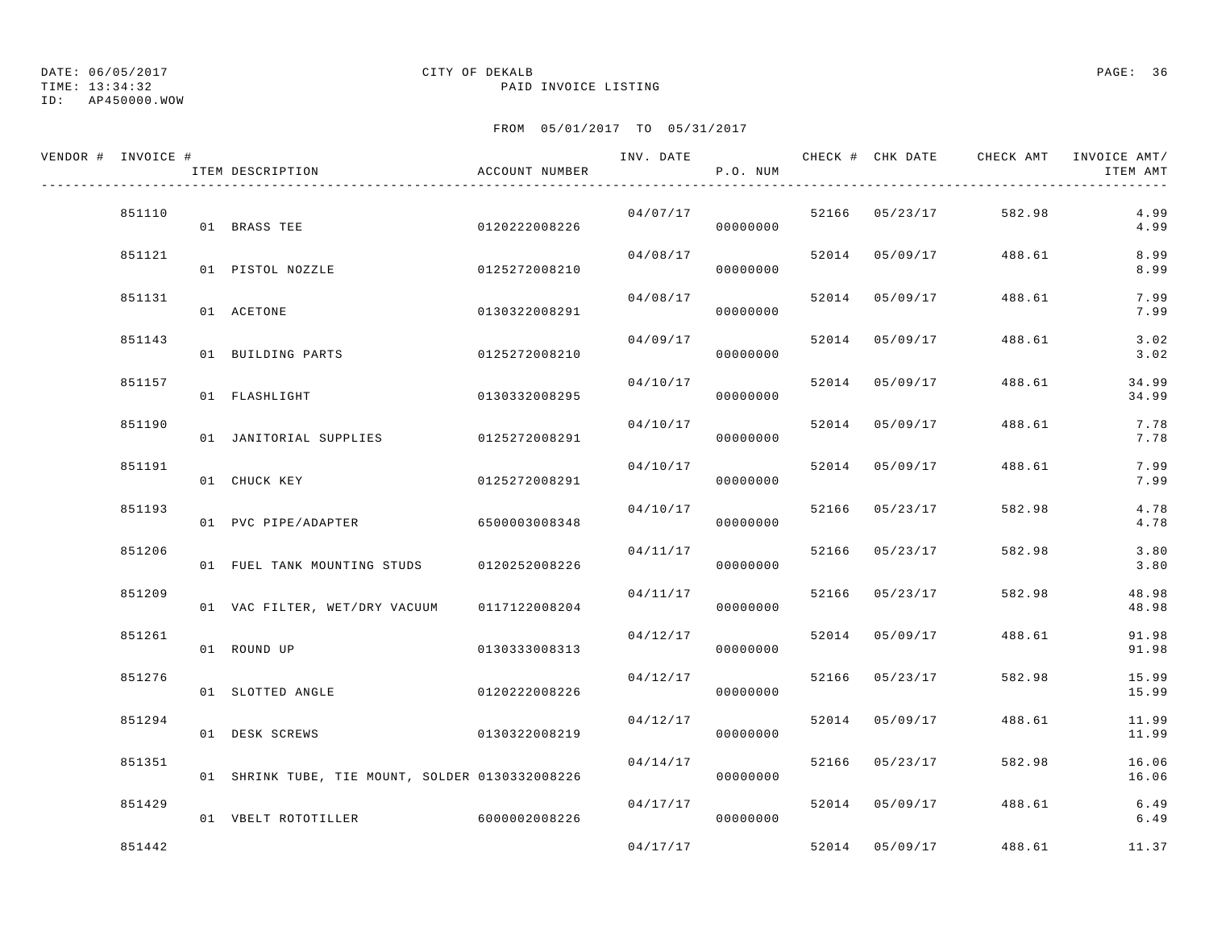TIME: 13:34:32 PAID INVOICE LISTING

ID: AP450000.WOW

| VENDOR # INVOICE # | ITEM DESCRIPTION                                | ACCOUNT NUMBER | INV. DATE | P.O. NUM |       |                | CHECK # CHK DATE CHECK AMT | INVOICE AMT/<br>ITEM AMT |
|--------------------|-------------------------------------------------|----------------|-----------|----------|-------|----------------|----------------------------|--------------------------|
| 851110             | 01 BRASS TEE                                    | 0120222008226  | 04/07/17  | 00000000 |       | 52166 05/23/17 | 582.98                     | 4.99<br>4.99             |
| 851121             | 01 PISTOL NOZZLE                                | 0125272008210  | 04/08/17  | 00000000 |       | 52014 05/09/17 | 488.61                     | 8.99<br>8.99             |
| 851131             | 01 ACETONE                                      | 0130322008291  | 04/08/17  | 00000000 |       | 52014 05/09/17 | 488.61                     | 7.99<br>7.99             |
| 851143             | 01 BUILDING PARTS                               | 0125272008210  | 04/09/17  | 00000000 | 52014 | 05/09/17       | 488.61                     | 3.02<br>3.02             |
| 851157             | 01 FLASHLIGHT                                   | 0130332008295  | 04/10/17  | 00000000 | 52014 | 05/09/17       | 488.61                     | 34.99<br>34.99           |
| 851190             | 01 JANITORIAL SUPPLIES                          | 0125272008291  | 04/10/17  | 00000000 |       | 52014 05/09/17 | 488.61                     | 7.78<br>7.78             |
| 851191             | 01 CHUCK KEY                                    | 0125272008291  | 04/10/17  | 00000000 |       | 52014 05/09/17 | 488.61                     | 7.99<br>7.99             |
| 851193             | 01 PVC PIPE/ADAPTER                             | 6500003008348  | 04/10/17  | 00000000 |       | 52166 05/23/17 | 582.98                     | 4.78<br>4.78             |
| 851206             | 01 FUEL TANK MOUNTING STUDS 0120252008226       |                | 04/11/17  | 00000000 |       | 52166 05/23/17 | 582.98                     | 3.80<br>3.80             |
| 851209             | 01 VAC FILTER, WET/DRY VACUUM                   | 0117122008204  | 04/11/17  | 00000000 |       | 52166 05/23/17 | 582.98                     | 48.98<br>48.98           |
| 851261             | 01 ROUND UP                                     | 0130333008313  | 04/12/17  | 00000000 |       | 52014 05/09/17 | 488.61                     | 91.98<br>91.98           |
| 851276             | 01 SLOTTED ANGLE                                | 0120222008226  | 04/12/17  | 00000000 |       | 52166 05/23/17 | 582.98                     | 15.99<br>15.99           |
| 851294             | 01 DESK SCREWS                                  | 0130322008219  | 04/12/17  | 00000000 |       | 52014 05/09/17 | 488.61                     | 11.99<br>11.99           |
| 851351             | 01 SHRINK TUBE, TIE MOUNT, SOLDER 0130332008226 |                | 04/14/17  | 00000000 |       | 52166 05/23/17 | 582.98                     | 16.06<br>16.06           |
| 851429             | 01 VBELT ROTOTILLER                             | 6000002008226  | 04/17/17  | 00000000 |       | 52014 05/09/17 | 488.61                     | 6.49<br>6.49             |
| 851442             |                                                 |                | 04/17/17  |          | 52014 | 05/09/17       | 488.61                     | 11.37                    |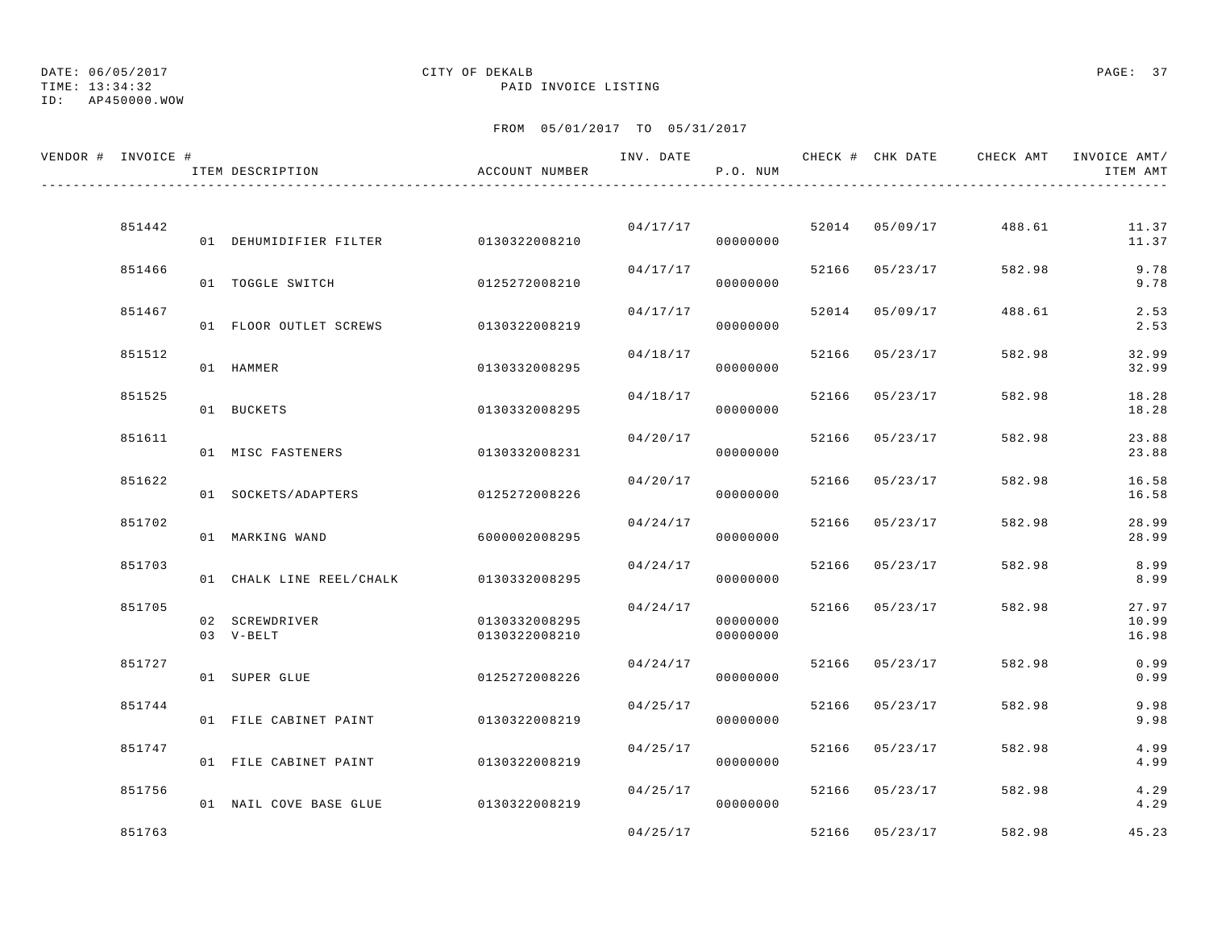TIME: 13:34:32 PAID INVOICE LISTING

ID: AP450000.WOW

| VENDOR # INVOICE # |        | ITEM DESCRIPTION         | ACCOUNT NUMBER | INV. DATE | P.O. NUM             |       | CHECK # CHK DATE | CHECK AMT | INVOICE AMT/<br>ITEM AMT |
|--------------------|--------|--------------------------|----------------|-----------|----------------------|-------|------------------|-----------|--------------------------|
|                    |        |                          |                |           |                      |       |                  |           |                          |
|                    | 851442 | 01 DEHUMIDIFIER FILTER   | 0130322008210  |           | 04/17/17<br>00000000 |       | 52014 05/09/17   | 488.61    | 11.37<br>11.37           |
|                    | 851466 | 01 TOGGLE SWITCH         | 0125272008210  | 04/17/17  | 00000000             |       | 52166 05/23/17   | 582.98    | 9.78<br>9.78             |
|                    | 851467 | 01 FLOOR OUTLET SCREWS   | 0130322008219  | 04/17/17  | 00000000             |       | 52014 05/09/17   | 488.61    | 2.53<br>2.53             |
|                    | 851512 | 01 HAMMER                | 0130332008295  | 04/18/17  | 00000000             | 52166 | 05/23/17         | 582.98    | 32.99<br>32.99           |
|                    | 851525 | 01 BUCKETS               | 0130332008295  | 04/18/17  | 00000000             | 52166 | 05/23/17         | 582.98    | 18.28<br>18.28           |
|                    | 851611 | 01 MISC FASTENERS        | 0130332008231  | 04/20/17  | 00000000             |       | 52166 05/23/17   | 582.98    | 23.88<br>23.88           |
|                    | 851622 | 01 SOCKETS/ADAPTERS      | 0125272008226  | 04/20/17  | 00000000             |       | 52166 05/23/17   | 582.98    | 16.58<br>16.58           |
|                    | 851702 | 01 MARKING WAND          | 6000002008295  | 04/24/17  | 00000000             | 52166 | 05/23/17         | 582.98    | 28.99<br>28.99           |
|                    | 851703 | 01 CHALK LINE REEL/CHALK | 0130332008295  | 04/24/17  | 00000000             |       | 52166 05/23/17   | 582.98    | 8.99<br>8.99             |
|                    | 851705 | 02 SCREWDRIVER           | 0130332008295  | 04/24/17  | 00000000             |       | 52166 05/23/17   | 582.98    | 27.97<br>10.99           |
|                    | 851727 | 03 V-BELT                | 0130322008210  | 04/24/17  | 00000000             |       | 52166 05/23/17   | 582.98    | 16.98<br>0.99            |
|                    | 851744 | 01 SUPER GLUE            | 0125272008226  | 04/25/17  | 00000000             | 52166 | 05/23/17         | 582.98    | 0.99<br>9.98             |
|                    | 851747 | 01 FILE CABINET PAINT    | 0130322008219  | 04/25/17  | 00000000             |       | 52166 05/23/17   | 582.98    | 9.98<br>4.99             |
|                    | 851756 | 01 FILE CABINET PAINT    | 0130322008219  | 04/25/17  | 00000000             |       | 52166 05/23/17   | 582.98    | 4.99<br>4.29             |
|                    | 851763 | 01 NAIL COVE BASE GLUE   | 0130322008219  | 04/25/17  | 00000000             |       | 52166 05/23/17   | 582.98    | 4.29<br>45.23            |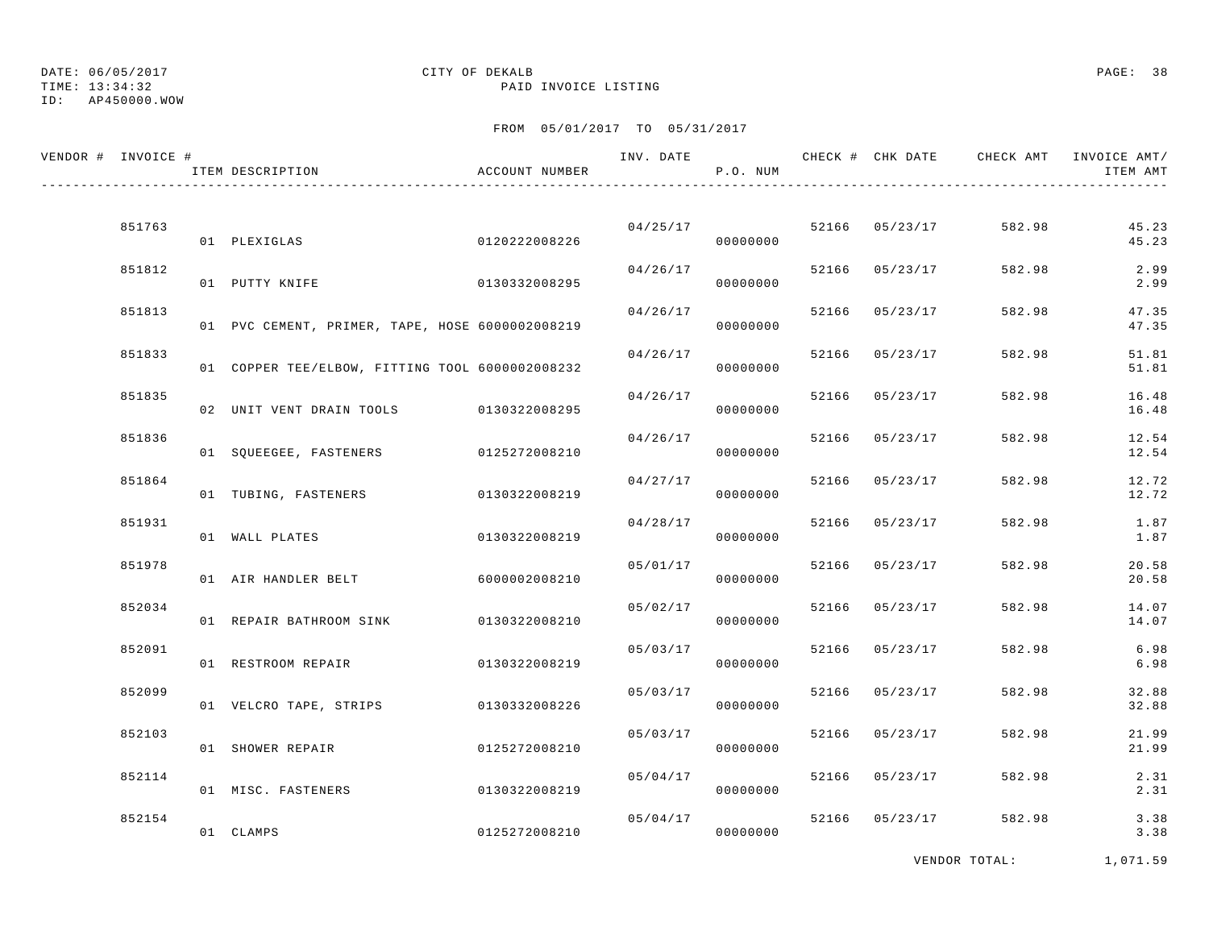TIME: 13:34:32 PAID INVOICE LISTING

ID: AP450000.WOW

## FROM 05/01/2017 TO 05/31/2017

| VENDOR # INVOICE # | ITEM DESCRIPTION                                | ACCOUNT NUMBER |          | P.O. NUM |       |                |        | ITEM AMT       |
|--------------------|-------------------------------------------------|----------------|----------|----------|-------|----------------|--------|----------------|
| 851763             | 01 PLEXIGLAS                                    | 0120222008226  | 04/25/17 | 00000000 |       | 52166 05/23/17 | 582.98 | 45.23<br>45.23 |
| 851812             | 01 PUTTY KNIFE                                  | 0130332008295  | 04/26/17 | 00000000 |       | 52166 05/23/17 | 582.98 | 2.99<br>2.99   |
| 851813             | 01 PVC CEMENT, PRIMER, TAPE, HOSE 6000002008219 |                | 04/26/17 | 00000000 |       | 52166 05/23/17 | 582.98 | 47.35<br>47.35 |
| 851833             | 01 COPPER TEE/ELBOW, FITTING TOOL 6000002008232 |                | 04/26/17 | 00000000 |       | 52166 05/23/17 | 582.98 | 51.81<br>51.81 |
| 851835             | 02 UNIT VENT DRAIN TOOLS 0130322008295          |                | 04/26/17 | 00000000 | 52166 | 05/23/17       | 582.98 | 16.48<br>16.48 |
| 851836             | 01 SQUEEGEE, FASTENERS 0125272008210            |                | 04/26/17 | 00000000 |       | 52166 05/23/17 | 582.98 | 12.54<br>12.54 |
| 851864             | 01 TUBING, FASTENERS 0130322008219              |                | 04/27/17 | 00000000 |       | 52166 05/23/17 | 582.98 | 12.72<br>12.72 |
| 851931             | 01 WALL PLATES                                  | 0130322008219  | 04/28/17 | 00000000 | 52166 | 05/23/17       | 582.98 | 1.87<br>1.87   |
| 851978             | 01 AIR HANDLER BELT                             | 6000002008210  | 05/01/17 | 00000000 | 52166 | 05/23/17       | 582.98 | 20.58<br>20.58 |
| 852034             | 01 REPAIR BATHROOM SINK                         | 0130322008210  | 05/02/17 | 00000000 | 52166 | 05/23/17       | 582.98 | 14.07<br>14.07 |
| 852091             | 01 RESTROOM REPAIR                              | 0130322008219  | 05/03/17 | 00000000 |       | 52166 05/23/17 | 582.98 | 6.98<br>6.98   |
| 852099             | 01 VELCRO TAPE, STRIPS 0130332008226            |                | 05/03/17 | 00000000 |       | 52166 05/23/17 | 582.98 | 32.88<br>32.88 |
| 852103             | 01 SHOWER REPAIR                                | 0125272008210  | 05/03/17 | 00000000 | 52166 | 05/23/17       | 582.98 | 21.99<br>21.99 |
| 852114             | 01 MISC. FASTENERS                              | 0130322008219  | 05/04/17 | 00000000 |       | 52166 05/23/17 | 582.98 | 2.31<br>2.31   |
| 852154             | 01 CLAMPS                                       | 0125272008210  | 05/04/17 | 00000000 |       | 52166 05/23/17 | 582.98 | 3.38<br>3.38   |
|                    |                                                 |                |          |          |       |                |        |                |

VENDOR TOTAL: 1,071.59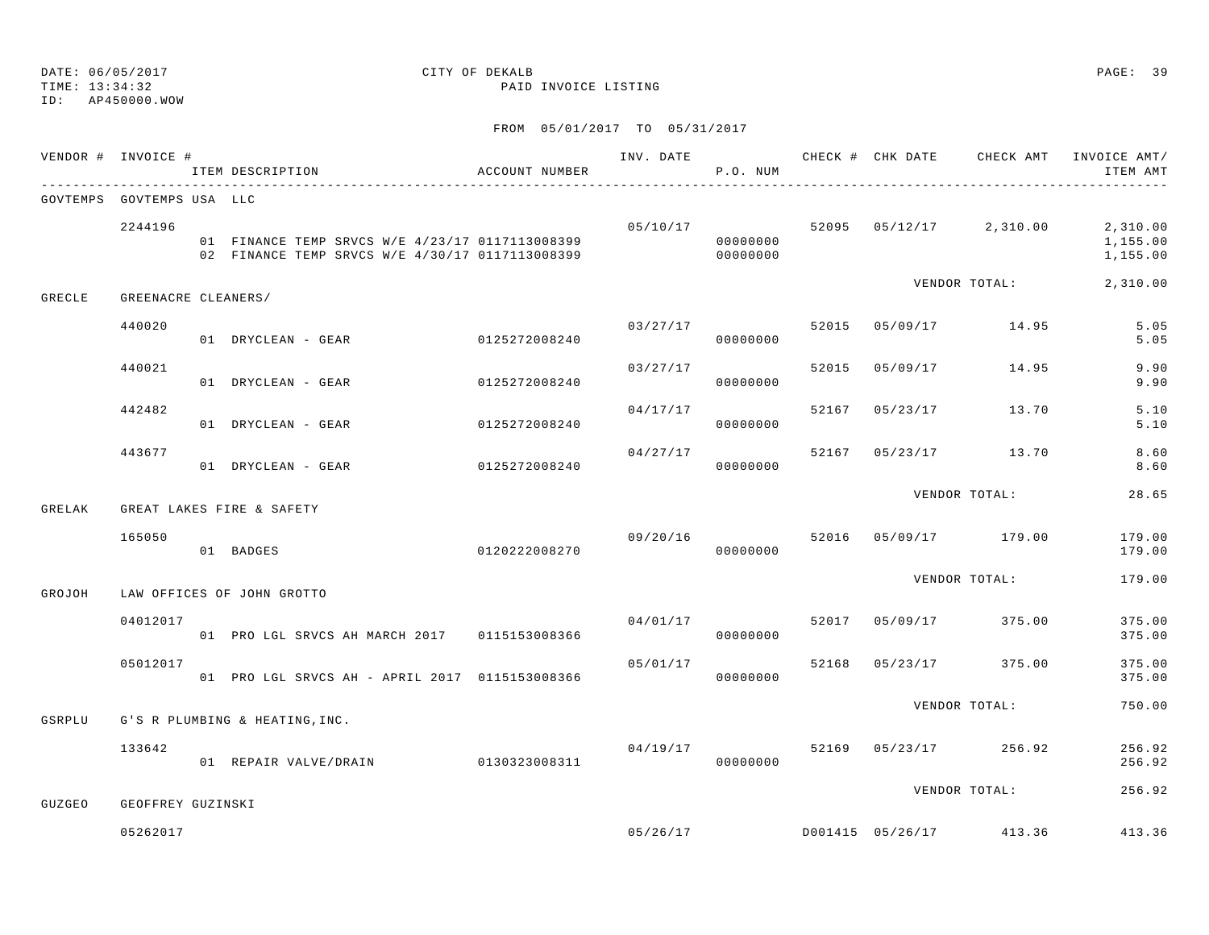## ID: AP450000.WOW

### DATE: 06/05/2017 CITY OF DEKALB PAGE: 39 TIME: 13:34:32 PAID INVOICE LISTING

|        | VENDOR # INVOICE #        | ITEM DESCRIPTION                                                                                   | ACCOUNT NUMBER | INV. DATE | P.O. NUM             |       |          | CHECK # CHK DATE CHECK AMT              | INVOICE AMT/<br>ITEM AMT         |
|--------|---------------------------|----------------------------------------------------------------------------------------------------|----------------|-----------|----------------------|-------|----------|-----------------------------------------|----------------------------------|
|        | GOVTEMPS GOVTEMPS USA LLC |                                                                                                    |                |           |                      |       |          |                                         |                                  |
|        | 2244196                   | 01 FINANCE TEMP SRVCS W/E 4/23/17 0117113008399<br>02 FINANCE TEMP SRVCS W/E 4/30/17 0117113008399 |                |           | 00000000<br>00000000 |       |          | $05/10/17$ 52095 $05/12/17$ 2,310.00    | 2,310.00<br>1,155.00<br>1,155.00 |
| GRECLE | GREENACRE CLEANERS/       |                                                                                                    |                |           |                      |       |          | VENDOR TOTAL:                           | 2,310.00                         |
|        | 440020                    | 01 DRYCLEAN - GEAR                                                                                 | 0125272008240  |           | 03/27/17<br>00000000 |       |          | 52015 05/09/17 14.95                    | 5.05<br>5.05                     |
|        | 440021                    | 01 DRYCLEAN - GEAR                                                                                 | 0125272008240  | 03/27/17  | 00000000             | 52015 | 05/09/17 | 14.95                                   | 9.90<br>9.90                     |
|        | 442482                    | 01 DRYCLEAN - GEAR                                                                                 | 0125272008240  |           | 04/17/17<br>00000000 | 52167 |          | 05/23/17 13.70                          | 5.10<br>5.10                     |
|        | 443677                    | 01 DRYCLEAN - GEAR                                                                                 | 0125272008240  | 04/27/17  | 00000000             | 52167 |          | 05/23/17 13.70                          | 8.60<br>8.60                     |
| GRELAK |                           | GREAT LAKES FIRE & SAFETY                                                                          |                |           |                      |       |          | VENDOR TOTAL:                           | 28.65                            |
|        | 165050                    | 01 BADGES                                                                                          | 0120222008270  | 09/20/16  | 00000000             |       |          | 52016 05/09/17 179.00                   | 179.00<br>179.00                 |
| GROJOH |                           | LAW OFFICES OF JOHN GROTTO                                                                         |                |           |                      |       |          | VENDOR TOTAL:                           | 179.00                           |
|        | 04012017                  | 01 PRO LGL SRVCS AH MARCH 2017 0115153008366                                                       |                | 04/01/17  | 00000000             |       |          | 52017 05/09/17 375.00                   | 375.00<br>375.00                 |
|        | 05012017                  | 01 PRO LGL SRVCS AH - APRIL 2017 0115153008366                                                     |                | 05/01/17  | 00000000             | 52168 |          | 05/23/17 375.00                         | 375.00<br>375.00                 |
| GSRPLU |                           | G'S R PLUMBING & HEATING, INC.                                                                     |                |           |                      |       |          | VENDOR TOTAL:                           | 750.00                           |
|        | 133642                    | 01 REPAIR VALVE/DRAIN                                                                              | 0130323008311  | 04/19/17  | 00000000             |       |          | 52169 05/23/17 256.92                   | 256.92<br>256.92                 |
| GUZGEO | GEOFFREY GUZINSKI         |                                                                                                    |                |           |                      |       |          | VENDOR TOTAL:                           | 256.92                           |
|        | 05262017                  |                                                                                                    |                |           |                      |       |          | 05/26/17 113.36 D001415 05/26/17 413.36 | 413.36                           |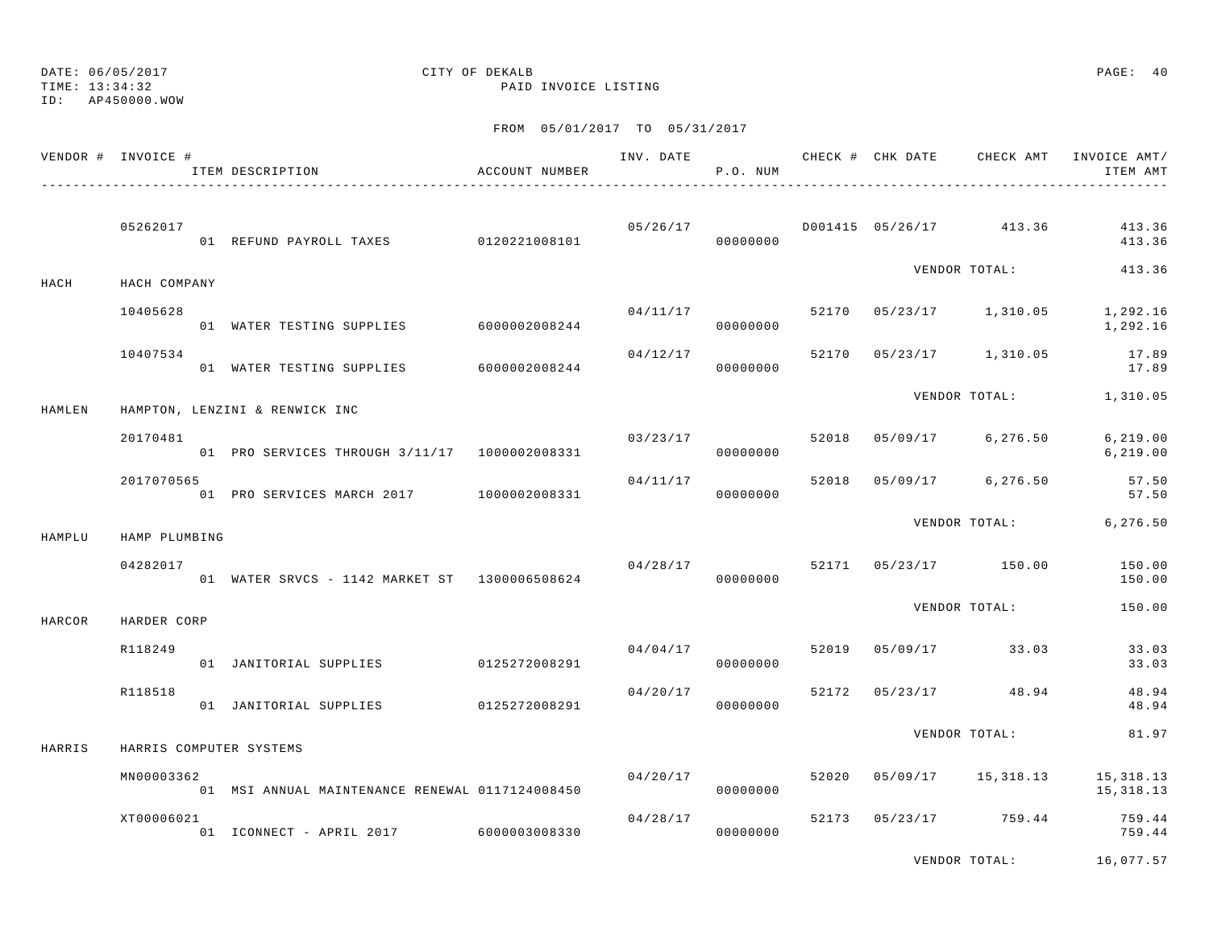TIME: 13:34:32 PAID INVOICE LISTING

ID: AP450000.WOW

|        | VENDOR # INVOICE # | ITEM DESCRIPTION                                | ACCOUNT NUMBER |          | P.O. NUM             |       |                |                                    | INV. DATE 6 CHECK # CHK DATE CHECK AMT INVOICE AMT/<br>ITEM AMT |
|--------|--------------------|-------------------------------------------------|----------------|----------|----------------------|-------|----------------|------------------------------------|-----------------------------------------------------------------|
|        | 05262017           | 01 REFUND PAYROLL TAXES 0120221008101           |                | 05/26/17 | 00000000             |       |                | D001415 05/26/17 413.36            | 413.36<br>413.36                                                |
| HACH   | HACH COMPANY       |                                                 |                |          |                      |       |                |                                    | VENDOR TOTAL: 413.36                                            |
|        | 10405628           | 01 WATER TESTING SUPPLIES 6000002008244         |                |          | 00000000             |       |                | $04/11/17$ 52170 05/23/17 1,310.05 | 1,292.16<br>1,292.16                                            |
|        | 10407534           | 01 WATER TESTING SUPPLIES                       | 6000002008244  | 04/12/17 | 00000000             |       |                | 52170 05/23/17 1,310.05            | 17.89<br>17.89                                                  |
| HAMLEN |                    | HAMPTON, LENZINI & RENWICK INC                  |                |          |                      |       |                | VENDOR TOTAL:                      | 1,310.05                                                        |
|        | 20170481           | 01 PRO SERVICES THROUGH 3/11/17  1000002008331  |                |          | 03/23/17<br>00000000 | 52018 |                | 05/09/17 6,276.50                  | 6, 219.00<br>6,219.00                                           |
|        | 2017070565         | 01 PRO SERVICES MARCH 2017 1000002008331        |                | 04/11/17 | 00000000             |       | 52018 05/09/17 | 6,276.50                           | 57.50<br>57.50                                                  |
| HAMPLU | HAMP PLUMBING      |                                                 |                |          |                      |       |                | VENDOR TOTAL:                      | 6,276.50                                                        |
|        | 04282017           | 01 WATER SRVCS - 1142 MARKET ST 1300006508624   |                | 04/28/17 | 00000000             |       |                | 52171 05/23/17 150.00              | 150.00<br>150.00                                                |
| HARCOR | HARDER CORP        |                                                 |                |          |                      |       |                | VENDOR TOTAL:                      | 150.00                                                          |
|        | R118249            | 01 JANITORIAL SUPPLIES 0125272008291            |                |          | 04/04/17<br>00000000 | 52019 |                | $05/09/17$ 33.03                   | 33.03<br>33.03                                                  |
|        | R118518            | 01 JANITORIAL SUPPLIES                          | 0125272008291  | 04/20/17 | 00000000             |       |                | 52172 05/23/17 48.94               | 48.94<br>48.94                                                  |
| HARRIS |                    | HARRIS COMPUTER SYSTEMS                         |                |          |                      |       |                | VENDOR TOTAL:                      | 81.97                                                           |
|        | MN00003362         | 01 MSI ANNUAL MAINTENANCE RENEWAL 0117124008450 |                | 04/20/17 | 00000000             | 52020 |                |                                    | 05/09/17 15,318.13 15,318.13<br>15,318.13                       |
|        | XT00006021         | 01 ICONNECT - APRIL 2017 6000003008330          |                | 04/28/17 | 00000000             |       |                | 52173 05/23/17 759.44              | 759.44<br>759.44                                                |
|        |                    |                                                 |                |          |                      |       |                | VENDOR TOTAL:                      | 16,077.57                                                       |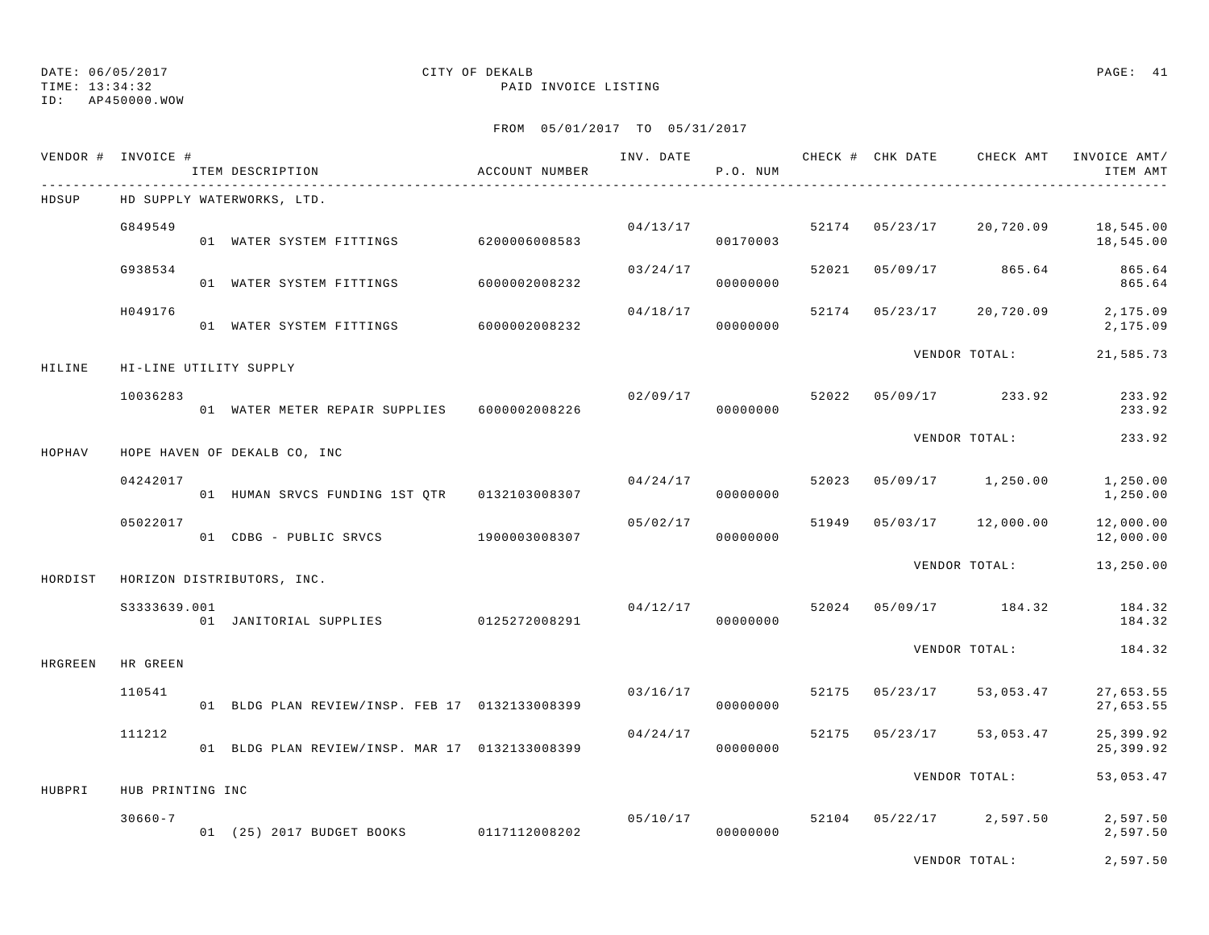TIME: 13:34:32 PAID INVOICE LISTING

ID: AP450000.WOW

|         | VENDOR # INVOICE # | ITEM DESCRIPTION                               | ACCOUNT NUMBER |          | P.O. NUM             |       |          |                            | INV. DATE 6 CHECK # CHK DATE CHECK AMT INVOICE AMT/<br>ITEM AMT |
|---------|--------------------|------------------------------------------------|----------------|----------|----------------------|-------|----------|----------------------------|-----------------------------------------------------------------|
| HDSUP   |                    | HD SUPPLY WATERWORKS, LTD.                     |                |          |                      |       |          |                            |                                                                 |
|         | G849549            | 01 WATER SYSTEM FITTINGS 6200006008583         |                |          | 04/13/17<br>00170003 |       |          | 52174 05/23/17 20,720.09   | 18,545.00<br>18,545.00                                          |
|         | G938534            | 01 WATER SYSTEM FITTINGS 6000002008232         |                | 03/24/17 | 00000000             | 52021 |          | 05/09/17 865.64            | 865.64<br>865.64                                                |
|         | H049176            | 01 WATER SYSTEM FITTINGS 6000002008232         |                | 04/18/17 | 00000000             |       |          | 52174 05/23/17 20,720.09   | 2,175.09<br>2,175.09                                            |
| HILINE  |                    | HI-LINE UTILITY SUPPLY                         |                |          |                      |       |          | VENDOR TOTAL:              | 21,585.73                                                       |
|         | 10036283           | 01 WATER METER REPAIR SUPPLIES 6000002008226   |                | 02/09/17 | 00000000             |       |          | 52022 05/09/17 233.92      | 233.92<br>233.92                                                |
| HOPHAV  |                    | HOPE HAVEN OF DEKALB CO, INC                   |                |          |                      |       |          | VENDOR TOTAL:              | 233.92                                                          |
|         | 04242017           | 01 HUMAN SRVCS FUNDING 1ST QTR 0132103008307   |                | 04/24/17 | 00000000             | 52023 |          | 05/09/17 1,250.00          | 1,250.00<br>1,250.00                                            |
|         | 05022017           | 01 CDBG - PUBLIC SRVCS 1900003008307           |                | 05/02/17 | 00000000             |       |          | 51949  05/03/17  12,000.00 | 12,000.00<br>12,000.00                                          |
| HORDIST |                    | HORIZON DISTRIBUTORS, INC.                     |                |          |                      |       |          | VENDOR TOTAL:              | 13,250.00                                                       |
|         | S3333639.001       | 01 JANITORIAL SUPPLIES 0125272008291           |                | 04/12/17 | 00000000             |       |          | 52024 05/09/17 184.32      | 184.32<br>184.32                                                |
| HRGREEN | HR GREEN           |                                                |                |          |                      |       |          | VENDOR TOTAL:              | 184.32                                                          |
|         | 110541             | 01 BLDG PLAN REVIEW/INSP. FEB 17 0132133008399 |                | 03/16/17 | 00000000             | 52175 | 05/23/17 | 53,053.47                  | 27,653.55<br>27,653.55                                          |
|         | 111212             | 01 BLDG PLAN REVIEW/INSP. MAR 17 0132133008399 |                | 04/24/17 | 00000000             |       |          | 52175 05/23/17 53,053.47   | 25,399.92<br>25,399.92                                          |
| HUBPRI  | HUB PRINTING INC   |                                                |                |          |                      |       |          | VENDOR TOTAL:              | 53,053.47                                                       |
|         | $30660 - 7$        | 01 (25) 2017 BUDGET BOOKS 0117112008202        |                |          | 05/10/17<br>00000000 |       |          | 52104 05/22/17 2,597.50    | 2,597.50<br>2,597.50                                            |
|         |                    |                                                |                |          |                      |       |          | VENDOR TOTAL:              | 2,597.50                                                        |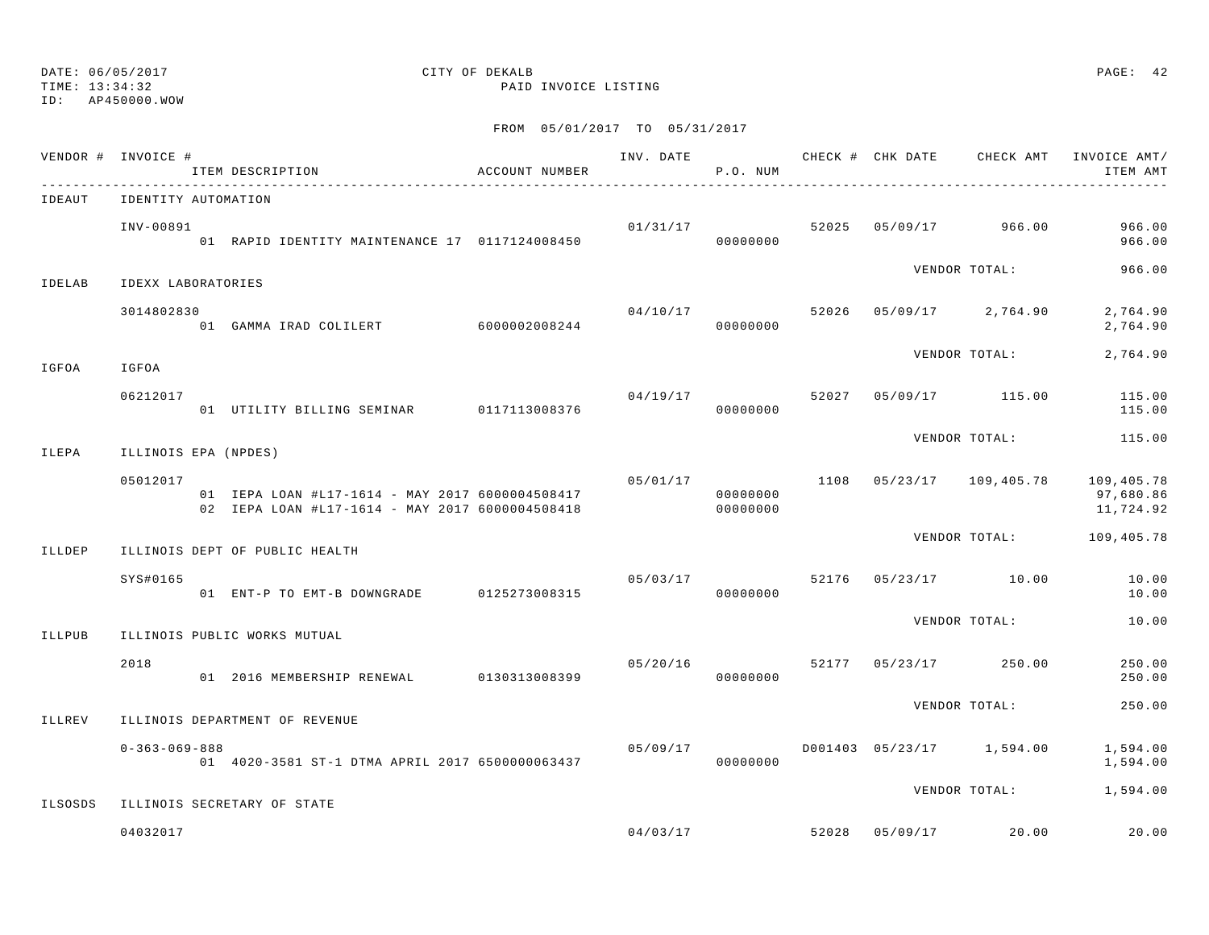TIME: 13:34:32 PAID INVOICE LISTING

ID: AP450000.WOW

|               | VENDOR # INVOICE #    | ITEM DESCRIPTION<br>---------------------------------                                              | ACCOUNT NUMBER |                | P.O. NUM             |  | INV. DATE 6 7 20 20 CHECK # CHK DATE 6 CHECK AMT INVOICE AMT | ITEM AMT               |
|---------------|-----------------------|----------------------------------------------------------------------------------------------------|----------------|----------------|----------------------|--|--------------------------------------------------------------|------------------------|
| IDEAUT        | IDENTITY AUTOMATION   |                                                                                                    |                |                |                      |  |                                                              |                        |
|               | INV-00891             | 01 RAPID IDENTITY MAINTENANCE 17 0117124008450                                                     |                |                | 000000000            |  | $01/31/17$ $52025$ $05/09/17$ $966.00$                       | 966.00<br>966.00       |
| <b>IDELAB</b> | IDEXX LABORATORIES    |                                                                                                    |                |                |                      |  | VENDOR TOTAL:                                                | 966.00                 |
|               | 3014802830            | 01 GAMMA IRAD COLILERT 6000002008244                                                               |                | 04/10/17       | 00000000             |  | 52026 05/09/17 2,764.90                                      | 2,764.90<br>2,764.90   |
| IGFOA         | IGFOA                 |                                                                                                    |                |                |                      |  | VENDOR TOTAL:                                                | 2,764.90               |
|               | 06212017              | 01 UTILITY BILLING SEMINAR 0117113008376                                                           |                | 04/19/17 52027 | 00000000             |  | 05/09/17 115.00                                              | 115.00<br>115.00       |
| ILEPA         | ILLINOIS EPA (NPDES)  |                                                                                                    |                |                |                      |  | VENDOR TOTAL:                                                | 115.00                 |
|               | 05012017              | 01 IEPA LOAN #L17-1614 - MAY 2017 6000004508417<br>02 IEPA LOAN #L17-1614 - MAY 2017 6000004508418 |                | 05/01/17       | 00000000<br>00000000 |  | $1108$ $05/23/17$ $109,405.78$ $109,405.78$                  | 97,680.86<br>11,724.92 |
| ILLDEP        |                       | ILLINOIS DEPT OF PUBLIC HEALTH                                                                     |                |                |                      |  | VENDOR TOTAL:                                                | 109,405.78             |
|               | SYS#0165              | 01 ENT-P TO EMT-B DOWNGRADE 0125273008315                                                          |                |                | 00000000             |  | $05/03/17$ 52176 05/23/17 10.00                              | 10.00<br>10.00         |
| ILLPUB        |                       | ILLINOIS PUBLIC WORKS MUTUAL                                                                       |                |                |                      |  | VENDOR TOTAL:                                                | 10.00                  |
|               | 2018                  | 01 2016 MEMBERSHIP RENEWAL 0130313008399                                                           |                | 05/20/16       | 00000000             |  | 52177 05/23/17 250.00                                        | 250.00<br>250.00       |
| <b>ILLREV</b> |                       | ILLINOIS DEPARTMENT OF REVENUE                                                                     |                |                |                      |  | VENDOR TOTAL:                                                | 250.00                 |
|               | $0 - 363 - 069 - 888$ | 01 4020-3581 ST-1 DTMA APRIL 2017 6500000063437                                                    |                | 05/09/17       | 00000000             |  | D001403 05/23/17 1,594.00                                    | 1,594.00<br>1,594.00   |
| ILSOSDS       |                       | ILLINOIS SECRETARY OF STATE                                                                        |                |                |                      |  | VENDOR TOTAL: 1,594.00                                       |                        |
|               | 04032017              |                                                                                                    |                |                |                      |  | $04/03/17$ 52028 05/09/17 20.00                              | 20.00                  |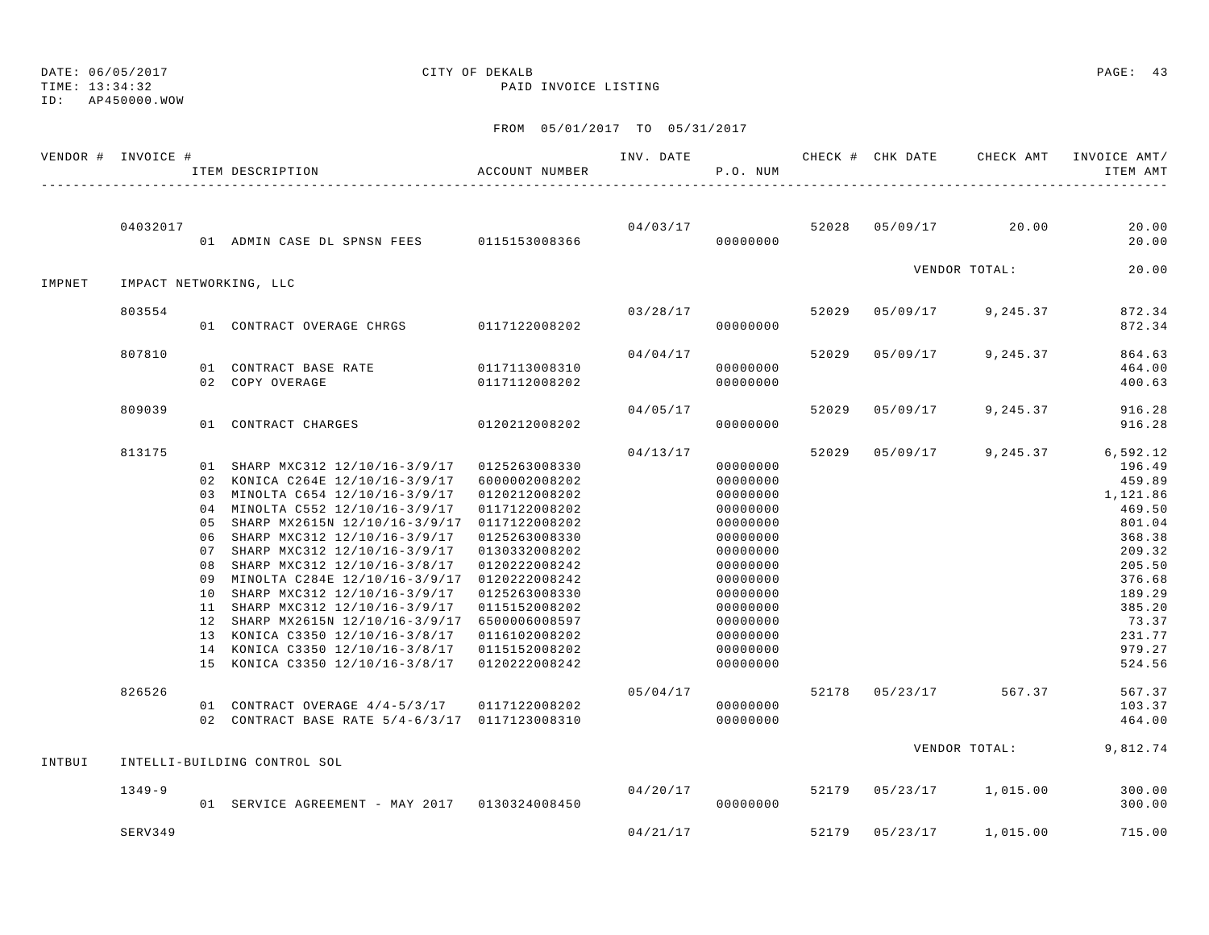TIME: 13:34:32 PAID INVOICE LISTING

ID: AP450000.WOW

|        | VENDOR # INVOICE # |                                                          | ITEM DESCRIPTION                                                                                                                                                                                                                                                                                                                                                                                                                                                                                               | ACCOUNT NUMBER                                                                                                                                                                                                                                              | INV. DATE | P.O. NUM                                                                                                                                                                         |       | CHECK # CHK DATE | CHECK AMT     | INVOICE AMT/<br>ITEM AMT                                                                                                                                        |
|--------|--------------------|----------------------------------------------------------|----------------------------------------------------------------------------------------------------------------------------------------------------------------------------------------------------------------------------------------------------------------------------------------------------------------------------------------------------------------------------------------------------------------------------------------------------------------------------------------------------------------|-------------------------------------------------------------------------------------------------------------------------------------------------------------------------------------------------------------------------------------------------------------|-----------|----------------------------------------------------------------------------------------------------------------------------------------------------------------------------------|-------|------------------|---------------|-----------------------------------------------------------------------------------------------------------------------------------------------------------------|
|        | 04032017           |                                                          | 01 ADMIN CASE DL SPNSN FEES 0115153008366                                                                                                                                                                                                                                                                                                                                                                                                                                                                      |                                                                                                                                                                                                                                                             | 04/03/17  | 00000000                                                                                                                                                                         | 52028 | 05/09/17         | 20.00         | 20.00<br>20.00                                                                                                                                                  |
| IMPNET |                    |                                                          | IMPACT NETWORKING, LLC                                                                                                                                                                                                                                                                                                                                                                                                                                                                                         |                                                                                                                                                                                                                                                             |           |                                                                                                                                                                                  |       |                  | VENDOR TOTAL: | 20.00                                                                                                                                                           |
|        | 803554             |                                                          | 01 CONTRACT OVERAGE CHRGS                                                                                                                                                                                                                                                                                                                                                                                                                                                                                      | 0117122008202                                                                                                                                                                                                                                               | 03/28/17  | 00000000                                                                                                                                                                         | 52029 | 05/09/17         | 9,245.37      | 872.34<br>872.34                                                                                                                                                |
|        | 807810             |                                                          | 01 CONTRACT BASE RATE<br>02 COPY OVERAGE                                                                                                                                                                                                                                                                                                                                                                                                                                                                       | 0117113008310<br>0117112008202                                                                                                                                                                                                                              | 04/04/17  | 00000000<br>00000000                                                                                                                                                             | 52029 | 05/09/17         | 9,245.37      | 864.63<br>464.00<br>400.63                                                                                                                                      |
|        | 809039             |                                                          | 01 CONTRACT CHARGES                                                                                                                                                                                                                                                                                                                                                                                                                                                                                            | 0120212008202                                                                                                                                                                                                                                               | 04/05/17  | 00000000                                                                                                                                                                         | 52029 | 05/09/17         | 9,245.37      | 916.28<br>916.28                                                                                                                                                |
|        | 813175             | 01<br>05<br>06<br>07<br>08<br>09<br>10<br>11<br>12<br>14 | SHARP MXC312 12/10/16-3/9/17<br>02 KONICA C264E 12/10/16-3/9/17<br>03 MINOLTA C654 12/10/16-3/9/17<br>04 MINOLTA C552 12/10/16-3/9/17<br>SHARP MX2615N 12/10/16-3/9/17<br>SHARP MXC312 12/10/16-3/9/17<br>SHARP MXC312 12/10/16-3/9/17<br>SHARP MXC312 12/10/16-3/8/17<br>MINOLTA C284E 12/10/16-3/9/17<br>SHARP MXC312 12/10/16-3/9/17<br>SHARP MXC312 12/10/16-3/9/17<br>SHARP MX2615N 12/10/16-3/9/17<br>13 KONICA C3350 12/10/16-3/8/17<br>KONICA C3350 12/10/16-3/8/17<br>15 KONICA C3350 12/10/16-3/8/17 | 0125263008330<br>6000002008202<br>0120212008202<br>0117122008202<br>0117122008202<br>0125263008330<br>0130332008202<br>0120222008242<br>0120222008242<br>0125263008330<br>0115152008202<br>6500006008597<br>0116102008202<br>0115152008202<br>0120222008242 | 04/13/17  | 00000000<br>00000000<br>00000000<br>00000000<br>00000000<br>00000000<br>00000000<br>00000000<br>00000000<br>00000000<br>00000000<br>00000000<br>00000000<br>00000000<br>00000000 | 52029 | 05/09/17         | 9,245.37      | 6,592.12<br>196.49<br>459.89<br>1,121.86<br>469.50<br>801.04<br>368.38<br>209.32<br>205.50<br>376.68<br>189.29<br>385.20<br>73.37<br>231.77<br>979.27<br>524.56 |
|        | 826526             |                                                          | 01 CONTRACT OVERAGE 4/4-5/3/17<br>02 CONTRACT BASE RATE 5/4-6/3/17 0117123008310                                                                                                                                                                                                                                                                                                                                                                                                                               | 0117122008202                                                                                                                                                                                                                                               | 05/04/17  | 00000000<br>00000000                                                                                                                                                             | 52178 | 05/23/17         | 567.37        | 567.37<br>103.37<br>464.00                                                                                                                                      |
| INTBUI |                    |                                                          | INTELLI-BUILDING CONTROL SOL                                                                                                                                                                                                                                                                                                                                                                                                                                                                                   |                                                                                                                                                                                                                                                             |           |                                                                                                                                                                                  |       |                  | VENDOR TOTAL: | 9,812.74                                                                                                                                                        |
|        | $1349 - 9$         |                                                          | 01 SERVICE AGREEMENT - MAY 2017 0130324008450                                                                                                                                                                                                                                                                                                                                                                                                                                                                  |                                                                                                                                                                                                                                                             | 04/20/17  | 00000000                                                                                                                                                                         | 52179 | 05/23/17         | 1,015.00      | 300.00<br>300.00                                                                                                                                                |
|        | SERV349            |                                                          |                                                                                                                                                                                                                                                                                                                                                                                                                                                                                                                |                                                                                                                                                                                                                                                             | 04/21/17  |                                                                                                                                                                                  | 52179 | 05/23/17         | 1,015.00      | 715.00                                                                                                                                                          |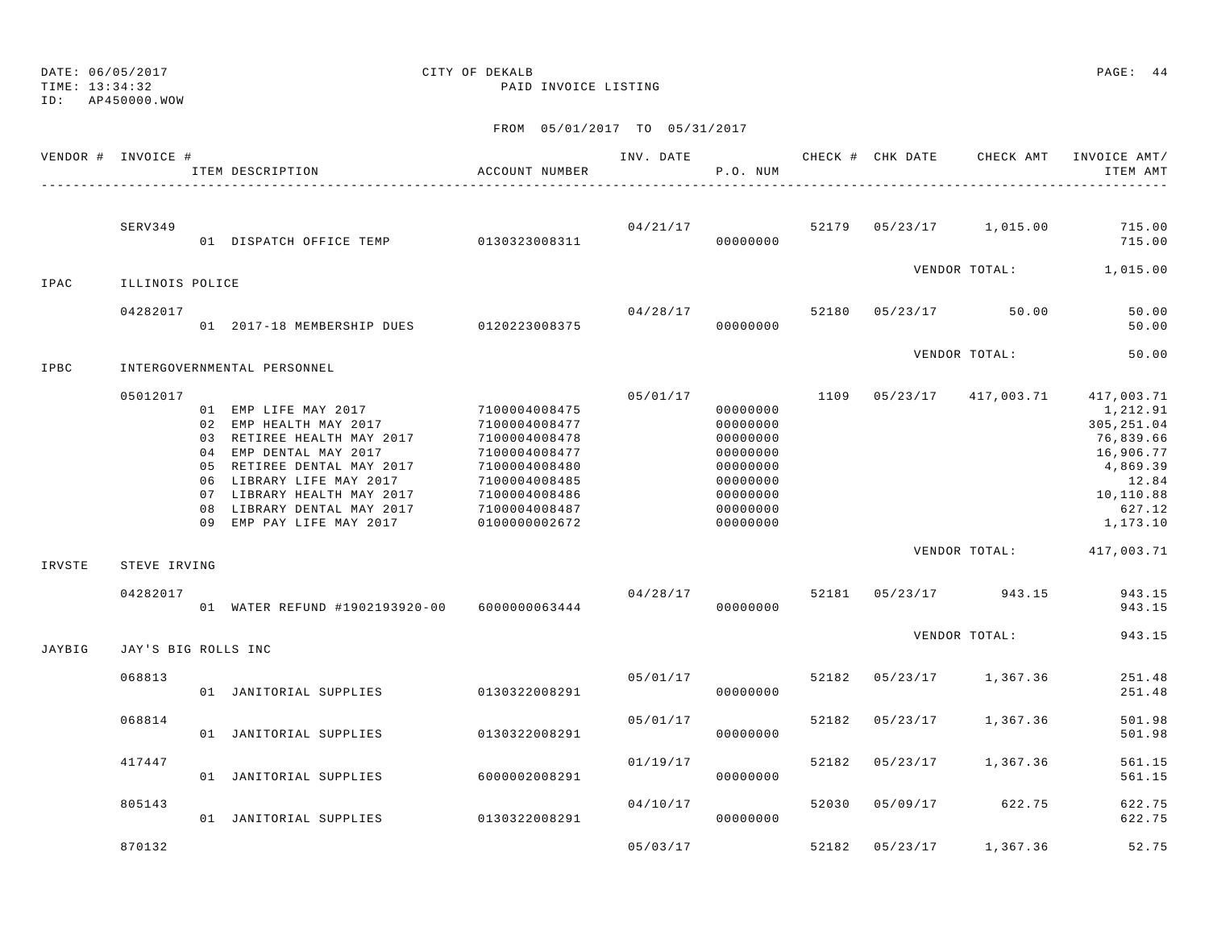TIME: 13:34:32 PAID INVOICE LISTING

ID: AP450000.WOW

|        | VENDOR # INVOICE #  | ITEM DESCRIPTION                                                                                                                                                                                                                                         | ACCOUNT NUMBER                                                                                                                                        | INV. DATE | P.O. NUM                                                                                                 |       | CHECK # CHK DATE | CHECK AMT     | INVOICE AMT/<br>ITEM AMT                                                                                                |
|--------|---------------------|----------------------------------------------------------------------------------------------------------------------------------------------------------------------------------------------------------------------------------------------------------|-------------------------------------------------------------------------------------------------------------------------------------------------------|-----------|----------------------------------------------------------------------------------------------------------|-------|------------------|---------------|-------------------------------------------------------------------------------------------------------------------------|
|        | SERV349             | 01 DISPATCH OFFICE TEMP 0130323008311                                                                                                                                                                                                                    |                                                                                                                                                       | 04/21/17  | 00000000                                                                                                 | 52179 | 05/23/17         | 1,015.00      | 715.00<br>715.00                                                                                                        |
| IPAC   | ILLINOIS POLICE     |                                                                                                                                                                                                                                                          |                                                                                                                                                       |           |                                                                                                          |       |                  | VENDOR TOTAL: | 1,015.00                                                                                                                |
|        | 04282017            | 01 2017-18 MEMBERSHIP DUES                                                                                                                                                                                                                               | 0120223008375                                                                                                                                         | 04/28/17  | 00000000                                                                                                 | 52180 | 05/23/17         | 50.00         | 50.00<br>50.00                                                                                                          |
| IPBC   |                     | INTERGOVERNMENTAL PERSONNEL                                                                                                                                                                                                                              |                                                                                                                                                       |           |                                                                                                          |       |                  | VENDOR TOTAL: | 50.00                                                                                                                   |
|        | 05012017            | 01 EMP LIFE MAY 2017<br>02 EMP HEALTH MAY 2017<br>03 RETIREE HEALTH MAY 2017<br>04 EMP DENTAL MAY 2017<br>05 RETIREE DENTAL MAY 2017<br>06 LIBRARY LIFE MAY 2017<br>07 LIBRARY HEALTH MAY 2017<br>08 LIBRARY DENTAL MAY 2017<br>09 EMP PAY LIFE MAY 2017 | 7100004008475<br>7100004008477<br>7100004008478<br>7100004008477<br>7100004008480<br>7100004008485<br>7100004008486<br>7100004008487<br>0100000002672 | 05/01/17  | 00000000<br>00000000<br>00000000<br>00000000<br>00000000<br>00000000<br>00000000<br>00000000<br>00000000 | 1109  | 05/23/17         | 417,003.71    | 417,003.71<br>1,212.91<br>305, 251.04<br>76,839.66<br>16,906.77<br>4,869.39<br>12.84<br>10,110.88<br>627.12<br>1,173.10 |
| IRVSTE | STEVE IRVING        |                                                                                                                                                                                                                                                          |                                                                                                                                                       |           |                                                                                                          |       |                  | VENDOR TOTAL: | 417,003.71                                                                                                              |
|        | 04282017            | 01 WATER REFUND #1902193920-00                                                                                                                                                                                                                           | 6000000063444                                                                                                                                         | 04/28/17  | 00000000                                                                                                 | 52181 | 05/23/17         | 943.15        | 943.15<br>943.15                                                                                                        |
| JAYBIG | JAY'S BIG ROLLS INC |                                                                                                                                                                                                                                                          |                                                                                                                                                       |           |                                                                                                          |       |                  | VENDOR TOTAL: | 943.15                                                                                                                  |
|        | 068813              | 01 JANITORIAL SUPPLIES                                                                                                                                                                                                                                   | 0130322008291                                                                                                                                         | 05/01/17  | 00000000                                                                                                 | 52182 | 05/23/17         | 1,367.36      | 251.48<br>251.48                                                                                                        |
|        | 068814              | 01 JANITORIAL SUPPLIES                                                                                                                                                                                                                                   | 0130322008291                                                                                                                                         | 05/01/17  | 00000000                                                                                                 | 52182 | 05/23/17         | 1,367.36      | 501.98<br>501.98                                                                                                        |
|        | 417447              | 01 JANITORIAL SUPPLIES                                                                                                                                                                                                                                   | 6000002008291                                                                                                                                         | 01/19/17  | 00000000                                                                                                 | 52182 | 05/23/17         | 1,367.36      | 561.15<br>561.15                                                                                                        |
|        | 805143              | 01 JANITORIAL SUPPLIES                                                                                                                                                                                                                                   | 0130322008291                                                                                                                                         | 04/10/17  | 00000000                                                                                                 | 52030 | 05/09/17         | 622.75        | 622.75<br>622.75                                                                                                        |
|        | 870132              |                                                                                                                                                                                                                                                          |                                                                                                                                                       | 05/03/17  |                                                                                                          | 52182 | 05/23/17         | 1,367.36      | 52.75                                                                                                                   |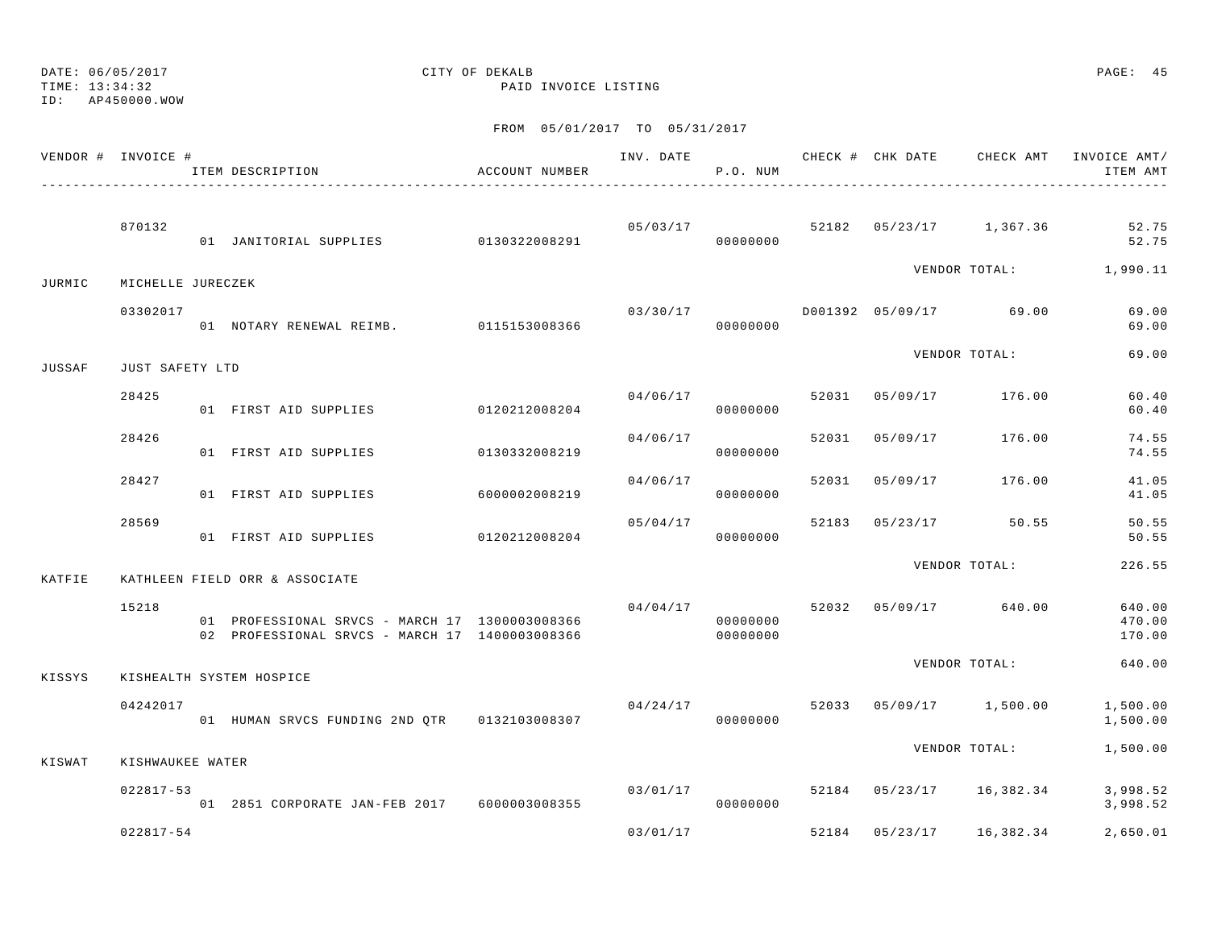TIME: 13:34:32 PAID INVOICE LISTING

ID: AP450000.WOW

|        | VENDOR # INVOICE # | ITEM DESCRIPTION                                                                                 | ACCOUNT NUMBER |          | P.O. NUM             |       | INV. DATE 6 1999 CHECK # CHK DATE 6 CHECK AMT INVOICE AMT | ITEM AMT                   |
|--------|--------------------|--------------------------------------------------------------------------------------------------|----------------|----------|----------------------|-------|-----------------------------------------------------------|----------------------------|
|        |                    |                                                                                                  |                |          |                      |       |                                                           |                            |
|        | 870132             | 01 JANITORIAL SUPPLIES 0130322008291                                                             |                |          | 00000000             |       | $05/03/17$ 52182 $05/23/17$ 1,367.36                      | 52.75<br>52.75             |
| JURMIC | MICHELLE JURECZEK  |                                                                                                  |                |          |                      |       | VENDOR TOTAL: 1,990.11                                    |                            |
|        | 03302017           | 01 NOTARY RENEWAL REIMB. 0115153008366                                                           |                | 03/30/17 | 00000000             |       | D001392 05/09/17 69.00                                    | 69.00<br>69.00             |
| JUSSAF | JUST SAFETY LTD    |                                                                                                  |                |          |                      |       | VENDOR TOTAL:                                             | 69.00                      |
|        | 28425              | 01 FIRST AID SUPPLIES 0120212008204                                                              |                |          | 04/06/17<br>00000000 | 52031 | 05/09/17 176.00                                           | 60.40<br>60.40             |
|        | 28426              | 01 FIRST AID SUPPLIES 0130332008219                                                              |                | 04/06/17 | 00000000             | 52031 | 05/09/17 176.00                                           | 74.55<br>74.55             |
|        | 28427              | 01 FIRST AID SUPPLIES                                                                            | 6000002008219  | 04/06/17 | 00000000             | 52031 | 05/09/17 176.00                                           | 41.05<br>41.05             |
|        | 28569              | 01 FIRST AID SUPPLIES 0120212008204                                                              |                |          | 05/04/17<br>00000000 | 52183 | 05/23/17 50.55                                            | 50.55<br>50.55             |
| KATFIE |                    | KATHLEEN FIELD ORR & ASSOCIATE                                                                   |                |          |                      |       | VENDOR TOTAL:                                             | 226.55                     |
|        | 15218              | 01 PROFESSIONAL SRVCS - MARCH 17 1300003008366<br>02 PROFESSIONAL SRVCS - MARCH 17 1400003008366 |                | 04/04/17 | 00000000<br>00000000 |       | 52032 05/09/17 640.00                                     | 640.00<br>470.00<br>170.00 |
| KISSYS |                    | KISHEALTH SYSTEM HOSPICE                                                                         |                |          |                      |       | VENDOR TOTAL:                                             | 640.00                     |
|        | 04242017           | 01 HUMAN SRVCS FUNDING 2ND OTR 0132103008307                                                     |                | 04/24/17 | 00000000             |       | 52033 05/09/17 1,500.00                                   | 1,500.00<br>1,500.00       |
| KISWAT | KISHWAUKEE WATER   |                                                                                                  |                |          |                      |       | VENDOR TOTAL:                                             | 1,500.00                   |
|        | $022817 - 53$      | 01 2851 CORPORATE JAN-FEB 2017 6000003008355                                                     |                | 03/01/17 | 00000000             |       | 52184 05/23/17 16,382.34                                  | 3,998.52<br>3,998.52       |
|        | $022817 - 54$      |                                                                                                  |                | 03/01/17 |                      |       | 52184 05/23/17 16,382.34                                  | 2,650.01                   |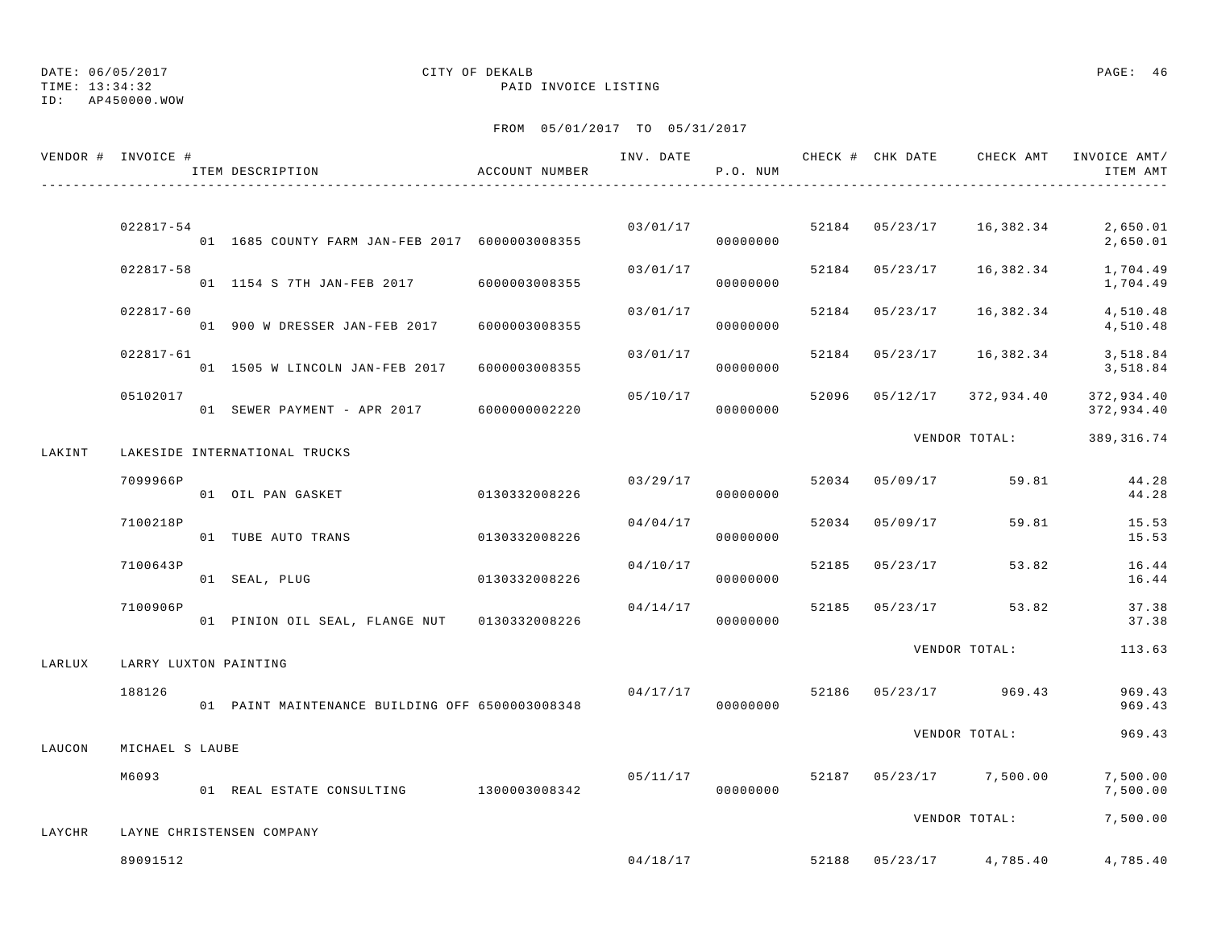TIME: 13:34:32 PAID INVOICE LISTING

ID: AP450000.WOW

|        | VENDOR # INVOICE #    | ITEM DESCRIPTION                                | ACCOUNT NUMBER | INV. DATE | P.O. NUM |       |          | CHECK # CHK DATE GHECK AMT INVOICE AMT/ | ITEM AMT                 |
|--------|-----------------------|-------------------------------------------------|----------------|-----------|----------|-------|----------|-----------------------------------------|--------------------------|
|        |                       |                                                 |                |           |          |       |          |                                         |                          |
|        | 022817-54             | 01 1685 COUNTY FARM JAN-FEB 2017 6000003008355  |                | 03/01/17  | 00000000 | 52184 |          | 05/23/17 16,382.34                      | 2,650.01<br>2,650.01     |
|        | $022817 - 58$         | 01 1154 S 7TH JAN-FEB 2017                      | 6000003008355  | 03/01/17  | 00000000 | 52184 | 05/23/17 | 16,382.34                               | 1,704.49<br>1,704.49     |
|        | 022817-60             | 01 900 W DRESSER JAN-FEB 2017                   | 6000003008355  | 03/01/17  | 00000000 | 52184 | 05/23/17 | 16,382.34                               | 4,510.48<br>4,510.48     |
|        | $022817 - 61$         | 01 1505 W LINCOLN JAN-FEB 2017                  | 6000003008355  | 03/01/17  | 00000000 | 52184 | 05/23/17 | 16,382.34                               | 3,518.84<br>3,518.84     |
|        | 05102017              | 01 SEWER PAYMENT - APR 2017                     | 6000000002220  | 05/10/17  | 00000000 | 52096 | 05/12/17 | 372,934.40                              | 372,934.40<br>372,934.40 |
| LAKINT |                       | LAKESIDE INTERNATIONAL TRUCKS                   |                |           |          |       |          | VENDOR TOTAL:                           | 389,316.74               |
|        | 7099966P              | 01 OIL PAN GASKET                               | 0130332008226  | 03/29/17  | 00000000 | 52034 | 05/09/17 | 59.81                                   | 44.28<br>44.28           |
|        | 7100218P              | 01 TUBE AUTO TRANS                              | 0130332008226  | 04/04/17  | 00000000 | 52034 | 05/09/17 | 59.81                                   | 15.53<br>15.53           |
|        | 7100643P              | 01 SEAL, PLUG                                   | 0130332008226  | 04/10/17  | 00000000 | 52185 | 05/23/17 | 53.82                                   | 16.44<br>16.44           |
|        | 7100906P              | 01 PINION OIL SEAL, FLANGE NUT 0130332008226    |                | 04/14/17  | 00000000 | 52185 |          | $05/23/17$ 53.82                        | 37.38<br>37.38           |
| LARLUX | LARRY LUXTON PAINTING |                                                 |                |           |          |       |          | VENDOR TOTAL:                           | 113.63                   |
|        | 188126                | 01 PAINT MAINTENANCE BUILDING OFF 6500003008348 |                | 04/17/17  | 00000000 | 52186 | 05/23/17 | 969.43                                  | 969.43<br>969.43         |
| LAUCON | MICHAEL S LAUBE       |                                                 |                |           |          |       |          | VENDOR TOTAL:                           | 969.43                   |
|        | M6093                 | 01 REAL ESTATE CONSULTING 1300003008342         |                | 05/11/17  | 00000000 | 52187 |          | $05/23/17$ 7,500.00                     | 7,500.00<br>7,500.00     |
| LAYCHR |                       | LAYNE CHRISTENSEN COMPANY                       |                |           |          |       |          | VENDOR TOTAL:                           | 7,500.00                 |
|        | 89091512              |                                                 |                | 04/18/17  |          | 52188 | 05/23/17 | 4,785.40                                | 4,785.40                 |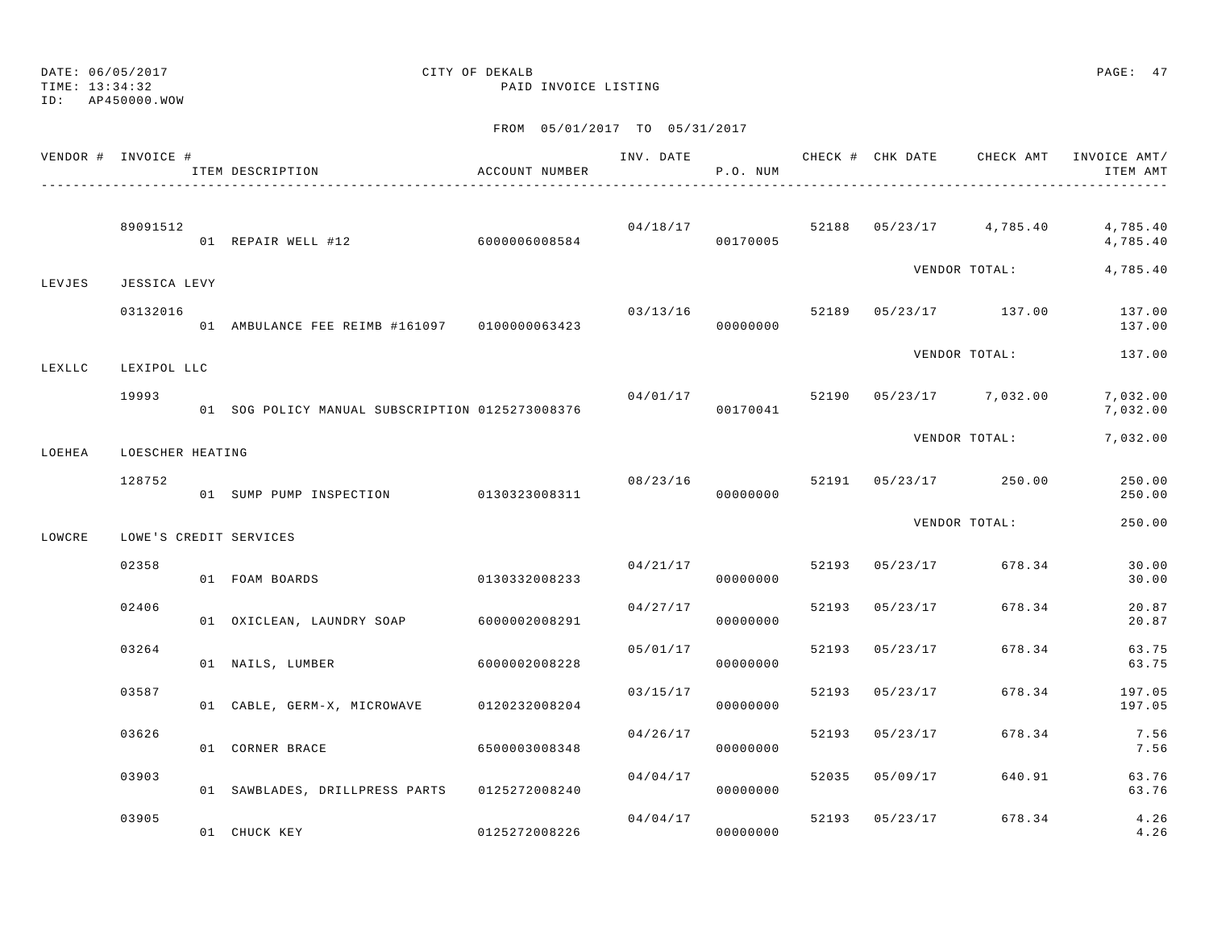DATE: 06/05/2017 CITY OF DEKALB PAGE: 47 TIME: 13:34:32 PAID INVOICE LISTING

ID: AP450000.WOW

|        | VENDOR # INVOICE # | ITEM DESCRIPTION                                | ACCOUNT NUMBER | INV. DATE | P.O. NUM             |       | CHECK # CHK DATE        | CHECK AMT     | INVOICE AMT/<br>ITEM AMT |
|--------|--------------------|-------------------------------------------------|----------------|-----------|----------------------|-------|-------------------------|---------------|--------------------------|
|        | 89091512           | 01 REPAIR WELL #12                              | 6000006008584  | 04/18/17  | 00170005             |       | 52188 05/23/17 4,785.40 |               | 4,785.40<br>4,785.40     |
| LEVJES | JESSICA LEVY       |                                                 |                |           |                      |       |                         | VENDOR TOTAL: | 4,785.40                 |
|        | 03132016           | 01 AMBULANCE FEE REIMB #161097 0100000063423    |                | 03/13/16  | 00000000             |       | 52189 05/23/17 137.00   |               | 137.00<br>137.00         |
| LEXLLC | LEXIPOL LLC        |                                                 |                |           |                      |       |                         | VENDOR TOTAL: | 137.00                   |
|        | 19993              | 01 SOG POLICY MANUAL SUBSCRIPTION 0125273008376 |                |           | 04/01/17<br>00170041 | 52190 | $05/23/17$ 7,032.00     |               | 7,032.00<br>7,032.00     |
| LOEHEA | LOESCHER HEATING   |                                                 |                |           |                      |       |                         | VENDOR TOTAL: | 7,032.00                 |
|        | 128752             | 01 SUMP PUMP INSPECTION 0130323008311           |                | 08/23/16  | 00000000             |       | 52191 05/23/17 250.00   |               | 250.00<br>250.00         |
| LOWCRE |                    | LOWE'S CREDIT SERVICES                          |                |           |                      |       |                         | VENDOR TOTAL: | 250.00                   |
|        | 02358              | 01 FOAM BOARDS                                  | 0130332008233  |           | 04/21/17<br>00000000 | 52193 | 05/23/17                | 678.34        | 30.00<br>30.00           |
|        | 02406              | 01 OXICLEAN, LAUNDRY SOAP                       | 6000002008291  | 04/27/17  | 00000000             | 52193 | 05/23/17                | 678.34        | 20.87<br>20.87           |
|        | 03264              | 01 NAILS, LUMBER                                | 6000002008228  | 05/01/17  | 00000000             | 52193 | 05/23/17                | 678.34        | 63.75<br>63.75           |
|        | 03587              | 01 CABLE, GERM-X, MICROWAVE 0120232008204       |                | 03/15/17  | 00000000             | 52193 | 05/23/17                | 678.34        | 197.05<br>197.05         |
|        | 03626              | 01 CORNER BRACE                                 | 6500003008348  | 04/26/17  | 00000000             | 52193 | 05/23/17                | 678.34        | 7.56<br>7.56             |
|        | 03903              | 01 SAWBLADES, DRILLPRESS PARTS                  | 0125272008240  | 04/04/17  | 00000000             | 52035 | 05/09/17                | 640.91        | 63.76<br>63.76           |
|        | 03905              | 01 CHUCK KEY                                    | 0125272008226  | 04/04/17  | 00000000             | 52193 | 05/23/17                | 678.34        | 4.26<br>4.26             |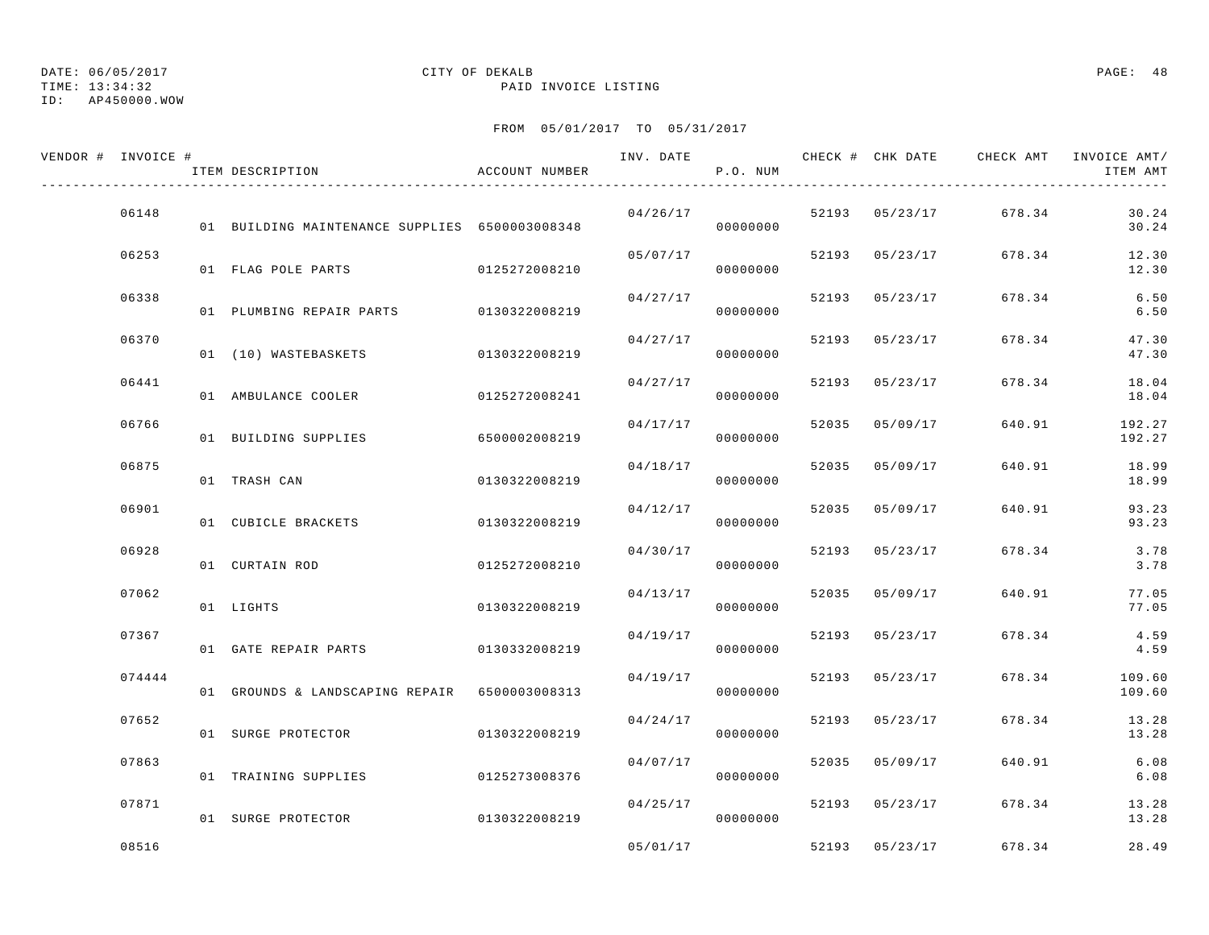## TIME: 13:34:32 PAID INVOICE LISTING

ID: AP450000.WOW

# DATE: 06/05/2017 CITY OF DEKALB PAGE: 48

| VENDOR # INVOICE # | ITEM DESCRIPTION                               | ACCOUNT NUMBER | INV. DATE | P.O. NUM |       |                | CHECK # CHK DATE CHECK AMT | INVOICE AMT/<br>ITEM AMT |
|--------------------|------------------------------------------------|----------------|-----------|----------|-------|----------------|----------------------------|--------------------------|
| 06148              | 01 BUILDING MAINTENANCE SUPPLIES 6500003008348 |                | 04/26/17  | 00000000 |       | 52193 05/23/17 | 678.34                     | 30.24<br>30.24           |
| 06253              | 01 FLAG POLE PARTS                             | 0125272008210  | 05/07/17  | 00000000 |       | 52193 05/23/17 | 678.34                     | 12.30<br>12.30           |
| 06338              | 01 PLUMBING REPAIR PARTS 0130322008219         |                | 04/27/17  | 00000000 |       | 52193 05/23/17 | 678.34                     | 6.50<br>6.50             |
| 06370              | 01 (10) WASTEBASKETS                           | 0130322008219  | 04/27/17  | 00000000 | 52193 | 05/23/17       | 678.34                     | 47.30<br>47.30           |
| 06441              | 01 AMBULANCE COOLER                            | 0125272008241  | 04/27/17  | 00000000 | 52193 | 05/23/17       | 678.34                     | 18.04<br>18.04           |
| 06766              | 01 BUILDING SUPPLIES                           | 6500002008219  | 04/17/17  | 00000000 |       | 52035 05/09/17 | 640.91                     | 192.27<br>192.27         |
| 06875              | 01 TRASH CAN                                   | 0130322008219  | 04/18/17  | 00000000 |       | 52035 05/09/17 | 640.91                     | 18.99<br>18.99           |
| 06901              | 01 CUBICLE BRACKETS                            | 0130322008219  | 04/12/17  | 00000000 | 52035 | 05/09/17       | 640.91                     | 93.23<br>93.23           |
| 06928              | 01 CURTAIN ROD                                 | 0125272008210  | 04/30/17  | 00000000 | 52193 | 05/23/17       | 678.34                     | 3.78<br>3.78             |
| 07062              | 01 LIGHTS                                      | 0130322008219  | 04/13/17  | 00000000 |       | 52035 05/09/17 | 640.91                     | 77.05<br>77.05           |
| 07367              | 01 GATE REPAIR PARTS                           | 0130332008219  | 04/19/17  | 00000000 | 52193 | 05/23/17       | 678.34                     | 4.59<br>4.59             |
| 074444             | 01 GROUNDS & LANDSCAPING REPAIR 6500003008313  |                | 04/19/17  | 00000000 | 52193 | 05/23/17       | 678.34                     | 109.60<br>109.60         |
| 07652              | 01 SURGE PROTECTOR                             | 0130322008219  | 04/24/17  | 00000000 | 52193 | 05/23/17       | 678.34                     | 13.28<br>13.28           |
| 07863              | 01 TRAINING SUPPLIES                           | 0125273008376  | 04/07/17  | 00000000 |       | 52035 05/09/17 | 640.91                     | 6.08<br>6.08             |
| 07871              | 01 SURGE PROTECTOR                             | 0130322008219  | 04/25/17  | 00000000 |       | 52193 05/23/17 | 678.34                     | 13.28<br>13.28           |
| 08516              |                                                |                | 05/01/17  |          |       | 52193 05/23/17 | 678.34                     | 28.49                    |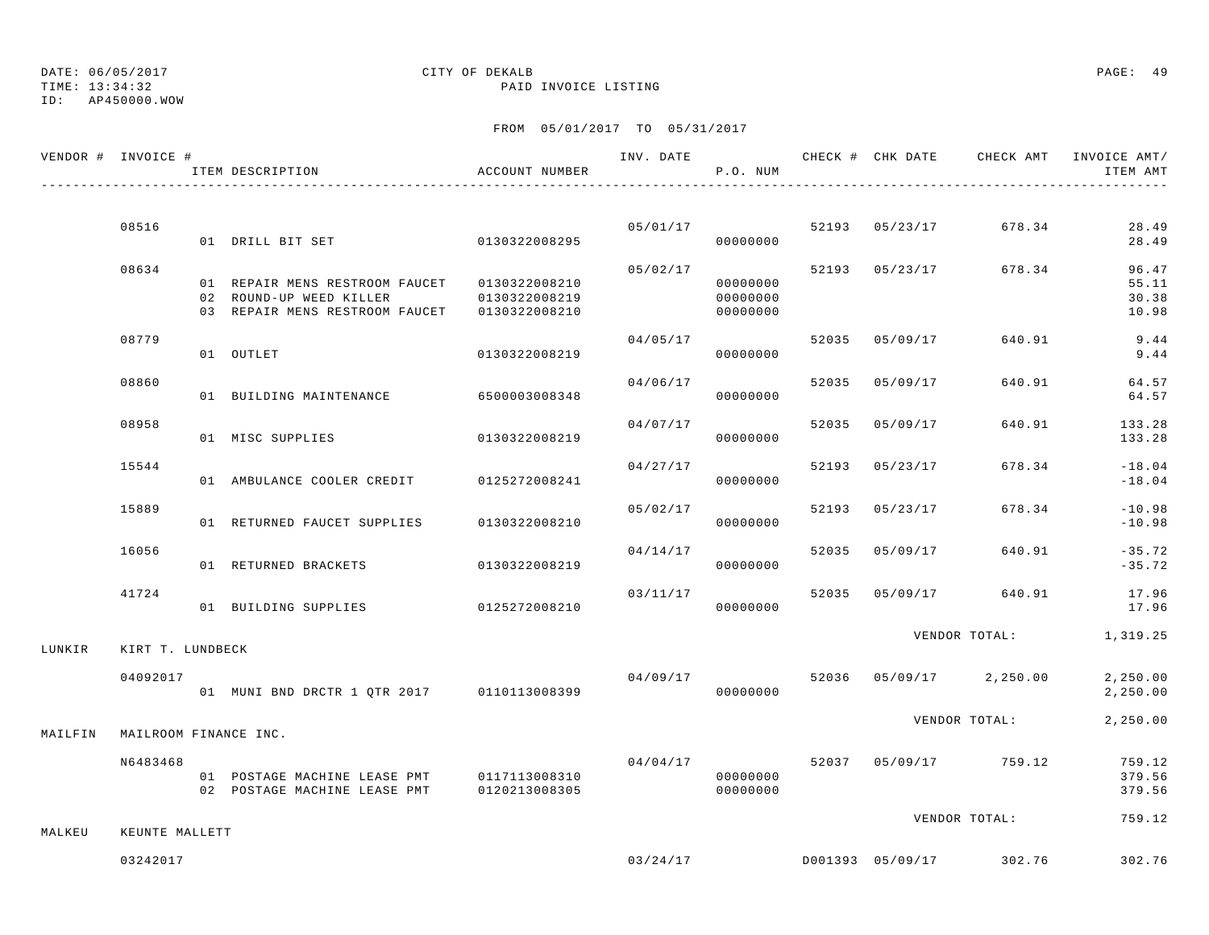TIME: 13:34:32 PAID INVOICE LISTING

ID: AP450000.WOW

|         | VENDOR # INVOICE #    | ITEM DESCRIPTION                                                           | ACCOUNT NUMBER |          | P.O. NUM                         |       |                |                         | INV. DATE 6 CHECK # CHK DATE CHECK AMT INVOICE AMT/<br>ITEM AMT |
|---------|-----------------------|----------------------------------------------------------------------------|----------------|----------|----------------------------------|-------|----------------|-------------------------|-----------------------------------------------------------------|
|         |                       |                                                                            |                |          |                                  |       |                |                         |                                                                 |
|         | 08516                 | 01 DRILL BIT SET 0130322008295                                             |                | 05/01/17 | 00000000                         |       | 52193 05/23/17 | 678.34                  | 28.49<br>28.49                                                  |
|         | 08634                 | 01 REPAIR MENS RESTROOM FAUCET 0130322008210<br>02 ROUND-UP WEED KILLER    | 0130322008219  | 05/02/17 | 00000000<br>00000000<br>00000000 |       | 52193 05/23/17 | 678.34                  | 96.47<br>55.11<br>30.38<br>10.98                                |
|         | 08779                 | 01 OUTLET                                                                  | 0130322008219  | 04/05/17 | 00000000                         |       | 52035 05/09/17 | 640.91                  | 9.44<br>9.44                                                    |
|         | 08860                 | 01 BUILDING MAINTENANCE 6500003008348                                      |                | 04/06/17 | 00000000                         | 52035 | 05/09/17       | 640.91                  | 64.57<br>64.57                                                  |
|         | 08958                 | 01 MISC SUPPLIES                                                           | 0130322008219  | 04/07/17 | 00000000                         | 52035 | 05/09/17       | 640.91                  | 133.28<br>133.28                                                |
|         | 15544                 | 01 AMBULANCE COOLER CREDIT                                                 | 0125272008241  | 04/27/17 | 00000000                         | 52193 | 05/23/17       | 678.34                  | $-18.04$<br>$-18.04$                                            |
|         | 15889                 | 01 RETURNED FAUCET SUPPLIES                                                | 0130322008210  | 05/02/17 | 00000000                         |       | 52193 05/23/17 | 678.34                  | $-10.98$<br>$-10.98$                                            |
|         | 16056                 | 01 RETURNED BRACKETS                                                       | 0130322008219  | 04/14/17 | 00000000                         | 52035 | 05/09/17       | 640.91                  | $-35.72$<br>$-35.72$                                            |
|         | 41724                 | 01 BUILDING SUPPLIES                                                       | 0125272008210  | 03/11/17 | 00000000                         | 52035 | 05/09/17       | 640.91                  | 17.96<br>17.96                                                  |
| LUNKIR  | KIRT T. LUNDBECK      |                                                                            |                |          |                                  |       |                | VENDOR TOTAL:           | 1,319.25                                                        |
|         | 04092017              | 01 MUNI BND DRCTR 1 QTR 2017 0110113008399                                 |                | 04/09/17 | 00000000                         |       |                | 52036 05/09/17 2,250.00 | 2,250.00<br>2,250.00                                            |
| MAILFIN | MAILROOM FINANCE INC. |                                                                            |                |          |                                  |       |                | VENDOR TOTAL:           | 2,250.00                                                        |
|         | N6483468              | 01 POSTAGE MACHINE LEASE PMT 0117113008310<br>02 POSTAGE MACHINE LEASE PMT | 0120213008305  | 04/04/17 | 00000000<br>00000000             |       |                | 52037 05/09/17 759.12   | 759.12<br>379.56<br>379.56                                      |
| MALKEU  | KEUNTE MALLETT        |                                                                            |                |          |                                  |       |                | VENDOR TOTAL:           | 759.12                                                          |
|         | 03242017              |                                                                            |                |          | 03/24/17                         |       |                | D001393 05/09/17 302.76 | 302.76                                                          |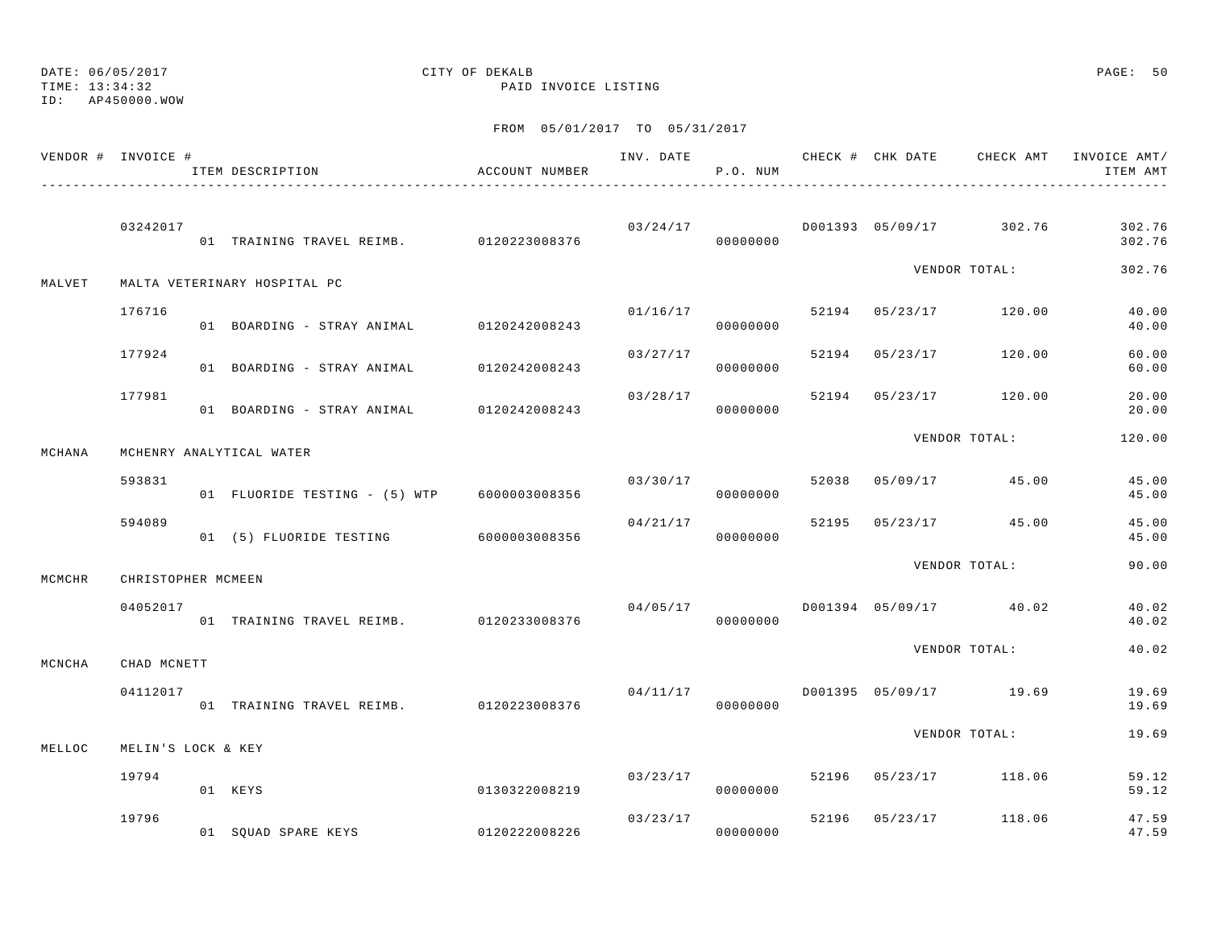TIME: 13:34:32 PAID INVOICE LISTING

ID: AP450000.WOW

|        | VENDOR # INVOICE # | ITEM DESCRIPTION                            | ACCOUNT NUMBER |          | P.O. NUM             |  |                                        | ITEM AMT         |
|--------|--------------------|---------------------------------------------|----------------|----------|----------------------|--|----------------------------------------|------------------|
|        | 03242017           | 01 TRAINING TRAVEL REIMB. 0120223008376     |                |          | 00000000             |  | $03/24/17$ $D001393$ $05/09/17$ 302.76 | 302.76<br>302.76 |
| MALVET |                    | MALTA VETERINARY HOSPITAL PC                |                |          |                      |  | VENDOR TOTAL:                          | 302.76           |
|        | 176716             | 01 BOARDING - STRAY ANIMAL 0120242008243    |                |          | 01/16/17<br>00000000 |  | 52194 05/23/17 120.00                  | 40.00<br>40.00   |
|        | 177924             | 01 BOARDING - STRAY ANIMAL 0120242008243    |                | 03/27/17 | 00000000             |  | 52194 05/23/17 120.00                  | 60.00<br>60.00   |
|        | 177981             | 01 BOARDING - STRAY ANIMAL 0120242008243    |                | 03/28/17 | 00000000             |  | 52194 05/23/17 120.00                  | 20.00<br>20.00   |
| MCHANA |                    | MCHENRY ANALYTICAL WATER                    |                |          |                      |  | VENDOR TOTAL:                          | 120.00           |
|        | 593831             | 01 FLUORIDE TESTING - (5) WTP 6000003008356 |                | 03/30/17 | 00000000             |  | 52038 05/09/17 45.00                   | 45.00<br>45.00   |
|        | 594089             | 01 (5) FLUORIDE TESTING 6000003008356       |                | 04/21/17 | 00000000             |  | 52195 05/23/17 45.00                   | 45.00<br>45.00   |
| MCMCHR | CHRISTOPHER MCMEEN |                                             |                |          |                      |  | VENDOR TOTAL:                          | 90.00            |
|        | 04052017           | 01 TRAINING TRAVEL REIMB. 0120233008376     |                | 04/05/17 | 00000000             |  | D001394 05/09/17 40.02                 | 40.02<br>40.02   |
| MCNCHA | CHAD MCNETT        |                                             |                |          |                      |  | VENDOR TOTAL:                          | 40.02            |
|        | 04112017           | 01 TRAINING TRAVEL REIMB. 0120223008376     |                |          | 00000000             |  | $04/11/17$ D001395 05/09/17 19.69      | 19.69<br>19.69   |
| MELLOC | MELIN'S LOCK & KEY |                                             |                |          |                      |  | VENDOR TOTAL:                          | 19.69            |
|        | 19794              | 01 KEYS                                     | 0130322008219  | 03/23/17 | 00000000             |  | 52196 05/23/17 118.06                  | 59.12<br>59.12   |
|        | 19796              | 01 SQUAD SPARE KEYS 0120222008226           |                |          | 03/23/17<br>00000000 |  | 52196 05/23/17 118.06                  | 47.59<br>47.59   |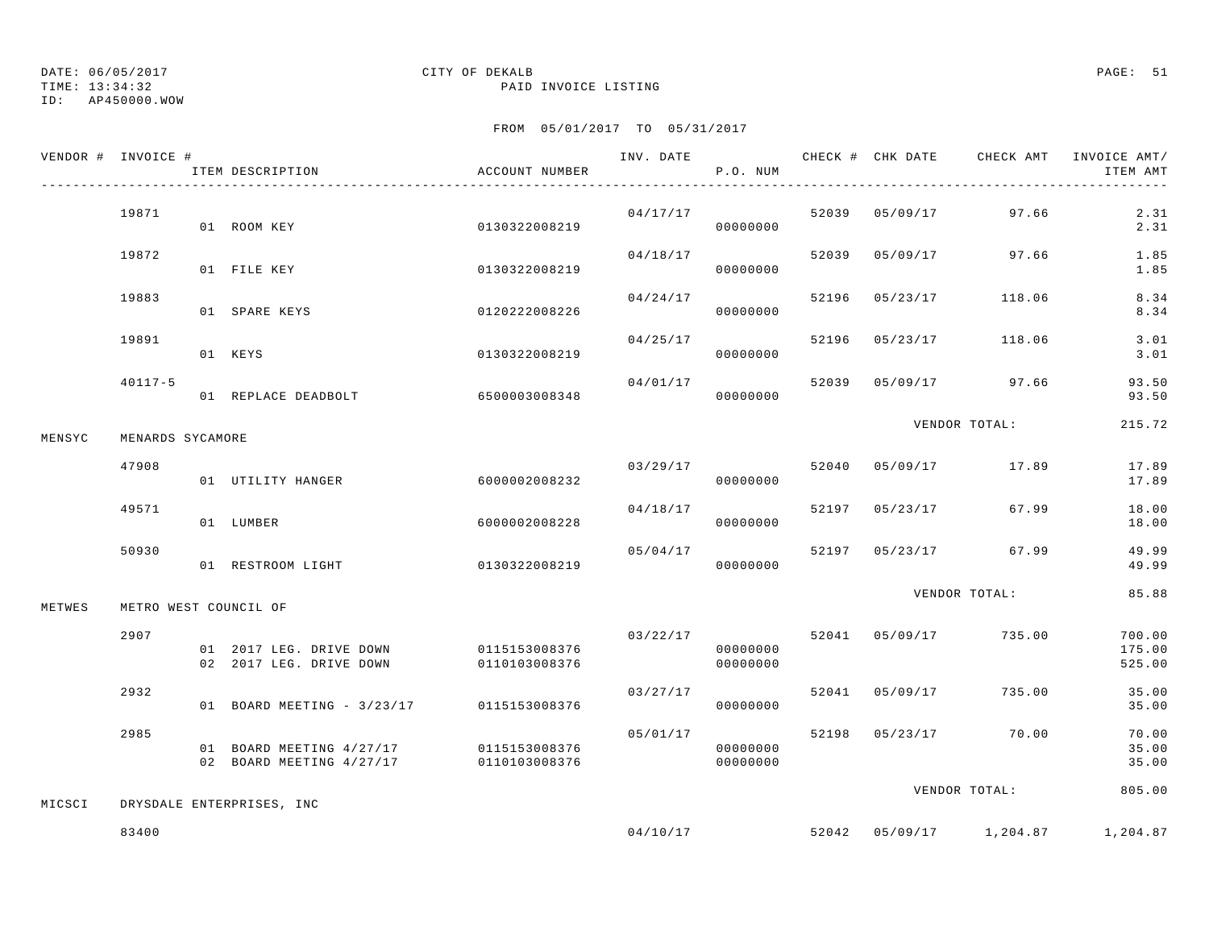TIME: 13:34:32 PAID INVOICE LISTING

ID: AP450000.WOW

|        | VENDOR # INVOICE # | ITEM DESCRIPTION                                                   | ACCOUNT NUMBER                 |          | P.O. NUM             |       |                | INV. DATE 6 CHECK # CHK DATE CHECK AMT INVOICE AMT/ | ITEM AMT                   |
|--------|--------------------|--------------------------------------------------------------------|--------------------------------|----------|----------------------|-------|----------------|-----------------------------------------------------|----------------------------|
|        | 19871              | 01 ROOM KEY                                                        | 0130322008219                  | 04/17/17 | 00000000             |       |                | 52039 05/09/17 97.66                                | 2.31<br>2.31               |
|        | 19872              | 01 FILE KEY                                                        | 0130322008219                  | 04/18/17 | 00000000             |       | 52039 05/09/17 | 97.66                                               | 1.85<br>1.85               |
|        | 19883              | 01 SPARE KEYS                                                      | 0120222008226                  | 04/24/17 | 00000000             | 52196 | 05/23/17       | 118.06                                              | 8.34<br>8.34               |
|        | 19891              | 01 KEYS                                                            | 0130322008219                  | 04/25/17 | 00000000             | 52196 | 05/23/17       | 118.06                                              | 3.01<br>3.01               |
|        | $40117 - 5$        | 01 REPLACE DEADBOLT                                                | 6500003008348                  | 04/01/17 | 00000000             |       |                | 52039 05/09/17 97.66                                | 93.50<br>93.50             |
| MENSYC | MENARDS SYCAMORE   |                                                                    |                                |          |                      |       |                | VENDOR TOTAL:                                       | 215.72                     |
|        | 47908              | 01 UTILITY HANGER                                                  | 6000002008232                  |          | 03/29/17<br>00000000 |       |                | 52040 05/09/17 17.89                                | 17.89<br>17.89             |
|        | 49571              | 01 LUMBER                                                          | 6000002008228                  | 04/18/17 | 00000000             |       | 52197 05/23/17 | 67.99                                               | 18.00<br>18.00             |
|        | 50930              | 01 RESTROOM LIGHT                                                  | 0130322008219                  | 05/04/17 | 00000000             |       |                | 52197 05/23/17 67.99                                | 49.99<br>49.99             |
| METWES |                    | METRO WEST COUNCIL OF                                              |                                |          |                      |       |                | VENDOR TOTAL:                                       | 85.88                      |
|        | 2907               | 01 2017 LEG. DRIVE DOWN<br>02 2017 LEG. DRIVE DOWN                 | 0115153008376<br>0110103008376 | 03/22/17 | 00000000<br>00000000 |       | 52041 05/09/17 | 735.00                                              | 700.00<br>175.00<br>525.00 |
|        | 2932               | 01 BOARD MEETING - 3/23/17 0115153008376                           |                                | 03/27/17 | 00000000             |       | 52041 05/09/17 | 735.00                                              | 35.00<br>35.00             |
|        | 2985               | 01 BOARD MEETING 4/27/17<br>02 BOARD MEETING 4/27/17 0110103008376 | 0115153008376                  | 05/01/17 | 00000000<br>00000000 |       |                | 52198 05/23/17 70.00                                | 70.00<br>35.00<br>35.00    |
| MICSCI |                    | DRYSDALE ENTERPRISES, INC                                          |                                |          |                      |       |                | VENDOR TOTAL:                                       | 805.00                     |
|        | 83400              |                                                                    |                                |          | 04/10/17             |       |                | 52042 05/09/17 1,204.87                             | 1,204.87                   |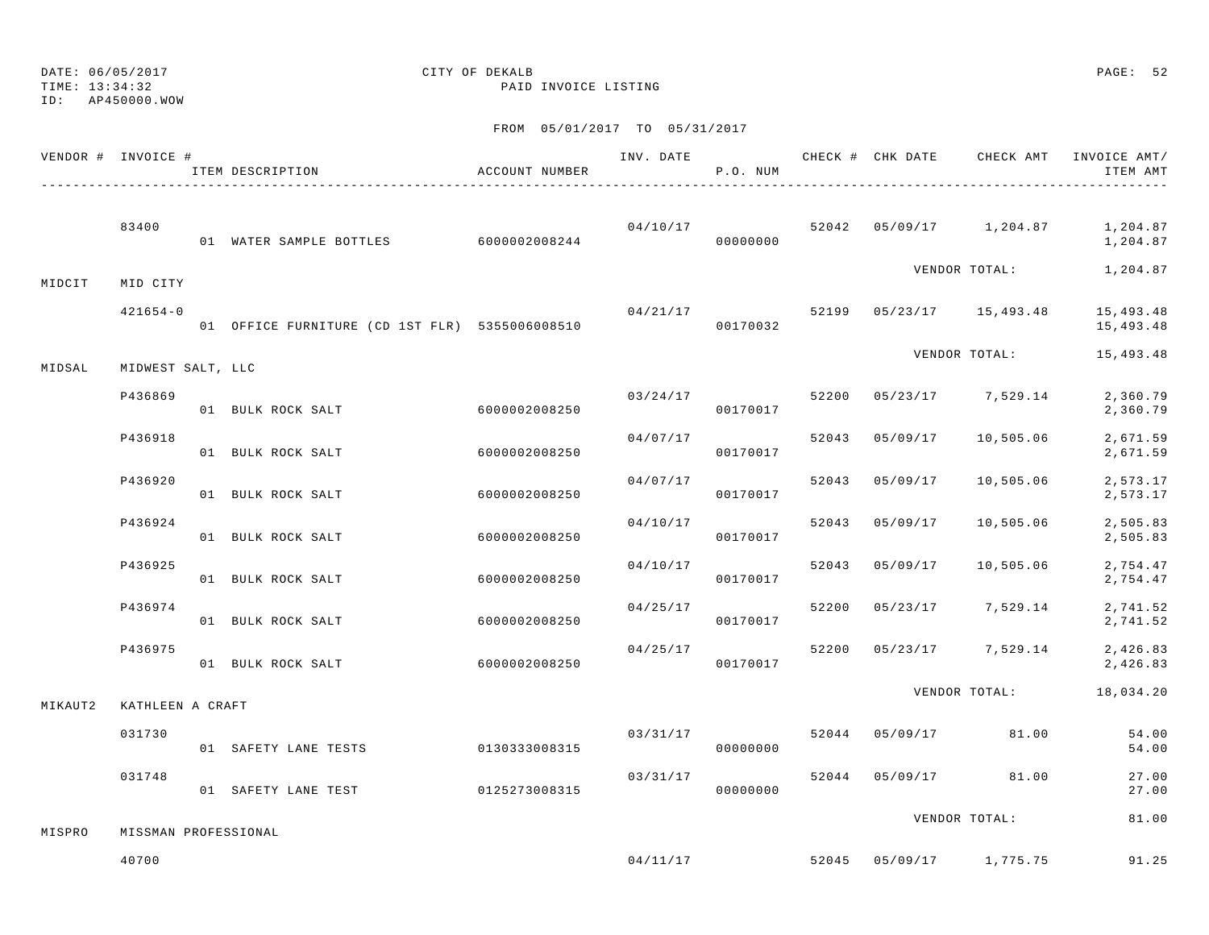TIME: 13:34:32 PAID INVOICE LISTING

ID: AP450000.WOW

|         | VENDOR # INVOICE #   | ITEM DESCRIPTION                               | ACCOUNT NUMBER | INV. DATE | P.O. NUM |       |          |                                    | CHECK # CHK DATE CHECK AMT INVOICE AMT/<br>ITEM AMT |
|---------|----------------------|------------------------------------------------|----------------|-----------|----------|-------|----------|------------------------------------|-----------------------------------------------------|
|         | 83400                | 01 WATER SAMPLE BOTTLES 6000002008244          |                | 04/10/17  | 00000000 |       |          |                                    | 52042  05/09/17  1,204.87  1,204.87<br>1,204.87     |
| MIDCIT  | MID CITY             |                                                |                |           |          |       |          |                                    | VENDOR TOTAL: 1,204.87                              |
|         | $421654 - 0$         | 01 OFFICE FURNITURE (CD 1ST FLR) 5355006008510 |                | 04/21/17  | 00170032 |       |          | 52199 05/23/17 15,493.48           | 15,493.48<br>15,493.48                              |
| MIDSAL  | MIDWEST SALT, LLC    |                                                |                |           |          |       |          | VENDOR TOTAL:                      | 15,493.48                                           |
|         | P436869              | 01 BULK ROCK SALT                              | 6000002008250  | 03/24/17  | 00170017 | 52200 |          | $05/23/17$ 7,529.14                | 2,360.79<br>2,360.79                                |
|         | P436918              | 01 BULK ROCK SALT                              | 6000002008250  | 04/07/17  | 00170017 | 52043 | 05/09/17 | 10,505.06                          | 2,671.59<br>2,671.59                                |
|         | P436920              | 01 BULK ROCK SALT                              | 6000002008250  | 04/07/17  | 00170017 | 52043 | 05/09/17 | 10,505.06                          | 2,573.17<br>2,573.17                                |
|         | P436924              | 01 BULK ROCK SALT                              | 6000002008250  | 04/10/17  | 00170017 | 52043 | 05/09/17 | 10,505.06                          | 2,505.83<br>2,505.83                                |
|         | P436925              | 01 BULK ROCK SALT                              | 6000002008250  | 04/10/17  | 00170017 | 52043 | 05/09/17 | 10,505.06                          | 2,754.47<br>2,754.47                                |
|         | P436974              | 01 BULK ROCK SALT                              | 6000002008250  | 04/25/17  | 00170017 | 52200 |          | $05/23/17$ 7,529.14                | 2,741.52<br>2,741.52                                |
|         | P436975              | 01 BULK ROCK SALT                              | 6000002008250  | 04/25/17  | 00170017 | 52200 |          | 05/23/17 7,529.14                  | 2,426.83<br>2,426.83                                |
| MIKAUT2 | KATHLEEN A CRAFT     |                                                |                |           |          |       |          | VENDOR TOTAL:                      | 18,034.20                                           |
|         | 031730               | 01 SAFETY LANE TESTS                           | 0130333008315  | 03/31/17  | 00000000 | 52044 | 05/09/17 | 81.00                              | 54.00<br>54.00                                      |
|         | 031748               | 01 SAFETY LANE TEST                            | 0125273008315  | 03/31/17  | 00000000 |       |          | 52044 05/09/17 81.00               | 27.00<br>27.00                                      |
| MISPRO  | MISSMAN PROFESSIONAL |                                                |                |           |          |       |          | VENDOR TOTAL:                      | 81.00                                               |
|         | 40700                |                                                |                |           |          |       |          | $04/11/17$ 52045 05/09/17 1,775.75 | 91.25                                               |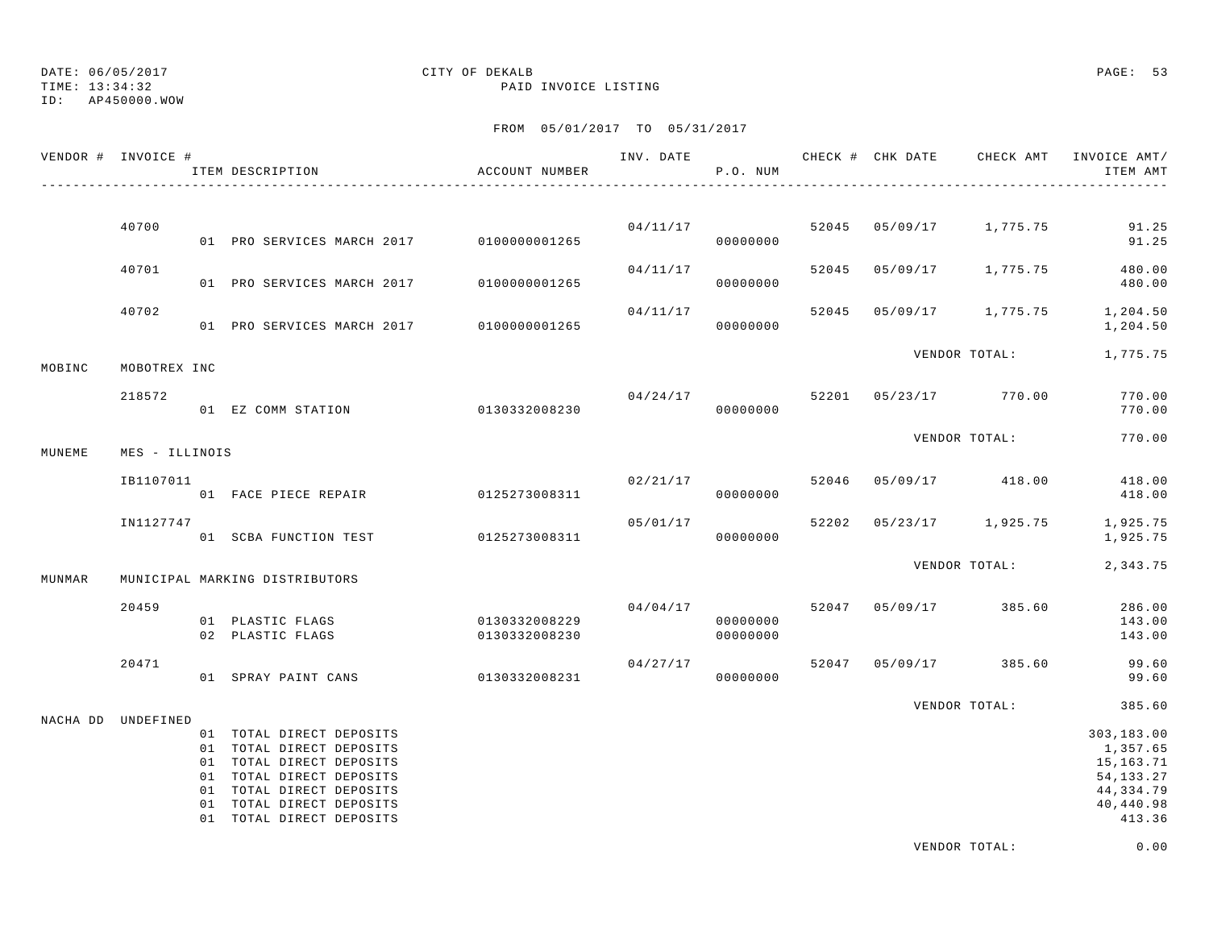TIME: 13:34:32 PAID INVOICE LISTING

ID: AP450000.WOW

### FROM 05/01/2017 TO 05/31/2017

| VENDOR # INVOICE # |                | ITEM DESCRIPTION                                                                                                                                                                                 | ACCOUNT NUMBER                 |          | P.O. NUM             |       | INV. DATE 6 1997 CHECK # CHK DATE 6 CHECK AMT INVOICE AMT | ITEM AMT                                                                               |
|--------------------|----------------|--------------------------------------------------------------------------------------------------------------------------------------------------------------------------------------------------|--------------------------------|----------|----------------------|-------|-----------------------------------------------------------|----------------------------------------------------------------------------------------|
|                    |                |                                                                                                                                                                                                  |                                |          |                      |       |                                                           |                                                                                        |
|                    | 40700          | 01 PRO SERVICES MARCH 2017 0100000001265                                                                                                                                                         |                                |          | 04/11/17<br>00000000 | 52045 | 05/09/17 1,775.75                                         | 91.25<br>91.25                                                                         |
|                    | 40701          | 01 PRO SERVICES MARCH 2017                                                                                                                                                                       | 0100000001265                  | 04/11/17 | 00000000             |       | 52045 05/09/17 1,775.75                                   | 480.00<br>480.00                                                                       |
|                    | 40702          | 01 PRO SERVICES MARCH 2017                                                                                                                                                                       | 0100000001265                  | 04/11/17 | 00000000             | 52045 | 05/09/17 1,775.75                                         | 1,204.50<br>1,204.50                                                                   |
| MOBINC             | MOBOTREX INC   |                                                                                                                                                                                                  |                                |          |                      |       | VENDOR TOTAL:                                             | 1,775.75                                                                               |
|                    | 218572         | 01 EZ COMM STATION                                                                                                                                                                               | 0130332008230                  |          | 04/24/17<br>00000000 |       | 52201 05/23/17 770.00                                     | 770.00<br>770.00                                                                       |
| MUNEME             | MES - ILLINOIS |                                                                                                                                                                                                  |                                |          |                      |       | VENDOR TOTAL:                                             | 770.00                                                                                 |
|                    | IB1107011      | 01 FACE PIECE REPAIR 6125273008311                                                                                                                                                               |                                | 02/21/17 | 00000000             | 52046 | 05/09/17 418.00                                           | 418.00<br>418.00                                                                       |
|                    | IN1127747      | 01 SCBA FUNCTION TEST                                                                                                                                                                            | 0125273008311                  | 05/01/17 | 00000000             | 52202 | 05/23/17 1,925.75                                         | 1,925.75<br>1,925.75                                                                   |
| MUNMAR             |                | MUNICIPAL MARKING DISTRIBUTORS                                                                                                                                                                   |                                |          |                      |       | VENDOR TOTAL:                                             | 2,343.75                                                                               |
|                    | 20459          | 01 PLASTIC FLAGS<br>02 PLASTIC FLAGS                                                                                                                                                             | 0130332008229<br>0130332008230 | 04/04/17 | 00000000<br>00000000 |       | 52047 05/09/17 385.60                                     | 286.00<br>143.00<br>143.00                                                             |
|                    | 20471          | 01 SPRAY PAINT CANS                                                                                                                                                                              | 0130332008231                  | 04/27/17 | 00000000             | 52047 | 05/09/17 385.60                                           | 99.60<br>99.60                                                                         |
| NACHA DD UNDEFINED |                |                                                                                                                                                                                                  |                                |          |                      |       | VENDOR TOTAL:                                             | 385.60                                                                                 |
|                    |                | 01 TOTAL DIRECT DEPOSITS<br>01 TOTAL DIRECT DEPOSITS<br>01 TOTAL DIRECT DEPOSITS<br>01 TOTAL DIRECT DEPOSITS<br>01 TOTAL DIRECT DEPOSITS<br>01 TOTAL DIRECT DEPOSITS<br>01 TOTAL DIRECT DEPOSITS |                                |          |                      |       |                                                           | 303,183.00<br>1,357.65<br>15,163.71<br>54, 133. 27<br>44,334.79<br>40,440.98<br>413.36 |

VENDOR TOTAL: 0.00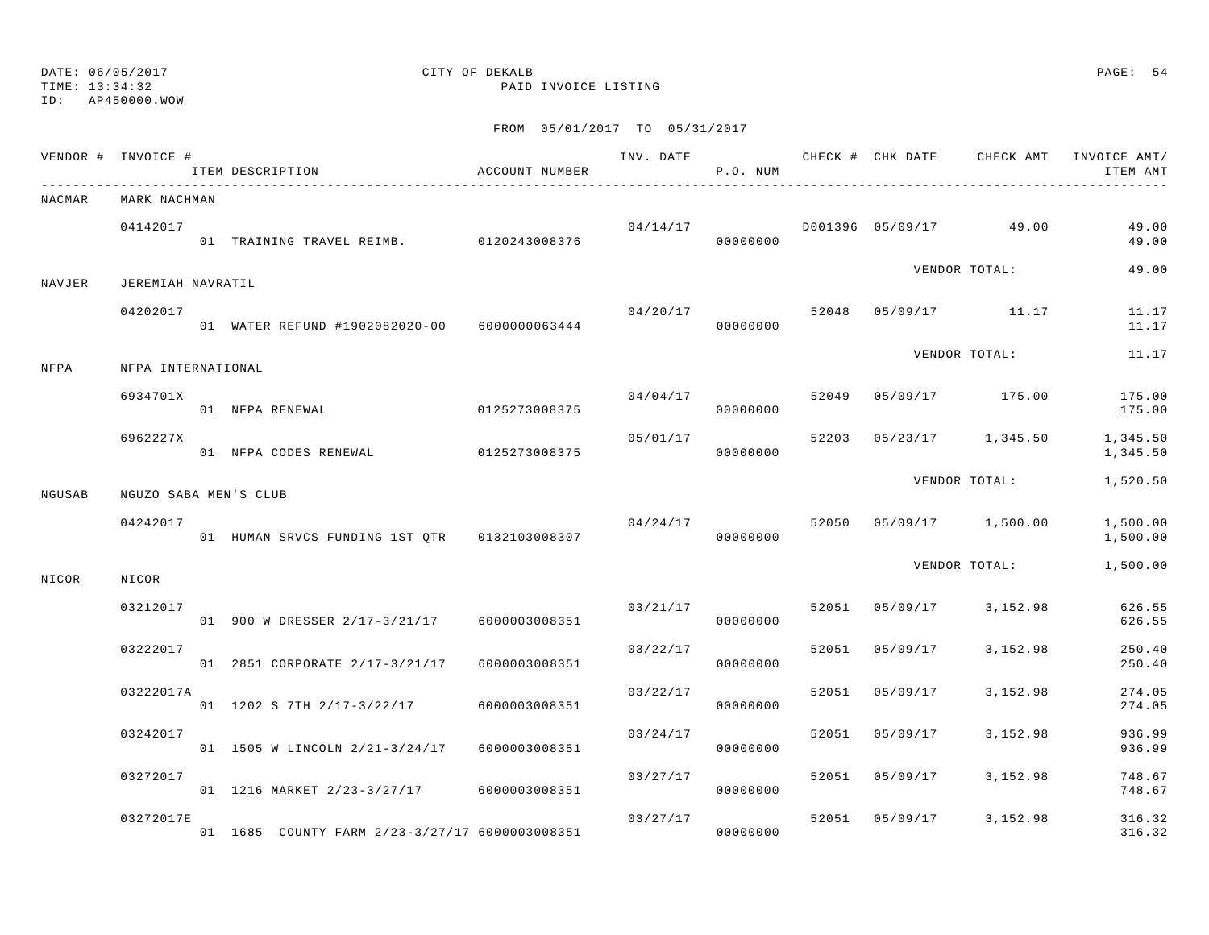ID: AP450000.WOW

TIME: 13:34:32 PAID INVOICE LISTING

|        | VENDOR # INVOICE # | ITEM DESCRIPTION                               | ACCOUNT NUMBER |          | P.O. NUM             |       |          |                         | INV. DATE 6 . CHECK # CHK DATE 6 . CHECK AMT INVOICE AMT<br>ITEM AMT |
|--------|--------------------|------------------------------------------------|----------------|----------|----------------------|-------|----------|-------------------------|----------------------------------------------------------------------|
| NACMAR | MARK NACHMAN       |                                                |                |          |                      |       |          |                         |                                                                      |
|        | 04142017           | 01 TRAINING TRAVEL REIMB. 0120243008376        |                |          | 04/14/17<br>00000000 |       |          | D001396 05/09/17 49.00  | 49.00<br>49.00                                                       |
| NAVJER | JEREMIAH NAVRATIL  |                                                |                |          |                      |       |          | VENDOR TOTAL:           | 49.00                                                                |
|        | 04202017           | 01 WATER REFUND #1902082020-00 6000000063444   |                | 04/20/17 | 00000000             |       |          | 52048 05/09/17 11.17    | 11.17<br>11.17                                                       |
| NFPA   | NFPA INTERNATIONAL |                                                |                |          |                      |       |          | VENDOR TOTAL:           | 11.17                                                                |
|        | 6934701X           | 01 NFPA RENEWAL                                | 0125273008375  | 04/04/17 | 00000000             |       |          | 52049 05/09/17 175.00   | 175.00<br>175.00                                                     |
|        | 6962227X           | 01 NFPA CODES RENEWAL                          | 0125273008375  | 05/01/17 | 00000000             |       |          | 52203 05/23/17 1,345.50 | 1,345.50<br>1,345.50                                                 |
| NGUSAB |                    | NGUZO SABA MEN'S CLUB                          |                |          |                      |       |          | VENDOR TOTAL:           | 1,520.50                                                             |
|        | 04242017           | 01 HUMAN SRVCS FUNDING 1ST QTR 0132103008307   |                | 04/24/17 | 00000000             | 52050 |          | 05/09/17 1,500.00       | 1,500.00<br>1,500.00                                                 |
| NICOR  | NICOR              |                                                |                |          |                      |       |          | VENDOR TOTAL:           | 1,500.00                                                             |
|        | 03212017           | 01 900 W DRESSER 2/17-3/21/17 6000003008351    |                | 03/21/17 | 00000000             |       |          | 52051 05/09/17 3,152.98 | 626.55<br>626.55                                                     |
|        | 03222017           | 01 2851 CORPORATE 2/17-3/21/17                 | 6000003008351  | 03/22/17 | 00000000             | 52051 | 05/09/17 | 3,152.98                | 250.40<br>250.40                                                     |
|        | 03222017A          | 01 1202 S 7TH 2/17-3/22/17                     | 6000003008351  | 03/22/17 | 00000000             | 52051 | 05/09/17 | 3,152.98                | 274.05<br>274.05                                                     |
|        | 03242017           | 01 1505 W LINCOLN 2/21-3/24/17 6000003008351   |                | 03/24/17 | 00000000             | 52051 | 05/09/17 | 3,152.98                | 936.99<br>936.99                                                     |
|        | 03272017           | 01 1216 MARKET 2/23-3/27/17 6000003008351      |                | 03/27/17 | 00000000             | 52051 | 05/09/17 | 3,152.98                | 748.67<br>748.67                                                     |
|        | 03272017E          | 01 1685 COUNTY FARM 2/23-3/27/17 6000003008351 |                | 03/27/17 | 00000000             | 52051 | 05/09/17 | 3,152.98                | 316.32<br>316.32                                                     |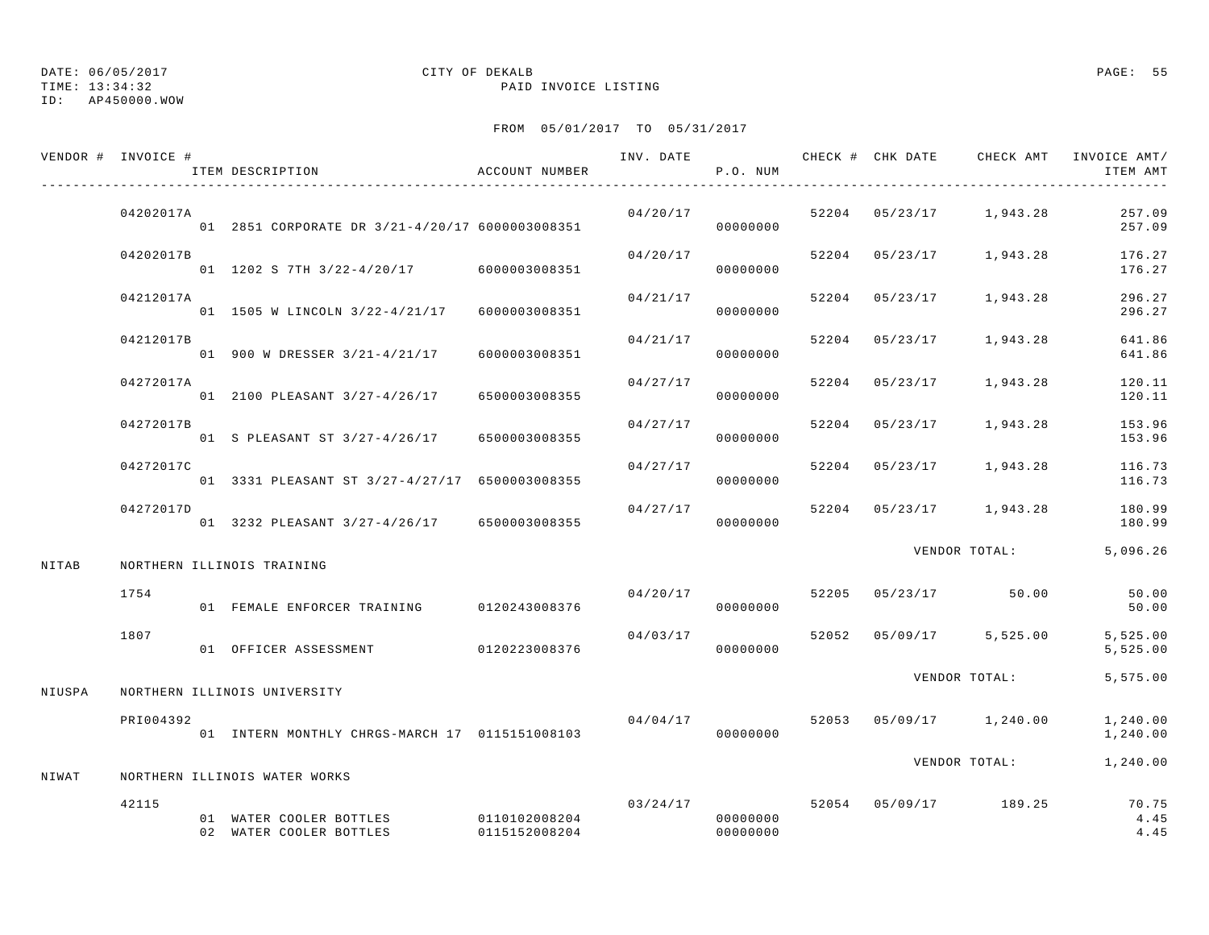### TIME: 13:34:32 PAID INVOICE LISTING ID: AP450000.WOW

## DATE: 06/05/2017 CITY OF DEKALB PAGE: 55

|        | VENDOR # INVOICE # | ITEM DESCRIPTION                                   | ACCOUNT NUMBER                 |          | P.O. NUM             |       |                | INV. DATE 6 7 200 CHECK # CHK DATE 6 2 CHECK AMT INVOICE AMT/ | ITEM AMT              |
|--------|--------------------|----------------------------------------------------|--------------------------------|----------|----------------------|-------|----------------|---------------------------------------------------------------|-----------------------|
|        | 04202017A          | 01 2851 CORPORATE DR 3/21-4/20/17 6000003008351    |                                | 04/20/17 | 00000000             |       |                | $52204$ $05/23/17$ 1,943.28                                   | 257.09<br>257.09      |
|        | 04202017B          | 01 1202 S 7TH 3/22-4/20/17 6000003008351           |                                | 04/20/17 | 00000000             |       | 52204 05/23/17 | 1,943.28                                                      | 176.27<br>176.27      |
|        | 04212017A          | 01 1505 W LINCOLN 3/22-4/21/17 6000003008351       |                                | 04/21/17 | 00000000             | 52204 | 05/23/17       | 1,943.28                                                      | 296.27<br>296.27      |
|        | 04212017B          | 01 900 W DRESSER 3/21-4/21/17                      | 6000003008351                  | 04/21/17 | 00000000             | 52204 | 05/23/17       | 1,943.28                                                      | 641.86<br>641.86      |
|        | 04272017A          | 01 2100 PLEASANT 3/27-4/26/17                      | 6500003008355                  | 04/27/17 | 00000000             |       | 52204 05/23/17 | 1,943.28                                                      | 120.11<br>120.11      |
|        | 04272017B          | 01 S PLEASANT ST 3/27-4/26/17                      | 6500003008355                  | 04/27/17 | 00000000             |       | 52204 05/23/17 | 1,943.28                                                      | 153.96<br>153.96      |
|        | 04272017C          | 01 3331 PLEASANT ST 3/27-4/27/17 6500003008355     |                                | 04/27/17 | 00000000             | 52204 | 05/23/17       | 1,943.28                                                      | 116.73<br>116.73      |
|        | 04272017D          | 01 3232 PLEASANT 3/27-4/26/17 6500003008355        |                                | 04/27/17 | 00000000             |       |                | 52204 05/23/17 1,943.28                                       | 180.99<br>180.99      |
| NITAB  |                    | NORTHERN ILLINOIS TRAINING                         |                                |          |                      |       |                | VENDOR TOTAL:                                                 | 5,096.26              |
|        | 1754               | 01 FEMALE ENFORCER TRAINING                        | 0120243008376                  |          | 04/20/17<br>00000000 | 52205 |                | $05/23/17$ 50.00                                              | 50.00<br>50.00        |
|        | 1807               | 01 OFFICER ASSESSMENT                              | 0120223008376                  | 04/03/17 | 00000000             |       |                | 52052 05/09/17 5,525.00                                       | 5,525.00<br>5,525.00  |
| NIUSPA |                    | NORTHERN ILLINOIS UNIVERSITY                       |                                |          |                      |       |                | VENDOR TOTAL:                                                 | 5,575.00              |
|        | PRI004392          | 01 INTERN MONTHLY CHRGS-MARCH 17 0115151008103     |                                |          | 04/04/17<br>00000000 |       |                | 52053 05/09/17 1,240.00                                       | 1,240.00<br>1,240.00  |
| NIWAT  |                    | NORTHERN ILLINOIS WATER WORKS                      |                                |          |                      |       |                | VENDOR TOTAL:                                                 | 1,240.00              |
|        | 42115              | 01 WATER COOLER BOTTLES<br>02 WATER COOLER BOTTLES | 0110102008204<br>0115152008204 | 03/24/17 | 00000000<br>00000000 |       |                | 52054 05/09/17 189.25                                         | 70.75<br>4.45<br>4.45 |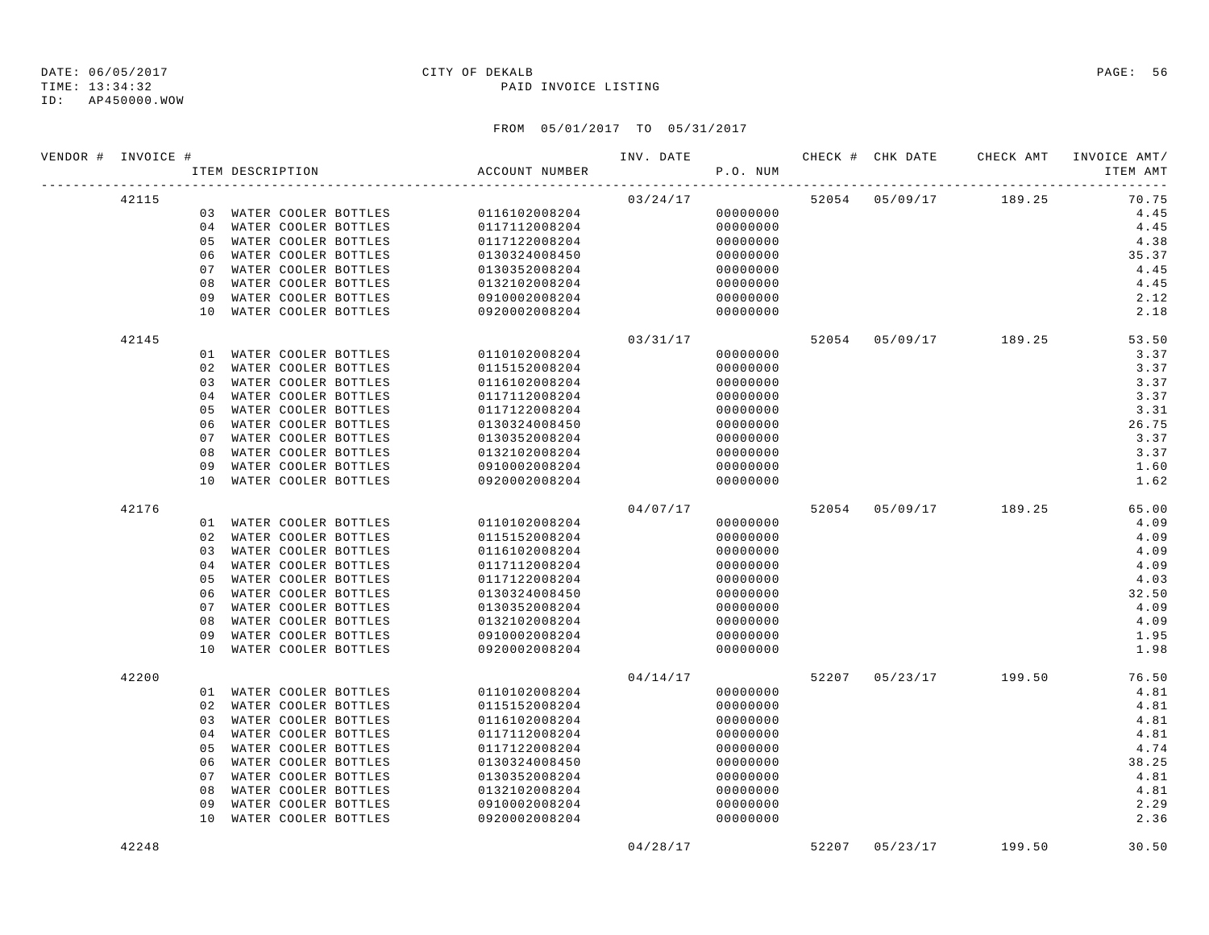### TIME: 13:34:32 PAID INVOICE LISTING

| VENDOR # INVOICE # |       |          | ITEM DESCRIPTION                             | ACCOUNT NUMBER                 | INV. DATE | P.O. NUM             | CHECK # CHK DATE | CHECK AMT             | INVOICE AMT/<br>ITEM AMT<br>----- |
|--------------------|-------|----------|----------------------------------------------|--------------------------------|-----------|----------------------|------------------|-----------------------|-----------------------------------|
|                    | 42115 |          |                                              |                                | 03/24/17  |                      |                  | 52054 05/09/17 189.25 | 70.75                             |
|                    |       |          | 03 WATER COOLER BOTTLES                      | 0116102008204                  |           | 00000000             |                  |                       | 4.45                              |
|                    |       |          | 04 WATER COOLER BOTTLES                      | 0117112008204                  |           | 00000000             |                  |                       | 4.45                              |
|                    |       | 0.5      | WATER COOLER BOTTLES                         | 0117122008204                  |           | 00000000             |                  |                       | 4.38                              |
|                    |       | 06       | WATER COOLER BOTTLES                         | 0130324008450                  |           | 00000000             |                  |                       | 35.37                             |
|                    |       | 07       | WATER COOLER BOTTLES                         | 0130352008204                  |           | 00000000             |                  |                       | 4.45                              |
|                    |       | 08       | WATER COOLER BOTTLES                         | 0132102008204                  |           | 00000000             |                  |                       | 4.45                              |
|                    |       | 09       | WATER COOLER BOTTLES                         | 0910002008204                  |           | 00000000             |                  |                       | 2.12                              |
|                    |       | 10       | WATER COOLER BOTTLES                         | 0920002008204                  |           | 00000000             |                  |                       | 2.18                              |
|                    | 42145 |          |                                              |                                | 03/31/17  |                      |                  | 52054 05/09/17 189.25 | 53.50                             |
|                    |       |          | 01 WATER COOLER BOTTLES                      | 0110102008204                  |           | 00000000             |                  |                       | 3.37                              |
|                    |       | 02       | WATER COOLER BOTTLES                         | 0115152008204                  |           | 00000000             |                  |                       | 3.37                              |
|                    |       | 03       | WATER COOLER BOTTLES                         | 0116102008204                  |           | 00000000             |                  |                       | 3.37                              |
|                    |       | 04       | WATER COOLER BOTTLES                         | 0117112008204                  |           | 00000000             |                  |                       | 3.37                              |
|                    |       | 05       | WATER COOLER BOTTLES                         | 0117122008204                  |           | 00000000             |                  |                       | 3.31                              |
|                    |       | 06       | WATER COOLER BOTTLES                         | 0130324008450                  |           | 00000000             |                  |                       | 26.75                             |
|                    |       | 07       | WATER COOLER BOTTLES                         | 0130352008204                  |           | 00000000             |                  |                       | 3.37                              |
|                    |       | 08       | WATER COOLER BOTTLES                         | 0132102008204                  |           | 00000000             |                  |                       | 3.37                              |
|                    |       | 09       | WATER COOLER BOTTLES                         | 0910002008204                  |           | 00000000             |                  |                       | 1.60                              |
|                    |       | 10       | WATER COOLER BOTTLES                         | 0920002008204                  |           | 00000000             |                  |                       | 1.62                              |
|                    | 42176 |          |                                              |                                | 04/07/17  |                      |                  | 52054 05/09/17 189.25 | 65.00                             |
|                    |       |          | 01 WATER COOLER BOTTLES                      | 0110102008204                  |           | 00000000             |                  |                       | 4.09                              |
|                    |       | 02       | WATER COOLER BOTTLES                         | 0115152008204                  |           | 00000000             |                  |                       | 4.09                              |
|                    |       | 03       | WATER COOLER BOTTLES                         | 0116102008204                  |           | 00000000             |                  |                       | 4.09                              |
|                    |       | 04       | WATER COOLER BOTTLES                         | 0117112008204                  |           | 00000000             |                  |                       | 4.09                              |
|                    |       | 05       | WATER COOLER BOTTLES                         | 0117122008204                  |           | 00000000             |                  |                       | 4.03                              |
|                    |       | 06       | WATER COOLER BOTTLES                         | 0130324008450                  |           | 00000000             |                  |                       | 32.50                             |
|                    |       | 07       | WATER COOLER BOTTLES                         | 0130352008204                  |           | 00000000             |                  |                       | 4.09<br>4.09                      |
|                    |       | 08       | WATER COOLER BOTTLES                         | 0132102008204                  |           | 00000000             |                  |                       | 1.95                              |
|                    |       | 09<br>10 | WATER COOLER BOTTLES<br>WATER COOLER BOTTLES | 0910002008204<br>0920002008204 |           | 00000000<br>00000000 |                  |                       | 1.98                              |
|                    |       |          |                                              |                                |           |                      |                  |                       |                                   |
|                    | 42200 |          |                                              |                                | 04/14/17  |                      |                  | 52207 05/23/17 199.50 | 76.50                             |
|                    |       |          | 01 WATER COOLER BOTTLES                      | 0110102008204                  |           | 00000000             |                  |                       | 4.81                              |
|                    |       | 02       | WATER COOLER BOTTLES                         | 0115152008204                  |           | 00000000             |                  |                       | 4.81                              |
|                    |       | 03       | WATER COOLER BOTTLES                         | 0116102008204                  |           | 00000000             |                  |                       | 4.81                              |
|                    |       | 04       | WATER COOLER BOTTLES                         | 0117112008204                  |           | 00000000             |                  |                       | 4.81                              |
|                    |       | 05       | WATER COOLER BOTTLES                         | 0117122008204                  |           | 00000000             |                  |                       | 4.74                              |
|                    |       | 06       | WATER COOLER BOTTLES                         | 0130324008450                  |           | 00000000             |                  |                       | 38.25                             |
|                    |       | 07       | WATER COOLER BOTTLES                         | 0130352008204                  |           | 00000000             |                  |                       | 4.81                              |
|                    |       | 08       | WATER COOLER BOTTLES                         | 0132102008204                  |           | 00000000             |                  |                       | 4.81<br>2.29                      |
|                    |       | 09<br>10 | WATER COOLER BOTTLES<br>WATER COOLER BOTTLES | 0910002008204<br>0920002008204 |           | 00000000<br>00000000 |                  |                       | 2.36                              |
|                    | 42248 |          |                                              |                                | 04/28/17  |                      | 52207 05/23/17   | 199.50                | 30.50                             |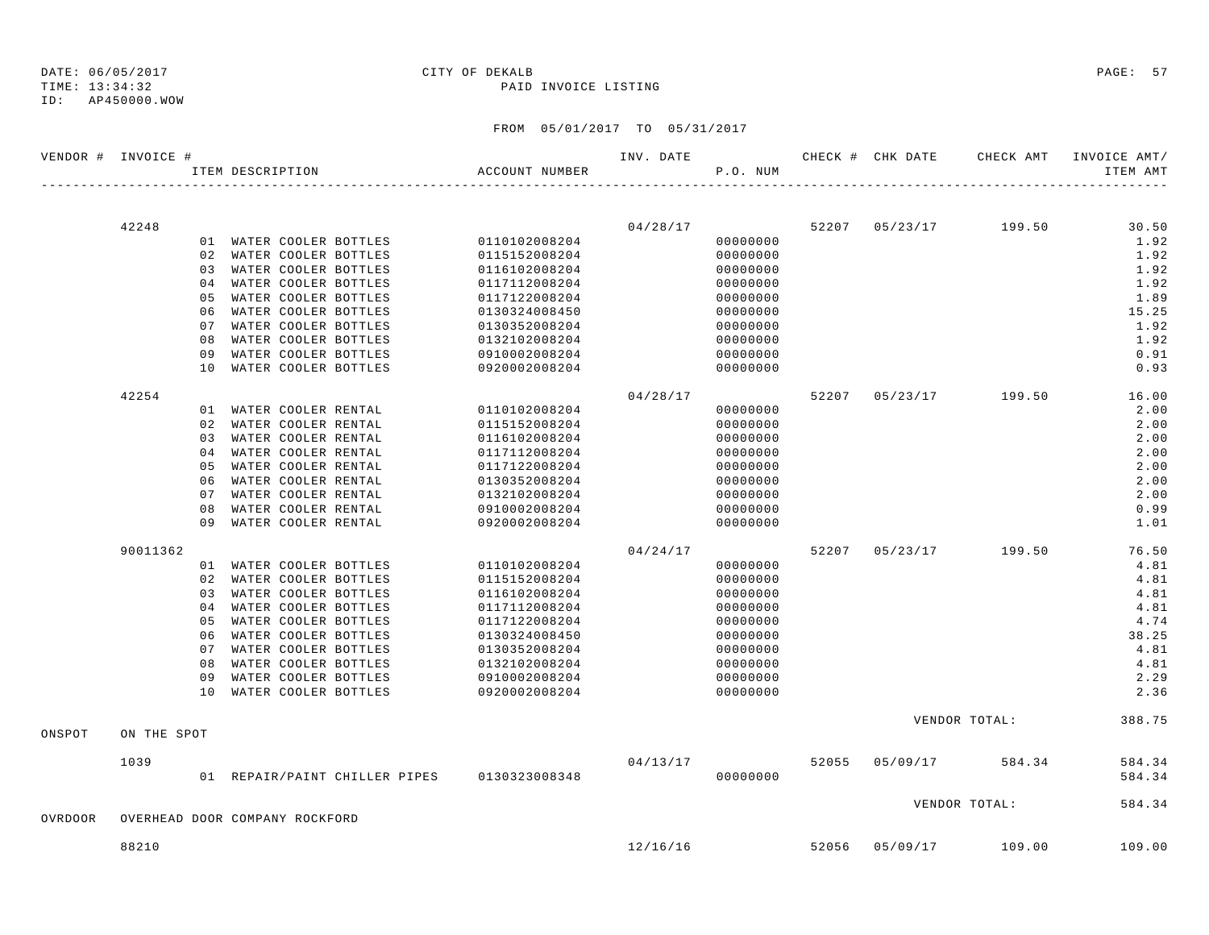ID: AP450000.WOW

## TIME: 13:34:32 PAID INVOICE LISTING

|         | VENDOR # INVOICE # |                |                                |                                             |                | INV. DATE |          |       |                | CHECK # CHK DATE CHECK AMT | INVOICE AMT/ |
|---------|--------------------|----------------|--------------------------------|---------------------------------------------|----------------|-----------|----------|-------|----------------|----------------------------|--------------|
|         |                    |                | ITEM DESCRIPTION               |                                             | ACCOUNT NUMBER |           | P.O. NUM |       |                |                            | ITEM AMT     |
|         |                    |                |                                |                                             |                |           |          |       |                |                            |              |
|         | 42248              |                |                                |                                             |                | 04/28/17  |          |       | 52207 05/23/17 | 199.50                     | 30.50        |
|         |                    |                | 01 WATER COOLER BOTTLES        |                                             | 0110102008204  |           | 00000000 |       |                |                            | 1.92         |
|         |                    |                | 02 WATER COOLER BOTTLES        |                                             | 0115152008204  |           | 00000000 |       |                |                            | 1.92         |
|         |                    |                | 03 WATER COOLER BOTTLES        |                                             | 0116102008204  |           | 00000000 |       |                |                            | 1.92         |
|         |                    |                | 04 WATER COOLER BOTTLES        |                                             | 0117112008204  |           | 00000000 |       |                |                            | 1.92         |
|         |                    | 05             | WATER COOLER BOTTLES           |                                             | 0117122008204  |           | 00000000 |       |                |                            | 1.89         |
|         |                    | 06             | WATER COOLER BOTTLES           |                                             | 0130324008450  |           | 00000000 |       |                |                            | 15.25        |
|         |                    | 07             | WATER COOLER BOTTLES           |                                             | 0130352008204  |           | 00000000 |       |                |                            | 1.92         |
|         |                    | 08             | WATER COOLER BOTTLES           |                                             | 0132102008204  |           | 00000000 |       |                |                            | 1.92         |
|         |                    | 09             | WATER COOLER BOTTLES           |                                             | 0910002008204  |           | 00000000 |       |                |                            | 0.91         |
|         |                    | 10             | WATER COOLER BOTTLES           |                                             | 0920002008204  |           | 00000000 |       |                |                            | 0.93         |
|         | 42254              |                |                                |                                             |                | 04/28/17  |          | 52207 | 05/23/17       | 199.50                     | 16.00        |
|         |                    |                | 01 WATER COOLER RENTAL         |                                             | 0110102008204  |           | 00000000 |       |                |                            | 2.00         |
|         |                    | 02             | WATER COOLER RENTAL            |                                             | 0115152008204  |           | 00000000 |       |                |                            | 2.00         |
|         |                    |                | 03 WATER COOLER RENTAL         |                                             | 0116102008204  |           | 00000000 |       |                |                            | 2.00         |
|         |                    | 04             | WATER COOLER RENTAL            |                                             | 0117112008204  |           | 00000000 |       |                |                            | 2.00         |
|         |                    | 05             | WATER COOLER RENTAL            |                                             | 0117122008204  |           | 00000000 |       |                |                            | 2.00         |
|         |                    | 06             | WATER COOLER RENTAL            |                                             | 0130352008204  |           | 00000000 |       |                |                            | 2.00         |
|         |                    | 07             | WATER COOLER RENTAL            |                                             | 0132102008204  |           | 00000000 |       |                |                            | 2.00         |
|         |                    | 08             | WATER COOLER RENTAL            |                                             | 0910002008204  |           | 00000000 |       |                |                            | 0.99         |
|         |                    | 09             | WATER COOLER RENTAL            |                                             | 0920002008204  |           | 00000000 |       |                |                            | 1.01         |
|         | 90011362           |                |                                |                                             |                | 04/24/17  |          | 52207 | 05/23/17       | 199.50                     | 76.50        |
|         |                    |                | 01 WATER COOLER BOTTLES        |                                             | 0110102008204  |           | 00000000 |       |                |                            | 4.81         |
|         |                    | 02             | WATER COOLER BOTTLES           |                                             | 0115152008204  |           | 00000000 |       |                |                            | 4.81         |
|         |                    |                | 03 WATER COOLER BOTTLES        |                                             | 0116102008204  |           | 00000000 |       |                |                            | 4.81         |
|         |                    | 0 <sub>4</sub> | WATER COOLER BOTTLES           |                                             | 0117112008204  |           | 00000000 |       |                |                            | 4.81         |
|         |                    | 05             | WATER COOLER BOTTLES           |                                             | 0117122008204  |           | 00000000 |       |                |                            | 4.74         |
|         |                    | 06             | WATER COOLER BOTTLES           |                                             | 0130324008450  |           | 00000000 |       |                |                            | 38.25        |
|         |                    | 0.7            | WATER COOLER BOTTLES           |                                             | 0130352008204  |           | 00000000 |       |                |                            | 4.81         |
|         |                    | 08             | WATER COOLER BOTTLES           |                                             | 0132102008204  |           | 00000000 |       |                |                            | 4.81         |
|         |                    | 09             | WATER COOLER BOTTLES           |                                             | 0910002008204  |           | 00000000 |       |                |                            | 2.29         |
|         |                    | 10             | WATER COOLER BOTTLES           |                                             | 0920002008204  |           | 00000000 |       |                |                            | 2.36         |
| ONSPOT  | ON THE SPOT        |                |                                |                                             |                |           |          |       |                | VENDOR TOTAL:              | 388.75       |
|         |                    |                |                                |                                             |                |           |          |       |                |                            |              |
|         | 1039               |                |                                |                                             |                | 04/13/17  |          |       | 52055 05/09/17 | 584.34                     | 584.34       |
|         |                    |                |                                | 01 REPAIR/PAINT CHILLER PIPES 0130323008348 |                |           | 00000000 |       |                |                            | 584.34       |
|         |                    |                |                                |                                             |                |           |          |       |                | VENDOR TOTAL:              | 584.34       |
| OVRDOOR |                    |                | OVERHEAD DOOR COMPANY ROCKFORD |                                             |                |           |          |       |                |                            |              |
|         | 88210              |                |                                |                                             |                | 12/16/16  |          | 52056 | 05/09/17       | 109.00                     | 109.00       |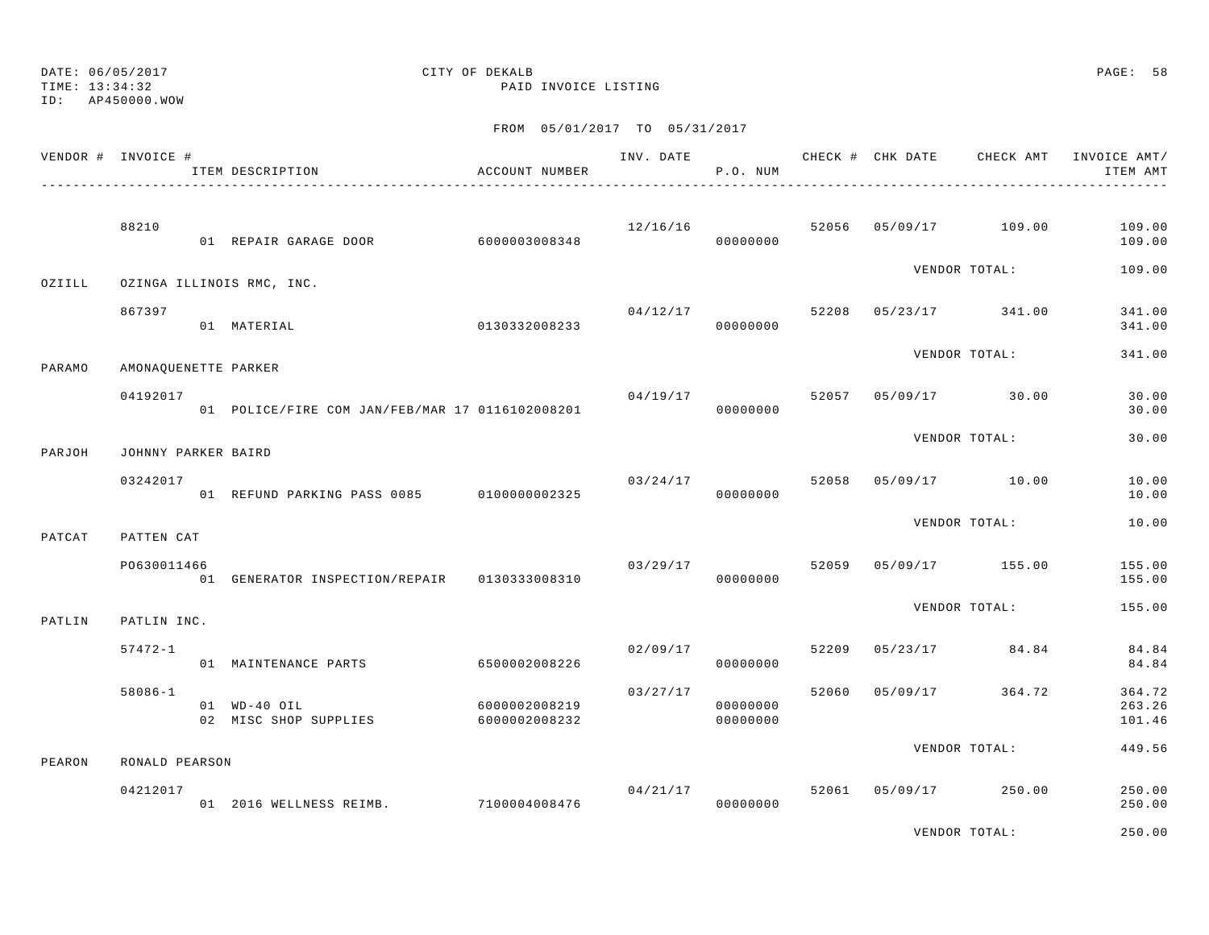FROM 05/01/2017 TO 05/31/2017 VENDOR # INVOICE # THE SAMPLE FOR THE CHECK AND THE CHECK AND CHECK FOR CHECK AMT INVOICE AMT/ ITEM DESCRIPTION ACCOUNT NUMBER P.O. NUM ITEM AMT---------------------------------------------------------------------------------------------------------------------------------------------- 88210 12/16/16 52056 05/09/17 109.00 109.00 01 REPAIR GARAGE DOOR 6000003008348 000000000 109.00 109.00 VENDOR TOTAL: 109.00 OZIILL OZINGA ILLINOIS RMC, INC. 867397 04/12/17 52208 05/23/17 341.00 341.00 01 MATERIAL 0130332008233 00000000 341.00VENDOR TOTAL: 341.00 PARAMO AMONAQUENETTE PARKER  $04/19/17$  30.00 30.00 30.00 01 POLICE/FIRE COM JAN/FEB/MAR 17 0116102008201 000000000 00000000 0000000 30.00 VENDOR TOTAL: 30.00PARJOH JOHNNY PARKER BAIRD $03/24/17$   $03/24/17$   $52058$   $05/09/17$   $10.00$   $10.00$  01 REFUND PARKING PASS 0085 0100000002325 00000000 10.00VENDOR TOTAL: 10.00PATCAT PATTEN CAT PO630011466 03/29/17 52059 05/09/17 155.00 155.00 01 GENERATOR INSPECTION/REPAIR 0130333008310 00000000 155.00 VENDOR TOTAL: 155.00PATLIN PATLIN INC. 57472-1 02/09/17 52209 05/23/17 84.84 84.84 01 MAINTENANCE PARTS 6500002008226 00000000 84.84 58086-1 03/27/17 52060 05/09/17 364.72 364.72 01 WD-40 OIL 6000002008219 00000000 263.2602 MISC SHOP SUPPLIES 6000002008232 00000000 101.46

PEARON RONALD PEARSON

| 04212017 |                      |               | 04/21/17 |          | 52061 | 05/09/17 | 250.00 | 250.00 |
|----------|----------------------|---------------|----------|----------|-------|----------|--------|--------|
|          | 2016 WELLNESS REIMB. | 7100004008476 |          | 00000000 |       |          |        | 250.00 |

VENDOR TOTAL: 250.00

449.56

VENDOR TOTAL: 449.56

### DATE: 06/05/2017 CITY OF DEKALB PAGE: 58 TIME: 13:34:32 PAID INVOICE LISTING

ID: AP450000.WOW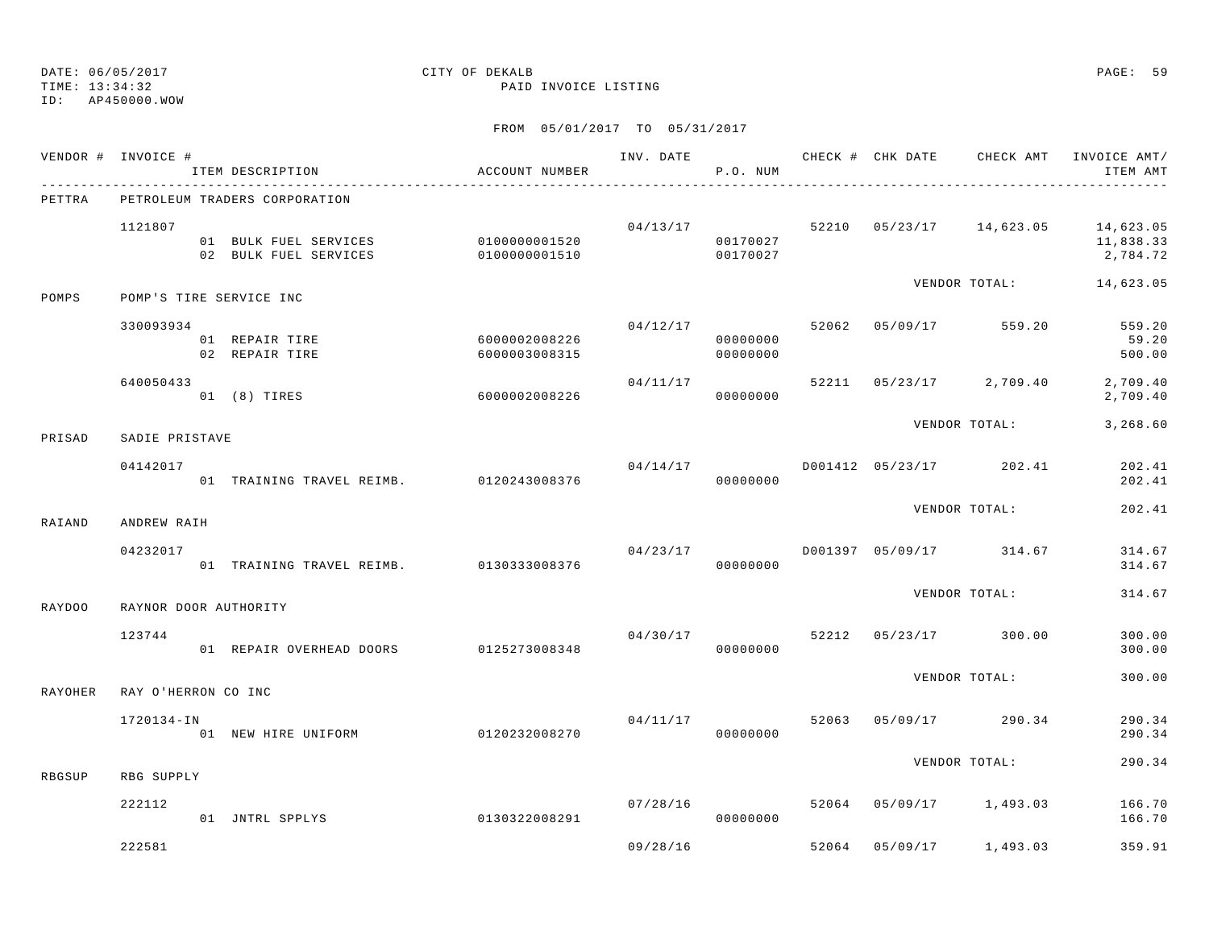TIME: 13:34:32 PAID INVOICE LISTING

ID: AP450000.WOW

|                | VENDOR # INVOICE #      | ITEM DESCRIPTION                                                                    | ACCOUNT NUMBER                 |          | P.O. NUM                         |       |                                          | INV. DATE 6 CHECK # CHK DATE CHECK AMT INVOICE AMT/<br>ITEM AMT |
|----------------|-------------------------|-------------------------------------------------------------------------------------|--------------------------------|----------|----------------------------------|-------|------------------------------------------|-----------------------------------------------------------------|
| PETTRA         |                         | PETROLEUM TRADERS CORPORATION                                                       |                                |          |                                  |       |                                          |                                                                 |
|                | 1121807                 | 01 BULK FUEL SERVICES 0100000001520<br>02 BULK FUEL SERVICES 0100000001510 00170027 |                                | 04/13/17 | 00170027                         |       |                                          | 52210 05/23/17 14,623.05 14,623.05<br>11,838.33<br>2,784.72     |
| POMPS          | POMP'S TIRE SERVICE INC |                                                                                     |                                |          |                                  |       | VENDOR TOTAL:                            | 14,623.05                                                       |
|                | 330093934               | 01 REPAIR TIRE<br>02 REPAIR TIRE                                                    | 6000002008226<br>6000003008315 |          | 04/12/17<br>00000000<br>00000000 | 52062 | 05/09/17 559.20                          | 559.20<br>59.20<br>500.00                                       |
|                | 640050433               | 01 (8) TIRES                                                                        | 60000002008226                 | 04/11/17 | 00000000                         |       | 52211 05/23/17 2,709.40                  | 2,709.40<br>2,709.40                                            |
| PRISAD         | SADIE PRISTAVE          |                                                                                     |                                |          |                                  |       | VENDOR TOTAL:                            | 3,268.60                                                        |
|                | 04142017                | 01 TRAINING TRAVEL REIMB. 0120243008376                                             |                                | 04/14/17 | 00000000                         |       | D001412 05/23/17 202.41                  | 202.41<br>202.41                                                |
| RAIAND         | ANDREW RAIH             |                                                                                     |                                |          |                                  |       | VENDOR TOTAL:                            | 202.41                                                          |
|                | 04232017                | 01 TRAINING TRAVEL REIMB. 0130333008376                                             |                                |          | 00000000                         |       | $04/23/17$ $D001397$ $05/09/17$ $314.67$ | 314.67<br>314.67                                                |
| <b>RAYDOO</b>  | RAYNOR DOOR AUTHORITY   |                                                                                     |                                |          |                                  |       | VENDOR TOTAL:                            | 314.67                                                          |
|                | 123744                  | 01 REPAIR OVERHEAD DOORS 0125273008348                                              |                                | 04/30/17 | 00000000                         |       | 52212 05/23/17 300.00                    | 300.00<br>300.00                                                |
| <b>RAYOHER</b> | RAY O'HERRON CO INC     |                                                                                     |                                |          |                                  |       | VENDOR TOTAL:                            | 300.00                                                          |
|                | 1720134-IN              | --.<br>01 NEW HIRE UNIFORM 0120232008270                                            |                                | 04/11/17 | 00000000                         | 52063 | $05/09/17$ 290.34                        | 290.34<br>290.34                                                |
| RBGSUP         | RBG SUPPLY              |                                                                                     |                                |          |                                  |       | VENDOR TOTAL:                            | 290.34                                                          |
|                | 222112                  | 01 JNTRL SPPLYS                                                                     | 0130322008291                  | 07/28/16 | 00000000                         |       | 52064 05/09/17 1,493.03                  | 166.70<br>166.70                                                |
|                | 222581                  |                                                                                     |                                | 09/28/16 |                                  |       | 52064 05/09/17 1,493.03                  | 359.91                                                          |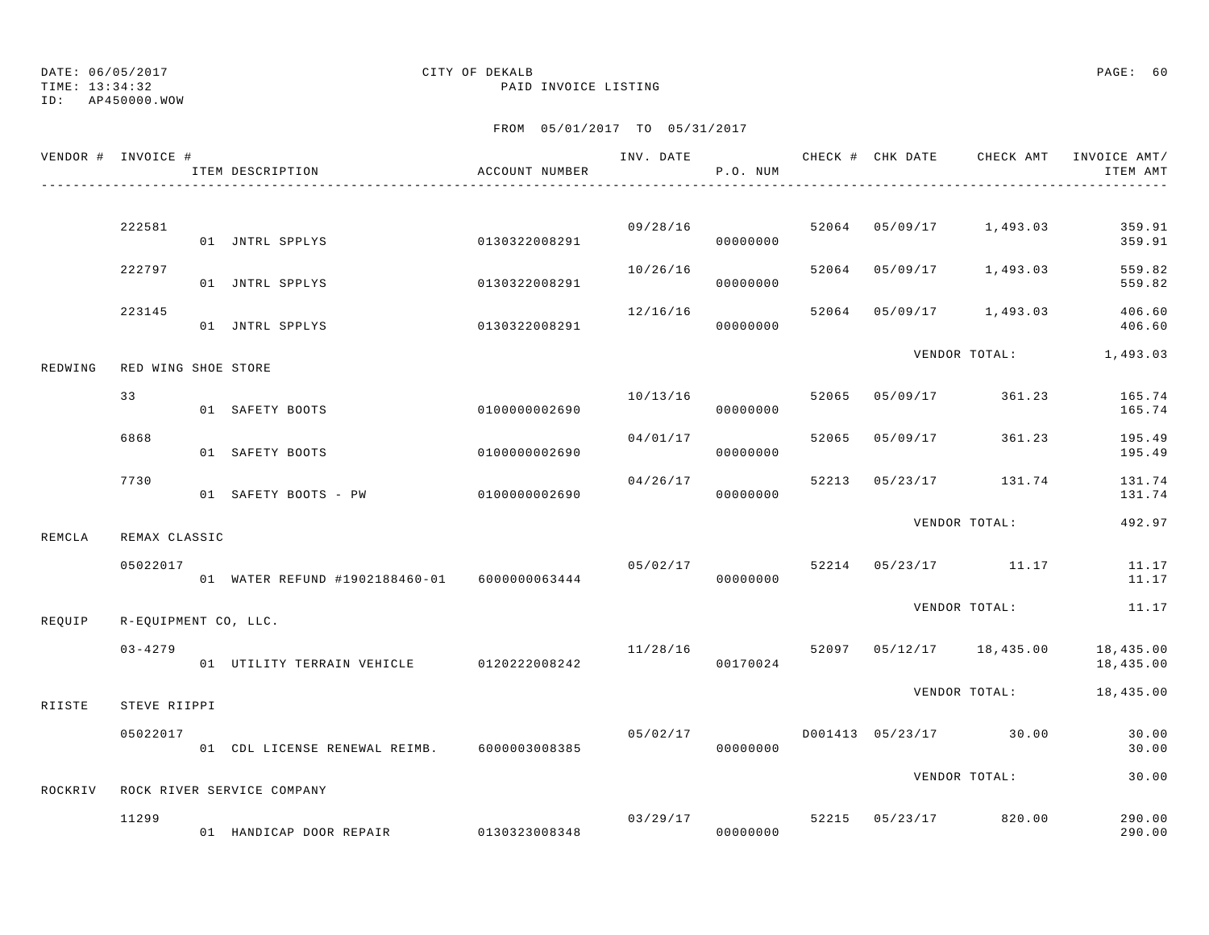TIME: 13:34:32 PAID INVOICE LISTING

ID: AP450000.WOW

|         | VENDOR # INVOICE #   | ITEM DESCRIPTION                             | ACCOUNT NUMBER |          | P.O. NUM |       |          | INV. DATE 6 7 CHECK # CHK DATE CHECK AMT INVOICE AMT/ | ITEM AMT               |
|---------|----------------------|----------------------------------------------|----------------|----------|----------|-------|----------|-------------------------------------------------------|------------------------|
|         |                      |                                              |                |          |          |       |          |                                                       |                        |
|         | 222581               | 01 JNTRL SPPLYS                              | 0130322008291  | 09/28/16 | 00000000 |       |          | 52064 05/09/17 1,493.03                               | 359.91<br>359.91       |
|         | 222797               | 01 JNTRL SPPLYS                              | 0130322008291  | 10/26/16 | 00000000 | 52064 |          | 05/09/17 1,493.03                                     | 559.82<br>559.82       |
|         | 223145               | 01 JNTRL SPPLYS                              | 0130322008291  | 12/16/16 | 00000000 |       |          | 52064 05/09/17 1,493.03                               | 406.60<br>406.60       |
| REDWING | RED WING SHOE STORE  |                                              |                |          |          |       |          | VENDOR TOTAL:                                         | 1,493.03               |
|         | 33                   | 01 SAFETY BOOTS                              | 0100000002690  | 10/13/16 | 00000000 | 52065 |          | 05/09/17 361.23                                       | 165.74<br>165.74       |
|         | 6868                 | 01 SAFETY BOOTS                              | 0100000002690  | 04/01/17 | 00000000 | 52065 | 05/09/17 | 361.23                                                | 195.49<br>195.49       |
|         | 7730                 | 01 SAFETY BOOTS - PW 0100000002690           |                | 04/26/17 | 00000000 | 52213 |          | 05/23/17 131.74                                       | 131.74<br>131.74       |
| REMCLA  | REMAX CLASSIC        |                                              |                |          |          |       |          | VENDOR TOTAL:                                         | 492.97                 |
|         | 05022017             | 01 WATER REFUND #1902188460-01 6000000063444 |                | 05/02/17 | 00000000 |       |          | 52214 05/23/17 11.17                                  | 11.17<br>11.17         |
| REQUIP  | R-EQUIPMENT CO, LLC. |                                              |                |          |          |       |          | VENDOR TOTAL:                                         | 11.17                  |
|         | $03 - 4279$          | 01 UTILITY TERRAIN VEHICLE 0120222008242     |                | 11/28/16 | 00170024 |       |          | 52097 05/12/17 18,435.00                              | 18,435.00<br>18,435.00 |
| RIISTE  | STEVE RIIPPI         |                                              |                |          |          |       |          | VENDOR TOTAL:                                         | 18,435.00              |
|         | 05022017             | 01 CDL LICENSE RENEWAL REIMB. 6000003008385  |                | 05/02/17 | 00000000 |       |          | D001413 05/23/17 30.00                                | 30.00<br>30.00         |
| ROCKRIV |                      | ROCK RIVER SERVICE COMPANY                   |                |          |          |       |          | VENDOR TOTAL:                                         | 30.00                  |
|         | 11299                | 01 HANDICAP DOOR REPAIR 0130323008348        |                |          | 00000000 |       |          | $03/29/17$ 52215 $05/23/17$ 820.00                    | 290.00<br>290.00       |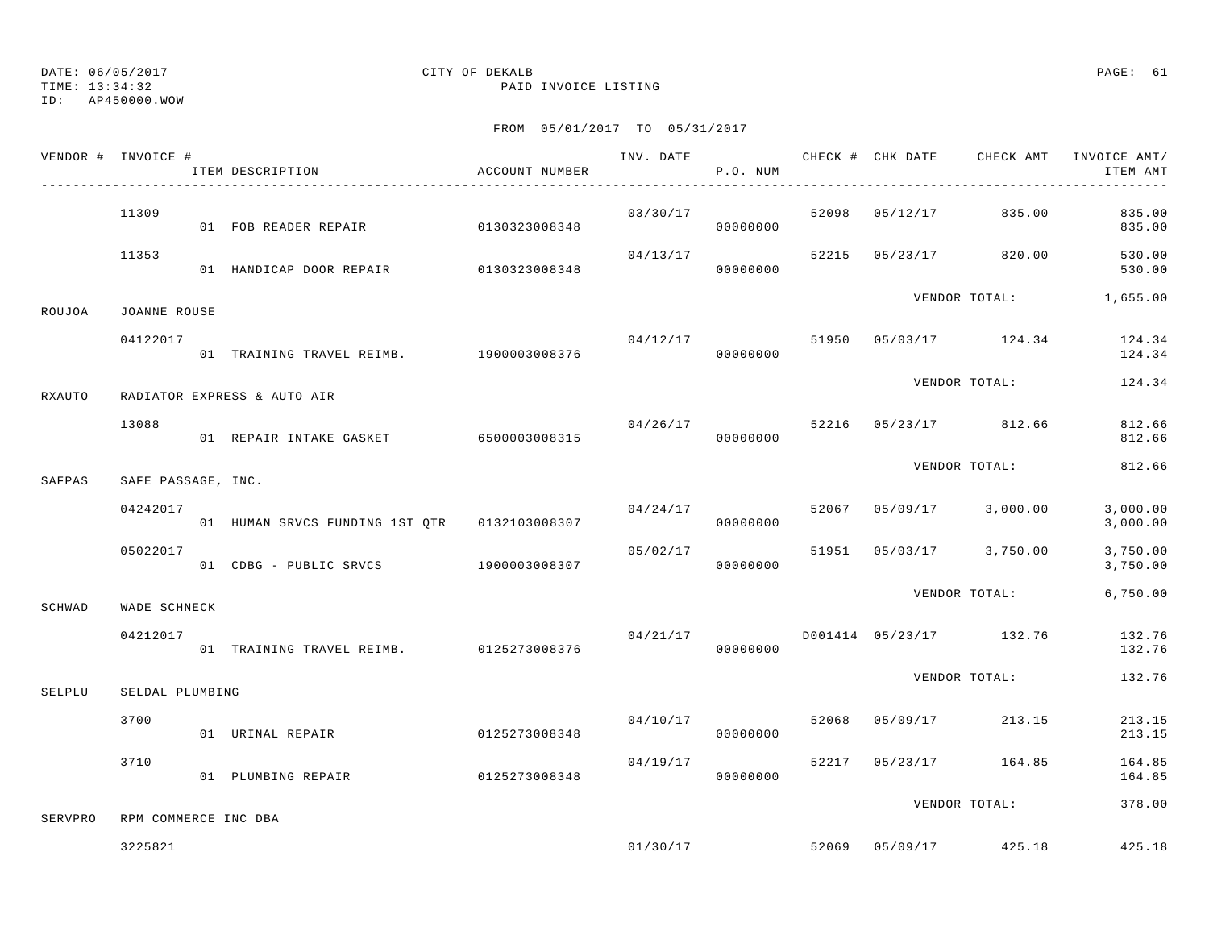TIME: 13:34:32 PAID INVOICE LISTING

ID: AP450000.WOW

|         | VENDOR # INVOICE #   | ITEM DESCRIPTION                        | ACCOUNT NUMBER |          | P.O. NUM |       |                                  | ITEM AMT             |
|---------|----------------------|-----------------------------------------|----------------|----------|----------|-------|----------------------------------|----------------------|
|         | 11309                | 01 FOB READER REPAIR 60130323008348     |                | 03/30/17 | 00000000 |       | 52098 05/12/17 835.00            | 835.00<br>835.00     |
|         | 11353                | 01 HANDICAP DOOR REPAIR 0130323008348   |                | 04/13/17 | 00000000 |       | 52215 05/23/17 820.00            | 530.00<br>530.00     |
| ROUJOA  | JOANNE ROUSE         |                                         |                |          |          |       | VENDOR TOTAL: 1,655.00           |                      |
|         | 04122017             |                                         |                | 04/12/17 |          |       | 51950 05/03/17 124.34            | 124.34<br>124.34     |
| RXAUTO  |                      | RADIATOR EXPRESS & AUTO AIR             |                |          |          |       | VENDOR TOTAL:                    | 124.34               |
|         | 13088                | 01 REPAIR INTAKE GASKET 6500003008315   |                | 04/26/17 | 00000000 |       | 52216 05/23/17 812.66            | 812.66<br>812.66     |
| SAFPAS  | SAFE PASSAGE, INC.   |                                         |                |          |          |       | VENDOR TOTAL:                    | 812.66               |
|         | 04242017             |                                         |                | 04/24/17 | 00000000 |       | 52067 05/09/17 3,000.00          | 3,000.00<br>3,000.00 |
|         | 05022017             | 01 CDBG - PUBLIC SRVCS 1900003008307    |                | 05/02/17 | 00000000 |       | 51951 05/03/17 3,750.00          | 3,750.00<br>3,750.00 |
| SCHWAD  | WADE SCHNECK         |                                         |                |          |          |       | VENDOR TOTAL:                    | 6,750.00             |
|         | 04212017             | 01 TRAINING TRAVEL REIMB. 0125273008376 |                | 04/21/17 | 00000000 |       | D001414 05/23/17 132.76          | 132.76<br>132.76     |
| SELPLU  | SELDAL PLUMBING      |                                         |                |          |          |       | VENDOR TOTAL:                    | 132.76               |
|         | 3700                 | 01 URINAL REPAIR                        | 0125273008348  | 04/10/17 | 00000000 | 52068 | 05/09/17 213.15                  | 213.15<br>213.15     |
|         | 3710                 | 01 PLUMBING REPAIR                      | 0125273008348  | 04/19/17 | 00000000 |       | 52217 05/23/17 164.85            | 164.85<br>164.85     |
| SERVPRO | RPM COMMERCE INC DBA |                                         |                |          |          |       | VENDOR TOTAL:                    | 378.00               |
|         | 3225821              |                                         |                |          |          |       | $01/30/17$ 52069 05/09/17 425.18 | 425.18               |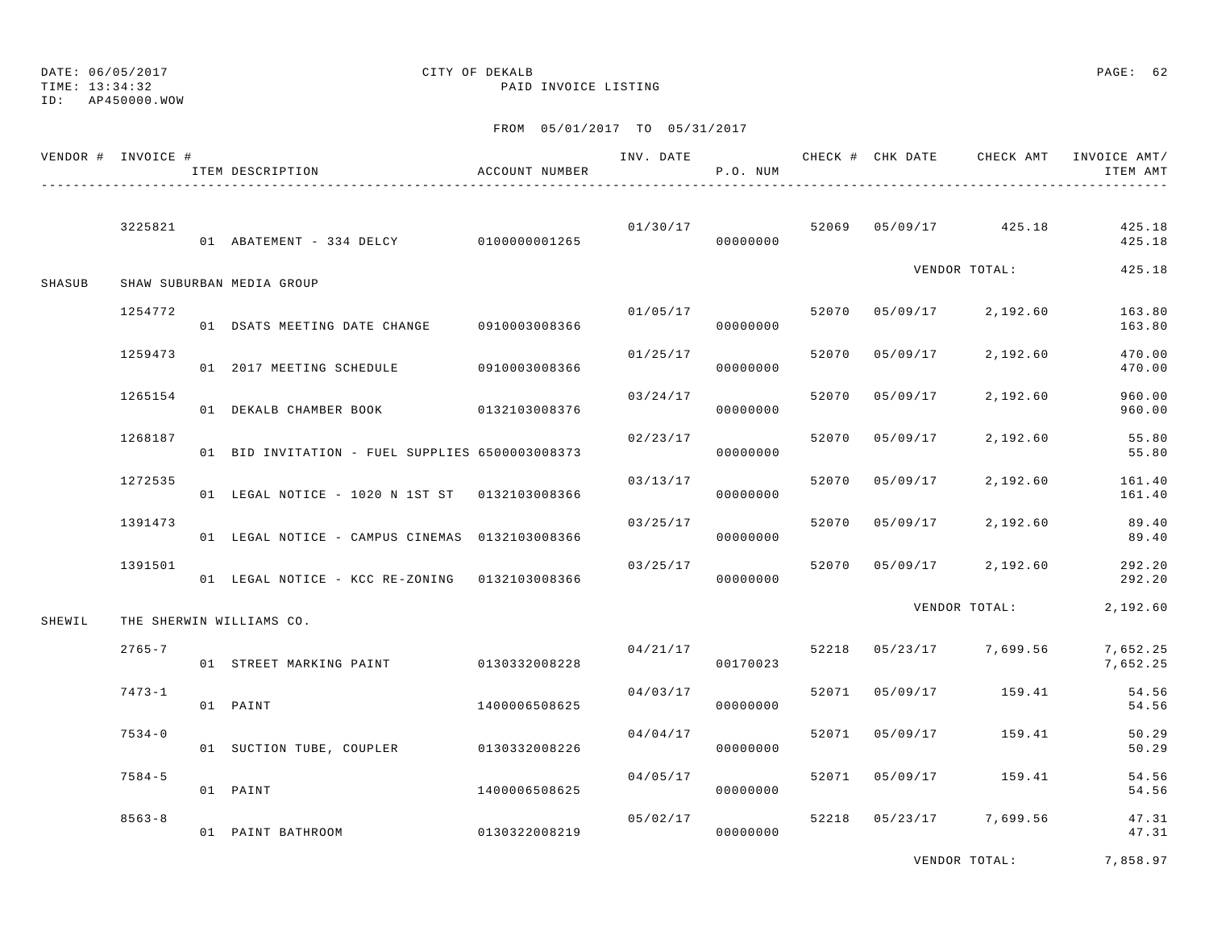TIME: 13:34:32 PAID INVOICE LISTING

ID: AP450000.WOW

| VENDOR # INVOICE # |            | ITEM DESCRIPTION                                | ACCOUNT NUMBER |          | P.O. NUM             |       |                |                         | INV. DATE 6 CHECK # CHK DATE CHECK AMT INVOICE AMT/<br>ITEM AMT |
|--------------------|------------|-------------------------------------------------|----------------|----------|----------------------|-------|----------------|-------------------------|-----------------------------------------------------------------|
|                    | 3225821    | 01 ABATEMENT - 334 DELCY 0100000001265          |                |          | 01/30/17<br>00000000 |       |                | 52069 05/09/17 425.18   | 425.18<br>425.18                                                |
| SHASUB             |            | SHAW SUBURBAN MEDIA GROUP                       |                |          |                      |       |                | VENDOR TOTAL:           | 425.18                                                          |
|                    | 1254772    | 01 DSATS MEETING DATE CHANGE 0910003008366      |                |          | 01/05/17<br>00000000 |       |                | 52070 05/09/17 2,192.60 | 163.80<br>163.80                                                |
|                    | 1259473    | 01 2017 MEETING SCHEDULE 0910003008366          |                | 01/25/17 | 00000000             |       | 52070 05/09/17 | 2,192.60                | 470.00<br>470.00                                                |
|                    | 1265154    | 01 DEKALB CHAMBER BOOK 0132103008376            |                | 03/24/17 | 00000000             | 52070 | 05/09/17       | 2,192.60                | 960.00<br>960.00                                                |
|                    | 1268187    | 01 BID INVITATION - FUEL SUPPLIES 6500003008373 |                | 02/23/17 | 00000000             | 52070 | 05/09/17       | 2,192.60                | 55.80<br>55.80                                                  |
|                    | 1272535    | 01 LEGAL NOTICE - 1020 N 1ST ST 0132103008366   |                | 03/13/17 | 00000000             |       | 52070 05/09/17 | 2,192.60                | 161.40<br>161.40                                                |
|                    | 1391473    | 01 LEGAL NOTICE - CAMPUS CINEMAS 0132103008366  |                | 03/25/17 | 00000000             |       | 52070 05/09/17 | 2,192.60                | 89.40<br>89.40                                                  |
|                    | 1391501    | 01 LEGAL NOTICE - KCC RE-ZONING 0132103008366   |                | 03/25/17 | 00000000             | 52070 |                | 05/09/17 2,192.60       | 292.20<br>292.20                                                |
| SHEWIL             |            | THE SHERWIN WILLIAMS CO.                        |                |          |                      |       |                | VENDOR TOTAL:           | 2,192.60                                                        |
|                    | $2765 - 7$ | 01 STREET MARKING PAINT 0130332008228           |                |          | 04/21/17<br>00170023 |       |                | 52218 05/23/17 7,699.56 | 7,652.25<br>7,652.25                                            |
|                    | $7473 - 1$ | 01 PAINT                                        | 1400006508625  | 04/03/17 | 00000000             |       |                | 52071 05/09/17 159.41   | 54.56<br>54.56                                                  |
|                    | $7534 - 0$ | 01 SUCTION TUBE, COUPLER 0130332008226          |                | 04/04/17 | 00000000             | 52071 |                | 05/09/17 159.41         | 50.29<br>50.29                                                  |
|                    | $7584 - 5$ | 01 PAINT                                        | 1400006508625  | 04/05/17 | 00000000             | 52071 |                | 05/09/17 159.41         | 54.56<br>54.56                                                  |
|                    | $8563 - 8$ | 01 PAINT BATHROOM                               | 0130322008219  | 05/02/17 | 00000000             |       |                | 52218 05/23/17 7,699.56 | 47.31<br>47.31                                                  |
|                    |            |                                                 |                |          |                      |       |                |                         |                                                                 |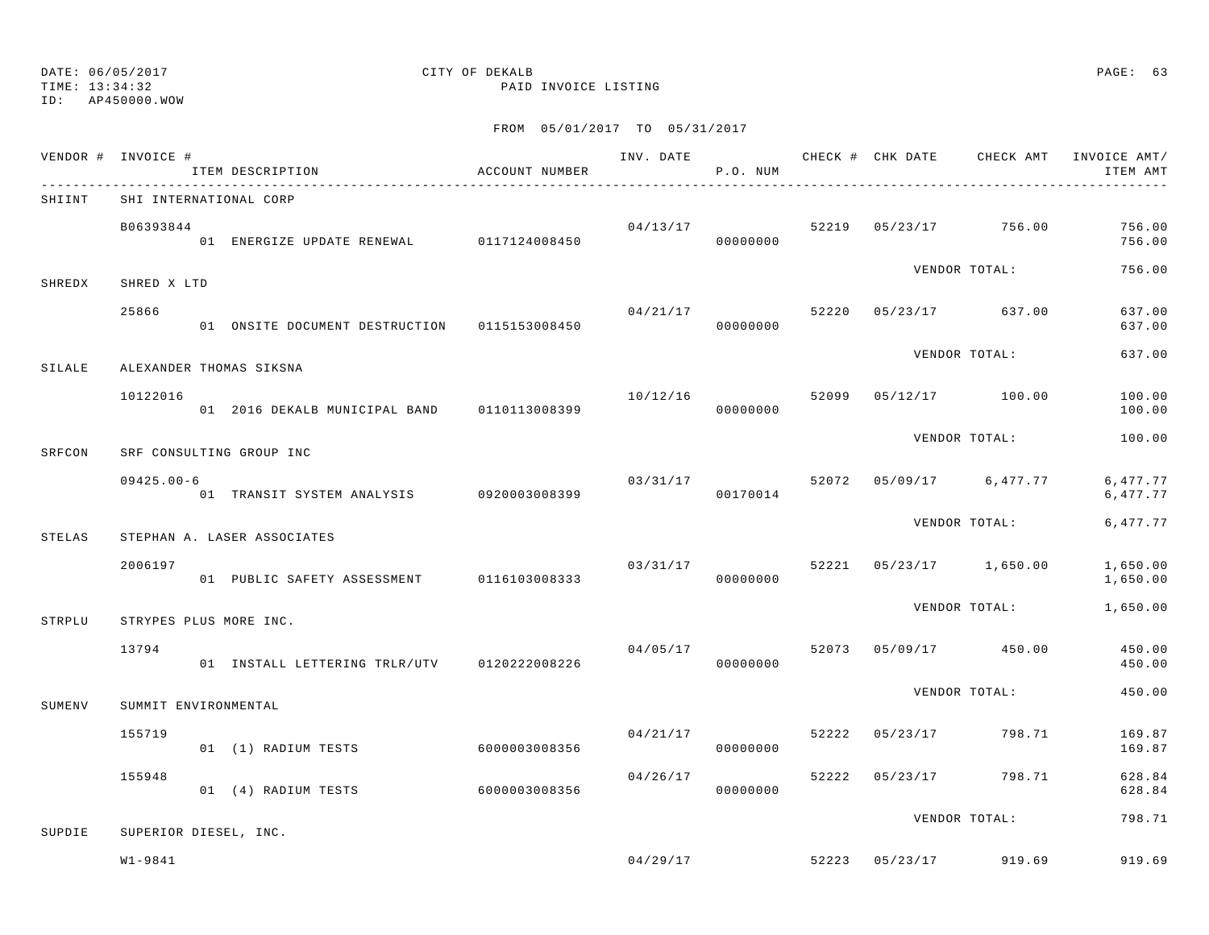ID: AP450000.WOW

TIME: 13:34:32 PAID INVOICE LISTING

|        | VENDOR # INVOICE #   | ITEM DESCRIPTION                                                       | ACCOUNT NUMBER |          | P.O. NUM             |  |                                                 | INV. DATE 6 1999 CHECK # CHK DATE 6 CHECK AMT INVOICE AMT<br>ITEM AMT |
|--------|----------------------|------------------------------------------------------------------------|----------------|----------|----------------------|--|-------------------------------------------------|-----------------------------------------------------------------------|
| SHIINT |                      | SHI INTERNATIONAL CORP                                                 |                |          |                      |  |                                                 |                                                                       |
|        | B06393844            | 01 ENERGIZE UPDATE RENEWAL 0117124008450                               |                |          | 00000000             |  | $04/13/17$ 52219 05/23/17 756.00                | 756.00<br>756.00                                                      |
| SHREDX | SHRED X LTD          |                                                                        |                |          |                      |  | VENDOR TOTAL:                                   | 756.00                                                                |
|        | 25866                | 01 ONSITE DOCUMENT DESTRUCTION 0115153008450                           |                | 04/21/17 | 00000000             |  | 52220 05/23/17 637.00                           | 637.00<br>637.00                                                      |
|        |                      |                                                                        |                |          |                      |  | VENDOR TOTAL:                                   | 637.00                                                                |
| SILALE | 10122016             | ALEXANDER THOMAS SIKSNA<br>01 2016 DEKALB MUNICIPAL BAND 0110113008399 |                | 10/12/16 | 00000000             |  | 52099 05/12/17 100.00                           | 100.00<br>100.00                                                      |
| SRFCON |                      | SRF CONSULTING GROUP INC                                               |                |          |                      |  | VENDOR TOTAL:                                   | 100.00                                                                |
|        | $09425.00 - 6$       | 01 TRANSIT SYSTEM ANALYSIS 0920003008399                               |                | 03/31/17 | 00170014             |  | 52072 05/09/17 6,477.77                         | 6,477.77<br>6,477.77                                                  |
| STELAS |                      | STEPHAN A. LASER ASSOCIATES                                            |                |          |                      |  | VENDOR TOTAL:                                   | 6,477.77                                                              |
|        | 2006197              | 01 PUBLIC SAFETY ASSESSMENT 0116103008333                              |                | 03/31/17 | 00000000             |  | 52221 05/23/17 1,650.00                         | 1,650.00<br>1,650.00                                                  |
| STRPLU |                      | STRYPES PLUS MORE INC.                                                 |                |          |                      |  | VENDOR TOTAL:                                   | 1,650.00                                                              |
|        | 13794                | 01 INSTALL LETTERING TRLR/UTV 0120222008226                            |                |          | 00000000             |  | $0.4/0.5/17$ $0.5/0.73$ $0.5/0.9/17$ $0.5/0.00$ | 450.00<br>450.00                                                      |
|        |                      |                                                                        |                |          |                      |  | VENDOR TOTAL:                                   | 450.00                                                                |
| SUMENV | SUMMIT ENVIRONMENTAL |                                                                        |                |          |                      |  |                                                 |                                                                       |
|        | 155719               | 01 (1) RADIUM TESTS                                                    | 60000003008356 |          | 04/21/17<br>00000000 |  | 52222 05/23/17 798.71                           | 169.87<br>169.87                                                      |
|        | 155948               | 01 (4) RADIUM TESTS                                                    | 6000003008356  | 04/26/17 | 00000000             |  | 52222 05/23/17 798.71                           | 628.84<br>628.84                                                      |
| SUPDIE |                      | SUPERIOR DIESEL, INC.                                                  |                |          |                      |  | VENDOR TOTAL:                                   | 798.71                                                                |
|        | $W1 - 9841$          |                                                                        |                |          |                      |  | $0.4 / 29 / 17$ 52.2.2.3 $0.5 / 23 / 17$ 919.69 | 919.69                                                                |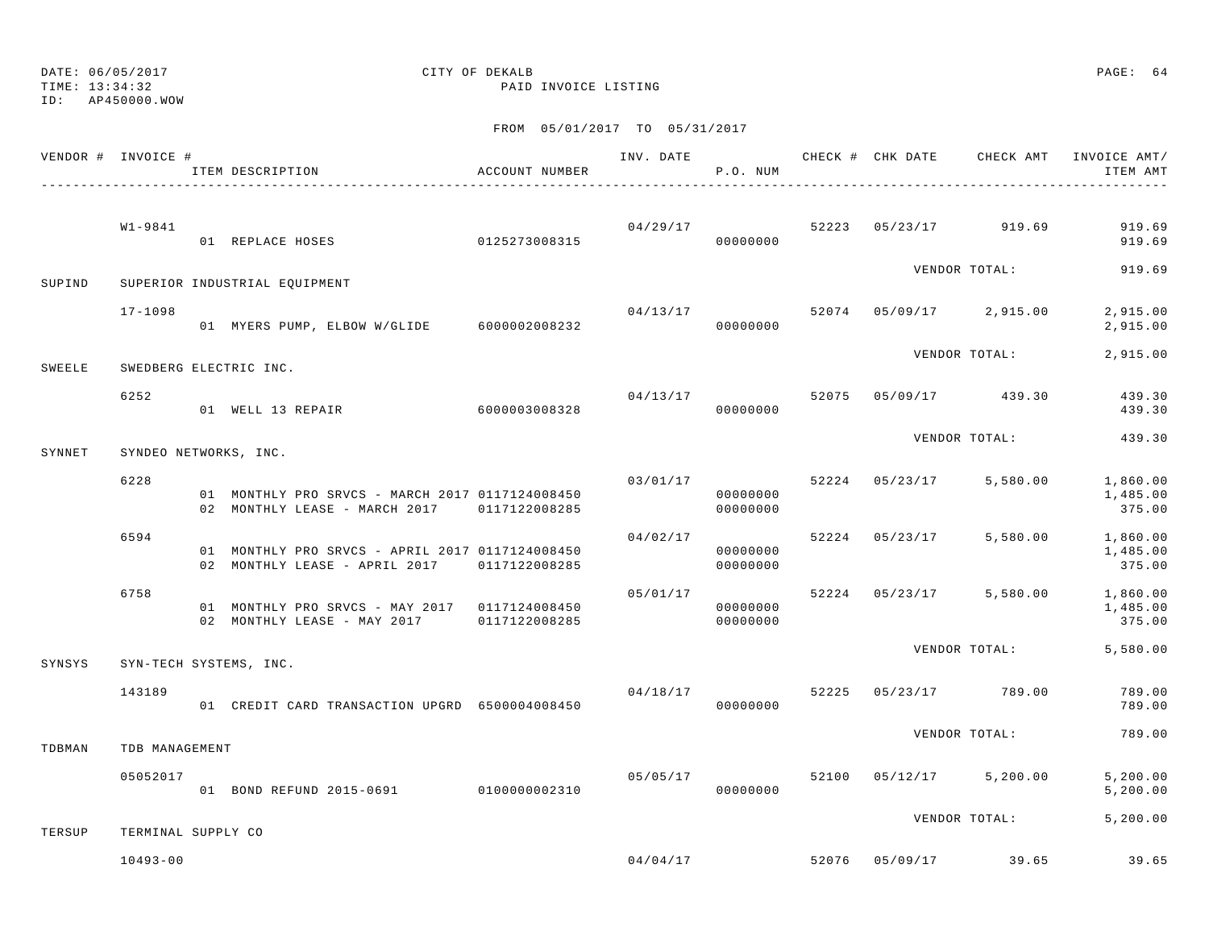DATE: 06/05/2017 CITY OF DEKALB PAGE: 64 TIME: 13:34:32 PAID INVOICE LISTING ID: AP450000.WOW

| VENDOR # INVOICE # |                    | ITEM DESCRIPTION                                                                                     | ACCOUNT NUMBER |          | P.O. NUM             |  |                                  | INV. DATE 6 1997 CHECK # CHK DATE CHECK AMT INVOICE AMT/<br>ITEM AMT |
|--------------------|--------------------|------------------------------------------------------------------------------------------------------|----------------|----------|----------------------|--|----------------------------------|----------------------------------------------------------------------|
|                    | W1-9841            |                                                                                                      |                |          |                      |  | $04/29/17$ 52223 05/23/17 919.69 | 919.69                                                               |
|                    |                    | 01 REPLACE HOSES 0125273008315                                                                       |                |          |                      |  |                                  | 919.69                                                               |
| SUPIND             |                    | SUPERIOR INDUSTRIAL EQUIPMENT                                                                        |                |          |                      |  | VENDOR TOTAL:                    | 919.69                                                               |
|                    | $17 - 1098$        | 01 MYERS PUMP, ELBOW W/GLIDE 6000002008232                                                           |                | 04/13/17 | 00000000             |  | 52074 05/09/17 2,915.00          | 2,915.00<br>2,915.00                                                 |
| SWEELE             |                    | SWEDBERG ELECTRIC INC.                                                                               |                |          |                      |  | VENDOR TOTAL:                    | 2,915.00                                                             |
|                    | 6252               | 01 WELL 13 REPAIR 6000003008328                                                                      |                |          | 00000000             |  | $04/13/17$ 52075 05/09/17 439.30 | 439.30<br>439.30                                                     |
| SYNNET             |                    | SYNDEO NETWORKS, INC.                                                                                |                |          |                      |  | VENDOR TOTAL:                    | 439.30                                                               |
|                    | 6228               |                                                                                                      |                | 03/01/17 |                      |  |                                  | 52224 05/23/17 5,580.00 1,860.00                                     |
|                    |                    | 01 MONTHLY PRO SRVCS - MARCH 2017 0117124008450<br>02 MONTHLY LEASE - MARCH 2017 0117122008285       |                |          | 00000000<br>00000000 |  |                                  | 1,485.00<br>375.00                                                   |
|                    | 6594               | 01 MONTHLY PRO SRVCS - APRIL 2017 0117124008450<br>02 MONTHLY LEASE - APRIL 2017 0117122008285       |                | 04/02/17 | 00000000<br>00000000 |  |                                  | 52224 05/23/17 5,580.00 1,860.00<br>1,485.00<br>375.00               |
|                    | 6758               | 01 MONTHLY PRO SRVCS - MAY 2017 0117124008450<br>02 MONTHLY LEASE - MAY 2017 0117122008285 000000000 |                |          | 05/01/17<br>00000000 |  |                                  | 52224 05/23/17 5,580.00 1,860.00<br>1,485.00<br>375.00               |
| SYNSYS             |                    | SYN-TECH SYSTEMS, INC.                                                                               |                |          |                      |  |                                  | VENDOR TOTAL: 5,580.00                                               |
|                    | 143189             | 01 CREDIT CARD TRANSACTION UPGRD 6500004008450                                                       |                | 04/18/17 | 00000000             |  | 52225 05/23/17 789.00            | 789.00<br>789.00                                                     |
| TDBMAN             | TDB MANAGEMENT     |                                                                                                      |                |          |                      |  | VENDOR TOTAL:                    | 789.00                                                               |
|                    | 05052017           | 01 BOND REFUND 2015-0691 0100000002310                                                               |                | 05/05/17 | 00000000             |  | 52100 05/12/17 5,200.00          | 5, 200.00<br>5, 200.00                                               |
| TERSUP             | TERMINAL SUPPLY CO |                                                                                                      |                |          |                      |  |                                  | VENDOR TOTAL: 5,200.00                                               |
|                    | $10493 - 00$       |                                                                                                      |                | 04/04/17 |                      |  | 52076 05/09/17 39.65             | 39.65                                                                |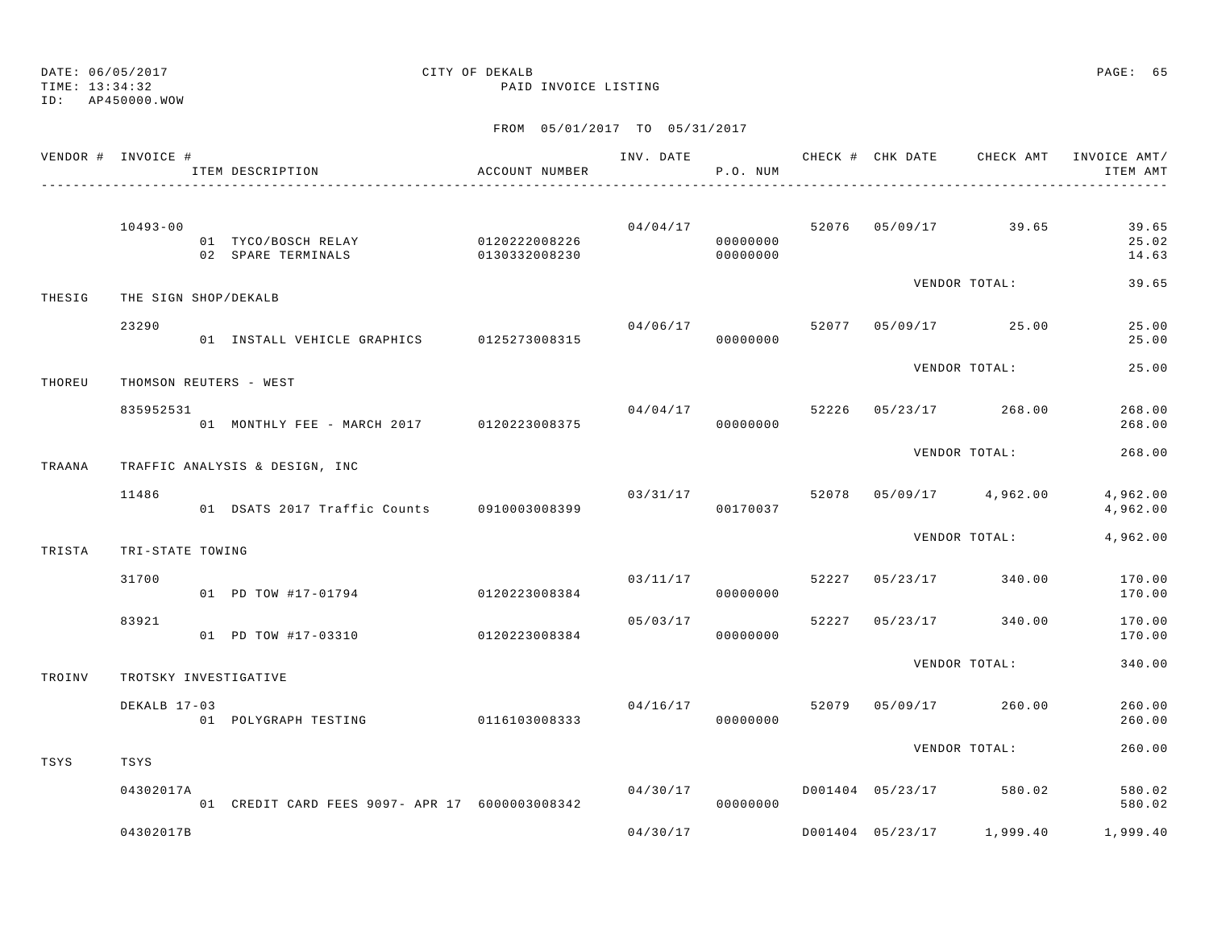TIME: 13:34:32 PAID INVOICE LISTING

# DATE: 06/05/2017 CITY OF DEKALB PAGE: 65

ID: AP450000.WOW

|        | VENDOR # INVOICE #     | ITEM DESCRIPTION                                        | ACCOUNT NUMBER           |          | P.O. NUM             |       |                |                           | INV. DATE 6 1999 CHECK # CHK DATE 6 CHECK AMT INVOICE AMT<br>ITEM AMT |
|--------|------------------------|---------------------------------------------------------|--------------------------|----------|----------------------|-------|----------------|---------------------------|-----------------------------------------------------------------------|
|        | $10493 - 00$           | 01 TYCO/BOSCH RELAY 0120222008226<br>02 SPARE TERMINALS | $0130332008230$ 00000000 |          | 04/04/17<br>00000000 |       |                | 52076 05/09/17 39.65      | 39.65<br>25.02<br>14.63                                               |
| THESIG | THE SIGN SHOP/DEKALB   |                                                         |                          |          |                      |       |                | VENDOR TOTAL:             | 39.65                                                                 |
|        | 23290                  | 01 INSTALL VEHICLE GRAPHICS 0125273008315               |                          |          | 04/06/17<br>00000000 |       |                | 52077 05/09/17 25.00      | 25.00<br>25.00                                                        |
| THOREU | THOMSON REUTERS - WEST |                                                         |                          |          |                      |       |                | VENDOR TOTAL:             | 25.00                                                                 |
|        | 835952531              | 01 MONTHLY FEE - MARCH 2017 0120223008375               |                          |          | 04/04/17<br>00000000 | 52226 |                | 05/23/17 268.00           | 268.00<br>268.00                                                      |
| TRAANA |                        | TRAFFIC ANALYSIS & DESIGN, INC                          |                          |          |                      |       |                | VENDOR TOTAL:             | 268.00                                                                |
|        | 11486                  | 01 DSATS 2017 Traffic Counts 0910003008399              |                          | 03/31/17 | 00170037             |       |                | 52078 05/09/17 4,962.00   | 4,962.00<br>4,962.00                                                  |
| TRISTA | TRI-STATE TOWING       |                                                         |                          |          |                      |       |                | VENDOR TOTAL:             | 4,962.00                                                              |
|        | 31700                  | 01 PD TOW #17-01794                                     | 0120223008384            | 03/11/17 | 00000000             | 52227 |                | 05/23/17 340.00           | 170.00<br>170.00                                                      |
|        | 83921                  | 01 PD TOW #17-03310                                     | 0120223008384            | 05/03/17 | 00000000             |       | 52227 05/23/17 | 340.00                    | 170.00<br>170.00                                                      |
| TROINV | TROTSKY INVESTIGATIVE  |                                                         |                          |          |                      |       |                | VENDOR TOTAL:             | 340.00                                                                |
|        | DEKALB 17-03           | 01 POLYGRAPH TESTING 0116103008333                      |                          |          | 04/16/17<br>00000000 | 52079 |                | 05/09/17 260.00           | 260.00<br>260.00                                                      |
| TSYS   | TSYS                   |                                                         |                          |          |                      |       |                | VENDOR TOTAL:             | 260.00                                                                |
|        | 04302017A              | 01 CREDIT CARD FEES 9097- APR 17 6000003008342          |                          | 04/30/17 | 00000000             |       |                | D001404 05/23/17 580.02   | 580.02<br>580.02                                                      |
|        | 04302017B              |                                                         |                          | 04/30/17 |                      |       |                | D001404 05/23/17 1,999.40 | 1,999.40                                                              |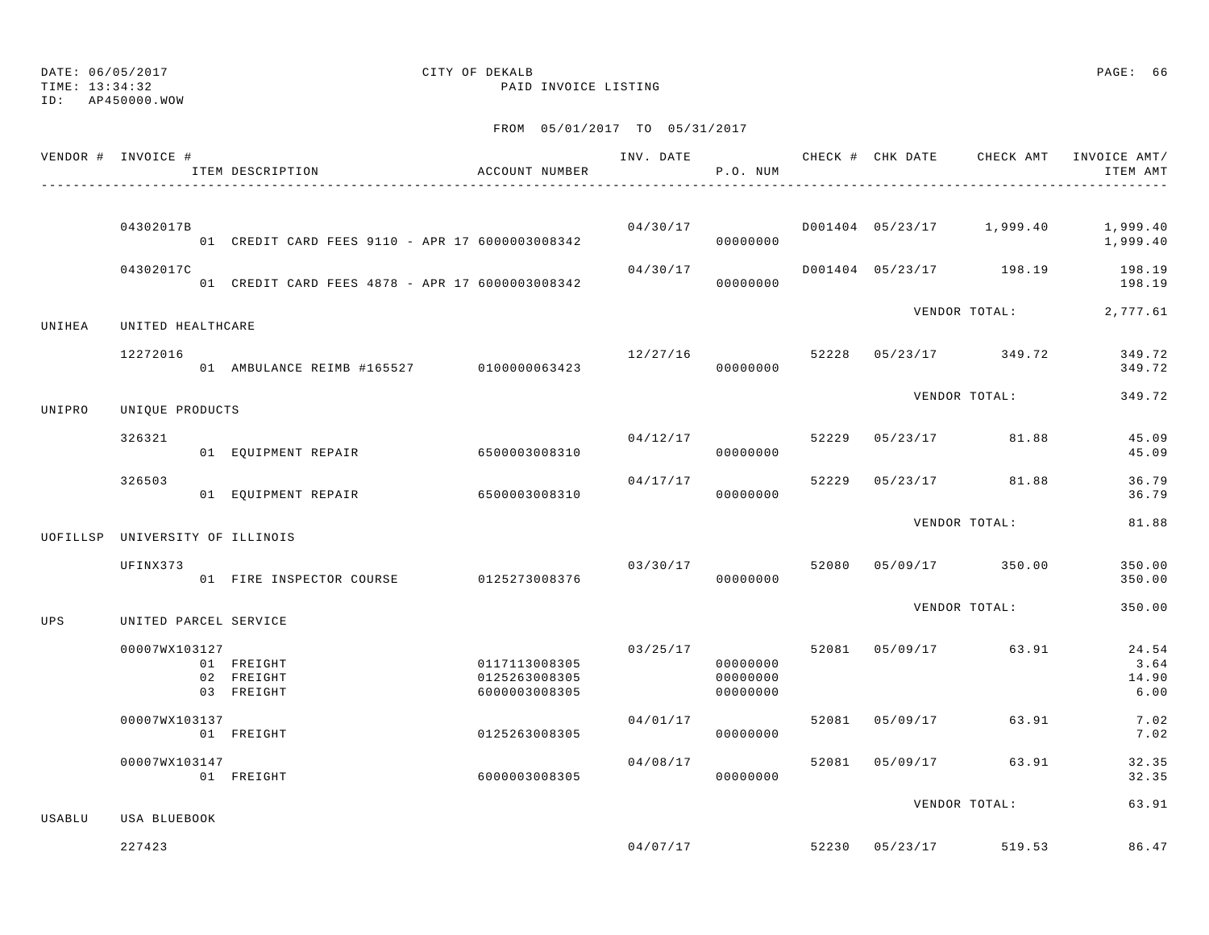ID: AP450000.WOW

### TIME: 13:34:32 PAID INVOICE LISTING

|        | VENDOR # INVOICE #              | ITEM DESCRIPTION                                | ACCOUNT NUMBER                                  |          | P.O. NUM                         |  |                                        | INV. DATE 6 7 CHECK # CHK DATE CHECK AMT INVOICE AMT/<br>ITEM AMT |
|--------|---------------------------------|-------------------------------------------------|-------------------------------------------------|----------|----------------------------------|--|----------------------------------------|-------------------------------------------------------------------|
|        | 04302017B                       |                                                 |                                                 |          |                                  |  |                                        | $04/30/17$ $0001404$ $05/23/17$ $1,999.40$ $1,999.40$             |
|        |                                 | 01 CREDIT CARD FEES 9110 - APR 17 6000003008342 |                                                 |          | 000000000                        |  |                                        | 1,999.40                                                          |
|        | 04302017C                       |                                                 |                                                 |          |                                  |  |                                        | $04/30/17$ $0001404$ $05/23/17$ $198.19$ $198.19$<br>198.19       |
| UNIHEA | UNITED HEALTHCARE               |                                                 |                                                 |          |                                  |  |                                        | VENDOR TOTAL: 2,777.61                                            |
|        | 12272016                        | 01 AMBULANCE REIMB #165527 0100000063423        |                                                 |          | 00000000                         |  | $12/27/16$ 52228 05/23/17 349.72       | 349.72<br>349.72                                                  |
| UNIPRO | UNIQUE PRODUCTS                 |                                                 |                                                 |          |                                  |  | VENDOR TOTAL:                          | 349.72                                                            |
|        | 326321                          | 01 EQUIPMENT REPAIR 6500003008310               |                                                 |          | 00000000                         |  | $04/12/17$ 52229 05/23/17 81.88        | 45.09<br>45.09                                                    |
|        | 326503                          | 01 EQUIPMENT REPAIR 6500003008310               |                                                 | 04/17/17 | 00000000                         |  | 52229 05/23/17 81.88                   | 36.79<br>36.79                                                    |
|        | UOFILLSP UNIVERSITY OF ILLINOIS |                                                 |                                                 |          |                                  |  | VENDOR TOTAL:                          | 81.88                                                             |
|        | UFINX373                        | 01 FIRE INSPECTOR COURSE 0125273008376          |                                                 |          | 00000000                         |  | $03/30/17$ $52080$ $05/09/17$ $350.00$ | 350.00<br>350.00                                                  |
| UPS    | UNITED PARCEL SERVICE           |                                                 |                                                 |          |                                  |  | VENDOR TOTAL:                          | 350.00                                                            |
|        | 00007WX103127                   | 01 FREIGHT<br>02 FREIGHT<br>03 FREIGHT          | 0117113008305<br>0125263008305<br>6000003008305 | 03/25/17 | 00000000<br>00000000<br>00000000 |  | 52081 05/09/17 63.91                   | 24.54<br>3.64<br>14.90<br>6.00                                    |
|        | 00007WX103137                   | 01 FREIGHT                                      | 0125263008305                                   | 04/01/17 | 00000000                         |  | 52081 05/09/17 63.91                   | 7.02<br>7.02                                                      |
|        | 00007WX103147                   | 01 FREIGHT                                      | 6000003008305                                   | 04/08/17 | 00000000                         |  | 52081 05/09/17 63.91                   | 32.35<br>32.35                                                    |
| USABLU | USA BLUEBOOK                    |                                                 |                                                 |          |                                  |  | VENDOR TOTAL:                          | 63.91                                                             |
|        | 227423                          |                                                 |                                                 |          | 04/07/17                         |  | 52230 05/23/17 519.53                  | 86.47                                                             |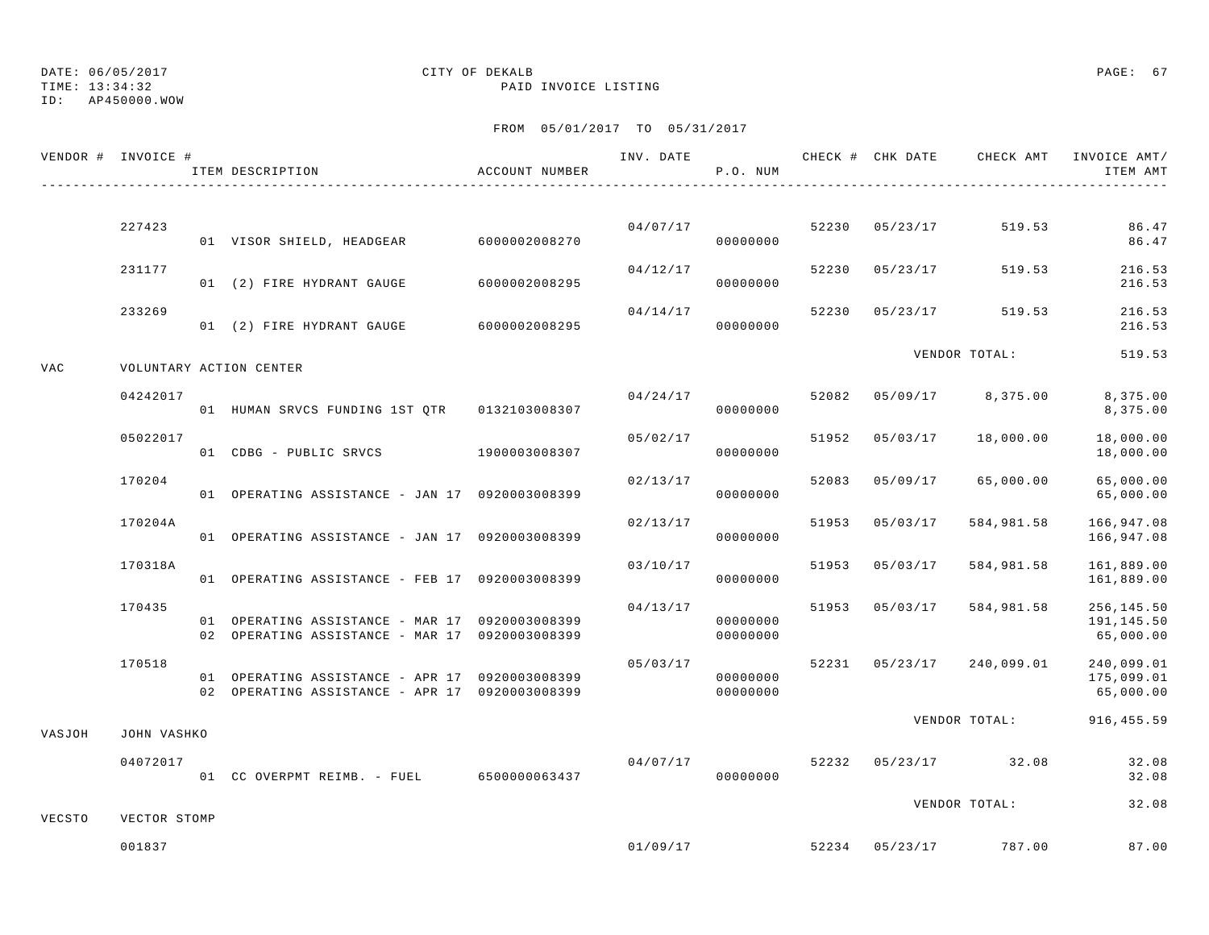TIME: 13:34:32 PAID INVOICE LISTING

ID: AP450000.WOW

|        | VENDOR # INVOICE # | ITEM DESCRIPTION                                                                                 | ACCOUNT NUMBER |          | P.O. NUM             |                |                           | ITEM AMT                              |
|--------|--------------------|--------------------------------------------------------------------------------------------------|----------------|----------|----------------------|----------------|---------------------------|---------------------------------------|
|        |                    |                                                                                                  |                |          |                      |                |                           |                                       |
|        | 227423             | 01 VISOR SHIELD, HEADGEAR 6000002008270                                                          |                |          | 04/07/17<br>00000000 | 52230 05/23/17 | 519.53                    | 86.47<br>86.47                        |
|        | 231177             | 01 (2) FIRE HYDRANT GAUGE                                                                        | 6000002008295  | 04/12/17 | 00000000             | 52230 05/23/17 | 519.53                    | 216.53<br>216.53                      |
|        | 233269             | 01 (2) FIRE HYDRANT GAUGE 6000002008295                                                          |                | 04/14/17 | 00000000             | 52230 05/23/17 | 519.53                    | 216.53<br>216.53                      |
| VAC    |                    | VOLUNTARY ACTION CENTER                                                                          |                |          |                      |                | VENDOR TOTAL:             | 519.53                                |
|        | 04242017           | 01 HUMAN SRVCS FUNDING 1ST OTR 0132103008307                                                     |                | 04/24/17 | 00000000             |                | 52082 05/09/17 8,375.00   | 8,375.00<br>8,375.00                  |
|        | 05022017           | 01 CDBG - PUBLIC SRVCS 1900003008307                                                             |                | 05/02/17 | 00000000             | 51952 05/03/17 | 18,000.00                 | 18,000.00<br>18,000.00                |
|        | 170204             | 01 OPERATING ASSISTANCE - JAN 17 0920003008399                                                   |                | 02/13/17 | 00000000             | 52083 05/09/17 | 65,000.00                 | 65,000.00<br>65,000.00                |
|        | 170204A            | 01 OPERATING ASSISTANCE - JAN 17 0920003008399                                                   |                | 02/13/17 | 00000000             | 51953 05/03/17 | 584,981.58                | 166,947.08<br>166,947.08              |
|        | 170318A            | 01 OPERATING ASSISTANCE - FEB 17 0920003008399                                                   |                | 03/10/17 | 00000000             | 51953 05/03/17 | 584,981.58                | 161,889.00<br>161,889.00              |
|        | 170435             | 01 OPERATING ASSISTANCE - MAR 17 0920003008399<br>02 OPERATING ASSISTANCE - MAR 17 0920003008399 |                | 04/13/17 | 00000000<br>00000000 | 51953 05/03/17 | 584,981.58                | 256,145.50<br>191,145.50<br>65,000.00 |
|        | 170518             | 01 OPERATING ASSISTANCE - APR 17 0920003008399<br>02 OPERATING ASSISTANCE - APR 17 0920003008399 |                | 05/03/17 | 00000000<br>00000000 |                | 52231 05/23/17 240,099.01 | 240,099.01<br>175,099.01<br>65,000.00 |
| VASJOH | JOHN VASHKO        |                                                                                                  |                |          |                      |                | VENDOR TOTAL:             | 916, 455.59                           |
|        | 04072017           | 01 CC OVERPMT REIMB. - FUEL 6500000063437                                                        |                | 04/07/17 | 00000000             |                | 52232 05/23/17 32.08      | 32.08<br>32.08                        |
| VECSTO | VECTOR STOMP       |                                                                                                  |                |          |                      |                | VENDOR TOTAL:             | 32.08                                 |
|        | 001837             |                                                                                                  |                | 01/09/17 |                      |                | 52234 05/23/17 787.00     | 87.00                                 |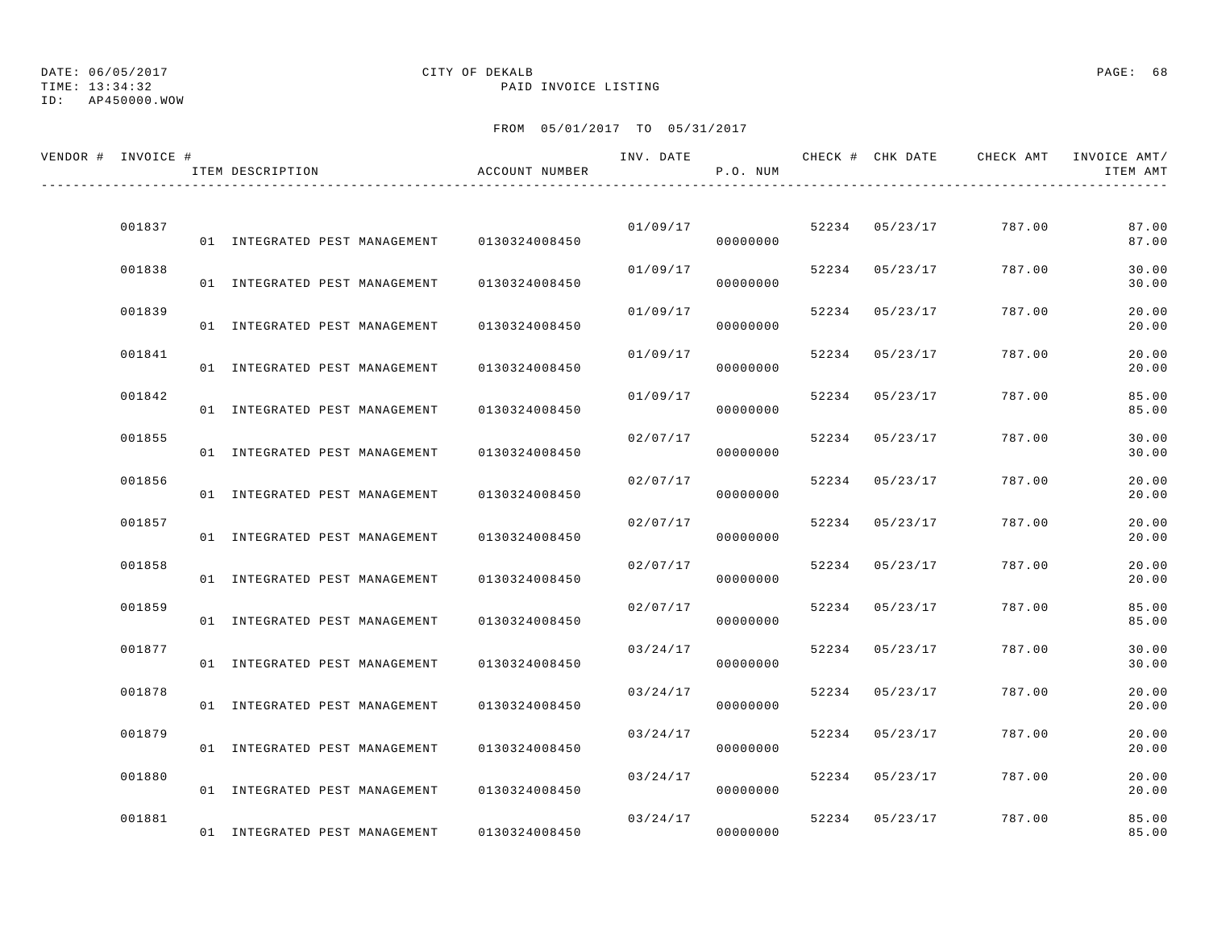TIME: 13:34:32 PAID INVOICE LISTING

ID: AP450000.WOW

| VENDOR # INVOICE # | ITEM DESCRIPTION              | ACCOUNT NUMBER | INV. DATE | P.O. NUM |       | CHECK # CHK DATE | CHECK AMT | INVOICE AMT/<br>ITEM AMT |
|--------------------|-------------------------------|----------------|-----------|----------|-------|------------------|-----------|--------------------------|
|                    |                               |                |           |          |       |                  |           |                          |
| 001837             | 01 INTEGRATED PEST MANAGEMENT | 0130324008450  | 01/09/17  | 00000000 |       | 52234 05/23/17   | 787.00    | 87.00<br>87.00           |
| 001838             | 01 INTEGRATED PEST MANAGEMENT | 0130324008450  | 01/09/17  | 00000000 | 52234 | 05/23/17         | 787.00    | 30.00<br>30.00           |
| 001839             | 01 INTEGRATED PEST MANAGEMENT | 0130324008450  | 01/09/17  | 00000000 |       | 52234 05/23/17   | 787.00    | 20.00<br>20.00           |
| 001841             | 01 INTEGRATED PEST MANAGEMENT | 0130324008450  | 01/09/17  | 00000000 | 52234 | 05/23/17         | 787.00    | 20.00<br>20.00           |
| 001842             | 01 INTEGRATED PEST MANAGEMENT | 0130324008450  | 01/09/17  | 00000000 | 52234 | 05/23/17         | 787.00    | 85.00<br>85.00           |
| 001855             | 01 INTEGRATED PEST MANAGEMENT | 0130324008450  | 02/07/17  | 00000000 | 52234 | 05/23/17         | 787.00    | 30.00<br>30.00           |
| 001856             | 01 INTEGRATED PEST MANAGEMENT | 0130324008450  | 02/07/17  | 00000000 | 52234 | 05/23/17         | 787.00    | 20.00<br>20.00           |
| 001857             | 01 INTEGRATED PEST MANAGEMENT | 0130324008450  | 02/07/17  | 00000000 | 52234 | 05/23/17         | 787.00    | 20.00<br>20.00           |
| 001858             | 01 INTEGRATED PEST MANAGEMENT | 0130324008450  | 02/07/17  | 00000000 |       | 52234 05/23/17   | 787.00    | 20.00<br>20.00           |
| 001859             | 01 INTEGRATED PEST MANAGEMENT | 0130324008450  | 02/07/17  | 00000000 |       | 52234 05/23/17   | 787.00    | 85.00<br>85.00           |
| 001877             | 01 INTEGRATED PEST MANAGEMENT | 0130324008450  | 03/24/17  | 00000000 | 52234 | 05/23/17         | 787.00    | 30.00<br>30.00           |
| 001878             | 01 INTEGRATED PEST MANAGEMENT | 0130324008450  | 03/24/17  | 00000000 | 52234 | 05/23/17         | 787.00    | 20.00<br>20.00           |
| 001879             | 01 INTEGRATED PEST MANAGEMENT | 0130324008450  | 03/24/17  | 00000000 | 52234 | 05/23/17         | 787.00    | 20.00<br>20.00           |
| 001880             | 01 INTEGRATED PEST MANAGEMENT | 0130324008450  | 03/24/17  | 00000000 | 52234 | 05/23/17         | 787.00    | 20.00<br>20.00           |
| 001881             | 01 INTEGRATED PEST MANAGEMENT | 0130324008450  | 03/24/17  | 00000000 |       | 52234 05/23/17   | 787.00    | 85.00<br>85.00           |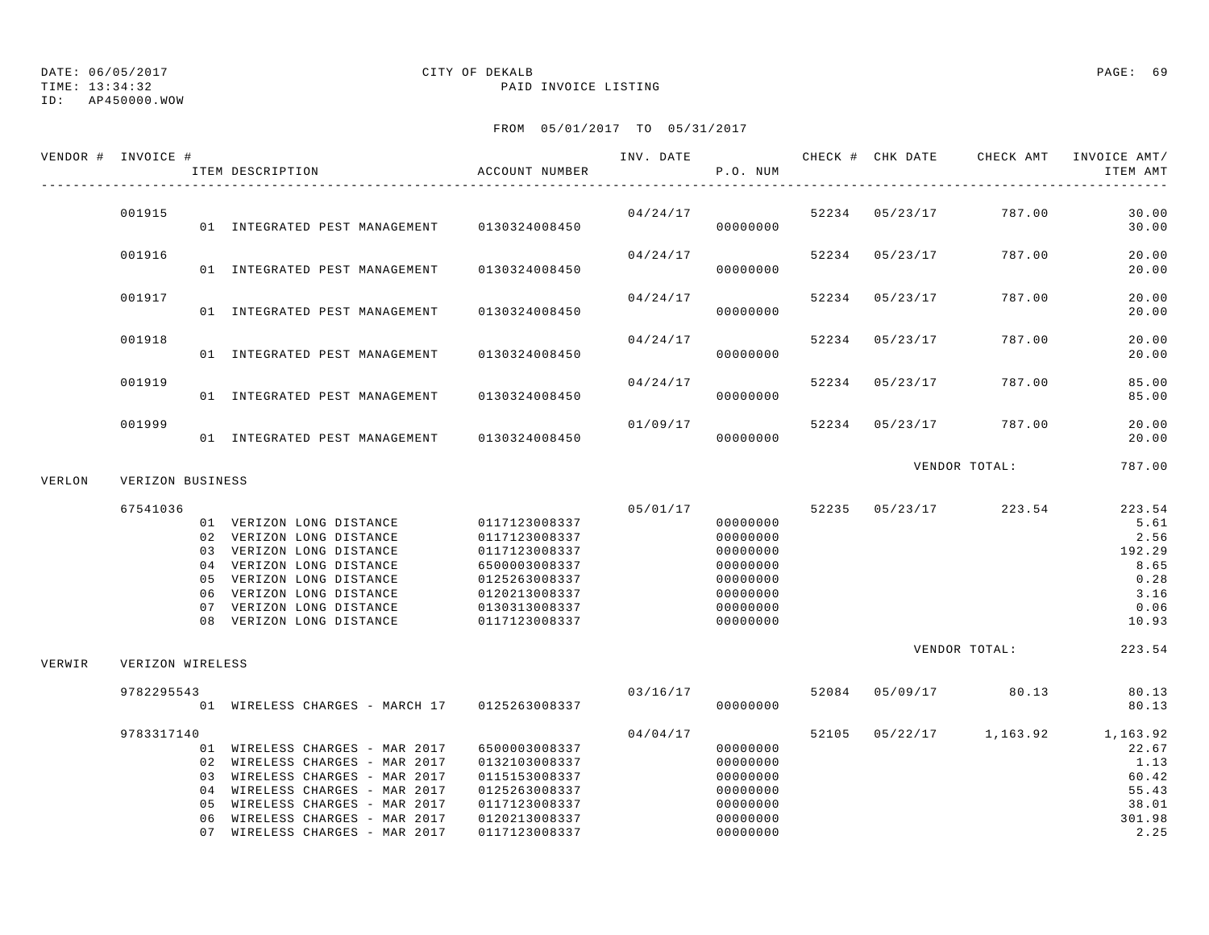TIME: 13:34:32 PAID INVOICE LISTING

ID: AP450000.WOW

|        | VENDOR # INVOICE # | ITEM DESCRIPTION                                                                                                                                                                                                                           | ACCOUNT NUMBER                                                                                                                       |          | P.O. NUM                                                                                     |       |                | INV. DATE 6 CHECK # CHK DATE CHECK AMT | INVOICE AMT/<br>ITEM AMT                                                  |
|--------|--------------------|--------------------------------------------------------------------------------------------------------------------------------------------------------------------------------------------------------------------------------------------|--------------------------------------------------------------------------------------------------------------------------------------|----------|----------------------------------------------------------------------------------------------|-------|----------------|----------------------------------------|---------------------------------------------------------------------------|
|        | 001915             | 01 INTEGRATED PEST MANAGEMENT                                                                                                                                                                                                              | 0130324008450                                                                                                                        | 04/24/17 | 00000000                                                                                     |       | 52234 05/23/17 | 787.00                                 | 30.00<br>30.00                                                            |
|        | 001916             | 01 INTEGRATED PEST MANAGEMENT                                                                                                                                                                                                              | 0130324008450                                                                                                                        | 04/24/17 | 00000000                                                                                     |       | 52234 05/23/17 | 787.00                                 | 20.00<br>20.00                                                            |
|        | 001917             | 01 INTEGRATED PEST MANAGEMENT                                                                                                                                                                                                              | 0130324008450                                                                                                                        | 04/24/17 | 00000000                                                                                     | 52234 | 05/23/17       | 787.00                                 | 20.00<br>20.00                                                            |
|        | 001918             | 01 INTEGRATED PEST MANAGEMENT                                                                                                                                                                                                              | 0130324008450                                                                                                                        | 04/24/17 | 00000000                                                                                     | 52234 | 05/23/17       | 787.00                                 | 20.00<br>20.00                                                            |
|        | 001919             | 01 INTEGRATED PEST MANAGEMENT                                                                                                                                                                                                              | 0130324008450                                                                                                                        | 04/24/17 | 00000000                                                                                     | 52234 | 05/23/17       | 787.00                                 | 85.00<br>85.00                                                            |
|        | 001999             | 01 INTEGRATED PEST MANAGEMENT 0130324008450                                                                                                                                                                                                |                                                                                                                                      | 01/09/17 | 00000000                                                                                     |       | 52234 05/23/17 | 787.00                                 | 20.00<br>20.00                                                            |
| VERLON | VERIZON BUSINESS   |                                                                                                                                                                                                                                            |                                                                                                                                      |          |                                                                                              |       |                | VENDOR TOTAL:                          | 787.00                                                                    |
|        | 67541036           | 01 VERIZON LONG DISTANCE<br>02 VERIZON LONG DISTANCE<br>03 VERIZON LONG DISTANCE<br>04 VERIZON LONG DISTANCE<br>05 VERIZON LONG DISTANCE<br>06 VERIZON LONG DISTANCE<br>07 VERIZON LONG DISTANCE<br>08 VERIZON LONG DISTANCE               | 0117123008337<br>0117123008337<br>0117123008337<br>6500003008337<br>0125263008337<br>0120213008337<br>0130313008337<br>0117123008337 | 05/01/17 | 00000000<br>00000000<br>00000000<br>00000000<br>00000000<br>00000000<br>00000000<br>00000000 | 52235 | 05/23/17       | 223.54                                 | 223.54<br>5.61<br>2.56<br>192.29<br>8.65<br>0.28<br>3.16<br>0.06<br>10.93 |
| VERWIR | VERIZON WIRELESS   |                                                                                                                                                                                                                                            |                                                                                                                                      |          |                                                                                              |       |                | VENDOR TOTAL:                          | 223.54                                                                    |
|        | 9782295543         | 01 WIRELESS CHARGES - MARCH 17 0125263008337                                                                                                                                                                                               |                                                                                                                                      | 03/16/17 | 00000000                                                                                     | 52084 | 05/09/17       | 80.13                                  | 80.13<br>80.13                                                            |
|        | 9783317140         | 01 WIRELESS CHARGES - MAR 2017<br>02 WIRELESS CHARGES - MAR 2017<br>03 WIRELESS CHARGES - MAR 2017<br>04 WIRELESS CHARGES - MAR 2017<br>05 WIRELESS CHARGES - MAR 2017<br>06 WIRELESS CHARGES - MAR 2017<br>07 WIRELESS CHARGES - MAR 2017 | 6500003008337<br>0132103008337<br>0115153008337<br>0125263008337<br>0117123008337<br>0120213008337<br>0117123008337                  | 04/04/17 | 00000000<br>00000000<br>00000000<br>00000000<br>00000000<br>00000000<br>00000000             | 52105 |                | 05/22/17 1,163.92                      | 1,163.92<br>22.67<br>1.13<br>60.42<br>55.43<br>38.01<br>301.98<br>2.25    |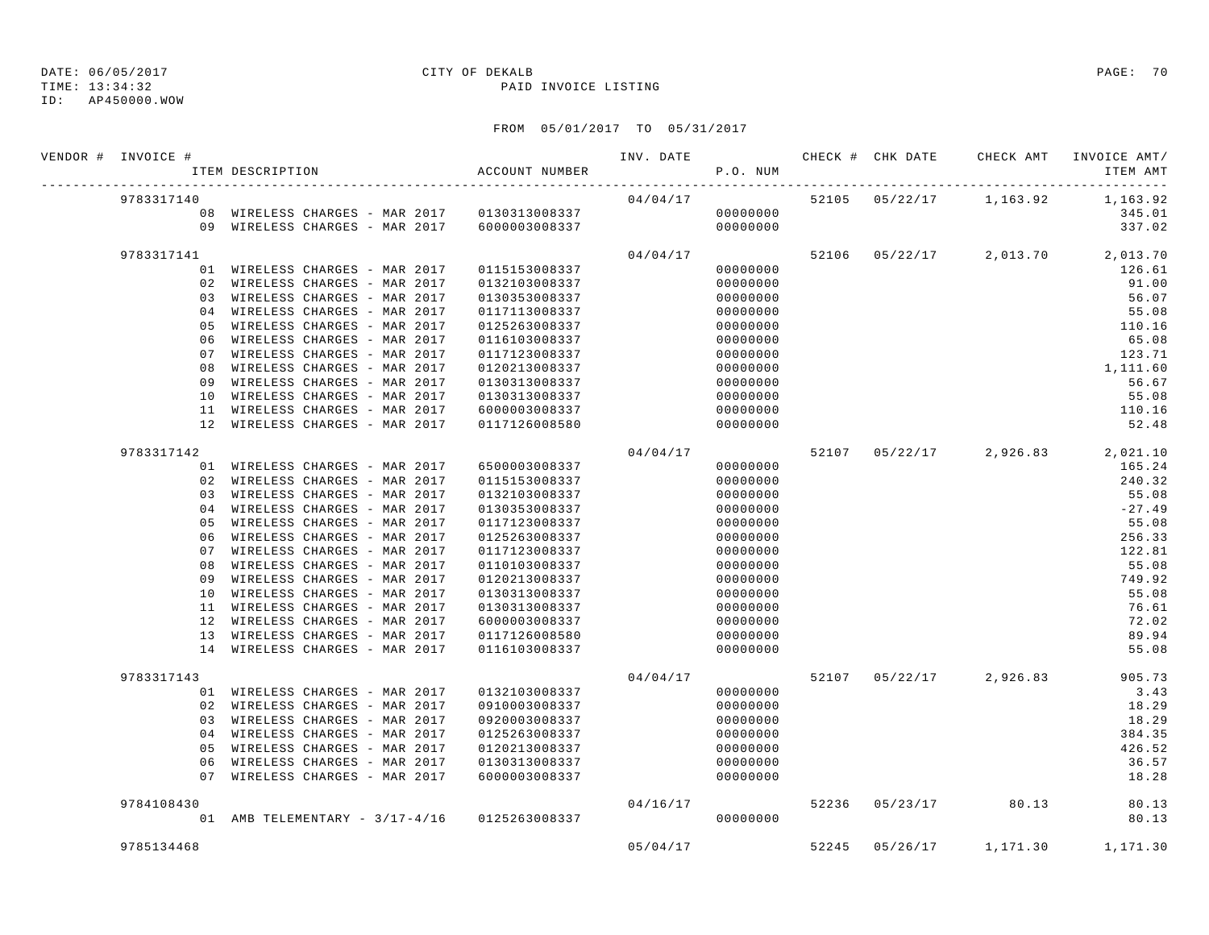TIME: 13:34:32 PAID INVOICE LISTING

ID: AP450000.WOW

| VENDOR # INVOICE # | ITEM DESCRIPTION                             | ACCOUNT NUMBER |           | P.O. NUM |  |                      | INV. DATE 6 7 200 CHECK # CHK DATE 6 CHECK AMT INVOICE AMT<br>ITEM AMT |
|--------------------|----------------------------------------------|----------------|-----------|----------|--|----------------------|------------------------------------------------------------------------|
| 9783317140         |                                              |                |           |          |  |                      | $04/04/17$ 52105 $05/22/17$ 1,163.92 1,163.92                          |
|                    |                                              |                |           |          |  |                      | 345.01                                                                 |
|                    | 09 WIRELESS CHARGES - MAR 2017 6000003008337 |                |           | 00000000 |  |                      | 337.02                                                                 |
| 9783317141         |                                              |                | 04/04/17  |          |  |                      | 52106 05/22/17 2,013.70 2,013.70                                       |
|                    | 01 WIRELESS CHARGES - MAR 2017               | 0115153008337  |           | 00000000 |  |                      | 126.61                                                                 |
|                    | 02 WIRELESS CHARGES - MAR 2017               | 0132103008337  |           | 00000000 |  |                      | 91.00                                                                  |
|                    | 03 WIRELESS CHARGES - MAR 2017               | 0130353008337  |           | 00000000 |  |                      | 56.07                                                                  |
|                    | 04 WIRELESS CHARGES - MAR 2017               | 0117113008337  |           | 00000000 |  |                      | 55.08                                                                  |
|                    | 05 WIRELESS CHARGES - MAR 2017               | 0125263008337  |           | 00000000 |  |                      | 110.16                                                                 |
|                    | 06 WIRELESS CHARGES - MAR 2017               | 0116103008337  |           | 00000000 |  |                      | 65.08                                                                  |
|                    | 07 WIRELESS CHARGES - MAR 2017               | 0117123008337  |           | 00000000 |  |                      | 123.71                                                                 |
|                    | 08 WIRELESS CHARGES - MAR 2017               | 0120213008337  |           | 00000000 |  |                      | 1,111.60                                                               |
|                    | 09 WIRELESS CHARGES - MAR 2017               | 0130313008337  |           | 00000000 |  |                      | 56.67                                                                  |
|                    | 10 WIRELESS CHARGES - MAR 2017               | 0130313008337  |           | 00000000 |  |                      | 55.08                                                                  |
|                    | 11 WIRELESS CHARGES - MAR 2017               | 6000003008337  |           | 00000000 |  |                      | 110.16                                                                 |
|                    | 12 WIRELESS CHARGES - MAR 2017               | 0117126008580  |           | 00000000 |  |                      | 52.48                                                                  |
| 9783317142         |                                              |                | 04/04/17  |          |  |                      | 52107 05/22/17 2,926.83 2,021.10                                       |
|                    | 01 WIRELESS CHARGES - MAR 2017               | 6500003008337  |           | 00000000 |  |                      | 165.24                                                                 |
|                    | 02 WIRELESS CHARGES - MAR 2017               | 0115153008337  |           | 00000000 |  |                      | 240.32                                                                 |
|                    | 03 WIRELESS CHARGES - MAR 2017               | 0132103008337  |           | 00000000 |  |                      | 55.08                                                                  |
|                    | 04 WIRELESS CHARGES - MAR 2017               | 0130353008337  |           | 00000000 |  |                      | $-27.49$                                                               |
|                    | 05 WIRELESS CHARGES - MAR 2017               | 0117123008337  |           | 00000000 |  |                      | 55.08                                                                  |
|                    | 06 WIRELESS CHARGES - MAR 2017               | 0125263008337  |           | 00000000 |  |                      | 256.33                                                                 |
|                    | 07 WIRELESS CHARGES - MAR 2017               | 0117123008337  |           | 00000000 |  |                      | 122.81                                                                 |
| 08                 | WIRELESS CHARGES - MAR 2017                  | 0110103008337  |           | 00000000 |  |                      | 55.08                                                                  |
|                    | 09 WIRELESS CHARGES - MAR 2017               | 0120213008337  |           | 00000000 |  |                      | 749.92                                                                 |
|                    | 10 WIRELESS CHARGES - MAR 2017               | 0130313008337  |           | 00000000 |  |                      | 55.08                                                                  |
|                    | 11 WIRELESS CHARGES - MAR 2017               | 0130313008337  |           | 00000000 |  |                      | 76.61                                                                  |
|                    | 12 WIRELESS CHARGES - MAR 2017               | 6000003008337  |           | 00000000 |  |                      | 72.02                                                                  |
|                    | 13 WIRELESS CHARGES - MAR 2017               | 0117126008580  |           | 00000000 |  |                      | 89.94                                                                  |
|                    | 14 WIRELESS CHARGES - MAR 2017               | 0116103008337  |           | 00000000 |  |                      | 55.08                                                                  |
| 9783317143         |                                              |                | 04/04/17  |          |  |                      | 52107 05/22/17 2,926.83 905.73                                         |
|                    | 01 WIRELESS CHARGES - MAR 2017               | 0132103008337  |           | 00000000 |  |                      | 3.43                                                                   |
|                    | 02 WIRELESS CHARGES - MAR 2017               | 0910003008337  |           | 00000000 |  |                      | 18.29                                                                  |
|                    | 03 WIRELESS CHARGES - MAR 2017               | 0920003008337  |           | 00000000 |  |                      | 18.29                                                                  |
|                    | 04 WIRELESS CHARGES - MAR 2017               | 0125263008337  |           | 00000000 |  |                      | 384.35                                                                 |
|                    | 05 WIRELESS CHARGES - MAR 2017               | 0120213008337  |           | 00000000 |  |                      | 426.52                                                                 |
|                    | 06 WIRELESS CHARGES - MAR 2017               | 0130313008337  |           | 00000000 |  |                      | 36.57                                                                  |
|                    | 07 WIRELESS CHARGES - MAR 2017               | 6000003008337  | 000000000 |          |  |                      | 18.28                                                                  |
| 9784108430         |                                              |                | 04/16/17  |          |  | 52236 05/23/17 80.13 | 80.13                                                                  |
|                    | 01 AMB TELEMENTARY - 3/17-4/16 0125263008337 |                |           | 00000000 |  |                      | 80.13                                                                  |
| 9785134468         |                                              |                |           | 05/04/17 |  |                      | 52245 05/26/17 1,171.30 1,171.30                                       |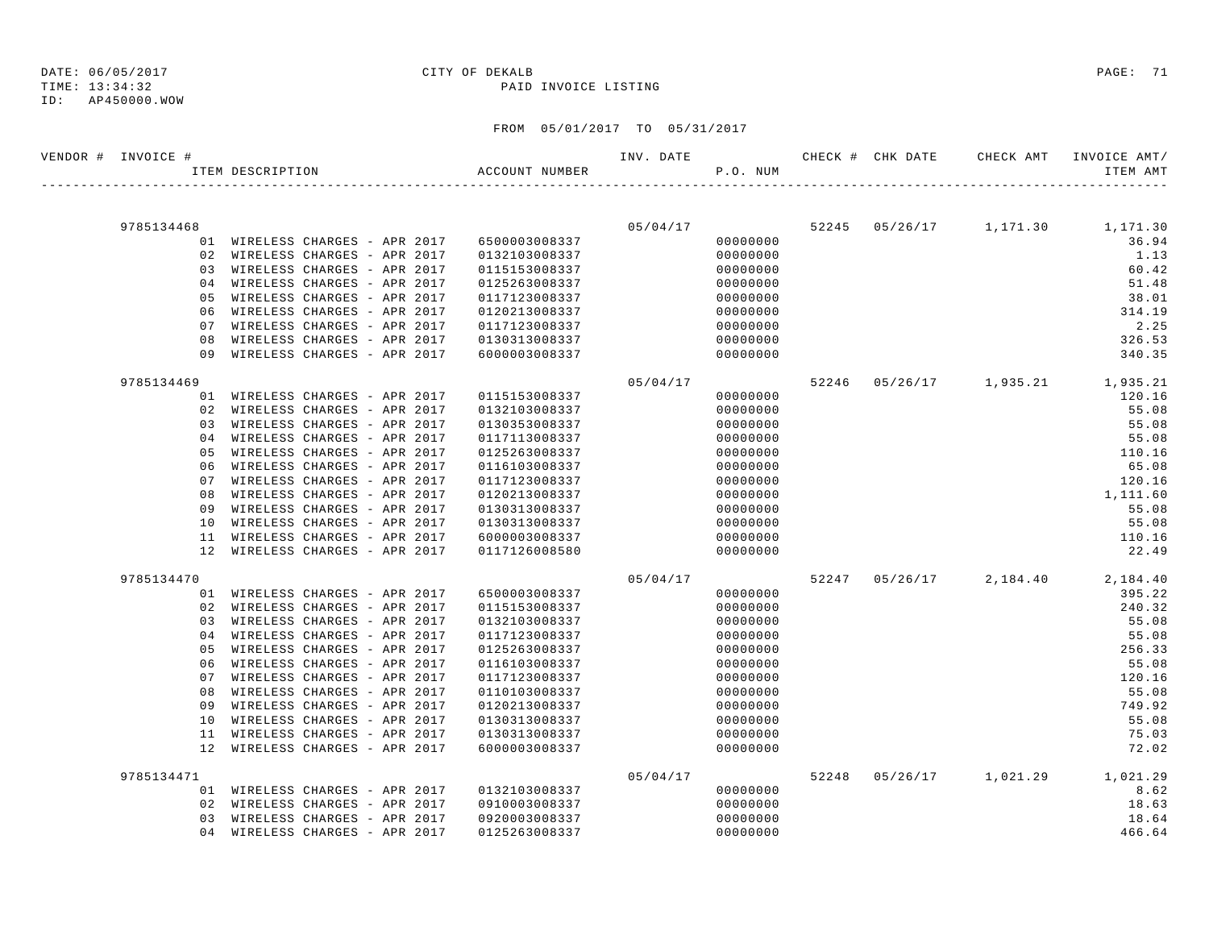ID: AP450000.WOW

TIME: 13:34:32 PAID INVOICE LISTING

| VENDOR # INVOICE # | ITEM DESCRIPTION                                              | ACCOUNT NUMBER                 |          | P.O. NUM             |  | ITEM AMT                            |
|--------------------|---------------------------------------------------------------|--------------------------------|----------|----------------------|--|-------------------------------------|
|                    |                                                               |                                |          |                      |  |                                     |
| 9785134468         |                                                               |                                |          | 05/04/17             |  | 52245 05/26/17 1,171.30 1,171.30    |
|                    | 01 WIRELESS CHARGES - APR 2017                                | 6500003008337                  |          | 00000000             |  | 36.94                               |
|                    | 02 WIRELESS CHARGES - APR 2017                                | 0132103008337                  |          | 00000000             |  | 1.13                                |
|                    | 03 WIRELESS CHARGES - APR 2017                                | 0115153008337                  |          | 00000000             |  | 60.42                               |
|                    | 04 WIRELESS CHARGES - APR 2017                                | 0125263008337                  |          | 00000000             |  | 51.48                               |
|                    | 05 WIRELESS CHARGES - APR 2017                                | 0117123008337                  |          | 00000000             |  | 38.01                               |
|                    | 06 WIRELESS CHARGES - APR 2017                                | 0120213008337                  |          | 00000000             |  | 314.19                              |
|                    | 07 WIRELESS CHARGES - APR 2017                                | 0117123008337                  |          | 00000000             |  | 2.25                                |
| 08<br>09           | WIRELESS CHARGES - APR 2017<br>WIRELESS CHARGES - APR 2017    | 0130313008337                  |          | 00000000             |  | 326.53                              |
|                    |                                                               | 6000003008337                  |          | 00000000             |  | 340.35                              |
| 9785134469         |                                                               |                                | 05/04/17 |                      |  | 52246 05/26/17 1,935.21 1,935.21    |
|                    | 01 WIRELESS CHARGES - APR 2017                                | 0115153008337                  |          | 00000000             |  | 120.16                              |
|                    | 02 WIRELESS CHARGES - APR 2017                                | 0132103008337                  |          | 00000000             |  | 55.08                               |
|                    | 03 WIRELESS CHARGES - APR 2017                                | 0130353008337                  |          | 00000000             |  | 55.08                               |
|                    | 04 WIRELESS CHARGES - APR 2017                                | 0117113008337                  |          | 00000000             |  | 55.08                               |
|                    | 05 WIRELESS CHARGES - APR 2017                                | 0125263008337                  |          | 00000000             |  | 110.16                              |
|                    | 06 WIRELESS CHARGES - APR 2017                                | 0116103008337                  |          | 00000000             |  | 65.08                               |
|                    | 07 WIRELESS CHARGES - APR 2017                                | 0117123008337                  |          | 00000000             |  | 120.16                              |
| 08                 | WIRELESS CHARGES - APR 2017                                   | 0120213008337                  |          | 00000000             |  | 1,111.60                            |
| 09                 | WIRELESS CHARGES - APR 2017                                   | 0130313008337                  |          | 00000000             |  | 55.08                               |
| 10                 | WIRELESS CHARGES - APR 2017                                   | 0130313008337                  |          | 00000000             |  | 55.08                               |
|                    | 11 WIRELESS CHARGES - APR 2017                                | 6000003008337                  |          | 00000000             |  | 110.16                              |
|                    | 12 WIRELESS CHARGES - APR 2017                                | 0117126008580                  |          | 00000000             |  | 22.49                               |
| 9785134470         |                                                               |                                | 05/04/17 |                      |  | $52247 05/26/17 2,184.40 2,184.40$  |
|                    | 01 WIRELESS CHARGES - APR 2017                                | 6500003008337                  |          | 00000000             |  | 395.22                              |
|                    | 02 WIRELESS CHARGES - APR 2017                                | 0115153008337                  |          | 00000000             |  | 240.32                              |
|                    | 03 WIRELESS CHARGES - APR 2017                                | 0132103008337                  |          | 00000000             |  | 55.08                               |
|                    | 04 WIRELESS CHARGES - APR 2017                                | 0117123008337                  |          | 00000000             |  | 55.08                               |
| 05                 | WIRELESS CHARGES - APR 2017                                   | 0125263008337                  |          | 00000000             |  | 256.33                              |
|                    | 06 WIRELESS CHARGES - APR 2017                                | 0116103008337                  |          | 00000000             |  | 55.08                               |
|                    | 07 WIRELESS CHARGES - APR 2017                                | 0117123008337                  |          | 00000000             |  | 120.16                              |
|                    | 08 WIRELESS CHARGES - APR 2017                                | 0110103008337                  |          | 00000000             |  | 55.08                               |
| 09                 | WIRELESS CHARGES - APR 2017                                   | 0120213008337                  |          | 00000000             |  | 749.92                              |
| 10                 | WIRELESS CHARGES - APR 2017                                   | 0130313008337                  |          | 00000000             |  | 55.08                               |
| 11                 | WIRELESS CHARGES - APR 2017<br>12 WIRELESS CHARGES - APR 2017 | 0130313008337<br>6000003008337 |          | 00000000<br>00000000 |  | 75.03<br>72.02                      |
|                    |                                                               |                                |          |                      |  |                                     |
| 9785134471         |                                                               |                                |          | 05/04/17             |  | 52248  05/26/17  1,021.29  1,021.29 |
|                    | 01 WIRELESS CHARGES - APR 2017                                | 0132103008337                  |          | 00000000             |  | 8.62                                |
|                    | 02 WIRELESS CHARGES - APR 2017                                | 0910003008337                  |          | 00000000             |  | 18.63                               |
|                    | 03 WIRELESS CHARGES - APR 2017                                | 0920003008337                  |          | 00000000             |  | 18.64                               |
|                    | 04 WIRELESS CHARGES - APR 2017                                | 0125263008337                  |          | 00000000             |  | 466.64                              |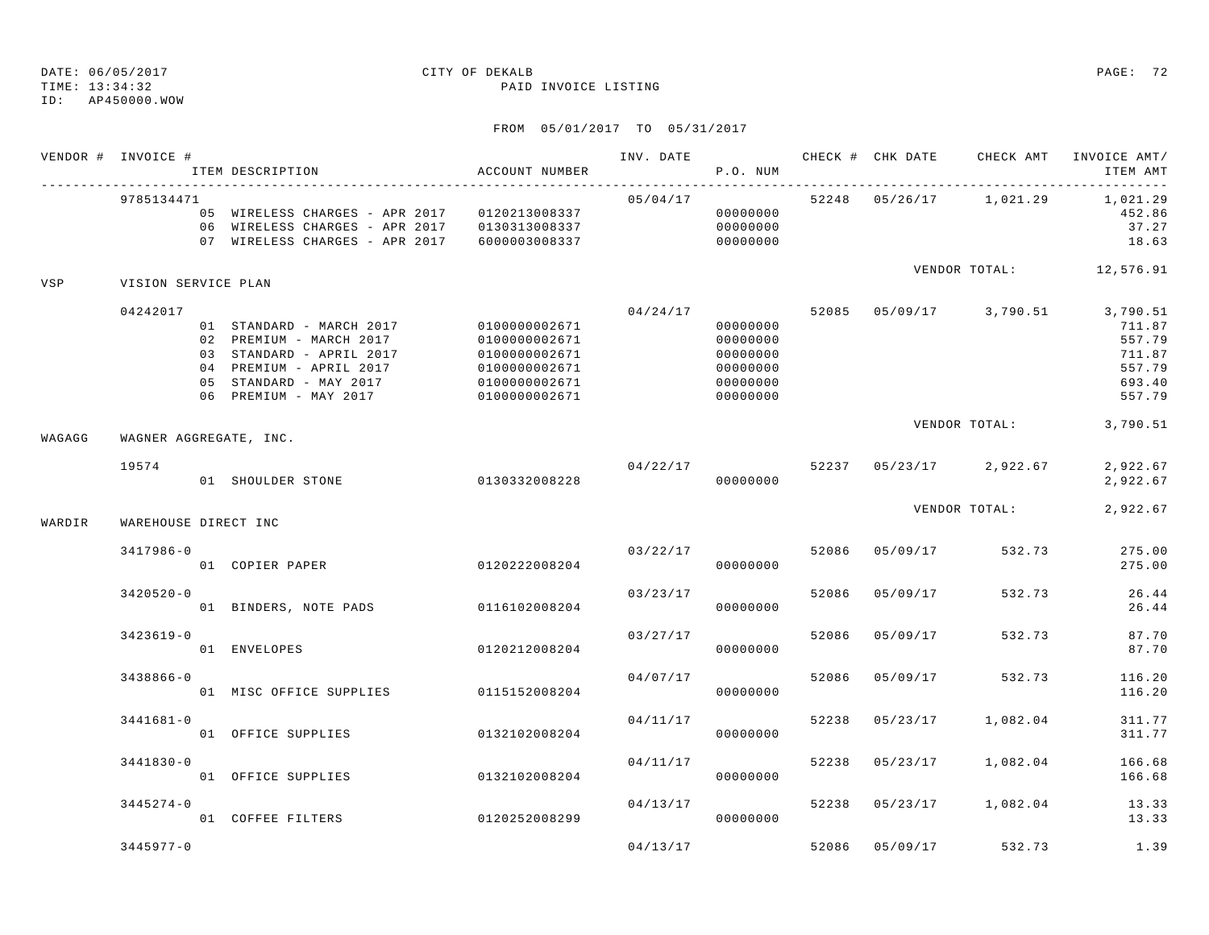TIME: 13:34:32 PAID INVOICE LISTING

ID: AP450000.WOW

|        | VENDOR # INVOICE #     | ITEM DESCRIPTION                                                                                                                                              | ACCOUNT NUMBER                                                                                     | INV. DATE | P.O. NUM                                                             |       | CHECK # CHK DATE | CHECK AMT                 | INVOICE AMT/<br>ITEM AMT                                             |
|--------|------------------------|---------------------------------------------------------------------------------------------------------------------------------------------------------------|----------------------------------------------------------------------------------------------------|-----------|----------------------------------------------------------------------|-------|------------------|---------------------------|----------------------------------------------------------------------|
|        | 9785134471             | 05 WIRELESS CHARGES - APR 2017 0120213008337<br>06 WIRELESS CHARGES - APR 2017 0130313008337<br>07 WIRELESS CHARGES - APR 2017 6000003008337                  |                                                                                                    | 05/04/17  | 00000000<br>00000000<br>00000000                                     |       |                  | 52248  05/26/17  1,021.29 | 1,021.29<br>452.86<br>37.27<br>18.63                                 |
| VSP    | VISION SERVICE PLAN    |                                                                                                                                                               |                                                                                                    |           |                                                                      |       |                  |                           | VENDOR TOTAL: 12,576.91                                              |
|        | 04242017               | 01 STANDARD - MARCH 2017<br>02 PREMIUM - MARCH 2017<br>03 STANDARD - APRIL 2017<br>04 PREMIUM - APRIL 2017<br>05 STANDARD - MAY 2017<br>06 PREMIUM - MAY 2017 | 0100000002671<br>0100000002671<br>0100000002671<br>0100000002671<br>0100000002671<br>0100000002671 | 04/24/17  | 00000000<br>00000000<br>00000000<br>00000000<br>00000000<br>00000000 |       |                  | 52085  05/09/17  3,790.51 | 3,790.51<br>711.87<br>557.79<br>711.87<br>557.79<br>693.40<br>557.79 |
| WAGAGG | WAGNER AGGREGATE, INC. |                                                                                                                                                               |                                                                                                    |           |                                                                      |       |                  | VENDOR TOTAL:             | 3,790.51                                                             |
|        | 19574                  | 01 SHOULDER STONE                                                                                                                                             | 0130332008228                                                                                      | 04/22/17  | 00000000                                                             |       |                  | 52237 05/23/17 2,922.67   | 2,922.67<br>2,922.67                                                 |
| WARDIR | WAREHOUSE DIRECT INC   |                                                                                                                                                               |                                                                                                    |           |                                                                      |       |                  | VENDOR TOTAL:             | 2,922.67                                                             |
|        | 3417986-0              | 01 COPIER PAPER                                                                                                                                               | 0120222008204                                                                                      |           | 03/22/17<br>00000000                                                 | 52086 | 05/09/17         | 532.73                    | 275.00<br>275.00                                                     |
|        | $3420520 - 0$          | 01 BINDERS, NOTE PADS                                                                                                                                         | 0116102008204                                                                                      | 03/23/17  | 00000000                                                             | 52086 | 05/09/17         | 532.73                    | 26.44<br>26.44                                                       |
|        | $3423619 - 0$          | 01 ENVELOPES                                                                                                                                                  | 0120212008204                                                                                      | 03/27/17  | 00000000                                                             | 52086 | 05/09/17         | 532.73                    | 87.70<br>87.70                                                       |
|        | 3438866-0              | 01 MISC OFFICE SUPPLIES 0115152008204                                                                                                                         |                                                                                                    | 04/07/17  | 00000000                                                             | 52086 | 05/09/17         | 532.73                    | 116.20<br>116.20                                                     |
|        | $3441681 - 0$          | 01 OFFICE SUPPLIES                                                                                                                                            | 0132102008204                                                                                      | 04/11/17  | 00000000                                                             | 52238 | 05/23/17         | 1,082.04                  | 311.77<br>311.77                                                     |
|        | 3441830-0              | 01 OFFICE SUPPLIES                                                                                                                                            | 0132102008204                                                                                      | 04/11/17  | 00000000                                                             | 52238 | 05/23/17         | 1,082.04                  | 166.68<br>166.68                                                     |
|        | $3445274 - 0$          | 01 COFFEE FILTERS                                                                                                                                             | 0120252008299                                                                                      | 04/13/17  | 00000000                                                             | 52238 | 05/23/17         | 1,082.04                  | 13.33<br>13.33                                                       |
|        | $3445977 - 0$          |                                                                                                                                                               |                                                                                                    | 04/13/17  |                                                                      |       | 52086 05/09/17   | 532.73                    | 1.39                                                                 |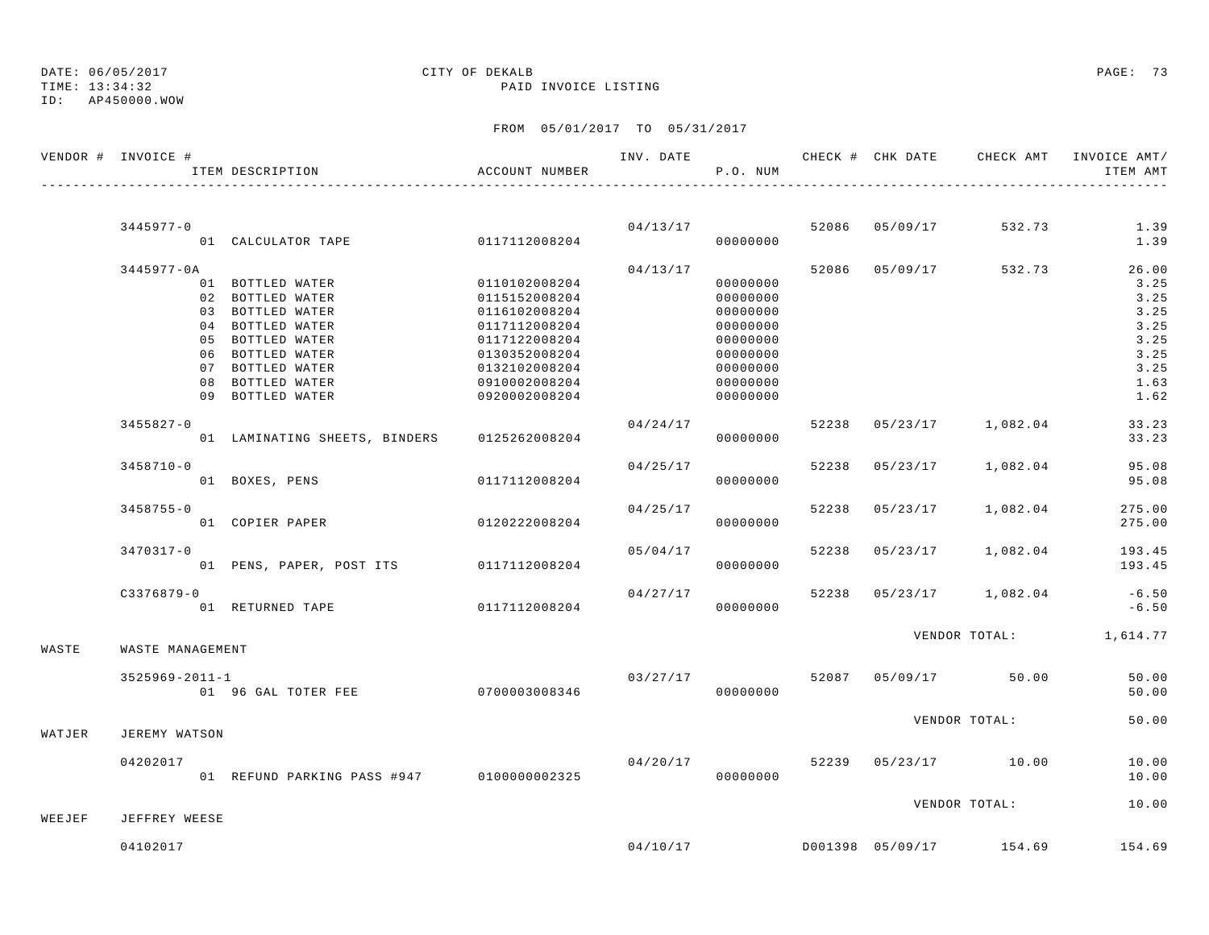# DATE: 06/05/2017 CITY OF DEKALB PAGE: 73

ID: AP450000.WOW

TIME: 13:34:32 PAID INVOICE LISTING

## FROM 05/01/2017 TO 05/31/2017

|        | VENDOR # INVOICE #   | ITEM DESCRIPTION                            | ACCOUNT NUMBER |          | P.O. NUM |       |                                    | INV. DATE 6 CHECK # CHK DATE CHECK AMT INVOICE AMT/<br>ITEM AMT |
|--------|----------------------|---------------------------------------------|----------------|----------|----------|-------|------------------------------------|-----------------------------------------------------------------|
|        |                      |                                             |                |          |          |       |                                    |                                                                 |
|        | 3445977-0            |                                             |                |          | 04/13/17 |       | 52086 05/09/17 532.73              | 1.39                                                            |
|        |                      | $01$ CALCULATOR TAPE $0117112008204$        |                |          | 00000000 |       |                                    | 1.39                                                            |
|        | 3445977-0A           |                                             |                | 04/13/17 |          |       | 52086 05/09/17 532.73              | 26.00                                                           |
|        |                      | 01 BOTTLED WATER                            | 0110102008204  |          | 00000000 |       |                                    | 3.25                                                            |
|        |                      | 02 BOTTLED WATER                            | 0115152008204  |          | 00000000 |       |                                    | 3.25                                                            |
|        |                      | 03 BOTTLED WATER                            | 0116102008204  |          | 00000000 |       |                                    | 3.25                                                            |
|        |                      | 04 BOTTLED WATER                            | 0117112008204  |          | 00000000 |       |                                    | 3.25                                                            |
|        |                      | 05 BOTTLED WATER                            | 0117122008204  |          | 00000000 |       |                                    | 3.25                                                            |
|        |                      | 06 BOTTLED WATER                            | 0130352008204  |          | 00000000 |       |                                    | 3.25                                                            |
|        |                      | 07 BOTTLED WATER                            | 0132102008204  |          | 00000000 |       |                                    | 3.25                                                            |
|        |                      | 08 BOTTLED WATER                            | 0910002008204  |          | 00000000 |       |                                    | 1.63                                                            |
|        |                      | 09 BOTTLED WATER                            | 0920002008204  |          | 00000000 |       |                                    | 1.62                                                            |
|        | $3455827 - 0$        |                                             |                | 04/24/17 |          |       | 52238 05/23/17 1,082.04            | 33.23                                                           |
|        |                      | 01 LAMINATING SHEETS, BINDERS 0125262008204 |                |          | 00000000 |       |                                    | 33.23                                                           |
|        | $3458710 - 0$        |                                             |                | 04/25/17 |          |       | 52238 05/23/17 1,082.04            | 95.08                                                           |
|        |                      | 01 BOXES, PENS                              | 0117112008204  |          | 00000000 |       |                                    | 95.08                                                           |
|        | $3458755 - 0$        |                                             |                | 04/25/17 |          | 52238 | 05/23/17 1,082.04                  | 275.00                                                          |
|        |                      | 01 COPIER PAPER                             | 0120222008204  |          | 00000000 |       |                                    | 275.00                                                          |
|        | 3470317-0            |                                             |                | 05/04/17 |          |       | 52238 05/23/17 1,082.04            | 193.45                                                          |
|        |                      | 01 PENS, PAPER, POST ITS 0117112008204      |                |          | 00000000 |       |                                    | 193.45                                                          |
|        |                      |                                             |                |          |          |       |                                    |                                                                 |
|        | $C3376879 - 0$       | 01 RETURNED TAPE 6117112008204              |                | 04/27/17 | 00000000 |       | 52238 05/23/17 1,082.04            | $-6.50$<br>$-6.50$                                              |
|        |                      |                                             |                |          |          |       |                                    |                                                                 |
| WASTE  | WASTE MANAGEMENT     |                                             |                |          |          |       |                                    | VENDOR TOTAL: 1,614.77                                          |
|        | $3525969 - 2011 - 1$ |                                             |                | 03/27/17 |          |       | 52087 05/09/17 50.00               | 50.00                                                           |
|        |                      |                                             |                |          | 00000000 |       |                                    | 50.00                                                           |
|        |                      |                                             |                |          |          |       | VENDOR TOTAL:                      | 50.00                                                           |
| WATJER | JEREMY WATSON        |                                             |                |          |          |       |                                    |                                                                 |
|        | 04202017             |                                             |                | 04/20/17 |          |       | 52239 05/23/17 10.00               | 10.00                                                           |
|        |                      | 01 REFUND PARKING PASS #947 0100000002325   |                |          | 00000000 |       |                                    | 10.00                                                           |
|        |                      |                                             |                |          |          |       | VENDOR TOTAL:                      | 10.00                                                           |
| WEEJEF | JEFFREY WEESE        |                                             |                |          |          |       |                                    |                                                                 |
|        | 04102017             |                                             |                |          |          |       | $04/10/17$ D001398 05/09/17 154.69 | 154.69                                                          |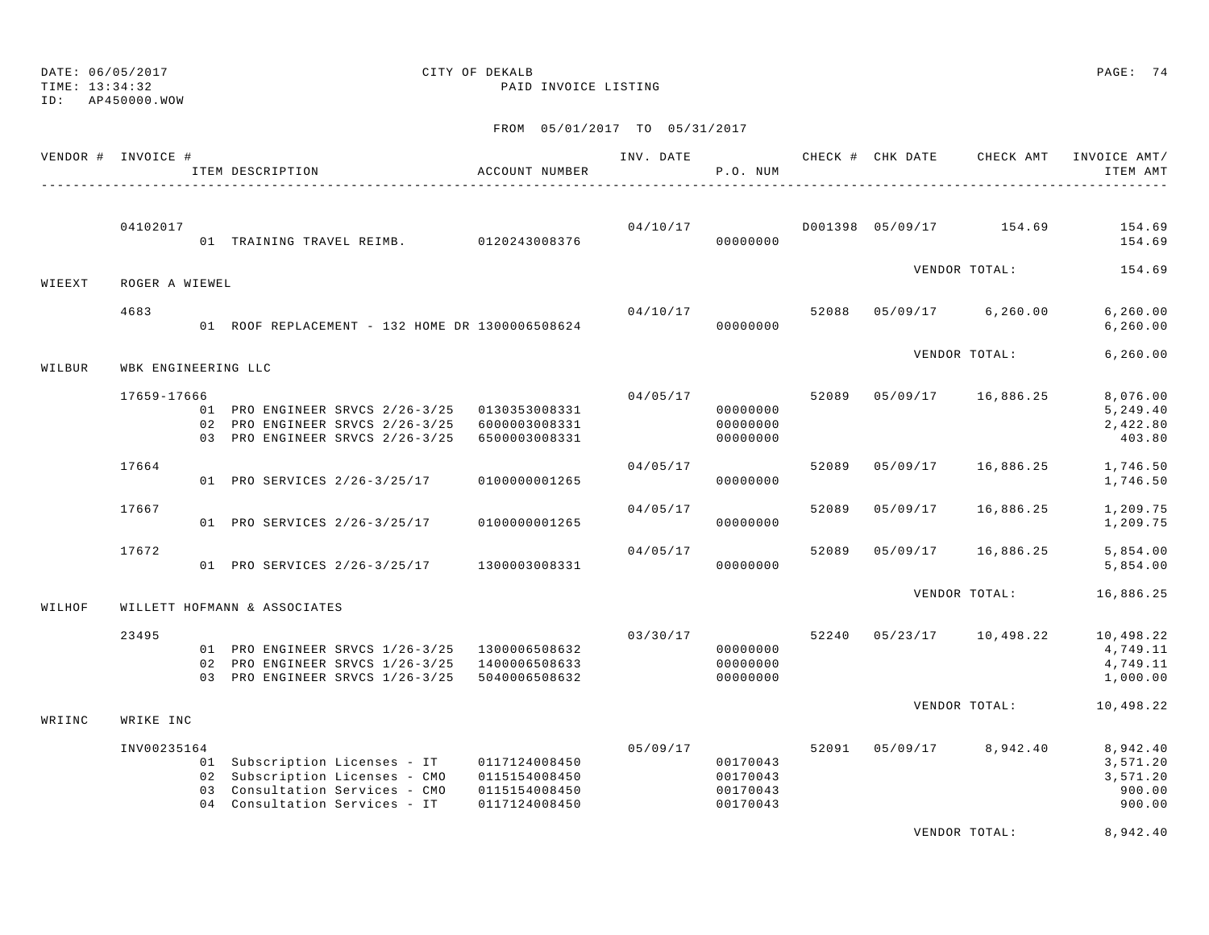DATE: 06/05/2017 CITY OF DEKALB PAGE: 74

ID: AP450000.WOW

### TIME: 13:34:32 PAID INVOICE LISTING

## FROM 05/01/2017 TO 05/31/2017

|        | VENDOR # INVOICE #  |  | ITEM DESCRIPTION                                                                                                                                 | ACCOUNT NUMBER                                  | INV. DATE | P.O. NUM                                     |       | CHECK # CHK DATE | CHECK AMT                | INVOICE AMT/<br>ITEM AMT                             |
|--------|---------------------|--|--------------------------------------------------------------------------------------------------------------------------------------------------|-------------------------------------------------|-----------|----------------------------------------------|-------|------------------|--------------------------|------------------------------------------------------|
|        | 04102017            |  | 01 TRAINING TRAVEL REIMB. 0120243008376                                                                                                          |                                                 | 04/10/17  | 00000000                                     |       |                  | D001398 05/09/17 154.69  | 154.69<br>154.69                                     |
| WIEEXT | ROGER A WIEWEL      |  |                                                                                                                                                  |                                                 |           |                                              |       |                  | VENDOR TOTAL:            | 154.69                                               |
|        |                     |  |                                                                                                                                                  |                                                 |           |                                              |       |                  |                          |                                                      |
|        | 4683                |  | 01 ROOF REPLACEMENT - 132 HOME DR 1300006508624                                                                                                  |                                                 | 04/10/17  | 00000000                                     | 52088 |                  | 05/09/17 6,260.00        | 6, 260.00<br>6, 260.00                               |
| WILBUR | WBK ENGINEERING LLC |  |                                                                                                                                                  |                                                 |           |                                              |       |                  | VENDOR TOTAL:            | 6, 260.00                                            |
|        |                     |  |                                                                                                                                                  |                                                 |           |                                              |       |                  |                          |                                                      |
|        | 17659-17666         |  | 01 PRO ENGINEER SRVCS 2/26-3/25 0130353008331<br>02 PRO ENGINEER SRVCS 2/26-3/25 6000003008331<br>03 PRO ENGINEER SRVCS 2/26-3/25 6500003008331  |                                                 | 04/05/17  | 00000000<br>00000000<br>00000000             | 52089 | 05/09/17         | 16,886.25                | 8,076.00<br>5, 249.40<br>2,422.80<br>403.80          |
|        | 17664               |  | 01 PRO SERVICES 2/26-3/25/17                                                                                                                     | 0100000001265                                   | 04/05/17  | 00000000                                     | 52089 | 05/09/17         | 16,886.25                | 1,746.50<br>1,746.50                                 |
|        | 17667               |  | 01 PRO SERVICES 2/26-3/25/17                                                                                                                     | 0100000001265                                   | 04/05/17  | 00000000                                     | 52089 | 05/09/17         | 16,886.25                | 1,209.75<br>1,209.75                                 |
|        | 17672               |  | 01 PRO SERVICES 2/26-3/25/17 1300003008331                                                                                                       |                                                 | 04/05/17  | 00000000                                     | 52089 | 05/09/17         | 16,886.25                | 5,854.00<br>5,854.00                                 |
| WILHOF |                     |  | WILLETT HOFMANN & ASSOCIATES                                                                                                                     |                                                 |           |                                              |       |                  | VENDOR TOTAL:            | 16,886.25                                            |
|        |                     |  |                                                                                                                                                  |                                                 |           |                                              |       |                  |                          |                                                      |
|        | 23495               |  | 01 PRO ENGINEER SRVCS 1/26-3/25 1300006508632<br>02 PRO ENGINEER SRVCS 1/26-3/25 1400006508633<br>03 PRO ENGINEER SRVCS 1/26-3/25 5040006508632  |                                                 | 03/30/17  | 00000000<br>00000000<br>00000000             |       |                  | 52240 05/23/17 10,498.22 | 10,498.22<br>4,749.11<br>4,749.11<br>1,000.00        |
| WRIINC | WRIKE INC           |  |                                                                                                                                                  |                                                 |           |                                              |       |                  | VENDOR TOTAL:            | 10,498.22                                            |
|        |                     |  |                                                                                                                                                  |                                                 |           |                                              |       |                  |                          |                                                      |
|        | INV00235164         |  | 01 Subscription Licenses - IT 0117124008450<br>02 Subscription Licenses - CMO<br>03 Consultation Services - CMO<br>04 Consultation Services - IT | 0115154008450<br>0115154008450<br>0117124008450 | 05/09/17  | 00170043<br>00170043<br>00170043<br>00170043 | 52091 |                  | 05/09/17 8,942.40        | 8,942.40<br>3,571.20<br>3,571.20<br>900.00<br>900.00 |
|        |                     |  |                                                                                                                                                  |                                                 |           |                                              |       |                  | VENDOR TOTAL:            | 8,942.40                                             |